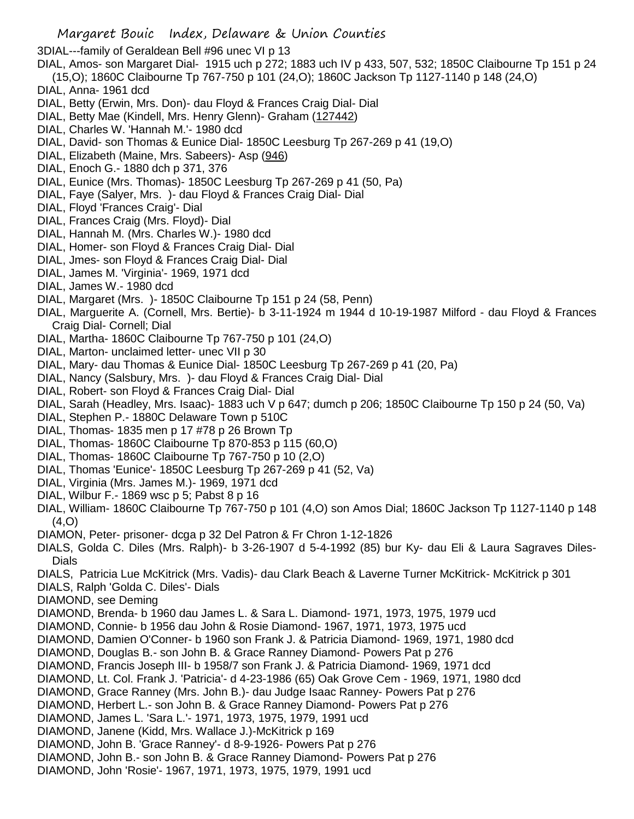Margaret Bouic Index, Delaware & Union Counties 3DIAL---family of Geraldean Bell #96 unec VI p 13 DIAL, Amos- son Margaret Dial- 1915 uch p 272; 1883 uch IV p 433, 507, 532; 1850C Claibourne Tp 151 p 24 (15,O); 1860C Claibourne Tp 767-750 p 101 (24,O); 1860C Jackson Tp 1127-1140 p 148 (24,O) DIAL, Anna- 1961 dcd DIAL, Betty (Erwin, Mrs. Don)- dau Floyd & Frances Craig Dial- Dial DIAL, Betty Mae (Kindell, Mrs. Henry Glenn)- Graham (127442) DIAL, Charles W. 'Hannah M.'- 1980 dcd DIAL, David- son Thomas & Eunice Dial- 1850C Leesburg Tp 267-269 p 41 (19,O) DIAL, Elizabeth (Maine, Mrs. Sabeers)- Asp (946) DIAL, Enoch G.- 1880 dch p 371, 376 DIAL, Eunice (Mrs. Thomas)- 1850C Leesburg Tp 267-269 p 41 (50, Pa) DIAL, Faye (Salyer, Mrs. )- dau Floyd & Frances Craig Dial- Dial DIAL, Floyd 'Frances Craig'- Dial DIAL, Frances Craig (Mrs. Floyd)- Dial DIAL, Hannah M. (Mrs. Charles W.)- 1980 dcd DIAL, Homer- son Floyd & Frances Craig Dial- Dial DIAL, Jmes- son Floyd & Frances Craig Dial- Dial DIAL, James M. 'Virginia'- 1969, 1971 dcd DIAL, James W.- 1980 dcd DIAL, Margaret (Mrs. )- 1850C Claibourne Tp 151 p 24 (58, Penn) DIAL, Marguerite A. (Cornell, Mrs. Bertie)- b 3-11-1924 m 1944 d 10-19-1987 Milford - dau Floyd & Frances Craig Dial- Cornell; Dial DIAL, Martha- 1860C Claibourne Tp 767-750 p 101 (24,O) DIAL, Marton- unclaimed letter- unec VII p 30 DIAL, Mary- dau Thomas & Eunice Dial- 1850C Leesburg Tp 267-269 p 41 (20, Pa) DIAL, Nancy (Salsbury, Mrs. )- dau Floyd & Frances Craig Dial- Dial DIAL, Robert- son Floyd & Frances Craig Dial- Dial DIAL, Sarah (Headley, Mrs. Isaac)- 1883 uch V p 647; dumch p 206; 1850C Claibourne Tp 150 p 24 (50, Va) DIAL, Stephen P.- 1880C Delaware Town p 510C DIAL, Thomas- 1835 men p 17 #78 p 26 Brown Tp DIAL, Thomas- 1860C Claibourne Tp 870-853 p 115 (60,O) DIAL, Thomas- 1860C Claibourne Tp 767-750 p 10 (2,O) DIAL, Thomas 'Eunice'- 1850C Leesburg Tp 267-269 p 41 (52, Va) DIAL, Virginia (Mrs. James M.)- 1969, 1971 dcd DIAL, Wilbur F.- 1869 wsc p 5; Pabst 8 p 16 DIAL, William- 1860C Claibourne Tp 767-750 p 101 (4,O) son Amos Dial; 1860C Jackson Tp 1127-1140 p 148  $(4, 0)$ DIAMON, Peter- prisoner- dcga p 32 Del Patron & Fr Chron 1-12-1826 DIALS, Golda C. Diles (Mrs. Ralph)- b 3-26-1907 d 5-4-1992 (85) bur Ky- dau Eli & Laura Sagraves Diles-Dials DIALS, Patricia Lue McKitrick (Mrs. Vadis)- dau Clark Beach & Laverne Turner McKitrick- McKitrick p 301 DIALS, Ralph 'Golda C. Diles'- Dials DIAMOND, see Deming DIAMOND, Brenda- b 1960 dau James L. & Sara L. Diamond- 1971, 1973, 1975, 1979 ucd DIAMOND, Connie- b 1956 dau John & Rosie Diamond- 1967, 1971, 1973, 1975 ucd DIAMOND, Damien O'Conner- b 1960 son Frank J. & Patricia Diamond- 1969, 1971, 1980 dcd DIAMOND, Douglas B.- son John B. & Grace Ranney Diamond- Powers Pat p 276 DIAMOND, Francis Joseph III- b 1958/7 son Frank J. & Patricia Diamond- 1969, 1971 dcd DIAMOND, Lt. Col. Frank J. 'Patricia'- d 4-23-1986 (65) Oak Grove Cem - 1969, 1971, 1980 dcd DIAMOND, Grace Ranney (Mrs. John B.)- dau Judge Isaac Ranney- Powers Pat p 276 DIAMOND, Herbert L.- son John B. & Grace Ranney Diamond- Powers Pat p 276 DIAMOND, James L. 'Sara L.'- 1971, 1973, 1975, 1979, 1991 ucd DIAMOND, Janene (Kidd, Mrs. Wallace J.)-McKitrick p 169 DIAMOND, John B. 'Grace Ranney'- d 8-9-1926- Powers Pat p 276 DIAMOND, John B.- son John B. & Grace Ranney Diamond- Powers Pat p 276 DIAMOND, John 'Rosie'- 1967, 1971, 1973, 1975, 1979, 1991 ucd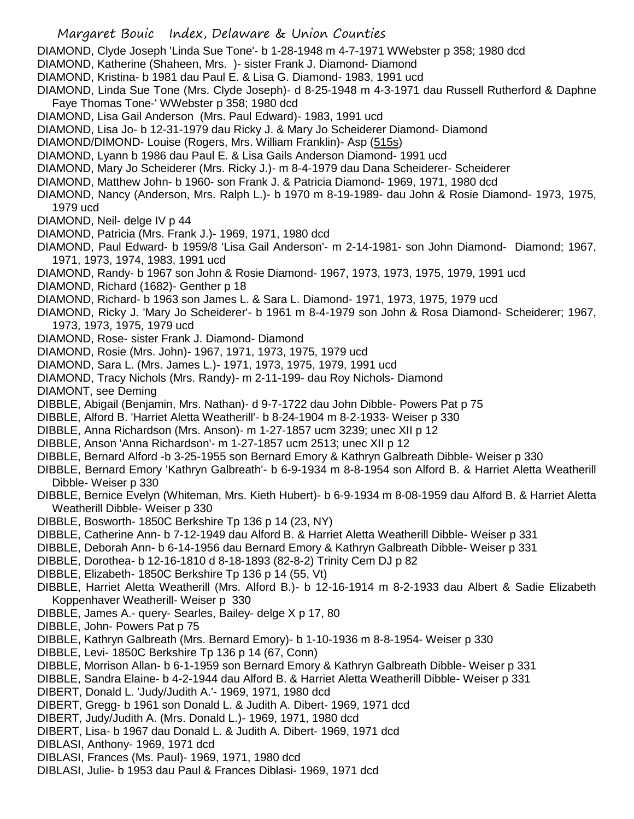- DIAMOND, Clyde Joseph 'Linda Sue Tone'- b 1-28-1948 m 4-7-1971 WWebster p 358; 1980 dcd
- DIAMOND, Katherine (Shaheen, Mrs. )- sister Frank J. Diamond- Diamond
- DIAMOND, Kristina- b 1981 dau Paul E. & Lisa G. Diamond- 1983, 1991 ucd
- DIAMOND, Linda Sue Tone (Mrs. Clyde Joseph)- d 8-25-1948 m 4-3-1971 dau Russell Rutherford & Daphne Faye Thomas Tone-' WWebster p 358; 1980 dcd
- DIAMOND, Lisa Gail Anderson (Mrs. Paul Edward)- 1983, 1991 ucd
- DIAMOND, Lisa Jo- b 12-31-1979 dau Ricky J. & Mary Jo Scheiderer Diamond- Diamond
- DIAMOND/DIMOND- Louise (Rogers, Mrs. William Franklin)- Asp (515s)
- DIAMOND, Lyann b 1986 dau Paul E. & Lisa Gails Anderson Diamond- 1991 ucd
- DIAMOND, Mary Jo Scheiderer (Mrs. Ricky J.)- m 8-4-1979 dau Dana Scheiderer- Scheiderer
- DIAMOND, Matthew John- b 1960- son Frank J. & Patricia Diamond- 1969, 1971, 1980 dcd
- DIAMOND, Nancy (Anderson, Mrs. Ralph L.)- b 1970 m 8-19-1989- dau John & Rosie Diamond- 1973, 1975, 1979 ucd
- DIAMOND, Neil- delge IV p 44
- DIAMOND, Patricia (Mrs. Frank J.)- 1969, 1971, 1980 dcd
- DIAMOND, Paul Edward- b 1959/8 'Lisa Gail Anderson'- m 2-14-1981- son John Diamond- Diamond; 1967, 1971, 1973, 1974, 1983, 1991 ucd
- DIAMOND, Randy- b 1967 son John & Rosie Diamond- 1967, 1973, 1973, 1975, 1979, 1991 ucd
- DIAMOND, Richard (1682)- Genther p 18
- DIAMOND, Richard- b 1963 son James L. & Sara L. Diamond- 1971, 1973, 1975, 1979 ucd
- DIAMOND, Ricky J. 'Mary Jo Scheiderer'- b 1961 m 8-4-1979 son John & Rosa Diamond- Scheiderer; 1967, 1973, 1973, 1975, 1979 ucd
- DIAMOND, Rose- sister Frank J. Diamond- Diamond
- DIAMOND, Rosie (Mrs. John)- 1967, 1971, 1973, 1975, 1979 ucd
- DIAMOND, Sara L. (Mrs. James L.)- 1971, 1973, 1975, 1979, 1991 ucd
- DIAMOND, Tracy Nichols (Mrs. Randy)- m 2-11-199- dau Roy Nichols- Diamond
- DIAMONT, see Deming
- DIBBLE, Abigail (Benjamin, Mrs. Nathan)- d 9-7-1722 dau John Dibble- Powers Pat p 75
- DIBBLE, Alford B. 'Harriet Aletta Weatherill'- b 8-24-1904 m 8-2-1933- Weiser p 330
- DIBBLE, Anna Richardson (Mrs. Anson)- m 1-27-1857 ucm 3239; unec XII p 12
- DIBBLE, Anson 'Anna Richardson'- m 1-27-1857 ucm 2513; unec XII p 12
- DIBBLE, Bernard Alford -b 3-25-1955 son Bernard Emory & Kathryn Galbreath Dibble- Weiser p 330
- DIBBLE, Bernard Emory 'Kathryn Galbreath'- b 6-9-1934 m 8-8-1954 son Alford B. & Harriet Aletta Weatherill Dibble- Weiser p 330
- DIBBLE, Bernice Evelyn (Whiteman, Mrs. Kieth Hubert)- b 6-9-1934 m 8-08-1959 dau Alford B. & Harriet Aletta Weatherill Dibble- Weiser p 330
- DIBBLE, Bosworth- 1850C Berkshire Tp 136 p 14 (23, NY)
- DIBBLE, Catherine Ann- b 7-12-1949 dau Alford B. & Harriet Aletta Weatherill Dibble- Weiser p 331
- DIBBLE, Deborah Ann- b 6-14-1956 dau Bernard Emory & Kathryn Galbreath Dibble- Weiser p 331
- DIBBLE, Dorothea- b 12-16-1810 d 8-18-1893 (82-8-2) Trinity Cem DJ p 82
- DIBBLE, Elizabeth- 1850C Berkshire Tp 136 p 14 (55, Vt)
- DIBBLE, Harriet Aletta Weatherill (Mrs. Alford B.)- b 12-16-1914 m 8-2-1933 dau Albert & Sadie Elizabeth Koppenhaver Weatherill- Weiser p 330
- DIBBLE, James A.- query- Searles, Bailey- delge X p 17, 80
- DIBBLE, John- Powers Pat p 75
- DIBBLE, Kathryn Galbreath (Mrs. Bernard Emory)- b 1-10-1936 m 8-8-1954- Weiser p 330
- DIBBLE, Levi- 1850C Berkshire Tp 136 p 14 (67, Conn)
- DIBBLE, Morrison Allan- b 6-1-1959 son Bernard Emory & Kathryn Galbreath Dibble- Weiser p 331
- DIBBLE, Sandra Elaine- b 4-2-1944 dau Alford B. & Harriet Aletta Weatherill Dibble- Weiser p 331
- DIBERT, Donald L. 'Judy/Judith A.'- 1969, 1971, 1980 dcd
- DIBERT, Gregg- b 1961 son Donald L. & Judith A. Dibert- 1969, 1971 dcd
- DIBERT, Judy/Judith A. (Mrs. Donald L.)- 1969, 1971, 1980 dcd
- DIBERT, Lisa- b 1967 dau Donald L. & Judith A. Dibert- 1969, 1971 dcd
- DIBLASI, Anthony- 1969, 1971 dcd
- DIBLASI, Frances (Ms. Paul)- 1969, 1971, 1980 dcd
- DIBLASI, Julie- b 1953 dau Paul & Frances Diblasi- 1969, 1971 dcd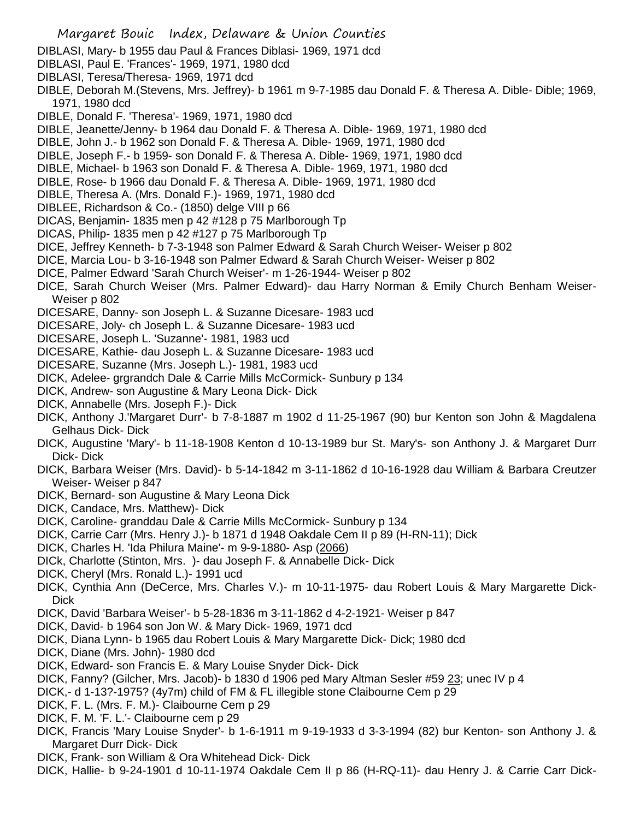- DIBLASI, Mary- b 1955 dau Paul & Frances Diblasi- 1969, 1971 dcd
- DIBLASI, Paul E. 'Frances'- 1969, 1971, 1980 dcd
- DIBLASI, Teresa/Theresa- 1969, 1971 dcd
- DIBLE, Deborah M.(Stevens, Mrs. Jeffrey)- b 1961 m 9-7-1985 dau Donald F. & Theresa A. Dible- Dible; 1969, 1971, 1980 dcd
- DIBLE, Donald F. 'Theresa'- 1969, 1971, 1980 dcd
- DIBLE, Jeanette/Jenny- b 1964 dau Donald F. & Theresa A. Dible- 1969, 1971, 1980 dcd
- DIBLE, John J.- b 1962 son Donald F. & Theresa A. Dible- 1969, 1971, 1980 dcd
- DIBLE, Joseph F.- b 1959- son Donald F. & Theresa A. Dible- 1969, 1971, 1980 dcd
- DIBLE, Michael- b 1963 son Donald F. & Theresa A. Dible- 1969, 1971, 1980 dcd
- DIBLE, Rose- b 1966 dau Donald F. & Theresa A. Dible- 1969, 1971, 1980 dcd
- DIBLE, Theresa A. (Mrs. Donald F.)- 1969, 1971, 1980 dcd
- DIBLEE, Richardson & Co.- (1850) delge VIII p 66
- DICAS, Benjamin- 1835 men p 42 #128 p 75 Marlborough Tp
- DICAS, Philip- 1835 men p 42 #127 p 75 Marlborough Tp
- DICE, Jeffrey Kenneth- b 7-3-1948 son Palmer Edward & Sarah Church Weiser- Weiser p 802
- DICE, Marcia Lou- b 3-16-1948 son Palmer Edward & Sarah Church Weiser- Weiser p 802
- DICE, Palmer Edward 'Sarah Church Weiser'- m 1-26-1944- Weiser p 802
- DICE, Sarah Church Weiser (Mrs. Palmer Edward)- dau Harry Norman & Emily Church Benham Weiser-Weiser p 802
- DICESARE, Danny- son Joseph L. & Suzanne Dicesare- 1983 ucd
- DICESARE, Joly- ch Joseph L. & Suzanne Dicesare- 1983 ucd
- DICESARE, Joseph L. 'Suzanne'- 1981, 1983 ucd
- DICESARE, Kathie- dau Joseph L. & Suzanne Dicesare- 1983 ucd
- DICESARE, Suzanne (Mrs. Joseph L.)- 1981, 1983 ucd
- DICK, Adelee- grgrandch Dale & Carrie Mills McCormick- Sunbury p 134
- DICK, Andrew- son Augustine & Mary Leona Dick- Dick
- DICK, Annabelle (Mrs. Joseph F.)- Dick
- DICK, Anthony J.'Margaret Durr'- b 7-8-1887 m 1902 d 11-25-1967 (90) bur Kenton son John & Magdalena Gelhaus Dick- Dick
- DICK, Augustine 'Mary'- b 11-18-1908 Kenton d 10-13-1989 bur St. Mary's- son Anthony J. & Margaret Durr Dick- Dick
- DICK, Barbara Weiser (Mrs. David)- b 5-14-1842 m 3-11-1862 d 10-16-1928 dau William & Barbara Creutzer Weiser- Weiser p 847
- DICK, Bernard- son Augustine & Mary Leona Dick
- DICK, Candace, Mrs. Matthew)- Dick
- DICK, Caroline- granddau Dale & Carrie Mills McCormick- Sunbury p 134
- DICK, Carrie Carr (Mrs. Henry J.)- b 1871 d 1948 Oakdale Cem II p 89 (H-RN-11); Dick
- DICK, Charles H. 'Ida Philura Maine'- m 9-9-1880- Asp (2066)
- DICk, Charlotte (Stinton, Mrs. )- dau Joseph F. & Annabelle Dick- Dick
- DICK, Cheryl (Mrs. Ronald L.)- 1991 ucd
- DICK, Cynthia Ann (DeCerce, Mrs. Charles V.)- m 10-11-1975- dau Robert Louis & Mary Margarette Dick-Dick
- DICK, David 'Barbara Weiser'- b 5-28-1836 m 3-11-1862 d 4-2-1921- Weiser p 847
- DICK, David- b 1964 son Jon W. & Mary Dick- 1969, 1971 dcd
- DICK, Diana Lynn- b 1965 dau Robert Louis & Mary Margarette Dick- Dick; 1980 dcd
- DICK, Diane (Mrs. John)- 1980 dcd
- DICK, Edward- son Francis E. & Mary Louise Snyder Dick- Dick
- DICK, Fanny? (Gilcher, Mrs. Jacob)- b 1830 d 1906 ped Mary Altman Sesler #59 23; unec IV p 4
- DICK,- d 1-13?-1975? (4y7m) child of FM & FL illegible stone Claibourne Cem p 29
- DICK, F. L. (Mrs. F. M.)- Claibourne Cem p 29
- DICK, F. M. 'F. L.'- Claibourne cem p 29
- DICK, Francis 'Mary Louise Snyder'- b 1-6-1911 m 9-19-1933 d 3-3-1994 (82) bur Kenton- son Anthony J. & Margaret Durr Dick- Dick
- DICK, Frank- son William & Ora Whitehead Dick- Dick
- DICK, Hallie- b 9-24-1901 d 10-11-1974 Oakdale Cem II p 86 (H-RQ-11)- dau Henry J. & Carrie Carr Dick-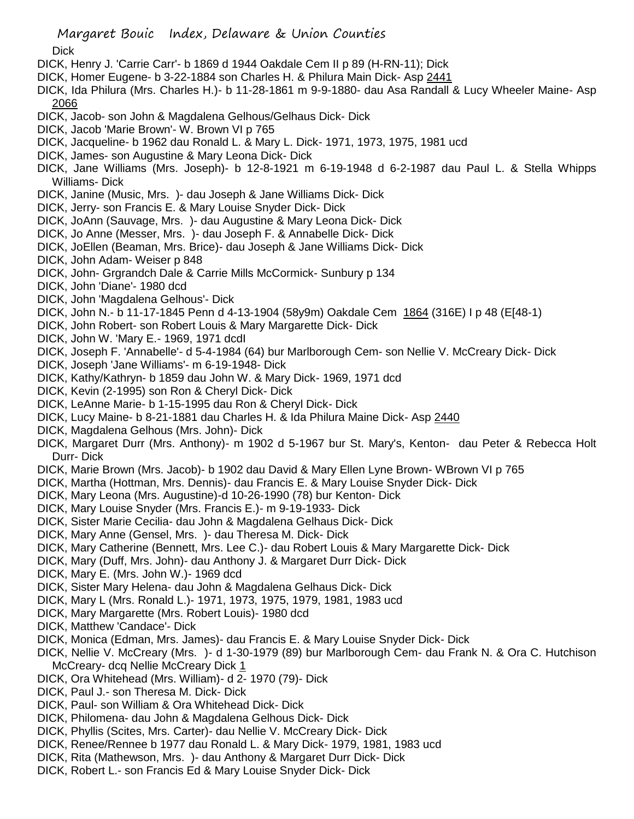**Dick** 

- DICK, Henry J. 'Carrie Carr'- b 1869 d 1944 Oakdale Cem II p 89 (H-RN-11); Dick
- DICK, Homer Eugene- b 3-22-1884 son Charles H. & Philura Main Dick- Asp 2441
- DICK, Ida Philura (Mrs. Charles H.)- b 11-28-1861 m 9-9-1880- dau Asa Randall & Lucy Wheeler Maine- Asp 2066
- DICK, Jacob- son John & Magdalena Gelhous/Gelhaus Dick- Dick
- DICK, Jacob 'Marie Brown'- W. Brown VI p 765
- DICK, Jacqueline- b 1962 dau Ronald L. & Mary L. Dick- 1971, 1973, 1975, 1981 ucd
- DICK, James- son Augustine & Mary Leona Dick- Dick
- DICK, Jane Williams (Mrs. Joseph)- b 12-8-1921 m 6-19-1948 d 6-2-1987 dau Paul L. & Stella Whipps Williams- Dick
- DICK, Janine (Music, Mrs. )- dau Joseph & Jane Williams Dick- Dick
- DICK, Jerry- son Francis E. & Mary Louise Snyder Dick- Dick
- DICK, JoAnn (Sauvage, Mrs. )- dau Augustine & Mary Leona Dick- Dick
- DICK, Jo Anne (Messer, Mrs. )- dau Joseph F. & Annabelle Dick- Dick
- DICK, JoEllen (Beaman, Mrs. Brice)- dau Joseph & Jane Williams Dick- Dick
- DICK, John Adam- Weiser p 848
- DICK, John- Grgrandch Dale & Carrie Mills McCormick- Sunbury p 134
- DICK, John 'Diane'- 1980 dcd
- DICK, John 'Magdalena Gelhous'- Dick
- DICK, John N.- b 11-17-1845 Penn d 4-13-1904 (58y9m) Oakdale Cem 1864 (316E) I p 48 (E[48-1)
- DICK, John Robert- son Robert Louis & Mary Margarette Dick- Dick
- DICK, John W. 'Mary E.- 1969, 1971 dcdI
- DICK, Joseph F. 'Annabelle'- d 5-4-1984 (64) bur Marlborough Cem- son Nellie V. McCreary Dick- Dick
- DICK, Joseph 'Jane Williams'- m 6-19-1948- Dick
- DICK, Kathy/Kathryn- b 1859 dau John W. & Mary Dick- 1969, 1971 dcd
- DICK, Kevin (2-1995) son Ron & Cheryl Dick- Dick
- DICK, LeAnne Marie- b 1-15-1995 dau Ron & Cheryl Dick- Dick
- DICK, Lucy Maine- b 8-21-1881 dau Charles H. & Ida Philura Maine Dick- Asp 2440
- DICK, Magdalena Gelhous (Mrs. John)- Dick
- DICK, Margaret Durr (Mrs. Anthony)- m 1902 d 5-1967 bur St. Mary's, Kenton- dau Peter & Rebecca Holt Durr- Dick
- DICK, Marie Brown (Mrs. Jacob)- b 1902 dau David & Mary Ellen Lyne Brown- WBrown VI p 765
- DICK, Martha (Hottman, Mrs. Dennis)- dau Francis E. & Mary Louise Snyder Dick- Dick
- DICK, Mary Leona (Mrs. Augustine)-d 10-26-1990 (78) bur Kenton- Dick
- DICK, Mary Louise Snyder (Mrs. Francis E.)- m 9-19-1933- Dick
- DICK, Sister Marie Cecilia- dau John & Magdalena Gelhaus Dick- Dick
- DICK, Mary Anne (Gensel, Mrs. )- dau Theresa M. Dick- Dick
- DICK, Mary Catherine (Bennett, Mrs. Lee C.)- dau Robert Louis & Mary Margarette Dick- Dick
- DICK, Mary (Duff, Mrs. John)- dau Anthony J. & Margaret Durr Dick- Dick
- DICK, Mary E. (Mrs. John W.)- 1969 dcd
- DICK, Sister Mary Helena- dau John & Magdalena Gelhaus Dick- Dick
- DICK, Mary L (Mrs. Ronald L.)- 1971, 1973, 1975, 1979, 1981, 1983 ucd
- DICK, Mary Margarette (Mrs. Robert Louis)- 1980 dcd
- DICK, Matthew 'Candace'- Dick
- DICK, Monica (Edman, Mrs. James)- dau Francis E. & Mary Louise Snyder Dick- Dick
- DICK, Nellie V. McCreary (Mrs. )- d 1-30-1979 (89) bur Marlborough Cem- dau Frank N. & Ora C. Hutchison McCreary- dcq Nellie McCreary Dick 1
- DICK, Ora Whitehead (Mrs. William)- d 2- 1970 (79)- Dick
- DICK, Paul J.- son Theresa M. Dick- Dick
- DICK, Paul- son William & Ora Whitehead Dick- Dick
- DICK, Philomena- dau John & Magdalena Gelhous Dick- Dick
- DICK, Phyllis (Scites, Mrs. Carter)- dau Nellie V. McCreary Dick- Dick
- DICK, Renee/Rennee b 1977 dau Ronald L. & Mary Dick- 1979, 1981, 1983 ucd
- DICK, Rita (Mathewson, Mrs. )- dau Anthony & Margaret Durr Dick- Dick
- DICK, Robert L.- son Francis Ed & Mary Louise Snyder Dick- Dick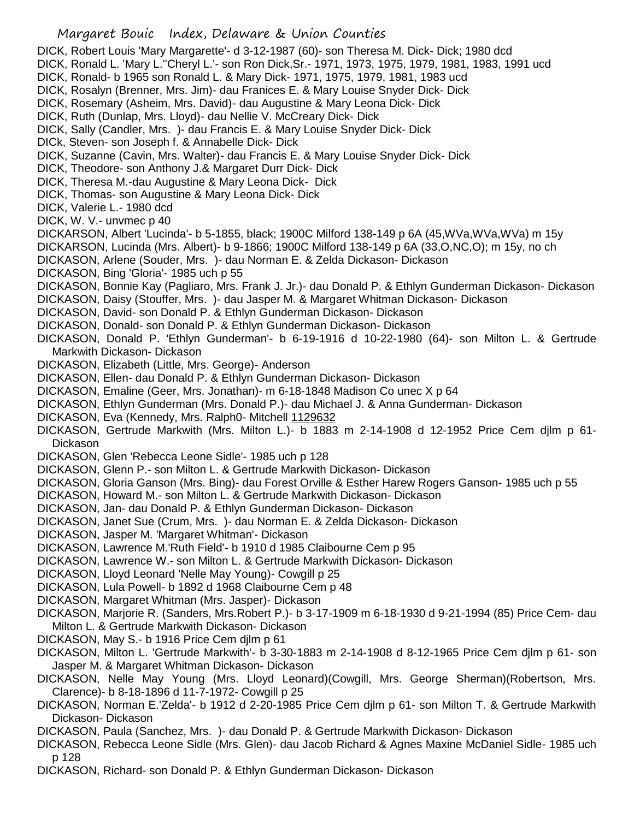DICK, Robert Louis 'Mary Margarette'- d 3-12-1987 (60)- son Theresa M. Dick- Dick; 1980 dcd DICK, Ronald L. 'Mary L.''Cheryl L.'- son Ron Dick,Sr.- 1971, 1973, 1975, 1979, 1981, 1983, 1991 ucd DICK, Ronald- b 1965 son Ronald L. & Mary Dick- 1971, 1975, 1979, 1981, 1983 ucd DICK, Rosalyn (Brenner, Mrs. Jim)- dau Franices E. & Mary Louise Snyder Dick- Dick DICK, Rosemary (Asheim, Mrs. David)- dau Augustine & Mary Leona Dick- Dick DICK, Ruth (Dunlap, Mrs. Lloyd)- dau Nellie V. McCreary Dick- Dick DICK, Sally (Candler, Mrs. )- dau Francis E. & Mary Louise Snyder Dick- Dick DICk, Steven- son Joseph f. & Annabelle Dick- Dick DICK, Suzanne (Cavin, Mrs. Walter)- dau Francis E. & Mary Louise Snyder Dick- Dick DICK, Theodore- son Anthony J.& Margaret Durr Dick- Dick DICK, Theresa M.-dau Augustine & Mary Leona Dick- Dick DICK, Thomas- son Augustine & Mary Leona Dick- Dick DICK, Valerie L.- 1980 dcd DICK, W. V.- unvmec p 40 DICKARSON, Albert 'Lucinda'- b 5-1855, black; 1900C Milford 138-149 p 6A (45,WVa,WVa,WVa) m 15y DICKARSON, Lucinda (Mrs. Albert)- b 9-1866; 1900C Milford 138-149 p 6A (33,O,NC,O); m 15y, no ch DICKASON, Arlene (Souder, Mrs. )- dau Norman E. & Zelda Dickason- Dickason DICKASON, Bing 'Gloria'- 1985 uch p 55 DICKASON, Bonnie Kay (Pagliaro, Mrs. Frank J. Jr.)- dau Donald P. & Ethlyn Gunderman Dickason- Dickason DICKASON, Daisy (Stouffer, Mrs. )- dau Jasper M. & Margaret Whitman Dickason- Dickason DICKASON, David- son Donald P. & Ethlyn Gunderman Dickason- Dickason DICKASON, Donald- son Donald P. & Ethlyn Gunderman Dickason- Dickason DICKASON, Donald P. 'Ethlyn Gunderman'- b 6-19-1916 d 10-22-1980 (64)- son Milton L. & Gertrude Markwith Dickason- Dickason DICKASON, Elizabeth (Little, Mrs. George)- Anderson DICKASON, Ellen- dau Donald P. & Ethlyn Gunderman Dickason- Dickason DICKASON, Emaline (Geer, Mrs. Jonathan)- m 6-18-1848 Madison Co unec X p 64 DICKASON, Ethlyn Gunderman (Mrs. Donald P.)- dau Michael J. & Anna Gunderman- Dickason DICKASON, Eva (Kennedy, Mrs. Ralph0- Mitchell 1129632 DICKASON, Gertrude Markwith (Mrs. Milton L.)- b 1883 m 2-14-1908 d 12-1952 Price Cem djlm p 61- **Dickason** DICKASON, Glen 'Rebecca Leone Sidle'- 1985 uch p 128 DICKASON, Glenn P.- son Milton L. & Gertrude Markwith Dickason- Dickason DICKASON, Gloria Ganson (Mrs. Bing)- dau Forest Orville & Esther Harew Rogers Ganson- 1985 uch p 55 DICKASON, Howard M.- son Milton L. & Gertrude Markwith Dickason- Dickason DICKASON, Jan- dau Donald P. & Ethlyn Gunderman Dickason- Dickason DICKASON, Janet Sue (Crum, Mrs. )- dau Norman E. & Zelda Dickason- Dickason DICKASON, Jasper M. 'Margaret Whitman'- Dickason DICKASON, Lawrence M.'Ruth Field'- b 1910 d 1985 Claibourne Cem p 95 DICKASON, Lawrence W.- son Milton L. & Gertrude Markwith Dickason- Dickason DICKASON, Lloyd Leonard 'Nelle May Young)- Cowgill p 25 DICKASON, Lula Powell- b 1892 d 1968 Claibourne Cem p 48 DICKASON, Margaret Whitman (Mrs. Jasper)- Dickason DICKASON, Marjorie R. (Sanders, Mrs.Robert P.)- b 3-17-1909 m 6-18-1930 d 9-21-1994 (85) Price Cem- dau Milton L. & Gertrude Markwith Dickason- Dickason DICKASON, May S.- b 1916 Price Cem djlm p 61 DICKASON, Milton L. 'Gertrude Markwith'- b 3-30-1883 m 2-14-1908 d 8-12-1965 Price Cem djlm p 61- son Jasper M. & Margaret Whitman Dickason- Dickason DICKASON, Nelle May Young (Mrs. Lloyd Leonard)(Cowgill, Mrs. George Sherman)(Robertson, Mrs. Clarence)- b 8-18-1896 d 11-7-1972- Cowgill p 25

- DICKASON, Norman E.'Zelda'- b 1912 d 2-20-1985 Price Cem djlm p 61- son Milton T. & Gertrude Markwith Dickason- Dickason
- DICKASON, Paula (Sanchez, Mrs. )- dau Donald P. & Gertrude Markwith Dickason- Dickason
- DICKASON, Rebecca Leone Sidle (Mrs. Glen)- dau Jacob Richard & Agnes Maxine McDaniel Sidle- 1985 uch p 128
- DICKASON, Richard- son Donald P. & Ethlyn Gunderman Dickason- Dickason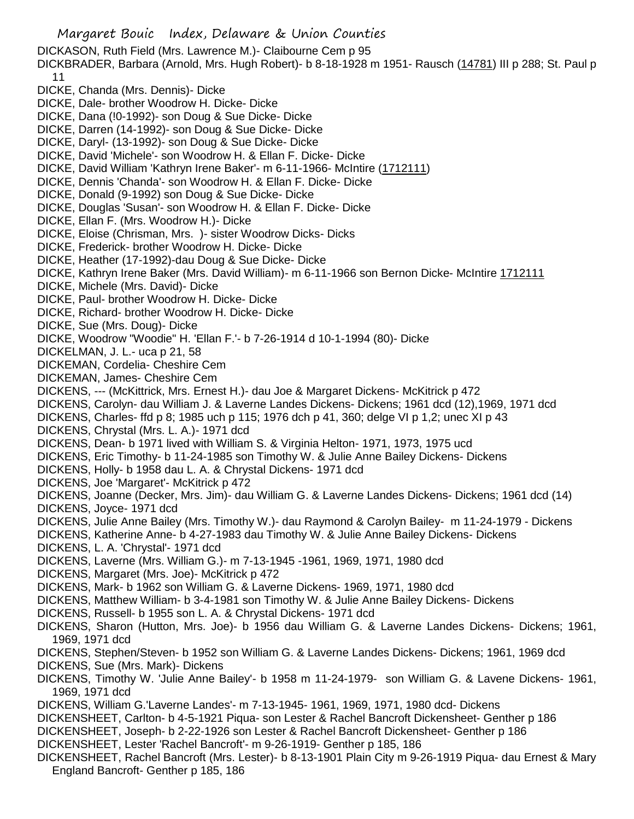Margaret Bouic Index, Delaware & Union Counties DICKASON, Ruth Field (Mrs. Lawrence M.)- Claibourne Cem p 95 DICKBRADER, Barbara (Arnold, Mrs. Hugh Robert)- b 8-18-1928 m 1951- Rausch (14781) III p 288; St. Paul p 11 DICKE, Chanda (Mrs. Dennis)- Dicke DICKE, Dale- brother Woodrow H. Dicke- Dicke DICKE, Dana (!0-1992)- son Doug & Sue Dicke- Dicke DICKE, Darren (14-1992)- son Doug & Sue Dicke- Dicke DICKE, Daryl- (13-1992)- son Doug & Sue Dicke- Dicke DICKE, David 'Michele'- son Woodrow H. & Ellan F. Dicke- Dicke DICKE, David William 'Kathryn Irene Baker'- m 6-11-1966- McIntire (1712111) DICKE, Dennis 'Chanda'- son Woodrow H. & Ellan F. Dicke- Dicke DICKE, Donald (9-1992) son Doug & Sue Dicke- Dicke DICKE, Douglas 'Susan'- son Woodrow H. & Ellan F. Dicke- Dicke DICKE, Ellan F. (Mrs. Woodrow H.)- Dicke DICKE, Eloise (Chrisman, Mrs. )- sister Woodrow Dicks- Dicks DICKE, Frederick- brother Woodrow H. Dicke- Dicke DICKE, Heather (17-1992)-dau Doug & Sue Dicke- Dicke DICKE, Kathryn Irene Baker (Mrs. David William)- m 6-11-1966 son Bernon Dicke- McIntire 1712111 DICKE, Michele (Mrs. David)- Dicke DICKE, Paul- brother Woodrow H. Dicke- Dicke DICKE, Richard- brother Woodrow H. Dicke- Dicke DICKE, Sue (Mrs. Doug)- Dicke DICKE, Woodrow "Woodie" H. 'Ellan F.'- b 7-26-1914 d 10-1-1994 (80)- Dicke DICKELMAN, J. L.- uca p 21, 58 DICKEMAN, Cordelia- Cheshire Cem DICKEMAN, James- Cheshire Cem DICKENS, --- (McKittrick, Mrs. Ernest H.)- dau Joe & Margaret Dickens- McKitrick p 472 DICKENS, Carolyn- dau William J. & Laverne Landes Dickens- Dickens; 1961 dcd (12),1969, 1971 dcd DICKENS, Charles- ffd p 8; 1985 uch p 115; 1976 dch p 41, 360; delge VI p 1,2; unec XI p 43 DICKENS, Chrystal (Mrs. L. A.)- 1971 dcd DICKENS, Dean- b 1971 lived with William S. & Virginia Helton- 1971, 1973, 1975 ucd DICKENS, Eric Timothy- b 11-24-1985 son Timothy W. & Julie Anne Bailey Dickens- Dickens DICKENS, Holly- b 1958 dau L. A. & Chrystal Dickens- 1971 dcd DICKENS, Joe 'Margaret'- McKitrick p 472 DICKENS, Joanne (Decker, Mrs. Jim)- dau William G. & Laverne Landes Dickens- Dickens; 1961 dcd (14) DICKENS, Joyce- 1971 dcd DICKENS, Julie Anne Bailey (Mrs. Timothy W.)- dau Raymond & Carolyn Bailey- m 11-24-1979 - Dickens DICKENS, Katherine Anne- b 4-27-1983 dau Timothy W. & Julie Anne Bailey Dickens- Dickens DICKENS, L. A. 'Chrystal'- 1971 dcd DICKENS, Laverne (Mrs. William G.)- m 7-13-1945 -1961, 1969, 1971, 1980 dcd DICKENS, Margaret (Mrs. Joe)- McKitrick p 472 DICKENS, Mark- b 1962 son William G. & Laverne Dickens- 1969, 1971, 1980 dcd DICKENS, Matthew William- b 3-4-1981 son Timothy W. & Julie Anne Bailey Dickens- Dickens DICKENS, Russell- b 1955 son L. A. & Chrystal Dickens- 1971 dcd DICKENS, Sharon (Hutton, Mrs. Joe)- b 1956 dau William G. & Laverne Landes Dickens- Dickens; 1961, 1969, 1971 dcd DICKENS, Stephen/Steven- b 1952 son William G. & Laverne Landes Dickens- Dickens; 1961, 1969 dcd DICKENS, Sue (Mrs. Mark)- Dickens DICKENS, Timothy W. 'Julie Anne Bailey'- b 1958 m 11-24-1979- son William G. & Lavene Dickens- 1961, 1969, 1971 dcd DICKENS, William G.'Laverne Landes'- m 7-13-1945- 1961, 1969, 1971, 1980 dcd- Dickens DICKENSHEET, Carlton- b 4-5-1921 Piqua- son Lester & Rachel Bancroft Dickensheet- Genther p 186 DICKENSHEET, Joseph- b 2-22-1926 son Lester & Rachel Bancroft Dickensheet- Genther p 186 DICKENSHEET, Lester 'Rachel Bancroft'- m 9-26-1919- Genther p 185, 186 DICKENSHEET, Rachel Bancroft (Mrs. Lester)- b 8-13-1901 Plain City m 9-26-1919 Piqua- dau Ernest & Mary England Bancroft- Genther p 185, 186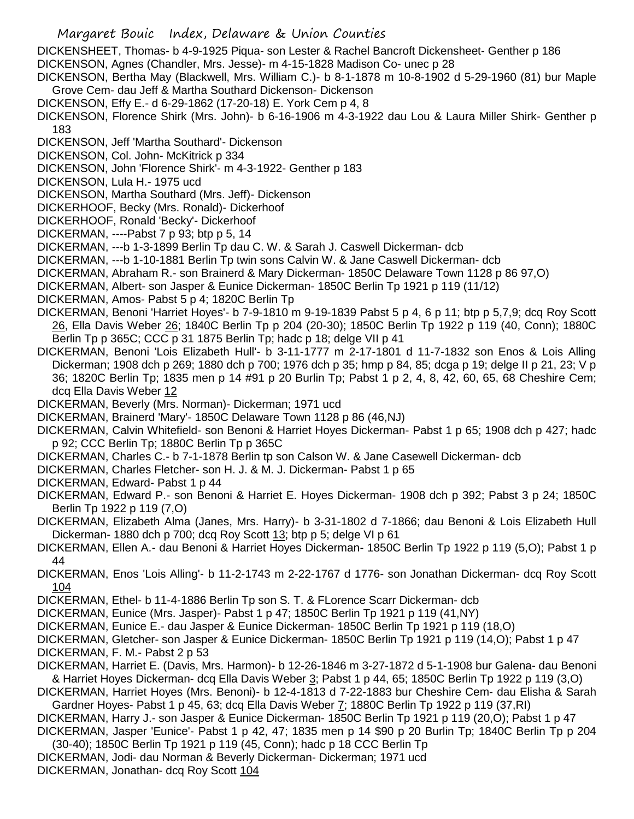- Margaret Bouic Index, Delaware & Union Counties
- DICKENSHEET, Thomas- b 4-9-1925 Piqua- son Lester & Rachel Bancroft Dickensheet- Genther p 186 DICKENSON, Agnes (Chandler, Mrs. Jesse)- m 4-15-1828 Madison Co- unec p 28
- DICKENSON, Bertha May (Blackwell, Mrs. William C.)- b 8-1-1878 m 10-8-1902 d 5-29-1960 (81) bur Maple Grove Cem- dau Jeff & Martha Southard Dickenson- Dickenson
- DICKENSON, Effy E.- d 6-29-1862 (17-20-18) E. York Cem p 4, 8
- DICKENSON, Florence Shirk (Mrs. John)- b 6-16-1906 m 4-3-1922 dau Lou & Laura Miller Shirk- Genther p 183
- DICKENSON, Jeff 'Martha Southard'- Dickenson
- DICKENSON, Col. John- McKitrick p 334
- DICKENSON, John 'Florence Shirk'- m 4-3-1922- Genther p 183
- DICKENSON, Lula H.- 1975 ucd
- DICKENSON, Martha Southard (Mrs. Jeff)- Dickenson
- DICKERHOOF, Becky (Mrs. Ronald)- Dickerhoof
- DICKERHOOF, Ronald 'Becky'- Dickerhoof
- DICKERMAN, ----Pabst 7 p 93; btp p 5, 14
- DICKERMAN, ---b 1-3-1899 Berlin Tp dau C. W. & Sarah J. Caswell Dickerman- dcb
- DICKERMAN, ---b 1-10-1881 Berlin Tp twin sons Calvin W. & Jane Caswell Dickerman- dcb
- DICKERMAN, Abraham R.- son Brainerd & Mary Dickerman- 1850C Delaware Town 1128 p 86 97,O)
- DICKERMAN, Albert- son Jasper & Eunice Dickerman- 1850C Berlin Tp 1921 p 119 (11/12)
- DICKERMAN, Amos- Pabst 5 p 4; 1820C Berlin Tp
- DICKERMAN, Benoni 'Harriet Hoyes'- b 7-9-1810 m 9-19-1839 Pabst 5 p 4, 6 p 11; btp p 5,7,9; dcq Roy Scott 26, Ella Davis Weber 26; 1840C Berlin Tp p 204 (20-30); 1850C Berlin Tp 1922 p 119 (40, Conn); 1880C Berlin Tp p 365C; CCC p 31 1875 Berlin Tp; hadc p 18; delge VII p 41
- DICKERMAN, Benoni 'Lois Elizabeth Hull'- b 3-11-1777 m 2-17-1801 d 11-7-1832 son Enos & Lois Alling Dickerman; 1908 dch p 269; 1880 dch p 700; 1976 dch p 35; hmp p 84, 85; dcga p 19; delge II p 21, 23; V p 36; 1820C Berlin Tp; 1835 men p 14 #91 p 20 Burlin Tp; Pabst 1 p 2, 4, 8, 42, 60, 65, 68 Cheshire Cem; dcq Ella Davis Weber 12
- DICKERMAN, Beverly (Mrs. Norman)- Dickerman; 1971 ucd
- DICKERMAN, Brainerd 'Mary'- 1850C Delaware Town 1128 p 86 (46,NJ)
- DICKERMAN, Calvin Whitefield- son Benoni & Harriet Hoyes Dickerman- Pabst 1 p 65; 1908 dch p 427; hadc p 92; CCC Berlin Tp; 1880C Berlin Tp p 365C
- DICKERMAN, Charles C.- b 7-1-1878 Berlin tp son Calson W. & Jane Casewell Dickerman- dcb
- DICKERMAN, Charles Fletcher- son H. J. & M. J. Dickerman- Pabst 1 p 65
- DICKERMAN, Edward- Pabst 1 p 44
- DICKERMAN, Edward P.- son Benoni & Harriet E. Hoyes Dickerman- 1908 dch p 392; Pabst 3 p 24; 1850C Berlin Tp 1922 p 119 (7,O)
- DICKERMAN, Elizabeth Alma (Janes, Mrs. Harry)- b 3-31-1802 d 7-1866; dau Benoni & Lois Elizabeth Hull Dickerman- 1880 dch p 700; dcq Roy Scott 13; btp p 5; delge VI p 61
- DICKERMAN, Ellen A.- dau Benoni & Harriet Hoyes Dickerman- 1850C Berlin Tp 1922 p 119 (5,O); Pabst 1 p 44
- DICKERMAN, Enos 'Lois Alling'- b 11-2-1743 m 2-22-1767 d 1776- son Jonathan Dickerman- dcq Roy Scott 104
- DICKERMAN, Ethel- b 11-4-1886 Berlin Tp son S. T. & FLorence Scarr Dickerman- dcb
- DICKERMAN, Eunice (Mrs. Jasper)- Pabst 1 p 47; 1850C Berlin Tp 1921 p 119 (41,NY)
- DICKERMAN, Eunice E.- dau Jasper & Eunice Dickerman- 1850C Berlin Tp 1921 p 119 (18,O)
- DICKERMAN, Gletcher- son Jasper & Eunice Dickerman- 1850C Berlin Tp 1921 p 119 (14,O); Pabst 1 p 47 DICKERMAN, F. M.- Pabst 2 p 53
- DICKERMAN, Harriet E. (Davis, Mrs. Harmon)- b 12-26-1846 m 3-27-1872 d 5-1-1908 bur Galena- dau Benoni & Harriet Hoyes Dickerman- dcq Ella Davis Weber 3; Pabst 1 p 44, 65; 1850C Berlin Tp 1922 p 119 (3,O)
- DICKERMAN, Harriet Hoyes (Mrs. Benoni)- b 12-4-1813 d 7-22-1883 bur Cheshire Cem- dau Elisha & Sarah Gardner Hoyes- Pabst 1 p 45, 63; dcq Ella Davis Weber 7; 1880C Berlin Tp 1922 p 119 (37, RI)
- DICKERMAN, Harry J.- son Jasper & Eunice Dickerman- 1850C Berlin Tp 1921 p 119 (20,O); Pabst 1 p 47 DICKERMAN, Jasper 'Eunice'- Pabst 1 p 42, 47; 1835 men p 14 \$90 p 20 Burlin Tp; 1840C Berlin Tp p 204
- (30-40); 1850C Berlin Tp 1921 p 119 (45, Conn); hadc p 18 CCC Berlin Tp
- DICKERMAN, Jodi- dau Norman & Beverly Dickerman- Dickerman; 1971 ucd DICKERMAN, Jonathan- dcq Roy Scott 104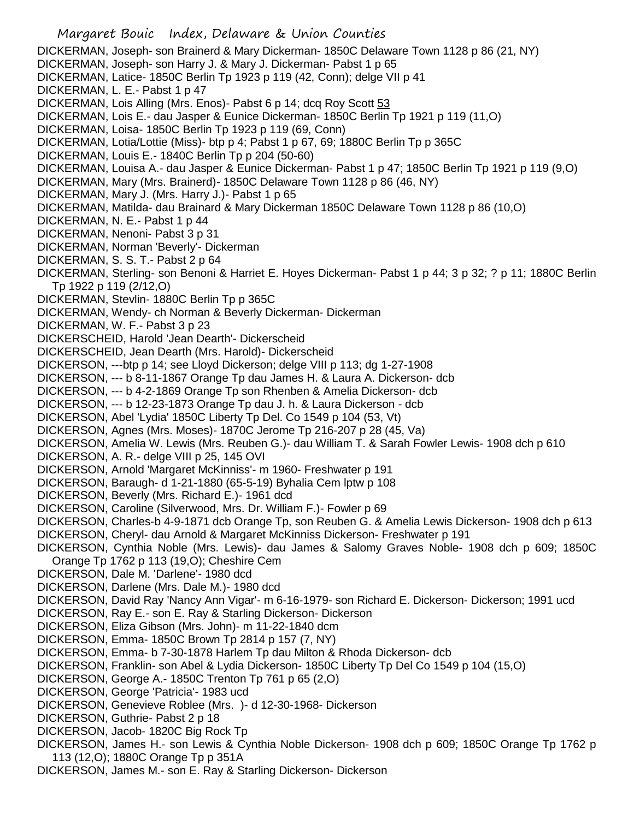Margaret Bouic Index, Delaware & Union Counties DICKERMAN, Joseph- son Brainerd & Mary Dickerman- 1850C Delaware Town 1128 p 86 (21, NY) DICKERMAN, Joseph- son Harry J. & Mary J. Dickerman- Pabst 1 p 65 DICKERMAN, Latice- 1850C Berlin Tp 1923 p 119 (42, Conn); delge VII p 41 DICKERMAN, L. E.- Pabst 1 p 47 DICKERMAN, Lois Alling (Mrs. Enos)- Pabst 6 p 14; dcq Roy Scott 53 DICKERMAN, Lois E.- dau Jasper & Eunice Dickerman- 1850C Berlin Tp 1921 p 119 (11,O) DICKERMAN, Loisa- 1850C Berlin Tp 1923 p 119 (69, Conn) DICKERMAN, Lotia/Lottie (Miss)- btp p 4; Pabst 1 p 67, 69; 1880C Berlin Tp p 365C DICKERMAN, Louis E.- 1840C Berlin Tp p 204 (50-60) DICKERMAN, Louisa A.- dau Jasper & Eunice Dickerman- Pabst 1 p 47; 1850C Berlin Tp 1921 p 119 (9,O) DICKERMAN, Mary (Mrs. Brainerd)- 1850C Delaware Town 1128 p 86 (46, NY) DICKERMAN, Mary J. (Mrs. Harry J.)- Pabst 1 p 65 DICKERMAN, Matilda- dau Brainard & Mary Dickerman 1850C Delaware Town 1128 p 86 (10,O) DICKERMAN, N. E.- Pabst 1 p 44 DICKERMAN, Nenoni- Pabst 3 p 31 DICKERMAN, Norman 'Beverly'- Dickerman DICKERMAN, S. S. T.- Pabst 2 p 64 DICKERMAN, Sterling- son Benoni & Harriet E. Hoyes Dickerman- Pabst 1 p 44; 3 p 32; ? p 11; 1880C Berlin Tp 1922 p 119 (2/12,O) DICKERMAN, Stevlin- 1880C Berlin Tp p 365C DICKERMAN, Wendy- ch Norman & Beverly Dickerman- Dickerman DICKERMAN, W. F.- Pabst 3 p 23 DICKERSCHEID, Harold 'Jean Dearth'- Dickerscheid DICKERSCHEID, Jean Dearth (Mrs. Harold)- Dickerscheid DICKERSON, ---btp p 14; see Lloyd Dickerson; delge VIII p 113; dg 1-27-1908 DICKERSON, --- b 8-11-1867 Orange Tp dau James H. & Laura A. Dickerson- dcb DICKERSON, --- b 4-2-1869 Orange Tp son Rhenben & Amelia Dickerson- dcb DICKERSON, --- b 12-23-1873 Orange Tp dau J. h. & Laura Dickerson - dcb DICKERSON, Abel 'Lydia' 1850C Liberty Tp Del. Co 1549 p 104 (53, Vt) DICKERSON, Agnes (Mrs. Moses)- 1870C Jerome Tp 216-207 p 28 (45, Va) DICKERSON, Amelia W. Lewis (Mrs. Reuben G.)- dau William T. & Sarah Fowler Lewis- 1908 dch p 610 DICKERSON, A. R.- delge VIII p 25, 145 OVI DICKERSON, Arnold 'Margaret McKinniss'- m 1960- Freshwater p 191 DICKERSON, Baraugh- d 1-21-1880 (65-5-19) Byhalia Cem lptw p 108 DICKERSON, Beverly (Mrs. Richard E.)- 1961 dcd DICKERSON, Caroline (Silverwood, Mrs. Dr. William F.)- Fowler p 69 DICKERSON, Charles-b 4-9-1871 dcb Orange Tp, son Reuben G. & Amelia Lewis Dickerson- 1908 dch p 613 DICKERSON, Cheryl- dau Arnold & Margaret McKinniss Dickerson- Freshwater p 191 DICKERSON, Cynthia Noble (Mrs. Lewis)- dau James & Salomy Graves Noble- 1908 dch p 609; 1850C Orange Tp 1762 p 113 (19,O); Cheshire Cem DICKERSON, Dale M. 'Darlene'- 1980 dcd DICKERSON, Darlene (Mrs. Dale M.)- 1980 dcd DICKERSON, David Ray 'Nancy Ann Vigar'- m 6-16-1979- son Richard E. Dickerson- Dickerson; 1991 ucd DICKERSON, Ray E.- son E. Ray & Starling Dickerson- Dickerson DICKERSON, Eliza Gibson (Mrs. John)- m 11-22-1840 dcm DICKERSON, Emma- 1850C Brown Tp 2814 p 157 (7, NY) DICKERSON, Emma- b 7-30-1878 Harlem Tp dau Milton & Rhoda Dickerson- dcb DICKERSON, Franklin- son Abel & Lydia Dickerson- 1850C Liberty Tp Del Co 1549 p 104 (15,O) DICKERSON, George A.- 1850C Trenton Tp 761 p 65 (2,O) DICKERSON, George 'Patricia'- 1983 ucd DICKERSON, Genevieve Roblee (Mrs. )- d 12-30-1968- Dickerson DICKERSON, Guthrie- Pabst 2 p 18 DICKERSON, Jacob- 1820C Big Rock Tp DICKERSON, James H.- son Lewis & Cynthia Noble Dickerson- 1908 dch p 609; 1850C Orange Tp 1762 p 113 (12,O); 1880C Orange Tp p 351A DICKERSON, James M.- son E. Ray & Starling Dickerson- Dickerson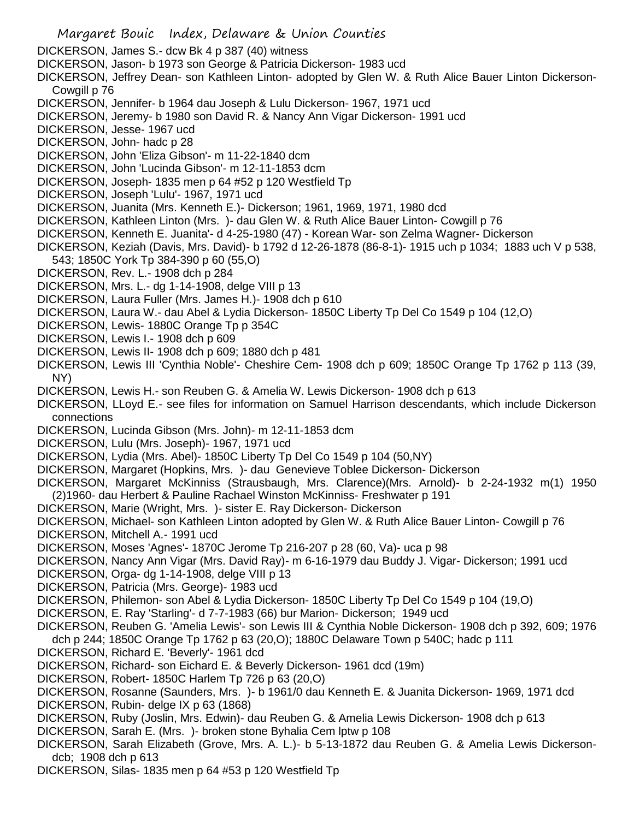- Margaret Bouic Index, Delaware & Union Counties DICKERSON, James S.- dcw Bk 4 p 387 (40) witness DICKERSON, Jason- b 1973 son George & Patricia Dickerson- 1983 ucd DICKERSON, Jeffrey Dean- son Kathleen Linton- adopted by Glen W. & Ruth Alice Bauer Linton Dickerson-Cowgill p 76 DICKERSON, Jennifer- b 1964 dau Joseph & Lulu Dickerson- 1967, 1971 ucd DICKERSON, Jeremy- b 1980 son David R. & Nancy Ann Vigar Dickerson- 1991 ucd DICKERSON, Jesse- 1967 ucd DICKERSON, John- hadc p 28 DICKERSON, John 'Eliza Gibson'- m 11-22-1840 dcm DICKERSON, John 'Lucinda Gibson'- m 12-11-1853 dcm DICKERSON, Joseph- 1835 men p 64 #52 p 120 Westfield Tp DICKERSON, Joseph 'Lulu'- 1967, 1971 ucd DICKERSON, Juanita (Mrs. Kenneth E.)- Dickerson; 1961, 1969, 1971, 1980 dcd DICKERSON, Kathleen Linton (Mrs. )- dau Glen W. & Ruth Alice Bauer Linton- Cowgill p 76 DICKERSON, Kenneth E. Juanita'- d 4-25-1980 (47) - Korean War- son Zelma Wagner- Dickerson DICKERSON, Keziah (Davis, Mrs. David)- b 1792 d 12-26-1878 (86-8-1)- 1915 uch p 1034; 1883 uch V p 538, 543; 1850C York Tp 384-390 p 60 (55,O) DICKERSON, Rev. L.- 1908 dch p 284 DICKERSON, Mrs. L.- dg 1-14-1908, delge VIII p 13 DICKERSON, Laura Fuller (Mrs. James H.)- 1908 dch p 610 DICKERSON, Laura W.- dau Abel & Lydia Dickerson- 1850C Liberty Tp Del Co 1549 p 104 (12,O) DICKERSON, Lewis- 1880C Orange Tp p 354C DICKERSON, Lewis I.- 1908 dch p 609 DICKERSON, Lewis II- 1908 dch p 609; 1880 dch p 481 DICKERSON, Lewis III 'Cynthia Noble'- Cheshire Cem- 1908 dch p 609; 1850C Orange Tp 1762 p 113 (39, NY) DICKERSON, Lewis H.- son Reuben G. & Amelia W. Lewis Dickerson- 1908 dch p 613 DICKERSON, LLoyd E.- see files for information on Samuel Harrison descendants, which include Dickerson connections DICKERSON, Lucinda Gibson (Mrs. John)- m 12-11-1853 dcm DICKERSON, Lulu (Mrs. Joseph)- 1967, 1971 ucd DICKERSON, Lydia (Mrs. Abel)- 1850C Liberty Tp Del Co 1549 p 104 (50,NY) DICKERSON, Margaret (Hopkins, Mrs. )- dau Genevieve Toblee Dickerson- Dickerson DICKERSON, Margaret McKinniss (Strausbaugh, Mrs. Clarence)(Mrs. Arnold)- b 2-24-1932 m(1) 1950 (2)1960- dau Herbert & Pauline Rachael Winston McKinniss- Freshwater p 191 DICKERSON, Marie (Wright, Mrs. )- sister E. Ray Dickerson- Dickerson DICKERSON, Michael- son Kathleen Linton adopted by Glen W. & Ruth Alice Bauer Linton- Cowgill p 76 DICKERSON, Mitchell A.- 1991 ucd DICKERSON, Moses 'Agnes'- 1870C Jerome Tp 216-207 p 28 (60, Va)- uca p 98 DICKERSON, Nancy Ann Vigar (Mrs. David Ray)- m 6-16-1979 dau Buddy J. Vigar- Dickerson; 1991 ucd DICKERSON, Orga- dg 1-14-1908, delge VIII p 13 DICKERSON, Patricia (Mrs. George)- 1983 ucd DICKERSON, Philemon- son Abel & Lydia Dickerson- 1850C Liberty Tp Del Co 1549 p 104 (19,O) DICKERSON, E. Ray 'Starling'- d 7-7-1983 (66) bur Marion- Dickerson; 1949 ucd DICKERSON, Reuben G. 'Amelia Lewis'- son Lewis III & Cynthia Noble Dickerson- 1908 dch p 392, 609; 1976 dch p 244; 1850C Orange Tp 1762 p 63 (20,O); 1880C Delaware Town p 540C; hadc p 111 DICKERSON, Richard E. 'Beverly'- 1961 dcd DICKERSON, Richard- son Eichard E. & Beverly Dickerson- 1961 dcd (19m) DICKERSON, Robert- 1850C Harlem Tp 726 p 63 (20,O) DICKERSON, Rosanne (Saunders, Mrs. )- b 1961/0 dau Kenneth E. & Juanita Dickerson- 1969, 1971 dcd DICKERSON, Rubin- delge IX p 63 (1868) DICKERSON, Ruby (Joslin, Mrs. Edwin)- dau Reuben G. & Amelia Lewis Dickerson- 1908 dch p 613 DICKERSON, Sarah E. (Mrs. )- broken stone Byhalia Cem lptw p 108 DICKERSON, Sarah Elizabeth (Grove, Mrs. A. L.)- b 5-13-1872 dau Reuben G. & Amelia Lewis Dickersondcb; 1908 dch p 613
- DICKERSON, Silas- 1835 men p 64 #53 p 120 Westfield Tp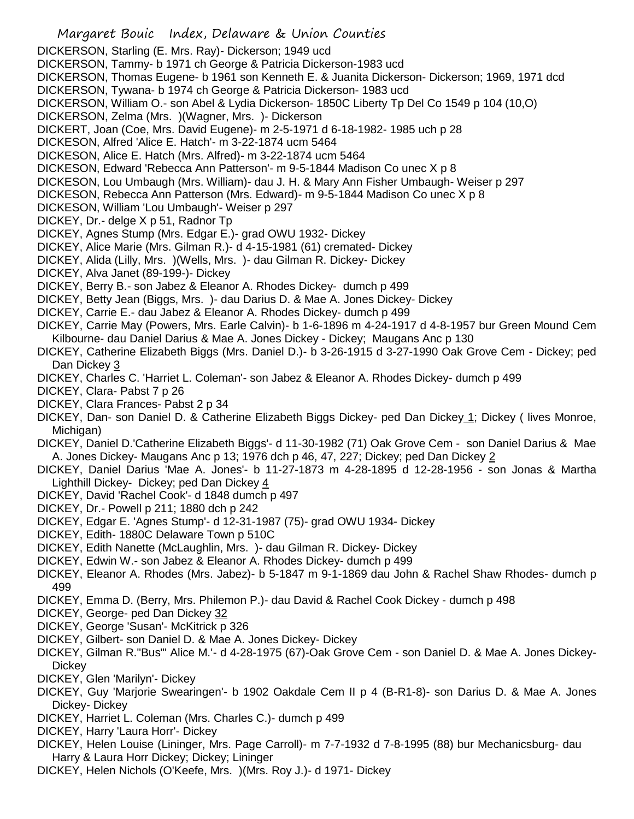- Margaret Bouic Index, Delaware & Union Counties DICKERSON, Starling (E. Mrs. Ray)- Dickerson; 1949 ucd DICKERSON, Tammy- b 1971 ch George & Patricia Dickerson-1983 ucd DICKERSON, Thomas Eugene- b 1961 son Kenneth E. & Juanita Dickerson- Dickerson; 1969, 1971 dcd DICKERSON, Tywana- b 1974 ch George & Patricia Dickerson- 1983 ucd DICKERSON, William O.- son Abel & Lydia Dickerson- 1850C Liberty Tp Del Co 1549 p 104 (10,O) DICKERSON, Zelma (Mrs. )(Wagner, Mrs. )- Dickerson DICKERT, Joan (Coe, Mrs. David Eugene)- m 2-5-1971 d 6-18-1982- 1985 uch p 28 DICKESON, Alfred 'Alice E. Hatch'- m 3-22-1874 ucm 5464 DICKESON, Alice E. Hatch (Mrs. Alfred)- m 3-22-1874 ucm 5464 DICKESON, Edward 'Rebecca Ann Patterson'- m 9-5-1844 Madison Co unec X p 8 DICKESON, Lou Umbaugh (Mrs. William)- dau J. H. & Mary Ann Fisher Umbaugh- Weiser p 297 DICKESON, Rebecca Ann Patterson (Mrs. Edward)- m 9-5-1844 Madison Co unec X p 8 DICKESON, William 'Lou Umbaugh'- Weiser p 297 DICKEY, Dr.- delge X p 51, Radnor Tp DICKEY, Agnes Stump (Mrs. Edgar E.)- grad OWU 1932- Dickey DICKEY, Alice Marie (Mrs. Gilman R.)- d 4-15-1981 (61) cremated- Dickey DICKEY, Alida (Lilly, Mrs. )(Wells, Mrs. )- dau Gilman R. Dickey- Dickey DICKEY, Alva Janet (89-199-)- Dickey DICKEY, Berry B.- son Jabez & Eleanor A. Rhodes Dickey- dumch p 499 DICKEY, Betty Jean (Biggs, Mrs. )- dau Darius D. & Mae A. Jones Dickey- Dickey DICKEY, Carrie E.- dau Jabez & Eleanor A. Rhodes Dickey- dumch p 499 DICKEY, Carrie May (Powers, Mrs. Earle Calvin)- b 1-6-1896 m 4-24-1917 d 4-8-1957 bur Green Mound Cem Kilbourne- dau Daniel Darius & Mae A. Jones Dickey - Dickey; Maugans Anc p 130 DICKEY, Catherine Elizabeth Biggs (Mrs. Daniel D.)- b 3-26-1915 d 3-27-1990 Oak Grove Cem - Dickey; ped Dan Dickey 3 DICKEY, Charles C. 'Harriet L. Coleman'- son Jabez & Eleanor A. Rhodes Dickey- dumch p 499 DICKEY, Clara- Pabst 7 p 26 DICKEY, Clara Frances- Pabst 2 p 34 DICKEY, Dan- son Daniel D. & Catherine Elizabeth Biggs Dickey- ped Dan Dickey 1; Dickey ( lives Monroe, Michigan) DICKEY, Daniel D.'Catherine Elizabeth Biggs'- d 11-30-1982 (71) Oak Grove Cem - son Daniel Darius & Mae A. Jones Dickey- Maugans Anc p 13; 1976 dch p 46, 47, 227; Dickey; ped Dan Dickey 2 DICKEY, Daniel Darius 'Mae A. Jones'- b 11-27-1873 m 4-28-1895 d 12-28-1956 - son Jonas & Martha Lighthill Dickey- Dickey; ped Dan Dickey 4 DICKEY, David 'Rachel Cook'- d 1848 dumch p 497
- DICKEY, Dr.- Powell p 211; 1880 dch p 242
- DICKEY, Edgar E. 'Agnes Stump'- d 12-31-1987 (75)- grad OWU 1934- Dickey
- DICKEY, Edith- 1880C Delaware Town p 510C
- DICKEY, Edith Nanette (McLaughlin, Mrs. )- dau Gilman R. Dickey- Dickey
- DICKEY, Edwin W.- son Jabez & Eleanor A. Rhodes Dickey- dumch p 499
- DICKEY, Eleanor A. Rhodes (Mrs. Jabez)- b 5-1847 m 9-1-1869 dau John & Rachel Shaw Rhodes- dumch p 499
- DICKEY, Emma D. (Berry, Mrs. Philemon P.)- dau David & Rachel Cook Dickey dumch p 498
- DICKEY, George- ped Dan Dickey 32
- DICKEY, George 'Susan'- McKitrick p 326
- DICKEY, Gilbert- son Daniel D. & Mae A. Jones Dickey- Dickey
- DICKEY, Gilman R."Bus"' Alice M.'- d 4-28-1975 (67)-Oak Grove Cem son Daniel D. & Mae A. Jones Dickey-**Dickey**
- DICKEY, Glen 'Marilyn'- Dickey
- DICKEY, Guy 'Marjorie Swearingen'- b 1902 Oakdale Cem II p 4 (B-R1-8)- son Darius D. & Mae A. Jones Dickey- Dickey
- DICKEY, Harriet L. Coleman (Mrs. Charles C.)- dumch p 499
- DICKEY, Harry 'Laura Horr'- Dickey
- DICKEY, Helen Louise (Lininger, Mrs. Page Carroll)- m 7-7-1932 d 7-8-1995 (88) bur Mechanicsburg- dau Harry & Laura Horr Dickey; Dickey; Lininger
- DICKEY, Helen Nichols (O'Keefe, Mrs. )(Mrs. Roy J.)- d 1971- Dickey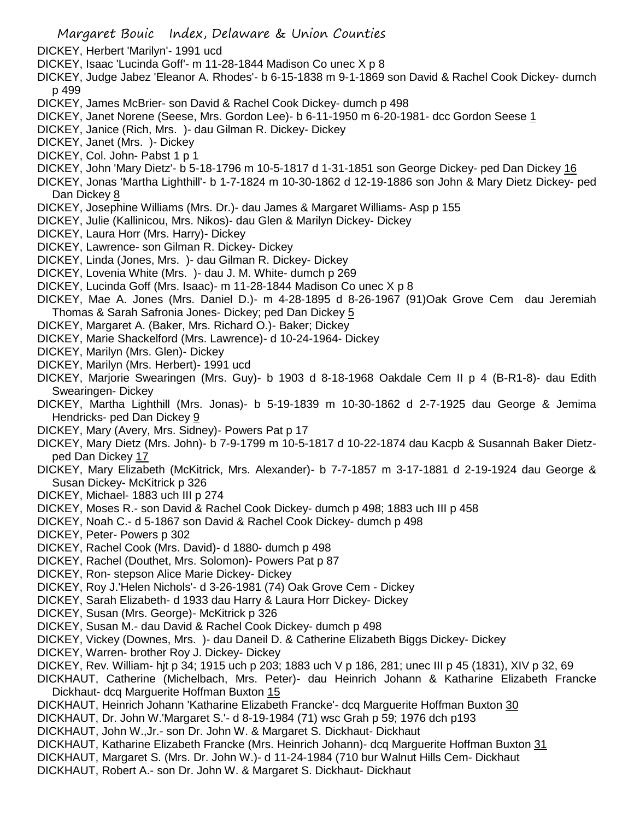- Margaret Bouic Index, Delaware & Union Counties
- DICKEY, Herbert 'Marilyn'- 1991 ucd
- DICKEY, Isaac 'Lucinda Goff'- m 11-28-1844 Madison Co unec X p 8
- DICKEY, Judge Jabez 'Eleanor A. Rhodes'- b 6-15-1838 m 9-1-1869 son David & Rachel Cook Dickey- dumch p 499
- DICKEY, James McBrier- son David & Rachel Cook Dickey- dumch p 498
- DICKEY, Janet Norene (Seese, Mrs. Gordon Lee)- b 6-11-1950 m 6-20-1981- dcc Gordon Seese 1
- DICKEY, Janice (Rich, Mrs. )- dau Gilman R. Dickey- Dickey
- DICKEY, Janet (Mrs. )- Dickey
- DICKEY, Col. John- Pabst 1 p 1
- DICKEY, John 'Mary Dietz'- b 5-18-1796 m 10-5-1817 d 1-31-1851 son George Dickey- ped Dan Dickey 16
- DICKEY, Jonas 'Martha Lighthill'- b 1-7-1824 m 10-30-1862 d 12-19-1886 son John & Mary Dietz Dickey- ped Dan Dickey 8
- DICKEY, Josephine Williams (Mrs. Dr.)- dau James & Margaret Williams- Asp p 155
- DICKEY, Julie (Kallinicou, Mrs. Nikos)- dau Glen & Marilyn Dickey- Dickey
- DICKEY, Laura Horr (Mrs. Harry)- Dickey
- DICKEY, Lawrence- son Gilman R. Dickey- Dickey
- DICKEY, Linda (Jones, Mrs. )- dau Gilman R. Dickey- Dickey
- DICKEY, Lovenia White (Mrs. )- dau J. M. White- dumch p 269
- DICKEY, Lucinda Goff (Mrs. Isaac)- m 11-28-1844 Madison Co unec X p 8
- DICKEY, Mae A. Jones (Mrs. Daniel D.)- m 4-28-1895 d 8-26-1967 (91)Oak Grove Cem dau Jeremiah Thomas & Sarah Safronia Jones- Dickey; ped Dan Dickey 5
- DICKEY, Margaret A. (Baker, Mrs. Richard O.)- Baker; Dickey
- DICKEY, Marie Shackelford (Mrs. Lawrence)- d 10-24-1964- Dickey
- DICKEY, Marilyn (Mrs. Glen)- Dickey
- DICKEY, Marilyn (Mrs. Herbert)- 1991 ucd
- DICKEY, Marjorie Swearingen (Mrs. Guy)- b 1903 d 8-18-1968 Oakdale Cem II p 4 (B-R1-8)- dau Edith Swearingen- Dickey
- DICKEY, Martha Lighthill (Mrs. Jonas)- b 5-19-1839 m 10-30-1862 d 2-7-1925 dau George & Jemima Hendricks- ped Dan Dickey 9
- DICKEY, Mary (Avery, Mrs. Sidney)- Powers Pat p 17
- DICKEY, Mary Dietz (Mrs. John)- b 7-9-1799 m 10-5-1817 d 10-22-1874 dau Kacpb & Susannah Baker Dietzped Dan Dickey 17
- DICKEY, Mary Elizabeth (McKitrick, Mrs. Alexander)- b 7-7-1857 m 3-17-1881 d 2-19-1924 dau George & Susan Dickey- McKitrick p 326
- DICKEY, Michael- 1883 uch III p 274
- DICKEY, Moses R.- son David & Rachel Cook Dickey- dumch p 498; 1883 uch III p 458
- DICKEY, Noah C.- d 5-1867 son David & Rachel Cook Dickey- dumch p 498
- DICKEY, Peter- Powers p 302
- DICKEY, Rachel Cook (Mrs. David)- d 1880- dumch p 498
- DICKEY, Rachel (Douthet, Mrs. Solomon)- Powers Pat p 87
- DICKEY, Ron- stepson Alice Marie Dickey- Dickey
- DICKEY, Roy J.'Helen Nichols'- d 3-26-1981 (74) Oak Grove Cem Dickey
- DICKEY, Sarah Elizabeth- d 1933 dau Harry & Laura Horr Dickey- Dickey
- DICKEY, Susan (Mrs. George)- McKitrick p 326
- DICKEY, Susan M.- dau David & Rachel Cook Dickey- dumch p 498
- DICKEY, Vickey (Downes, Mrs. )- dau Daneil D. & Catherine Elizabeth Biggs Dickey- Dickey
- DICKEY, Warren- brother Roy J. Dickey- Dickey
- DICKEY, Rev. William- hjt p 34; 1915 uch p 203; 1883 uch V p 186, 281; unec III p 45 (1831), XIV p 32, 69
- DICKHAUT, Catherine (Michelbach, Mrs. Peter)- dau Heinrich Johann & Katharine Elizabeth Francke Dickhaut- dcq Marguerite Hoffman Buxton 15
- DICKHAUT, Heinrich Johann 'Katharine Elizabeth Francke'- dcq Marguerite Hoffman Buxton 30
- DICKHAUT, Dr. John W.'Margaret S.'- d 8-19-1984 (71) wsc Grah p 59; 1976 dch p193
- DICKHAUT, John W.,Jr.- son Dr. John W. & Margaret S. Dickhaut- Dickhaut
- DICKHAUT, Katharine Elizabeth Francke (Mrs. Heinrich Johann)- dcq Marguerite Hoffman Buxton 31
- DICKHAUT, Margaret S. (Mrs. Dr. John W.)- d 11-24-1984 (710 bur Walnut Hills Cem- Dickhaut
- DICKHAUT, Robert A.- son Dr. John W. & Margaret S. Dickhaut- Dickhaut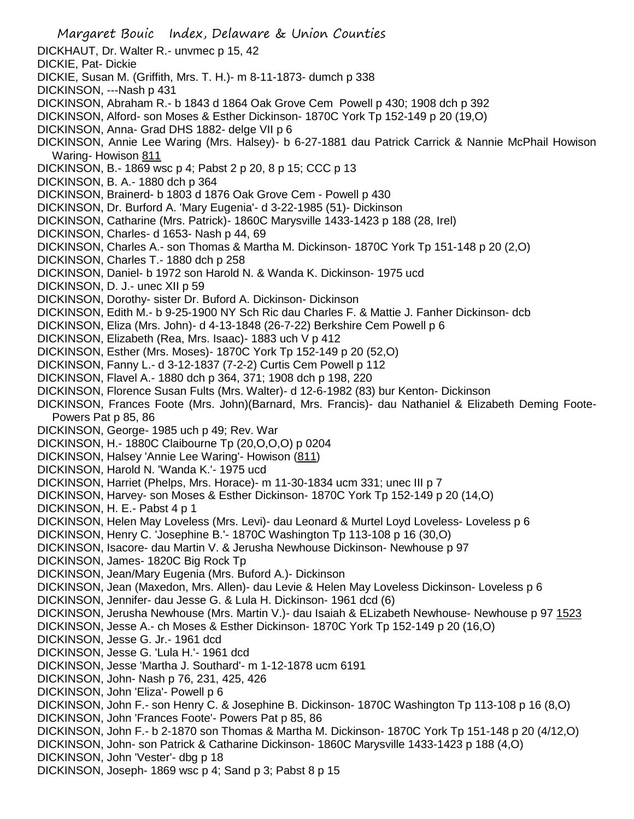Margaret Bouic Index, Delaware & Union Counties DICKHAUT, Dr. Walter R.- unvmec p 15, 42 DICKIE, Pat- Dickie DICKIE, Susan M. (Griffith, Mrs. T. H.)- m 8-11-1873- dumch p 338 DICKINSON, ---Nash p 431 DICKINSON, Abraham R.- b 1843 d 1864 Oak Grove Cem Powell p 430; 1908 dch p 392 DICKINSON, Alford- son Moses & Esther Dickinson- 1870C York Tp 152-149 p 20 (19,O) DICKINSON, Anna- Grad DHS 1882- delge VII p 6 DICKINSON, Annie Lee Waring (Mrs. Halsey)- b 6-27-1881 dau Patrick Carrick & Nannie McPhail Howison Waring- Howison 811 DICKINSON, B.- 1869 wsc p 4; Pabst 2 p 20, 8 p 15; CCC p 13 DICKINSON, B. A.- 1880 dch p 364 DICKINSON, Brainerd- b 1803 d 1876 Oak Grove Cem - Powell p 430 DICKINSON, Dr. Burford A. 'Mary Eugenia'- d 3-22-1985 (51)- Dickinson DICKINSON, Catharine (Mrs. Patrick)- 1860C Marysville 1433-1423 p 188 (28, Irel) DICKINSON, Charles- d 1653- Nash p 44, 69 DICKINSON, Charles A.- son Thomas & Martha M. Dickinson- 1870C York Tp 151-148 p 20 (2,O) DICKINSON, Charles T.- 1880 dch p 258 DICKINSON, Daniel- b 1972 son Harold N. & Wanda K. Dickinson- 1975 ucd DICKINSON, D. J.- unec XII p 59 DICKINSON, Dorothy- sister Dr. Buford A. Dickinson- Dickinson DICKINSON, Edith M.- b 9-25-1900 NY Sch Ric dau Charles F. & Mattie J. Fanher Dickinson- dcb DICKINSON, Eliza (Mrs. John)- d 4-13-1848 (26-7-22) Berkshire Cem Powell p 6 DICKINSON, Elizabeth (Rea, Mrs. Isaac)- 1883 uch V p 412 DICKINSON, Esther (Mrs. Moses)- 1870C York Tp 152-149 p 20 (52,O) DICKINSON, Fanny L.- d 3-12-1837 (7-2-2) Curtis Cem Powell p 112 DICKINSON, Flavel A.- 1880 dch p 364, 371; 1908 dch p 198, 220 DICKINSON, Florence Susan Fults (Mrs. Walter)- d 12-6-1982 (83) bur Kenton- Dickinson DICKINSON, Frances Foote (Mrs. John)(Barnard, Mrs. Francis)- dau Nathaniel & Elizabeth Deming Foote-Powers Pat p 85, 86 DICKINSON, George- 1985 uch p 49; Rev. War DICKINSON, H.- 1880C Claibourne Tp (20,O,O,O) p 0204 DICKINSON, Halsey 'Annie Lee Waring'- Howison (811) DICKINSON, Harold N. 'Wanda K.'- 1975 ucd DICKINSON, Harriet (Phelps, Mrs. Horace)- m 11-30-1834 ucm 331; unec III p 7 DICKINSON, Harvey- son Moses & Esther Dickinson- 1870C York Tp 152-149 p 20 (14,O) DICKINSON, H. E.- Pabst 4 p 1 DICKINSON, Helen May Loveless (Mrs. Levi)- dau Leonard & Murtel Loyd Loveless- Loveless p 6 DICKINSON, Henry C. 'Josephine B.'- 1870C Washington Tp 113-108 p 16 (30,O) DICKINSON, Isacore- dau Martin V. & Jerusha Newhouse Dickinson- Newhouse p 97 DICKINSON, James- 1820C Big Rock Tp DICKINSON, Jean/Mary Eugenia (Mrs. Buford A.)- Dickinson DICKINSON, Jean (Maxedon, Mrs. Allen)- dau Levie & Helen May Loveless Dickinson- Loveless p 6 DICKINSON, Jennifer- dau Jesse G. & Lula H. Dickinson- 1961 dcd (6) DICKINSON, Jerusha Newhouse (Mrs. Martin V.)- dau Isaiah & ELizabeth Newhouse- Newhouse p 97 1523 DICKINSON, Jesse A.- ch Moses & Esther Dickinson- 1870C York Tp 152-149 p 20 (16,O) DICKINSON, Jesse G. Jr.- 1961 dcd DICKINSON, Jesse G. 'Lula H.'- 1961 dcd DICKINSON, Jesse 'Martha J. Southard'- m 1-12-1878 ucm 6191 DICKINSON, John- Nash p 76, 231, 425, 426 DICKINSON, John 'Eliza'- Powell p 6 DICKINSON, John F.- son Henry C. & Josephine B. Dickinson- 1870C Washington Tp 113-108 p 16 (8,O) DICKINSON, John 'Frances Foote'- Powers Pat p 85, 86 DICKINSON, John F.- b 2-1870 son Thomas & Martha M. Dickinson- 1870C York Tp 151-148 p 20 (4/12,O) DICKINSON, John- son Patrick & Catharine Dickinson- 1860C Marysville 1433-1423 p 188 (4,O) DICKINSON, John 'Vester'- dbg p 18 DICKINSON, Joseph- 1869 wsc p 4; Sand p 3; Pabst 8 p 15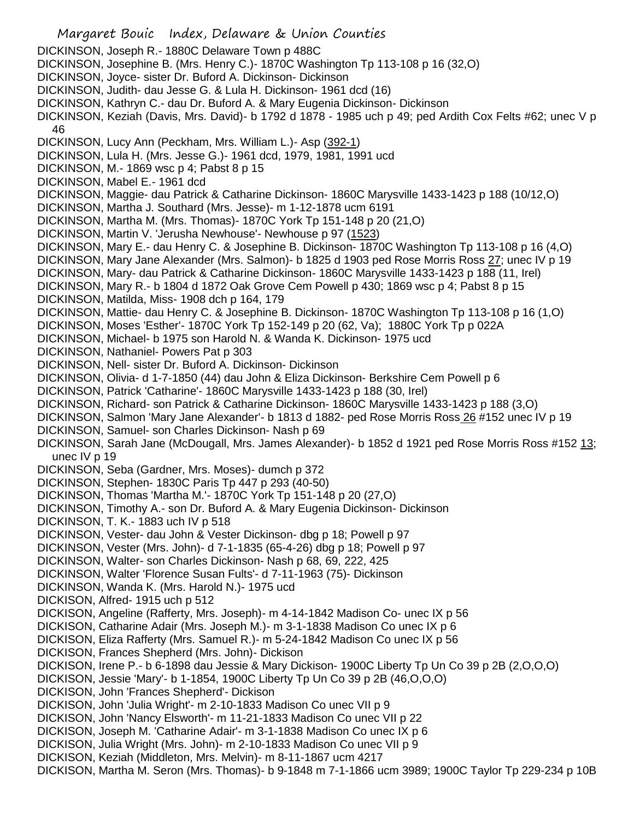Margaret Bouic Index, Delaware & Union Counties DICKINSON, Joseph R.- 1880C Delaware Town p 488C DICKINSON, Josephine B. (Mrs. Henry C.)- 1870C Washington Tp 113-108 p 16 (32,O) DICKINSON, Joyce- sister Dr. Buford A. Dickinson- Dickinson DICKINSON, Judith- dau Jesse G. & Lula H. Dickinson- 1961 dcd (16) DICKINSON, Kathryn C.- dau Dr. Buford A. & Mary Eugenia Dickinson- Dickinson DICKINSON, Keziah (Davis, Mrs. David)- b 1792 d 1878 - 1985 uch p 49; ped Ardith Cox Felts #62; unec V p 46 DICKINSON, Lucy Ann (Peckham, Mrs. William L.)- Asp (392-1) DICKINSON, Lula H. (Mrs. Jesse G.)- 1961 dcd, 1979, 1981, 1991 ucd DICKINSON, M.- 1869 wsc p 4; Pabst 8 p 15 DICKINSON, Mabel E.- 1961 dcd DICKINSON, Maggie- dau Patrick & Catharine Dickinson- 1860C Marysville 1433-1423 p 188 (10/12,O) DICKINSON, Martha J. Southard (Mrs. Jesse)- m 1-12-1878 ucm 6191 DICKINSON, Martha M. (Mrs. Thomas)- 1870C York Tp 151-148 p 20 (21,O) DICKINSON, Martin V. 'Jerusha Newhouse'- Newhouse p 97 (1523) DICKINSON, Mary E.- dau Henry C. & Josephine B. Dickinson- 1870C Washington Tp 113-108 p 16 (4,O) DICKINSON, Mary Jane Alexander (Mrs. Salmon)- b 1825 d 1903 ped Rose Morris Ross 27; unec IV p 19 DICKINSON, Mary- dau Patrick & Catharine Dickinson- 1860C Marysville 1433-1423 p 188 (11, Irel) DICKINSON, Mary R.- b 1804 d 1872 Oak Grove Cem Powell p 430; 1869 wsc p 4; Pabst 8 p 15 DICKINSON, Matilda, Miss- 1908 dch p 164, 179 DICKINSON, Mattie- dau Henry C. & Josephine B. Dickinson- 1870C Washington Tp 113-108 p 16 (1,O) DICKINSON, Moses 'Esther'- 1870C York Tp 152-149 p 20 (62, Va); 1880C York Tp p 022A DICKINSON, Michael- b 1975 son Harold N. & Wanda K. Dickinson- 1975 ucd DICKINSON, Nathaniel- Powers Pat p 303 DICKINSON, Nell- sister Dr. Buford A. Dickinson- Dickinson DICKINSON, Olivia- d 1-7-1850 (44) dau John & Eliza Dickinson- Berkshire Cem Powell p 6 DICKINSON, Patrick 'Catharine'- 1860C Marysville 1433-1423 p 188 (30, Irel) DICKINSON, Richard- son Patrick & Catharine Dickinson- 1860C Marysville 1433-1423 p 188 (3,O) DICKINSON, Salmon 'Mary Jane Alexander'- b 1813 d 1882- ped Rose Morris Ross 26 #152 unec IV p 19 DICKINSON, Samuel- son Charles Dickinson- Nash p 69 DICKINSON, Sarah Jane (McDougall, Mrs. James Alexander)- b 1852 d 1921 ped Rose Morris Ross #152 13; unec IV p 19 DICKINSON, Seba (Gardner, Mrs. Moses)- dumch p 372 DICKINSON, Stephen- 1830C Paris Tp 447 p 293 (40-50) DICKINSON, Thomas 'Martha M.'- 1870C York Tp 151-148 p 20 (27,O) DICKINSON, Timothy A.- son Dr. Buford A. & Mary Eugenia Dickinson- Dickinson DICKINSON, T. K.- 1883 uch IV p 518 DICKINSON, Vester- dau John & Vester Dickinson- dbg p 18; Powell p 97 DICKINSON, Vester (Mrs. John)- d 7-1-1835 (65-4-26) dbg p 18; Powell p 97 DICKINSON, Walter- son Charles Dickinson- Nash p 68, 69, 222, 425 DICKINSON, Walter 'Florence Susan Fults'- d 7-11-1963 (75)- Dickinson DICKINSON, Wanda K. (Mrs. Harold N.)- 1975 ucd DICKISON, Alfred- 1915 uch p 512 DICKISON, Angeline (Rafferty, Mrs. Joseph)- m 4-14-1842 Madison Co- unec IX p 56 DICKISON, Catharine Adair (Mrs. Joseph M.)- m 3-1-1838 Madison Co unec IX p 6 DICKISON, Eliza Rafferty (Mrs. Samuel R.)- m 5-24-1842 Madison Co unec IX p 56 DICKISON, Frances Shepherd (Mrs. John)- Dickison DICKISON, Irene P.- b 6-1898 dau Jessie & Mary Dickison- 1900C Liberty Tp Un Co 39 p 2B (2,O,O,O) DICKISON, Jessie 'Mary'- b 1-1854, 1900C Liberty Tp Un Co 39 p 2B (46,O,O,O) DICKISON, John 'Frances Shepherd'- Dickison DICKISON, John 'Julia Wright'- m 2-10-1833 Madison Co unec VII p 9 DICKISON, John 'Nancy Elsworth'- m 11-21-1833 Madison Co unec VII p 22 DICKISON, Joseph M. 'Catharine Adair'- m 3-1-1838 Madison Co unec IX p 6 DICKISON, Julia Wright (Mrs. John)- m 2-10-1833 Madison Co unec VII p 9 DICKISON, Keziah (Middleton, Mrs. Melvin)- m 8-11-1867 ucm 4217 DICKISON, Martha M. Seron (Mrs. Thomas)- b 9-1848 m 7-1-1866 ucm 3989; 1900C Taylor Tp 229-234 p 10B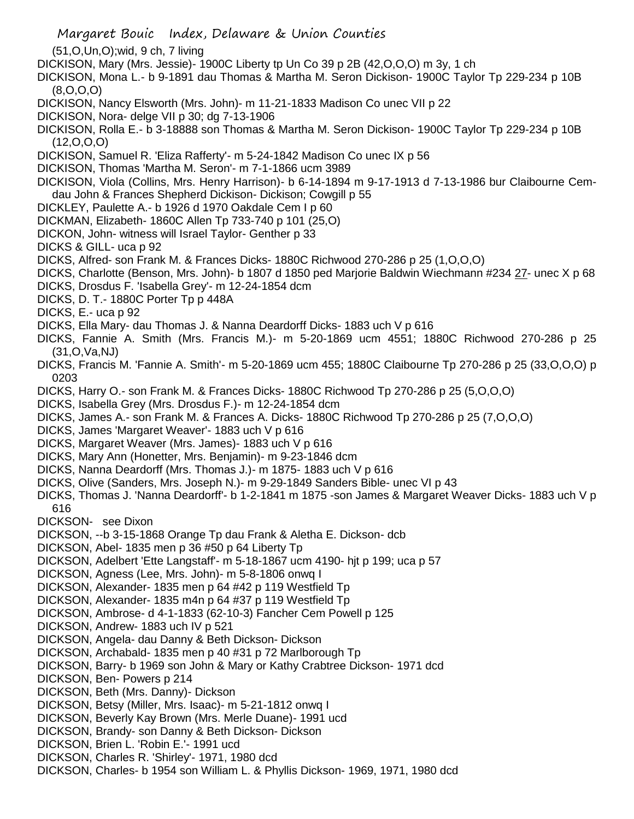- Margaret Bouic Index, Delaware & Union Counties (51,O,Un,O);wid, 9 ch, 7 living DICKISON, Mary (Mrs. Jessie)- 1900C Liberty tp Un Co 39 p 2B (42,O,O,O) m 3y, 1 ch DICKISON, Mona L.- b 9-1891 dau Thomas & Martha M. Seron Dickison- 1900C Taylor Tp 229-234 p 10B (8,O,O,O) DICKISON, Nancy Elsworth (Mrs. John)- m 11-21-1833 Madison Co unec VII p 22 DICKISON, Nora- delge VII p 30; dg 7-13-1906 DICKISON, Rolla E.- b 3-18888 son Thomas & Martha M. Seron Dickison- 1900C Taylor Tp 229-234 p 10B  $(12, 0, 0, 0)$ DICKISON, Samuel R. 'Eliza Rafferty'- m 5-24-1842 Madison Co unec IX p 56 DICKISON, Thomas 'Martha M. Seron'- m 7-1-1866 ucm 3989 DICKISON, Viola (Collins, Mrs. Henry Harrison)- b 6-14-1894 m 9-17-1913 d 7-13-1986 bur Claibourne Cemdau John & Frances Shepherd Dickison- Dickison; Cowgill p 55 DICKLEY, Paulette A.- b 1926 d 1970 Oakdale Cem I p 60 DICKMAN, Elizabeth- 1860C Allen Tp 733-740 p 101 (25,O) DICKON, John- witness will Israel Taylor- Genther p 33 DICKS & GILL- uca p 92 DICKS, Alfred- son Frank M. & Frances Dicks- 1880C Richwood 270-286 p 25 (1,O,O,O) DICKS, Charlotte (Benson, Mrs. John)- b 1807 d 1850 ped Marjorie Baldwin Wiechmann #234 27- unec X p 68 DICKS, Drosdus F. 'Isabella Grey'- m 12-24-1854 dcm DICKS, D. T.- 1880C Porter Tp p 448A DICKS, E.- uca p 92 DICKS, Ella Mary- dau Thomas J. & Nanna Deardorff Dicks- 1883 uch V p 616 DICKS, Fannie A. Smith (Mrs. Francis M.)- m 5-20-1869 ucm 4551; 1880C Richwood 270-286 p 25 (31,O,Va,NJ) DICKS, Francis M. 'Fannie A. Smith'- m 5-20-1869 ucm 455; 1880C Claibourne Tp 270-286 p 25 (33,O,O,O) p 0203 DICKS, Harry O.- son Frank M. & Frances Dicks- 1880C Richwood Tp 270-286 p 25 (5,O,O,O) DICKS, Isabella Grey (Mrs. Drosdus F.)- m 12-24-1854 dcm DICKS, James A.- son Frank M. & Frances A. Dicks- 1880C Richwood Tp 270-286 p 25 (7,O,O,O) DICKS, James 'Margaret Weaver'- 1883 uch V p 616 DICKS, Margaret Weaver (Mrs. James)- 1883 uch V p 616 DICKS, Mary Ann (Honetter, Mrs. Benjamin)- m 9-23-1846 dcm DICKS, Nanna Deardorff (Mrs. Thomas J.)- m 1875- 1883 uch V p 616 DICKS, Olive (Sanders, Mrs. Joseph N.)- m 9-29-1849 Sanders Bible- unec VI p 43 DICKS, Thomas J. 'Nanna Deardorff'- b 1-2-1841 m 1875 -son James & Margaret Weaver Dicks- 1883 uch V p 616 DICKSON- see Dixon DICKSON, --b 3-15-1868 Orange Tp dau Frank & Aletha E. Dickson- dcb DICKSON, Abel- 1835 men p 36 #50 p 64 Liberty Tp DICKSON, Adelbert 'Ette Langstaff'- m 5-18-1867 ucm 4190- hjt p 199; uca p 57 DICKSON, Agness (Lee, Mrs. John)- m 5-8-1806 onwq I DICKSON, Alexander- 1835 men p 64 #42 p 119 Westfield Tp DICKSON, Alexander- 1835 m4n p 64 #37 p 119 Westfield Tp DICKSON, Ambrose- d 4-1-1833 (62-10-3) Fancher Cem Powell p 125 DICKSON, Andrew- 1883 uch IV p 521 DICKSON, Angela- dau Danny & Beth Dickson- Dickson DICKSON, Archabald- 1835 men p 40 #31 p 72 Marlborough Tp DICKSON, Barry- b 1969 son John & Mary or Kathy Crabtree Dickson- 1971 dcd DICKSON, Ben- Powers p 214 DICKSON, Beth (Mrs. Danny)- Dickson
- DICKSON, Betsy (Miller, Mrs. Isaac)- m 5-21-1812 onwq I
- DICKSON, Beverly Kay Brown (Mrs. Merle Duane)- 1991 ucd
- DICKSON, Brandy- son Danny & Beth Dickson- Dickson
- DICKSON, Brien L. 'Robin E.'- 1991 ucd
- DICKSON, Charles R. 'Shirley'- 1971, 1980 dcd
- DICKSON, Charles- b 1954 son William L. & Phyllis Dickson- 1969, 1971, 1980 dcd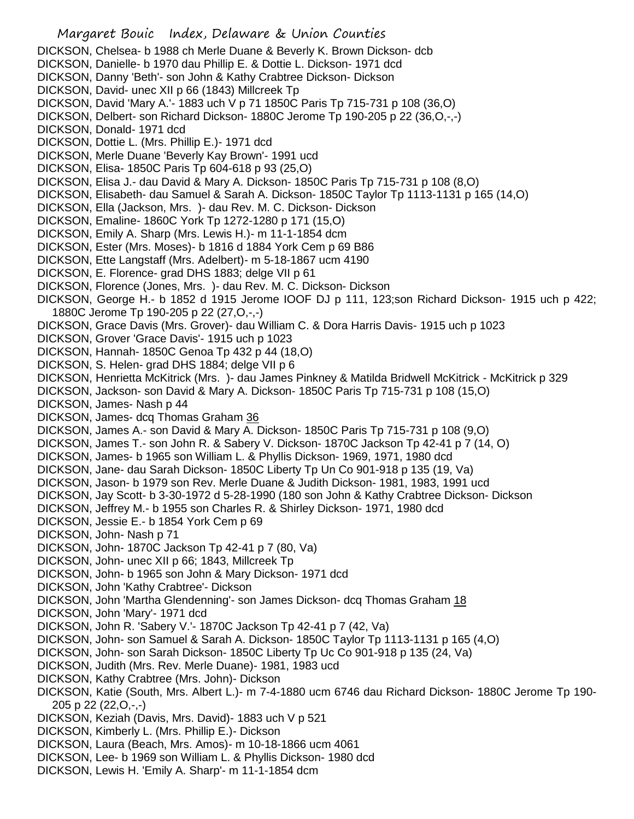## Margaret Bouic Index, Delaware & Union Counties DICKSON, Chelsea- b 1988 ch Merle Duane & Beverly K. Brown Dickson- dcb DICKSON, Danielle- b 1970 dau Phillip E. & Dottie L. Dickson- 1971 dcd DICKSON, Danny 'Beth'- son John & Kathy Crabtree Dickson- Dickson DICKSON, David- unec XII p 66 (1843) Millcreek Tp DICKSON, David 'Mary A.'- 1883 uch V p 71 1850C Paris Tp 715-731 p 108 (36,O) DICKSON, Delbert- son Richard Dickson- 1880C Jerome Tp 190-205 p 22 (36,O,-,-) DICKSON, Donald- 1971 dcd DICKSON, Dottie L. (Mrs. Phillip E.)- 1971 dcd DICKSON, Merle Duane 'Beverly Kay Brown'- 1991 ucd DICKSON, Elisa- 1850C Paris Tp 604-618 p 93 (25,O) DICKSON, Elisa J.- dau David & Mary A. Dickson- 1850C Paris Tp 715-731 p 108 (8,O) DICKSON, Elisabeth- dau Samuel & Sarah A. Dickson- 1850C Taylor Tp 1113-1131 p 165 (14,O) DICKSON, Ella (Jackson, Mrs. )- dau Rev. M. C. Dickson- Dickson DICKSON, Emaline- 1860C York Tp 1272-1280 p 171 (15,O) DICKSON, Emily A. Sharp (Mrs. Lewis H.)- m 11-1-1854 dcm DICKSON, Ester (Mrs. Moses)- b 1816 d 1884 York Cem p 69 B86 DICKSON, Ette Langstaff (Mrs. Adelbert)- m 5-18-1867 ucm 4190 DICKSON, E. Florence- grad DHS 1883; delge VII p 61 DICKSON, Florence (Jones, Mrs. )- dau Rev. M. C. Dickson- Dickson DICKSON, George H.- b 1852 d 1915 Jerome IOOF DJ p 111, 123;son Richard Dickson- 1915 uch p 422; 1880C Jerome Tp 190-205 p 22 (27,O,-,-) DICKSON, Grace Davis (Mrs. Grover)- dau William C. & Dora Harris Davis- 1915 uch p 1023 DICKSON, Grover 'Grace Davis'- 1915 uch p 1023 DICKSON, Hannah- 1850C Genoa Tp 432 p 44 (18,O) DICKSON, S. Helen- grad DHS 1884; delge VII p 6 DICKSON, Henrietta McKitrick (Mrs. )- dau James Pinkney & Matilda Bridwell McKitrick - McKitrick p 329 DICKSON, Jackson- son David & Mary A. Dickson- 1850C Paris Tp 715-731 p 108 (15,O) DICKSON, James- Nash p 44 DICKSON, James- dcq Thomas Graham 36 DICKSON, James A.- son David & Mary A. Dickson- 1850C Paris Tp 715-731 p 108 (9,O) DICKSON, James T.- son John R. & Sabery V. Dickson- 1870C Jackson Tp 42-41 p 7 (14, O) DICKSON, James- b 1965 son William L. & Phyllis Dickson- 1969, 1971, 1980 dcd DICKSON, Jane- dau Sarah Dickson- 1850C Liberty Tp Un Co 901-918 p 135 (19, Va) DICKSON, Jason- b 1979 son Rev. Merle Duane & Judith Dickson- 1981, 1983, 1991 ucd DICKSON, Jay Scott- b 3-30-1972 d 5-28-1990 (180 son John & Kathy Crabtree Dickson- Dickson DICKSON, Jeffrey M.- b 1955 son Charles R. & Shirley Dickson- 1971, 1980 dcd DICKSON, Jessie E.- b 1854 York Cem p 69 DICKSON, John- Nash p 71 DICKSON, John- 1870C Jackson Tp 42-41 p 7 (80, Va) DICKSON, John- unec XII p 66; 1843, Millcreek Tp DICKSON, John- b 1965 son John & Mary Dickson- 1971 dcd DICKSON, John 'Kathy Crabtree'- Dickson DICKSON, John 'Martha Glendenning'- son James Dickson- dcq Thomas Graham 18 DICKSON, John 'Mary'- 1971 dcd DICKSON, John R. 'Sabery V.'- 1870C Jackson Tp 42-41 p 7 (42, Va) DICKSON, John- son Samuel & Sarah A. Dickson- 1850C Taylor Tp 1113-1131 p 165 (4,O) DICKSON, John- son Sarah Dickson- 1850C Liberty Tp Uc Co 901-918 p 135 (24, Va) DICKSON, Judith (Mrs. Rev. Merle Duane)- 1981, 1983 ucd DICKSON, Kathy Crabtree (Mrs. John)- Dickson DICKSON, Katie (South, Mrs. Albert L.)- m 7-4-1880 ucm 6746 dau Richard Dickson- 1880C Jerome Tp 190- 205 p 22 (22,O,-,-) DICKSON, Keziah (Davis, Mrs. David)- 1883 uch V p 521 DICKSON, Kimberly L. (Mrs. Phillip E.)- Dickson DICKSON, Laura (Beach, Mrs. Amos)- m 10-18-1866 ucm 4061 DICKSON, Lee- b 1969 son William L. & Phyllis Dickson- 1980 dcd

DICKSON, Lewis H. 'Emily A. Sharp'- m 11-1-1854 dcm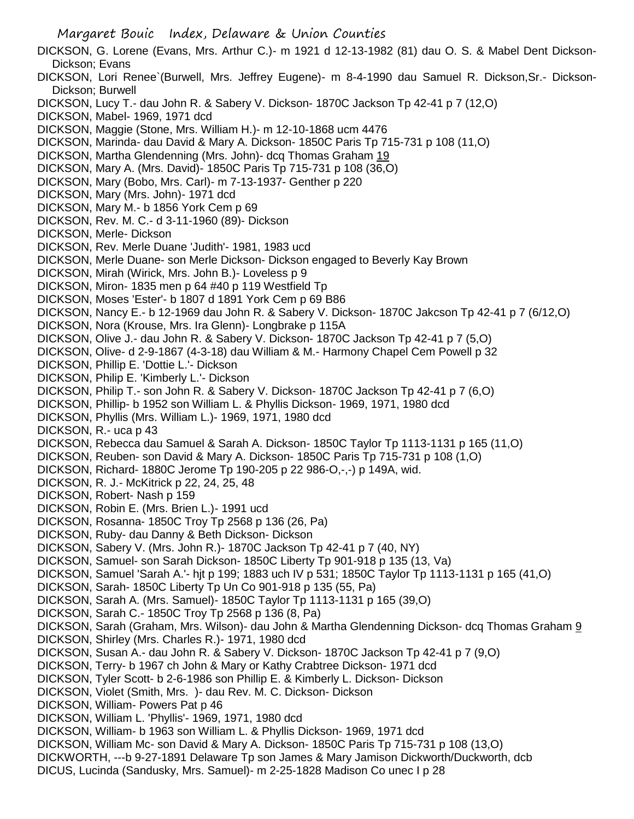Margaret Bouic Index, Delaware & Union Counties DICKSON, G. Lorene (Evans, Mrs. Arthur C.)- m 1921 d 12-13-1982 (81) dau O. S. & Mabel Dent Dickson-Dickson; Evans DICKSON, Lori Renee`(Burwell, Mrs. Jeffrey Eugene)- m 8-4-1990 dau Samuel R. Dickson,Sr.- Dickson-Dickson; Burwell DICKSON, Lucy T.- dau John R. & Sabery V. Dickson- 1870C Jackson Tp 42-41 p 7 (12,O) DICKSON, Mabel- 1969, 1971 dcd DICKSON, Maggie (Stone, Mrs. William H.)- m 12-10-1868 ucm 4476 DICKSON, Marinda- dau David & Mary A. Dickson- 1850C Paris Tp 715-731 p 108 (11,O) DICKSON, Martha Glendenning (Mrs. John)- dcq Thomas Graham 19 DICKSON, Mary A. (Mrs. David)- 1850C Paris Tp 715-731 p 108 (36,O) DICKSON, Mary (Bobo, Mrs. Carl)- m 7-13-1937- Genther p 220 DICKSON, Mary (Mrs. John)- 1971 dcd DICKSON, Mary M.- b 1856 York Cem p 69 DICKSON, Rev. M. C.- d 3-11-1960 (89)- Dickson DICKSON, Merle- Dickson DICKSON, Rev. Merle Duane 'Judith'- 1981, 1983 ucd DICKSON, Merle Duane- son Merle Dickson- Dickson engaged to Beverly Kay Brown DICKSON, Mirah (Wirick, Mrs. John B.)- Loveless p 9 DICKSON, Miron- 1835 men p 64 #40 p 119 Westfield Tp DICKSON, Moses 'Ester'- b 1807 d 1891 York Cem p 69 B86 DICKSON, Nancy E.- b 12-1969 dau John R. & Sabery V. Dickson- 1870C Jakcson Tp 42-41 p 7 (6/12,O) DICKSON, Nora (Krouse, Mrs. Ira Glenn)- Longbrake p 115A DICKSON, Olive J.- dau John R. & Sabery V. Dickson- 1870C Jackson Tp 42-41 p 7 (5,O) DICKSON, Olive- d 2-9-1867 (4-3-18) dau William & M.- Harmony Chapel Cem Powell p 32 DICKSON, Phillip E. 'Dottie L.'- Dickson DICKSON, Philip E. 'Kimberly L.'- Dickson DICKSON, Philip T.- son John R. & Sabery V. Dickson- 1870C Jackson Tp 42-41 p 7 (6,O) DICKSON, Phillip- b 1952 son William L. & Phyllis Dickson- 1969, 1971, 1980 dcd DICKSON, Phyllis (Mrs. William L.)- 1969, 1971, 1980 dcd DICKSON, R.- uca p 43 DICKSON, Rebecca dau Samuel & Sarah A. Dickson- 1850C Taylor Tp 1113-1131 p 165 (11,O) DICKSON, Reuben- son David & Mary A. Dickson- 1850C Paris Tp 715-731 p 108 (1,O) DICKSON, Richard- 1880C Jerome Tp 190-205 p 22 986-O,-,-) p 149A, wid. DICKSON, R. J.- McKitrick p 22, 24, 25, 48 DICKSON, Robert- Nash p 159 DICKSON, Robin E. (Mrs. Brien L.)- 1991 ucd DICKSON, Rosanna- 1850C Troy Tp 2568 p 136 (26, Pa) DICKSON, Ruby- dau Danny & Beth Dickson- Dickson DICKSON, Sabery V. (Mrs. John R.)- 1870C Jackson Tp 42-41 p 7 (40, NY) DICKSON, Samuel- son Sarah Dickson- 1850C Liberty Tp 901-918 p 135 (13, Va) DICKSON, Samuel 'Sarah A.'- hjt p 199; 1883 uch IV p 531; 1850C Taylor Tp 1113-1131 p 165 (41,O) DICKSON, Sarah- 1850C Liberty Tp Un Co 901-918 p 135 (55, Pa) DICKSON, Sarah A. (Mrs. Samuel)- 1850C Taylor Tp 1113-1131 p 165 (39,O) DICKSON, Sarah C.- 1850C Troy Tp 2568 p 136 (8, Pa) DICKSON, Sarah (Graham, Mrs. Wilson)- dau John & Martha Glendenning Dickson- dcq Thomas Graham 9 DICKSON, Shirley (Mrs. Charles R.)- 1971, 1980 dcd DICKSON, Susan A.- dau John R. & Sabery V. Dickson- 1870C Jackson Tp 42-41 p 7 (9,O) DICKSON, Terry- b 1967 ch John & Mary or Kathy Crabtree Dickson- 1971 dcd DICKSON, Tyler Scott- b 2-6-1986 son Phillip E. & Kimberly L. Dickson- Dickson DICKSON, Violet (Smith, Mrs. )- dau Rev. M. C. Dickson- Dickson DICKSON, William- Powers Pat p 46 DICKSON, William L. 'Phyllis'- 1969, 1971, 1980 dcd DICKSON, William- b 1963 son William L. & Phyllis Dickson- 1969, 1971 dcd DICKSON, William Mc- son David & Mary A. Dickson- 1850C Paris Tp 715-731 p 108 (13,O) DICKWORTH, ---b 9-27-1891 Delaware Tp son James & Mary Jamison Dickworth/Duckworth, dcb DICUS, Lucinda (Sandusky, Mrs. Samuel)- m 2-25-1828 Madison Co unec I p 28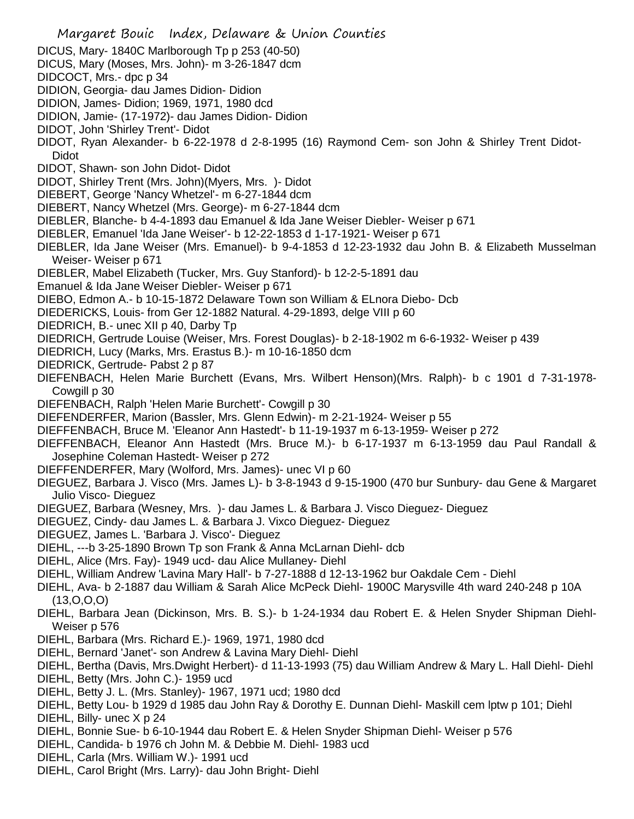Margaret Bouic Index, Delaware & Union Counties DICUS, Mary- 1840C Marlborough Tp p 253 (40-50) DICUS, Mary (Moses, Mrs. John)- m 3-26-1847 dcm DIDCOCT, Mrs.- dpc p 34 DIDION, Georgia- dau James Didion- Didion DIDION, James- Didion; 1969, 1971, 1980 dcd DIDION, Jamie- (17-1972)- dau James Didion- Didion DIDOT, John 'Shirley Trent'- Didot DIDOT, Ryan Alexander- b 6-22-1978 d 2-8-1995 (16) Raymond Cem- son John & Shirley Trent Didot-Didot DIDOT, Shawn- son John Didot- Didot DIDOT, Shirley Trent (Mrs. John)(Myers, Mrs. )- Didot DIEBERT, George 'Nancy Whetzel'- m 6-27-1844 dcm DIEBERT, Nancy Whetzel (Mrs. George)- m 6-27-1844 dcm DIEBLER, Blanche- b 4-4-1893 dau Emanuel & Ida Jane Weiser Diebler- Weiser p 671 DIEBLER, Emanuel 'Ida Jane Weiser'- b 12-22-1853 d 1-17-1921- Weiser p 671 DIEBLER, Ida Jane Weiser (Mrs. Emanuel)- b 9-4-1853 d 12-23-1932 dau John B. & Elizabeth Musselman Weiser- Weiser p 671 DIEBLER, Mabel Elizabeth (Tucker, Mrs. Guy Stanford)- b 12-2-5-1891 dau Emanuel & Ida Jane Weiser Diebler- Weiser p 671 DIEBO, Edmon A.- b 10-15-1872 Delaware Town son William & ELnora Diebo- Dcb DIEDERICKS, Louis- from Ger 12-1882 Natural. 4-29-1893, delge VIII p 60 DIEDRICH, B.- unec XII p 40, Darby Tp DIEDRICH, Gertrude Louise (Weiser, Mrs. Forest Douglas)- b 2-18-1902 m 6-6-1932- Weiser p 439 DIEDRICH, Lucy (Marks, Mrs. Erastus B.)- m 10-16-1850 dcm DIEDRICK, Gertrude- Pabst 2 p 87 DIEFENBACH, Helen Marie Burchett (Evans, Mrs. Wilbert Henson)(Mrs. Ralph)- b c 1901 d 7-31-1978- Cowgill p 30 DIEFENBACH, Ralph 'Helen Marie Burchett'- Cowgill p 30 DIEFENDERFER, Marion (Bassler, Mrs. Glenn Edwin)- m 2-21-1924- Weiser p 55 DIEFFENBACH, Bruce M. 'Eleanor Ann Hastedt'- b 11-19-1937 m 6-13-1959- Weiser p 272 DIEFFENBACH, Eleanor Ann Hastedt (Mrs. Bruce M.)- b 6-17-1937 m 6-13-1959 dau Paul Randall & Josephine Coleman Hastedt- Weiser p 272 DIEFFENDERFER, Mary (Wolford, Mrs. James)- unec VI p 60 DIEGUEZ, Barbara J. Visco (Mrs. James L)- b 3-8-1943 d 9-15-1900 (470 bur Sunbury- dau Gene & Margaret Julio Visco- Dieguez DIEGUEZ, Barbara (Wesney, Mrs. )- dau James L. & Barbara J. Visco Dieguez- Dieguez DIEGUEZ, Cindy- dau James L. & Barbara J. Vixco Dieguez- Dieguez DIEGUEZ, James L. 'Barbara J. Visco'- Dieguez DIEHL, ---b 3-25-1890 Brown Tp son Frank & Anna McLarnan Diehl- dcb DIEHL, Alice (Mrs. Fay)- 1949 ucd- dau Alice Mullaney- Diehl DIEHL, William Andrew 'Lavina Mary Hall'- b 7-27-1888 d 12-13-1962 bur Oakdale Cem - Diehl DIEHL, Ava- b 2-1887 dau William & Sarah Alice McPeck Diehl- 1900C Marysville 4th ward 240-248 p 10A (13,O,O,O) DIEHL, Barbara Jean (Dickinson, Mrs. B. S.)- b 1-24-1934 dau Robert E. & Helen Snyder Shipman Diehl-Weiser p 576 DIEHL, Barbara (Mrs. Richard E.)- 1969, 1971, 1980 dcd DIEHL, Bernard 'Janet'- son Andrew & Lavina Mary Diehl- Diehl DIEHL, Bertha (Davis, Mrs.Dwight Herbert)- d 11-13-1993 (75) dau William Andrew & Mary L. Hall Diehl- Diehl DIEHL, Betty (Mrs. John C.)- 1959 ucd DIEHL, Betty J. L. (Mrs. Stanley)- 1967, 1971 ucd; 1980 dcd DIEHL, Betty Lou- b 1929 d 1985 dau John Ray & Dorothy E. Dunnan Diehl- Maskill cem lptw p 101; Diehl DIEHL, Billy- unec X p 24 DIEHL, Bonnie Sue- b 6-10-1944 dau Robert E. & Helen Snyder Shipman Diehl- Weiser p 576 DIEHL, Candida- b 1976 ch John M. & Debbie M. Diehl- 1983 ucd DIEHL, Carla (Mrs. William W.)- 1991 ucd DIEHL, Carol Bright (Mrs. Larry)- dau John Bright- Diehl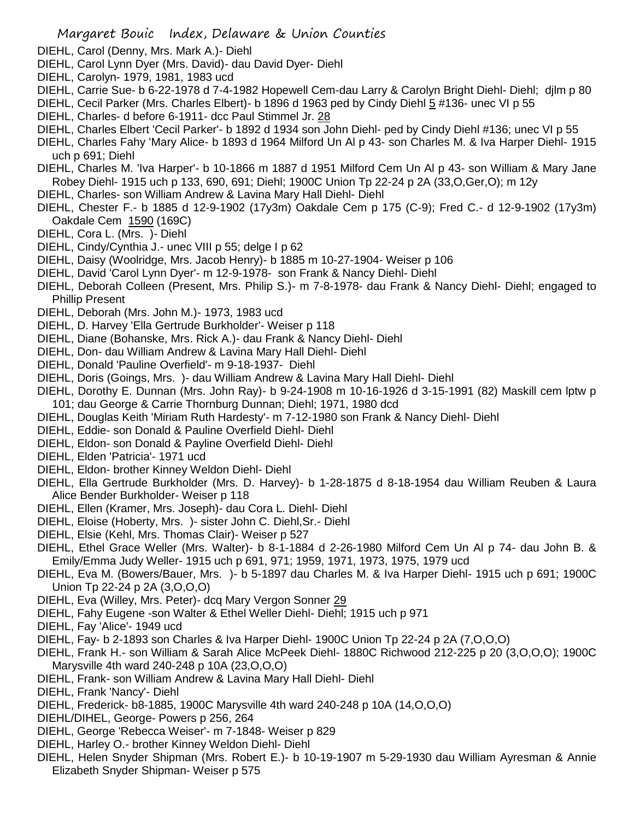- DIEHL, Carol (Denny, Mrs. Mark A.)- Diehl
- DIEHL, Carol Lynn Dyer (Mrs. David)- dau David Dyer- Diehl
- DIEHL, Carolyn- 1979, 1981, 1983 ucd
- DIEHL, Carrie Sue- b 6-22-1978 d 7-4-1982 Hopewell Cem-dau Larry & Carolyn Bright Diehl- Diehl; djlm p 80

DIEHL, Cecil Parker (Mrs. Charles Elbert)- b 1896 d 1963 ped by Cindy Diehl 5 #136- unec VI p 55

- DIEHL, Charles- d before 6-1911- dcc Paul Stimmel Jr. 28
- DIEHL, Charles Elbert 'Cecil Parker'- b 1892 d 1934 son John Diehl- ped by Cindy Diehl #136; unec VI p 55
- DIEHL, Charles Fahy 'Mary Alice- b 1893 d 1964 Milford Un Al p 43- son Charles M. & Iva Harper Diehl- 1915 uch p 691; Diehl
- DIEHL, Charles M. 'Iva Harper'- b 10-1866 m 1887 d 1951 Milford Cem Un Al p 43- son William & Mary Jane Robey Diehl- 1915 uch p 133, 690, 691; Diehl; 1900C Union Tp 22-24 p 2A (33,O,Ger,O); m 12y
- DIEHL, Charles- son William Andrew & Lavina Mary Hall Diehl- Diehl
- DIEHL, Chester F.- b 1885 d 12-9-1902 (17y3m) Oakdale Cem p 175 (C-9); Fred C.- d 12-9-1902 (17y3m) Oakdale Cem 1590 (169C)
- DIEHL, Cora L. (Mrs. )- Diehl
- DIEHL, Cindy/Cynthia J.- unec VIII p 55; delge I p 62
- DIEHL, Daisy (Woolridge, Mrs. Jacob Henry)- b 1885 m 10-27-1904- Weiser p 106
- DIEHL, David 'Carol Lynn Dyer'- m 12-9-1978- son Frank & Nancy Diehl- Diehl
- DIEHL, Deborah Colleen (Present, Mrs. Philip S.)- m 7-8-1978- dau Frank & Nancy Diehl- Diehl; engaged to Phillip Present
- DIEHL, Deborah (Mrs. John M.)- 1973, 1983 ucd
- DIEHL, D. Harvey 'Ella Gertrude Burkholder'- Weiser p 118
- DIEHL, Diane (Bohanske, Mrs. Rick A.)- dau Frank & Nancy Diehl- Diehl
- DIEHL, Don- dau William Andrew & Lavina Mary Hall Diehl- Diehl
- DIEHL, Donald 'Pauline Overfield'- m 9-18-1937- Diehl
- DIEHL, Doris (Goings, Mrs. )- dau William Andrew & Lavina Mary Hall Diehl- Diehl
- DIEHL, Dorothy E. Dunnan (Mrs. John Ray)- b 9-24-1908 m 10-16-1926 d 3-15-1991 (82) Maskill cem lptw p 101; dau George & Carrie Thornburg Dunnan; Diehl; 1971, 1980 dcd
- DIEHL, Douglas Keith 'Miriam Ruth Hardesty'- m 7-12-1980 son Frank & Nancy Diehl- Diehl
- DIEHL, Eddie- son Donald & Pauline Overfield Diehl- Diehl
- DIEHL, Eldon- son Donald & Payline Overfield Diehl- Diehl
- DIEHL, Elden 'Patricia'- 1971 ucd
- DIEHL, Eldon- brother Kinney Weldon Diehl- Diehl
- DIEHL, Ella Gertrude Burkholder (Mrs. D. Harvey)- b 1-28-1875 d 8-18-1954 dau William Reuben & Laura Alice Bender Burkholder- Weiser p 118
- DIEHL, Ellen (Kramer, Mrs. Joseph)- dau Cora L. Diehl- Diehl
- DIEHL, Eloise (Hoberty, Mrs. )- sister John C. Diehl,Sr.- Diehl
- DIEHL, Elsie (Kehl, Mrs. Thomas Clair)- Weiser p 527
- DIEHL, Ethel Grace Weller (Mrs. Walter)- b 8-1-1884 d 2-26-1980 Milford Cem Un Al p 74- dau John B. & Emily/Emma Judy Weller- 1915 uch p 691, 971; 1959, 1971, 1973, 1975, 1979 ucd
- DIEHL, Eva M. (Bowers/Bauer, Mrs. )- b 5-1897 dau Charles M. & Iva Harper Diehl- 1915 uch p 691; 1900C Union Tp 22-24 p 2A (3,O,O,O)
- DIEHL, Eva (Willey, Mrs. Peter)- dcq Mary Vergon Sonner 29
- DIEHL, Fahy Eugene -son Walter & Ethel Weller Diehl- Diehl; 1915 uch p 971
- DIEHL, Fay 'Alice'- 1949 ucd
- DIEHL, Fay- b 2-1893 son Charles & Iva Harper Diehl- 1900C Union Tp 22-24 p 2A (7,O,O,O)
- DIEHL, Frank H.- son William & Sarah Alice McPeek Diehl- 1880C Richwood 212-225 p 20 (3,O,O,O); 1900C Marysville 4th ward 240-248 p 10A (23,O,O,O)
- DIEHL, Frank- son William Andrew & Lavina Mary Hall Diehl- Diehl
- DIEHL, Frank 'Nancy'- Diehl
- DIEHL, Frederick- b8-1885, 1900C Marysville 4th ward 240-248 p 10A (14,O,O,O)
- DIEHL/DIHEL, George- Powers p 256, 264
- DIEHL, George 'Rebecca Weiser'- m 7-1848- Weiser p 829
- DIEHL, Harley O.- brother Kinney Weldon Diehl- Diehl
- DIEHL, Helen Snyder Shipman (Mrs. Robert E.)- b 10-19-1907 m 5-29-1930 dau William Ayresman & Annie Elizabeth Snyder Shipman- Weiser p 575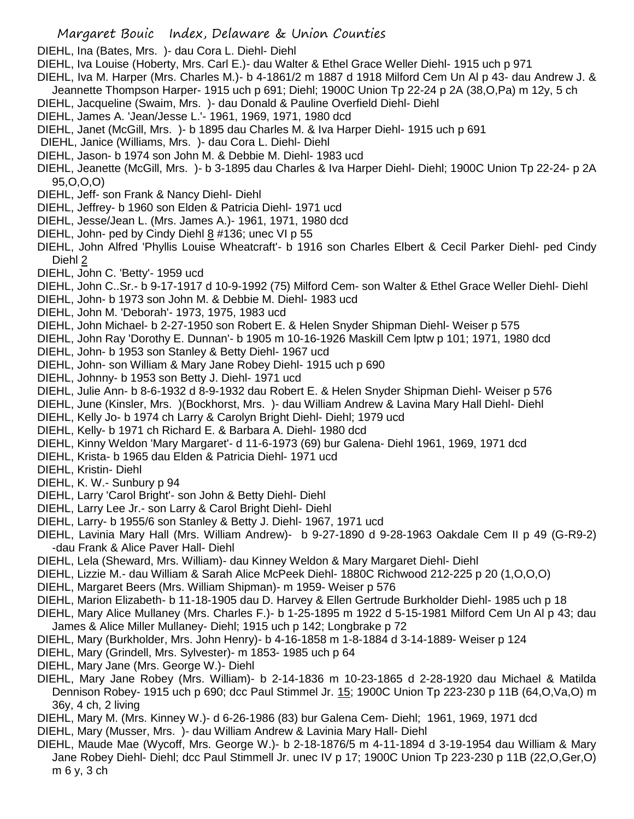DIEHL, Ina (Bates, Mrs. )- dau Cora L. Diehl- Diehl

DIEHL, Iva Louise (Hoberty, Mrs. Carl E.)- dau Walter & Ethel Grace Weller Diehl- 1915 uch p 971

- DIEHL, Iva M. Harper (Mrs. Charles M.)- b 4-1861/2 m 1887 d 1918 Milford Cem Un Al p 43- dau Andrew J. &
- Jeannette Thompson Harper- 1915 uch p 691; Diehl; 1900C Union Tp 22-24 p 2A (38,O,Pa) m 12y, 5 ch
- DIEHL, Jacqueline (Swaim, Mrs. )- dau Donald & Pauline Overfield Diehl- Diehl
- DIEHL, James A. 'Jean/Jesse L.'- 1961, 1969, 1971, 1980 dcd
- DIEHL, Janet (McGill, Mrs. )- b 1895 dau Charles M. & Iva Harper Diehl- 1915 uch p 691
- DIEHL, Janice (Williams, Mrs. )- dau Cora L. Diehl- Diehl
- DIEHL, Jason- b 1974 son John M. & Debbie M. Diehl- 1983 ucd
- DIEHL, Jeanette (McGill, Mrs. )- b 3-1895 dau Charles & Iva Harper Diehl- Diehl; 1900C Union Tp 22-24- p 2A 95,O,O,O)
- DIEHL, Jeff- son Frank & Nancy Diehl- Diehl
- DIEHL, Jeffrey- b 1960 son Elden & Patricia Diehl- 1971 ucd
- DIEHL, Jesse/Jean L. (Mrs. James A.)- 1961, 1971, 1980 dcd
- DIEHL, John- ped by Cindy Diehl 8 #136; unec VI p 55
- DIEHL, John Alfred 'Phyllis Louise Wheatcraft'- b 1916 son Charles Elbert & Cecil Parker Diehl- ped Cindy Diehl 2
- DIEHL, John C. 'Betty'- 1959 ucd
- DIEHL, John C..Sr.- b 9-17-1917 d 10-9-1992 (75) Milford Cem- son Walter & Ethel Grace Weller Diehl- Diehl
- DIEHL, John- b 1973 son John M. & Debbie M. Diehl- 1983 ucd
- DIEHL, John M. 'Deborah'- 1973, 1975, 1983 ucd
- DIEHL, John Michael- b 2-27-1950 son Robert E. & Helen Snyder Shipman Diehl- Weiser p 575
- DIEHL, John Ray 'Dorothy E. Dunnan'- b 1905 m 10-16-1926 Maskill Cem lptw p 101; 1971, 1980 dcd
- DIEHL, John- b 1953 son Stanley & Betty Diehl- 1967 ucd
- DIEHL, John- son William & Mary Jane Robey Diehl- 1915 uch p 690
- DIEHL, Johnny- b 1953 son Betty J. Diehl- 1971 ucd
- DIEHL, Julie Ann- b 8-6-1932 d 8-9-1932 dau Robert E. & Helen Snyder Shipman Diehl- Weiser p 576
- DIEHL, June (Kinsler, Mrs. )(Bockhorst, Mrs. )- dau William Andrew & Lavina Mary Hall Diehl- Diehl
- DIEHL, Kelly Jo- b 1974 ch Larry & Carolyn Bright Diehl- Diehl; 1979 ucd
- DIEHL, Kelly- b 1971 ch Richard E. & Barbara A. Diehl- 1980 dcd
- DIEHL, Kinny Weldon 'Mary Margaret'- d 11-6-1973 (69) bur Galena- Diehl 1961, 1969, 1971 dcd
- DIEHL, Krista- b 1965 dau Elden & Patricia Diehl- 1971 ucd
- DIEHL, Kristin- Diehl
- DIEHL, K. W.- Sunbury p 94
- DIEHL, Larry 'Carol Bright'- son John & Betty Diehl- Diehl
- DIEHL, Larry Lee Jr.- son Larry & Carol Bright Diehl- Diehl
- DIEHL, Larry- b 1955/6 son Stanley & Betty J. Diehl- 1967, 1971 ucd
- DIEHL, Lavinia Mary Hall (Mrs. William Andrew)- b 9-27-1890 d 9-28-1963 Oakdale Cem II p 49 (G-R9-2) -dau Frank & Alice Paver Hall- Diehl
- DIEHL, Lela (Sheward, Mrs. William)- dau Kinney Weldon & Mary Margaret Diehl- Diehl
- DIEHL, Lizzie M.- dau William & Sarah Alice McPeek Diehl- 1880C Richwood 212-225 p 20 (1,O,O,O)
- DIEHL, Margaret Beers (Mrs. William Shipman)- m 1959- Weiser p 576
- DIEHL, Marion Elizabeth- b 11-18-1905 dau D. Harvey & Ellen Gertrude Burkholder Diehl- 1985 uch p 18
- DIEHL, Mary Alice Mullaney (Mrs. Charles F.)- b 1-25-1895 m 1922 d 5-15-1981 Milford Cem Un Al p 43; dau James & Alice Miller Mullaney- Diehl; 1915 uch p 142; Longbrake p 72
- DIEHL, Mary (Burkholder, Mrs. John Henry)- b 4-16-1858 m 1-8-1884 d 3-14-1889- Weiser p 124
- DIEHL, Mary (Grindell, Mrs. Sylvester)- m 1853- 1985 uch p 64
- DIEHL, Mary Jane (Mrs. George W.)- Diehl
- DIEHL, Mary Jane Robey (Mrs. William)- b 2-14-1836 m 10-23-1865 d 2-28-1920 dau Michael & Matilda Dennison Robey- 1915 uch p 690; dcc Paul Stimmel Jr. 15; 1900C Union Tp 223-230 p 11B (64,O,Va,O) m 36y, 4 ch, 2 living
- DIEHL, Mary M. (Mrs. Kinney W.)- d 6-26-1986 (83) bur Galena Cem- Diehl; 1961, 1969, 1971 dcd
- DIEHL, Mary (Musser, Mrs. )- dau William Andrew & Lavinia Mary Hall- Diehl
- DIEHL, Maude Mae (Wycoff, Mrs. George W.)- b 2-18-1876/5 m 4-11-1894 d 3-19-1954 dau William & Mary Jane Robey Diehl- Diehl; dcc Paul Stimmell Jr. unec IV p 17; 1900C Union Tp 223-230 p 11B (22,O,Ger,O) m 6 y, 3 ch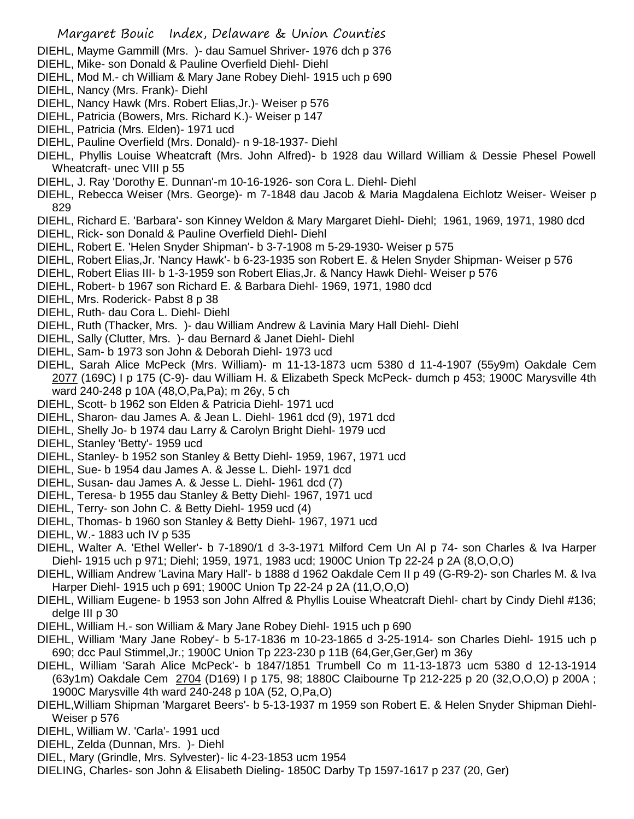- DIEHL, Mayme Gammill (Mrs. )- dau Samuel Shriver- 1976 dch p 376
- DIEHL, Mike- son Donald & Pauline Overfield Diehl- Diehl
- DIEHL, Mod M.- ch William & Mary Jane Robey Diehl- 1915 uch p 690
- DIEHL, Nancy (Mrs. Frank)- Diehl
- DIEHL, Nancy Hawk (Mrs. Robert Elias,Jr.)- Weiser p 576
- DIEHL, Patricia (Bowers, Mrs. Richard K.)- Weiser p 147
- DIEHL, Patricia (Mrs. Elden)- 1971 ucd
- DIEHL, Pauline Overfield (Mrs. Donald)- n 9-18-1937- Diehl
- DIEHL, Phyllis Louise Wheatcraft (Mrs. John Alfred)- b 1928 dau Willard William & Dessie Phesel Powell Wheatcraft- unec VIII p 55
- DIEHL, J. Ray 'Dorothy E. Dunnan'-m 10-16-1926- son Cora L. Diehl- Diehl
- DIEHL, Rebecca Weiser (Mrs. George)- m 7-1848 dau Jacob & Maria Magdalena Eichlotz Weiser- Weiser p 829
- DIEHL, Richard E. 'Barbara'- son Kinney Weldon & Mary Margaret Diehl- Diehl; 1961, 1969, 1971, 1980 dcd
- DIEHL, Rick- son Donald & Pauline Overfield Diehl- Diehl
- DIEHL, Robert E. 'Helen Snyder Shipman'- b 3-7-1908 m 5-29-1930- Weiser p 575
- DIEHL, Robert Elias,Jr. 'Nancy Hawk'- b 6-23-1935 son Robert E. & Helen Snyder Shipman- Weiser p 576
- DIEHL, Robert Elias III- b 1-3-1959 son Robert Elias,Jr. & Nancy Hawk Diehl- Weiser p 576
- DIEHL, Robert- b 1967 son Richard E. & Barbara Diehl- 1969, 1971, 1980 dcd
- DIEHL, Mrs. Roderick- Pabst 8 p 38
- DIEHL, Ruth- dau Cora L. Diehl- Diehl
- DIEHL, Ruth (Thacker, Mrs. )- dau William Andrew & Lavinia Mary Hall Diehl- Diehl
- DIEHL, Sally (Clutter, Mrs. )- dau Bernard & Janet Diehl- Diehl
- DIEHL, Sam- b 1973 son John & Deborah Diehl- 1973 ucd
- DIEHL, Sarah Alice McPeck (Mrs. William)- m 11-13-1873 ucm 5380 d 11-4-1907 (55y9m) Oakdale Cem 2077 (169C) I p 175 (C-9)- dau William H. & Elizabeth Speck McPeck- dumch p 453; 1900C Marysville 4th ward 240-248 p 10A (48,O,Pa,Pa); m 26y, 5 ch
- DIEHL, Scott- b 1962 son Elden & Patricia Diehl- 1971 ucd
- DIEHL, Sharon- dau James A. & Jean L. Diehl- 1961 dcd (9), 1971 dcd
- DIEHL, Shelly Jo- b 1974 dau Larry & Carolyn Bright Diehl- 1979 ucd
- DIEHL, Stanley 'Betty'- 1959 ucd
- DIEHL, Stanley- b 1952 son Stanley & Betty Diehl- 1959, 1967, 1971 ucd
- DIEHL, Sue- b 1954 dau James A. & Jesse L. Diehl- 1971 dcd
- DIEHL, Susan- dau James A. & Jesse L. Diehl- 1961 dcd (7)
- DIEHL, Teresa- b 1955 dau Stanley & Betty Diehl- 1967, 1971 ucd
- DIEHL, Terry- son John C. & Betty Diehl- 1959 ucd (4)
- DIEHL, Thomas- b 1960 son Stanley & Betty Diehl- 1967, 1971 ucd
- DIEHL, W.- 1883 uch IV p 535
- DIEHL, Walter A. 'Ethel Weller'- b 7-1890/1 d 3-3-1971 Milford Cem Un Al p 74- son Charles & Iva Harper Diehl- 1915 uch p 971; Diehl; 1959, 1971, 1983 ucd; 1900C Union Tp 22-24 p 2A (8,O,O,O)
- DIEHL, William Andrew 'Lavina Mary Hall'- b 1888 d 1962 Oakdale Cem II p 49 (G-R9-2)- son Charles M. & Iva Harper Diehl- 1915 uch p 691; 1900C Union Tp 22-24 p 2A (11,O,O,O)
- DIEHL, William Eugene- b 1953 son John Alfred & Phyllis Louise Wheatcraft Diehl- chart by Cindy Diehl #136; delge III p 30
- DIEHL, William H.- son William & Mary Jane Robey Diehl- 1915 uch p 690
- DIEHL, William 'Mary Jane Robey'- b 5-17-1836 m 10-23-1865 d 3-25-1914- son Charles Diehl- 1915 uch p 690; dcc Paul Stimmel,Jr.; 1900C Union Tp 223-230 p 11B (64,Ger,Ger,Ger) m 36y
- DIEHL, William 'Sarah Alice McPeck'- b 1847/1851 Trumbell Co m 11-13-1873 ucm 5380 d 12-13-1914 (63y1m) Oakdale Cem 2704 (D169) I p 175, 98; 1880C Claibourne Tp 212-225 p 20 (32,O,O,O) p 200A ; 1900C Marysville 4th ward 240-248 p 10A (52, O,Pa,O)
- DIEHL,William Shipman 'Margaret Beers'- b 5-13-1937 m 1959 son Robert E. & Helen Snyder Shipman Diehl-Weiser p 576
- DIEHL, William W. 'Carla'- 1991 ucd
- DIEHL, Zelda (Dunnan, Mrs. )- Diehl
- DIEL, Mary (Grindle, Mrs. Sylvester)- lic 4-23-1853 ucm 1954
- DIELING, Charles- son John & Elisabeth Dieling- 1850C Darby Tp 1597-1617 p 237 (20, Ger)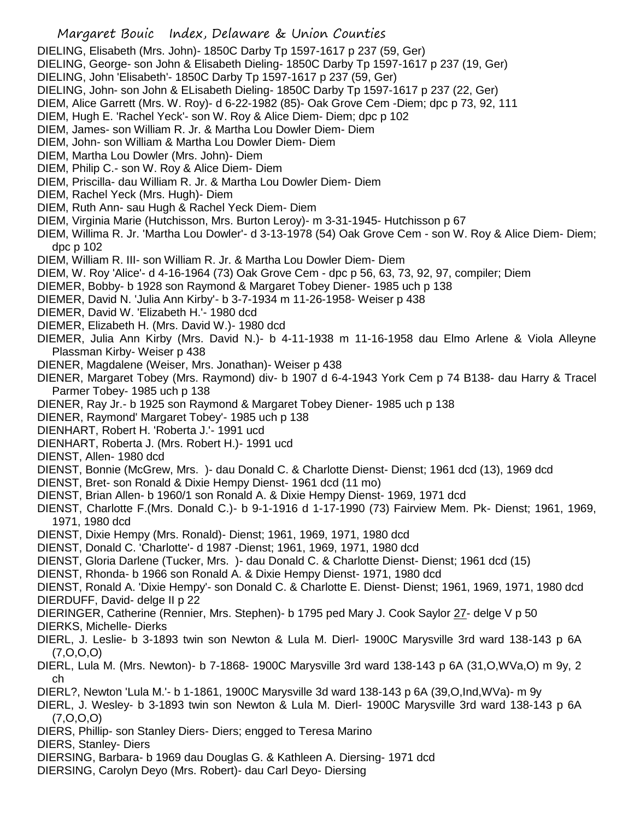## Margaret Bouic Index, Delaware & Union Counties

DIELING, Elisabeth (Mrs. John)- 1850C Darby Tp 1597-1617 p 237 (59, Ger)

DIELING, George- son John & Elisabeth Dieling- 1850C Darby Tp 1597-1617 p 237 (19, Ger)

- DIELING, John 'Elisabeth'- 1850C Darby Tp 1597-1617 p 237 (59, Ger)
- DIELING, John- son John & ELisabeth Dieling- 1850C Darby Tp 1597-1617 p 237 (22, Ger)
- DIEM, Alice Garrett (Mrs. W. Roy)- d 6-22-1982 (85)- Oak Grove Cem -Diem; dpc p 73, 92, 111
- DIEM, Hugh E. 'Rachel Yeck'- son W. Roy & Alice Diem- Diem; dpc p 102
- DIEM, James- son William R. Jr. & Martha Lou Dowler Diem- Diem
- DIEM, John- son William & Martha Lou Dowler Diem- Diem
- DIEM, Martha Lou Dowler (Mrs. John)- Diem
- DIEM, Philip C.- son W. Roy & Alice Diem- Diem
- DIEM, Priscilla- dau William R. Jr. & Martha Lou Dowler Diem- Diem
- DIEM, Rachel Yeck (Mrs. Hugh)- Diem
- DIEM, Ruth Ann- sau Hugh & Rachel Yeck Diem- Diem
- DIEM, Virginia Marie (Hutchisson, Mrs. Burton Leroy)- m 3-31-1945- Hutchisson p 67
- DIEM, Willima R. Jr. 'Martha Lou Dowler'- d 3-13-1978 (54) Oak Grove Cem son W. Roy & Alice Diem- Diem; dpc p 102
- DIEM, William R. III- son William R. Jr. & Martha Lou Dowler Diem- Diem
- DIEM, W. Roy 'Alice'- d 4-16-1964 (73) Oak Grove Cem dpc p 56, 63, 73, 92, 97, compiler; Diem
- DIEMER, Bobby- b 1928 son Raymond & Margaret Tobey Diener- 1985 uch p 138
- DIEMER, David N. 'Julia Ann Kirby'- b 3-7-1934 m 11-26-1958- Weiser p 438
- DIEMER, David W. 'Elizabeth H.'- 1980 dcd
- DIEMER, Elizabeth H. (Mrs. David W.)- 1980 dcd
- DIEMER, Julia Ann Kirby (Mrs. David N.)- b 4-11-1938 m 11-16-1958 dau Elmo Arlene & Viola Alleyne Plassman Kirby- Weiser p 438
- DIENER, Magdalene (Weiser, Mrs. Jonathan)- Weiser p 438
- DIENER, Margaret Tobey (Mrs. Raymond) div- b 1907 d 6-4-1943 York Cem p 74 B138- dau Harry & Tracel Parmer Tobey- 1985 uch p 138
- DIENER, Ray Jr.- b 1925 son Raymond & Margaret Tobey Diener- 1985 uch p 138
- DIENER, Raymond' Margaret Tobey'- 1985 uch p 138
- DIENHART, Robert H. 'Roberta J.'- 1991 ucd
- DIENHART, Roberta J. (Mrs. Robert H.)- 1991 ucd
- DIENST, Allen- 1980 dcd
- DIENST, Bonnie (McGrew, Mrs. )- dau Donald C. & Charlotte Dienst- Dienst; 1961 dcd (13), 1969 dcd
- DIENST, Bret- son Ronald & Dixie Hempy Dienst- 1961 dcd (11 mo)
- DIENST, Brian Allen- b 1960/1 son Ronald A. & Dixie Hempy Dienst- 1969, 1971 dcd
- DIENST, Charlotte F.(Mrs. Donald C.)- b 9-1-1916 d 1-17-1990 (73) Fairview Mem. Pk- Dienst; 1961, 1969, 1971, 1980 dcd
- DIENST, Dixie Hempy (Mrs. Ronald)- Dienst; 1961, 1969, 1971, 1980 dcd
- DIENST, Donald C. 'Charlotte'- d 1987 -Dienst; 1961, 1969, 1971, 1980 dcd
- DIENST, Gloria Darlene (Tucker, Mrs. )- dau Donald C. & Charlotte Dienst- Dienst; 1961 dcd (15)
- DIENST, Rhonda- b 1966 son Ronald A. & Dixie Hempy Dienst- 1971, 1980 dcd

DIENST, Ronald A. 'Dixie Hempy'- son Donald C. & Charlotte E. Dienst- Dienst; 1961, 1969, 1971, 1980 dcd DIERDUFF, David- delge II p 22

DIERINGER, Catherine (Rennier, Mrs. Stephen)- b 1795 ped Mary J. Cook Saylor 27- delge V p 50

- DIERKS, Michelle- Dierks
- DIERL, J. Leslie- b 3-1893 twin son Newton & Lula M. Dierl- 1900C Marysville 3rd ward 138-143 p 6A (7,O,O,O)
- DIERL, Lula M. (Mrs. Newton)- b 7-1868- 1900C Marysville 3rd ward 138-143 p 6A (31,O,WVa,O) m 9y, 2 ch
- DIERL?, Newton 'Lula M.'- b 1-1861, 1900C Marysville 3d ward 138-143 p 6A (39,O,Ind,WVa)- m 9y
- DIERL, J. Wesley- b 3-1893 twin son Newton & Lula M. Dierl- 1900C Marysville 3rd ward 138-143 p 6A (7,O,O,O)
- DIERS, Phillip- son Stanley Diers- Diers; engged to Teresa Marino
- DIERS, Stanley- Diers
- DIERSING, Barbara- b 1969 dau Douglas G. & Kathleen A. Diersing- 1971 dcd
- DIERSING, Carolyn Deyo (Mrs. Robert)- dau Carl Deyo- Diersing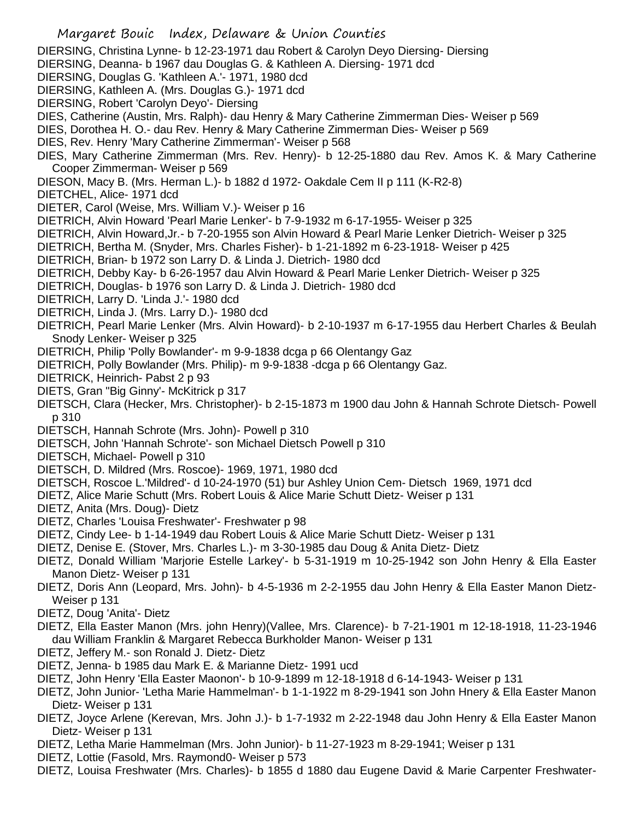- Margaret Bouic Index, Delaware & Union Counties DIERSING, Christina Lynne- b 12-23-1971 dau Robert & Carolyn Deyo Diersing- Diersing DIERSING, Deanna- b 1967 dau Douglas G. & Kathleen A. Diersing- 1971 dcd DIERSING, Douglas G. 'Kathleen A.'- 1971, 1980 dcd DIERSING, Kathleen A. (Mrs. Douglas G.)- 1971 dcd DIERSING, Robert 'Carolyn Deyo'- Diersing DIES, Catherine (Austin, Mrs. Ralph)- dau Henry & Mary Catherine Zimmerman Dies- Weiser p 569 DIES, Dorothea H. O.- dau Rev. Henry & Mary Catherine Zimmerman Dies- Weiser p 569 DIES, Rev. Henry 'Mary Catherine Zimmerman'- Weiser p 568 DIES, Mary Catherine Zimmerman (Mrs. Rev. Henry)- b 12-25-1880 dau Rev. Amos K. & Mary Catherine Cooper Zimmerman- Weiser p 569 DIESON, Macy B. (Mrs. Herman L.)- b 1882 d 1972- Oakdale Cem II p 111 (K-R2-8) DIETCHEL, Alice- 1971 dcd DIETER, Carol (Weise, Mrs. William V.)- Weiser p 16 DIETRICH, Alvin Howard 'Pearl Marie Lenker'- b 7-9-1932 m 6-17-1955- Weiser p 325 DIETRICH, Alvin Howard,Jr.- b 7-20-1955 son Alvin Howard & Pearl Marie Lenker Dietrich- Weiser p 325 DIETRICH, Bertha M. (Snyder, Mrs. Charles Fisher)- b 1-21-1892 m 6-23-1918- Weiser p 425 DIETRICH, Brian- b 1972 son Larry D. & Linda J. Dietrich- 1980 dcd DIETRICH, Debby Kay- b 6-26-1957 dau Alvin Howard & Pearl Marie Lenker Dietrich- Weiser p 325 DIETRICH, Douglas- b 1976 son Larry D. & Linda J. Dietrich- 1980 dcd DIETRICH, Larry D. 'Linda J.'- 1980 dcd DIETRICH, Linda J. (Mrs. Larry D.)- 1980 dcd DIETRICH, Pearl Marie Lenker (Mrs. Alvin Howard)- b 2-10-1937 m 6-17-1955 dau Herbert Charles & Beulah Snody Lenker- Weiser p 325 DIETRICH, Philip 'Polly Bowlander'- m 9-9-1838 dcga p 66 Olentangy Gaz DIETRICH, Polly Bowlander (Mrs. Philip)- m 9-9-1838 -dcga p 66 Olentangy Gaz. DIETRICK, Heinrich- Pabst 2 p 93 DIETS, Gran "Big Ginny'- McKitrick p 317 DIETSCH, Clara (Hecker, Mrs. Christopher)- b 2-15-1873 m 1900 dau John & Hannah Schrote Dietsch- Powell p 310 DIETSCH, Hannah Schrote (Mrs. John)- Powell p 310 DIETSCH, John 'Hannah Schrote'- son Michael Dietsch Powell p 310 DIETSCH, Michael- Powell p 310 DIETSCH, D. Mildred (Mrs. Roscoe)- 1969, 1971, 1980 dcd DIETSCH, Roscoe L.'Mildred'- d 10-24-1970 (51) bur Ashley Union Cem- Dietsch 1969, 1971 dcd DIETZ, Alice Marie Schutt (Mrs. Robert Louis & Alice Marie Schutt Dietz- Weiser p 131 DIETZ, Anita (Mrs. Doug)- Dietz DIETZ, Charles 'Louisa Freshwater'- Freshwater p 98 DIETZ, Cindy Lee- b 1-14-1949 dau Robert Louis & Alice Marie Schutt Dietz- Weiser p 131 DIETZ, Denise E. (Stover, Mrs. Charles L.)- m 3-30-1985 dau Doug & Anita Dietz- Dietz DIETZ, Donald William 'Marjorie Estelle Larkey'- b 5-31-1919 m 10-25-1942 son John Henry & Ella Easter Manon Dietz- Weiser p 131 DIETZ, Doris Ann (Leopard, Mrs. John)- b 4-5-1936 m 2-2-1955 dau John Henry & Ella Easter Manon Dietz-Weiser p 131 DIETZ, Doug 'Anita'- Dietz
- DIETZ, Ella Easter Manon (Mrs. john Henry)(Vallee, Mrs. Clarence)- b 7-21-1901 m 12-18-1918, 11-23-1946 dau William Franklin & Margaret Rebecca Burkholder Manon- Weiser p 131
- DIETZ, Jeffery M.- son Ronald J. Dietz- Dietz
- DIETZ, Jenna- b 1985 dau Mark E. & Marianne Dietz- 1991 ucd
- DIETZ, John Henry 'Ella Easter Maonon'- b 10-9-1899 m 12-18-1918 d 6-14-1943- Weiser p 131
- DIETZ, John Junior- 'Letha Marie Hammelman'- b 1-1-1922 m 8-29-1941 son John Hnery & Ella Easter Manon Dietz- Weiser p 131
- DIETZ, Joyce Arlene (Kerevan, Mrs. John J.)- b 1-7-1932 m 2-22-1948 dau John Henry & Ella Easter Manon Dietz- Weiser p 131
- DIETZ, Letha Marie Hammelman (Mrs. John Junior)- b 11-27-1923 m 8-29-1941; Weiser p 131
- DIETZ, Lottie (Fasold, Mrs. Raymond0- Weiser p 573
- DIETZ, Louisa Freshwater (Mrs. Charles)- b 1855 d 1880 dau Eugene David & Marie Carpenter Freshwater-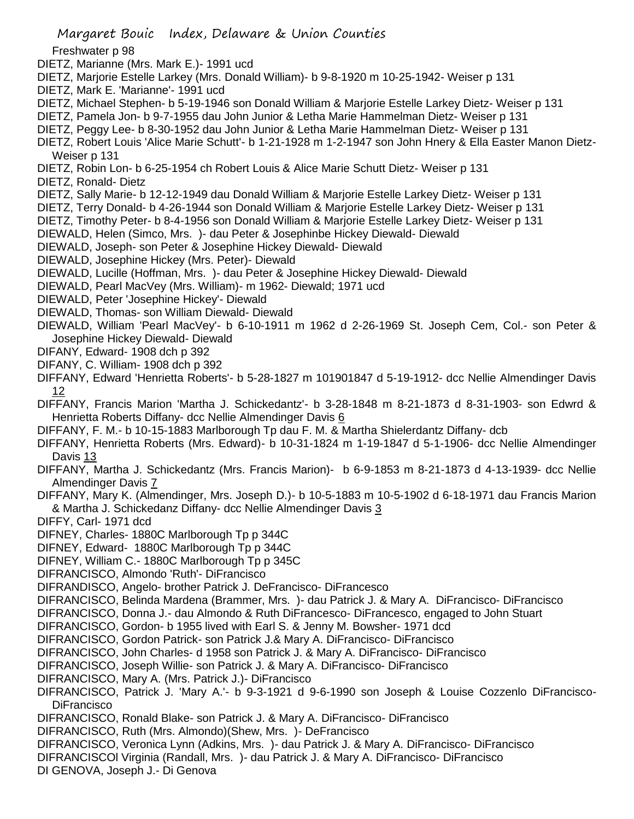Margaret Bouic Index, Delaware & Union Counties Freshwater p 98 DIETZ, Marianne (Mrs. Mark E.)- 1991 ucd DIETZ, Marjorie Estelle Larkey (Mrs. Donald William)- b 9-8-1920 m 10-25-1942- Weiser p 131 DIETZ, Mark E. 'Marianne'- 1991 ucd DIETZ, Michael Stephen- b 5-19-1946 son Donald William & Marjorie Estelle Larkey Dietz- Weiser p 131 DIETZ, Pamela Jon- b 9-7-1955 dau John Junior & Letha Marie Hammelman Dietz- Weiser p 131 DIETZ, Peggy Lee- b 8-30-1952 dau John Junior & Letha Marie Hammelman Dietz- Weiser p 131 DIETZ, Robert Louis 'Alice Marie Schutt'- b 1-21-1928 m 1-2-1947 son John Hnery & Ella Easter Manon Dietz-Weiser p 131 DIETZ, Robin Lon- b 6-25-1954 ch Robert Louis & Alice Marie Schutt Dietz- Weiser p 131 DIETZ, Ronald- Dietz DIETZ, Sally Marie- b 12-12-1949 dau Donald William & Marjorie Estelle Larkey Dietz- Weiser p 131 DIETZ, Terry Donald- b 4-26-1944 son Donald William & Marjorie Estelle Larkey Dietz- Weiser p 131 DIETZ, Timothy Peter- b 8-4-1956 son Donald William & Marjorie Estelle Larkey Dietz- Weiser p 131 DIEWALD, Helen (Simco, Mrs. )- dau Peter & Josephinbe Hickey Diewald- Diewald DIEWALD, Joseph- son Peter & Josephine Hickey Diewald- Diewald DIEWALD, Josephine Hickey (Mrs. Peter)- Diewald DIEWALD, Lucille (Hoffman, Mrs. )- dau Peter & Josephine Hickey Diewald- Diewald DIEWALD, Pearl MacVey (Mrs. William)- m 1962- Diewald; 1971 ucd DIEWALD, Peter 'Josephine Hickey'- Diewald DIEWALD, Thomas- son William Diewald- Diewald DIEWALD, William 'Pearl MacVey'- b 6-10-1911 m 1962 d 2-26-1969 St. Joseph Cem, Col.- son Peter & Josephine Hickey Diewald- Diewald DIFANY, Edward- 1908 dch p 392 DIFANY, C. William- 1908 dch p 392 DIFFANY, Edward 'Henrietta Roberts'- b 5-28-1827 m 101901847 d 5-19-1912- dcc Nellie Almendinger Davis 12 DIFFANY, Francis Marion 'Martha J. Schickedantz'- b 3-28-1848 m 8-21-1873 d 8-31-1903- son Edwrd & Henrietta Roberts Diffany- dcc Nellie Almendinger Davis 6 DIFFANY, F. M.- b 10-15-1883 Marlborough Tp dau F. M. & Martha Shielerdantz Diffany- dcb DIFFANY, Henrietta Roberts (Mrs. Edward)- b 10-31-1824 m 1-19-1847 d 5-1-1906- dcc Nellie Almendinger Davis 13 DIFFANY, Martha J. Schickedantz (Mrs. Francis Marion)- b 6-9-1853 m 8-21-1873 d 4-13-1939- dcc Nellie Almendinger Davis 7 DIFFANY, Mary K. (Almendinger, Mrs. Joseph D.)- b 10-5-1883 m 10-5-1902 d 6-18-1971 dau Francis Marion & Martha J. Schickedanz Diffany- dcc Nellie Almendinger Davis 3 DIFFY, Carl- 1971 dcd DIFNEY, Charles- 1880C Marlborough Tp p 344C DIFNEY, Edward- 1880C Marlborough Tp p 344C DIFNEY, William C.- 1880C Marlborough Tp p 345C DIFRANCISCO, Almondo 'Ruth'- DiFrancisco DIFRANDISCO, Angelo- brother Patrick J. DeFrancisco- DiFrancesco DIFRANCISCO, Belinda Mardena (Brammer, Mrs. )- dau Patrick J. & Mary A. DiFrancisco- DiFrancisco DIFRANCISCO, Donna J.- dau Almondo & Ruth DiFrancesco- DiFrancesco, engaged to John Stuart DIFRANCISCO, Gordon- b 1955 lived with Earl S. & Jenny M. Bowsher- 1971 dcd DIFRANCISCO, Gordon Patrick- son Patrick J.& Mary A. DiFrancisco- DiFrancisco DIFRANCISCO, John Charles- d 1958 son Patrick J. & Mary A. DiFrancisco- DiFrancisco DIFRANCISCO, Joseph Willie- son Patrick J. & Mary A. DiFrancisco- DiFrancisco DIFRANCISCO, Mary A. (Mrs. Patrick J.)- DiFrancisco DIFRANCISCO, Patrick J. 'Mary A.'- b 9-3-1921 d 9-6-1990 son Joseph & Louise Cozzenlo DiFrancisco-**DiFrancisco** DIFRANCISCO, Ronald Blake- son Patrick J. & Mary A. DiFrancisco- DiFrancisco DIFRANCISCO, Ruth (Mrs. Almondo)(Shew, Mrs. )- DeFrancisco DIFRANCISCO, Veronica Lynn (Adkins, Mrs. )- dau Patrick J. & Mary A. DiFrancisco- DiFrancisco DIFRANCISCOl Virginia (Randall, Mrs. )- dau Patrick J. & Mary A. DiFrancisco- DiFrancisco DI GENOVA, Joseph J.- Di Genova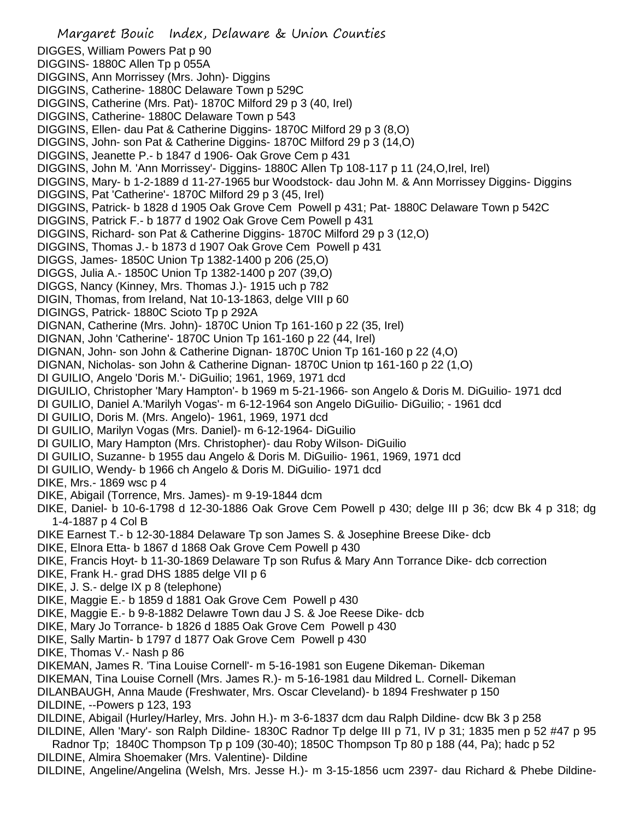Margaret Bouic Index, Delaware & Union Counties DIGGES, William Powers Pat p 90 DIGGINS- 1880C Allen Tp p 055A DIGGINS, Ann Morrissey (Mrs. John)- Diggins DIGGINS, Catherine- 1880C Delaware Town p 529C DIGGINS, Catherine (Mrs. Pat)- 1870C Milford 29 p 3 (40, Irel) DIGGINS, Catherine- 1880C Delaware Town p 543 DIGGINS, Ellen- dau Pat & Catherine Diggins- 1870C Milford 29 p 3 (8,O) DIGGINS, John- son Pat & Catherine Diggins- 1870C Milford 29 p 3 (14,O) DIGGINS, Jeanette P.- b 1847 d 1906- Oak Grove Cem p 431 DIGGINS, John M. 'Ann Morrissey'- Diggins- 1880C Allen Tp 108-117 p 11 (24,O,Irel, Irel) DIGGINS, Mary- b 1-2-1889 d 11-27-1965 bur Woodstock- dau John M. & Ann Morrissey Diggins- Diggins DIGGINS, Pat 'Catherine'- 1870C Milford 29 p 3 (45, Irel) DIGGINS, Patrick- b 1828 d 1905 Oak Grove Cem Powell p 431; Pat- 1880C Delaware Town p 542C DIGGINS, Patrick F.- b 1877 d 1902 Oak Grove Cem Powell p 431 DIGGINS, Richard- son Pat & Catherine Diggins- 1870C Milford 29 p 3 (12,O) DIGGINS, Thomas J.- b 1873 d 1907 Oak Grove Cem Powell p 431 DIGGS, James- 1850C Union Tp 1382-1400 p 206 (25,O) DIGGS, Julia A.- 1850C Union Tp 1382-1400 p 207 (39,O) DIGGS, Nancy (Kinney, Mrs. Thomas J.)- 1915 uch p 782 DIGIN, Thomas, from Ireland, Nat 10-13-1863, delge VIII p 60 DIGINGS, Patrick- 1880C Scioto Tp p 292A DIGNAN, Catherine (Mrs. John)- 1870C Union Tp 161-160 p 22 (35, Irel) DIGNAN, John 'Catherine'- 1870C Union Tp 161-160 p 22 (44, Irel) DIGNAN, John- son John & Catherine Dignan- 1870C Union Tp 161-160 p 22 (4,O) DIGNAN, Nicholas- son John & Catherine Dignan- 1870C Union tp 161-160 p 22 (1,O) DI GUILIO, Angelo 'Doris M.'- DiGuilio; 1961, 1969, 1971 dcd DIGUILIO, Christopher 'Mary Hampton'- b 1969 m 5-21-1966- son Angelo & Doris M. DiGuilio- 1971 dcd DI GUILIO, Daniel A.'Marilyh Vogas'- m 6-12-1964 son Angelo DiGuilio- DiGuilio; - 1961 dcd DI GUILIO, Doris M. (Mrs. Angelo)- 1961, 1969, 1971 dcd DI GUILIO, Marilyn Vogas (Mrs. Daniel)- m 6-12-1964- DiGuilio DI GUILIO, Mary Hampton (Mrs. Christopher)- dau Roby Wilson- DiGuilio DI GUILIO, Suzanne- b 1955 dau Angelo & Doris M. DiGuilio- 1961, 1969, 1971 dcd DI GUILIO, Wendy- b 1966 ch Angelo & Doris M. DiGuilio- 1971 dcd DIKE, Mrs.- 1869 wsc p 4 DIKE, Abigail (Torrence, Mrs. James)- m 9-19-1844 dcm DIKE, Daniel- b 10-6-1798 d 12-30-1886 Oak Grove Cem Powell p 430; delge III p 36; dcw Bk 4 p 318; dg 1-4-1887 p 4 Col B DIKE Earnest T.- b 12-30-1884 Delaware Tp son James S. & Josephine Breese Dike- dcb DIKE, Elnora Etta- b 1867 d 1868 Oak Grove Cem Powell p 430 DIKE, Francis Hoyt- b 11-30-1869 Delaware Tp son Rufus & Mary Ann Torrance Dike- dcb correction DIKE, Frank H.- grad DHS 1885 delge VII p 6 DIKE, J. S.- delge IX p 8 (telephone) DIKE, Maggie E.- b 1859 d 1881 Oak Grove Cem Powell p 430 DIKE, Maggie E.- b 9-8-1882 Delawre Town dau J S. & Joe Reese Dike- dcb DIKE, Mary Jo Torrance- b 1826 d 1885 Oak Grove Cem Powell p 430 DIKE, Sally Martin- b 1797 d 1877 Oak Grove Cem Powell p 430 DIKE, Thomas V.- Nash p 86 DIKEMAN, James R. 'Tina Louise Cornell'- m 5-16-1981 son Eugene Dikeman- Dikeman DIKEMAN, Tina Louise Cornell (Mrs. James R.)- m 5-16-1981 dau Mildred L. Cornell- Dikeman DILANBAUGH, Anna Maude (Freshwater, Mrs. Oscar Cleveland)- b 1894 Freshwater p 150 DILDINE, --Powers p 123, 193 DILDINE, Abigail (Hurley/Harley, Mrs. John H.)- m 3-6-1837 dcm dau Ralph Dildine- dcw Bk 3 p 258 DILDINE, Allen 'Mary'- son Ralph Dildine- 1830C Radnor Tp delge III p 71, IV p 31; 1835 men p 52 #47 p 95 Radnor Tp; 1840C Thompson Tp p 109 (30-40); 1850C Thompson Tp 80 p 188 (44, Pa); hadc p 52 DILDINE, Almira Shoemaker (Mrs. Valentine)- Dildine

DILDINE, Angeline/Angelina (Welsh, Mrs. Jesse H.)- m 3-15-1856 ucm 2397- dau Richard & Phebe Dildine-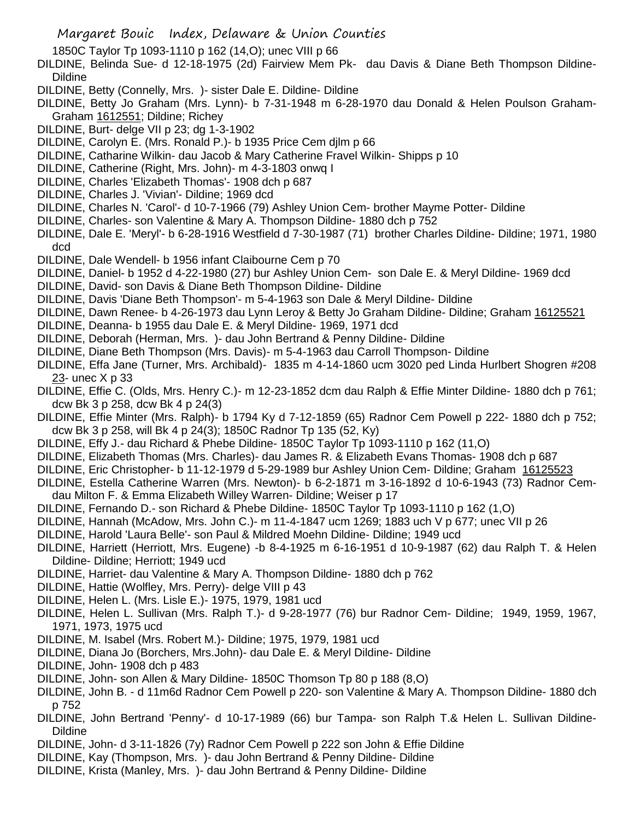Margaret Bouic Index, Delaware & Union Counties

1850C Taylor Tp 1093-1110 p 162 (14,O); unec VIII p 66

- DILDINE, Belinda Sue- d 12-18-1975 (2d) Fairview Mem Pk- dau Davis & Diane Beth Thompson Dildine-Dildine
- DILDINE, Betty (Connelly, Mrs. )- sister Dale E. Dildine- Dildine
- DILDINE, Betty Jo Graham (Mrs. Lynn)- b 7-31-1948 m 6-28-1970 dau Donald & Helen Poulson Graham-Graham 1612551; Dildine; Richey
- DILDINE, Burt- delge VII p 23; dg 1-3-1902
- DILDINE, Carolyn E. (Mrs. Ronald P.)- b 1935 Price Cem djlm p 66
- DILDINE, Catharine Wilkin- dau Jacob & Mary Catherine Fravel Wilkin- Shipps p 10
- DILDINE, Catherine (Right, Mrs. John)- m 4-3-1803 onwq I
- DILDINE, Charles 'Elizabeth Thomas'- 1908 dch p 687
- DILDINE, Charles J. 'Vivian'- Dildine; 1969 dcd
- DILDINE, Charles N. 'Carol'- d 10-7-1966 (79) Ashley Union Cem- brother Mayme Potter- Dildine
- DILDINE, Charles- son Valentine & Mary A. Thompson Dildine- 1880 dch p 752
- DILDINE, Dale E. 'Meryl'- b 6-28-1916 Westfield d 7-30-1987 (71) brother Charles Dildine- Dildine; 1971, 1980 dcd
- DILDINE, Dale Wendell- b 1956 infant Claibourne Cem p 70
- DILDINE, Daniel- b 1952 d 4-22-1980 (27) bur Ashley Union Cem- son Dale E. & Meryl Dildine- 1969 dcd
- DILDINE, David- son Davis & Diane Beth Thompson Dildine- Dildine
- DILDINE, Davis 'Diane Beth Thompson'- m 5-4-1963 son Dale & Meryl Dildine- Dildine
- DILDINE, Dawn Renee- b 4-26-1973 dau Lynn Leroy & Betty Jo Graham Dildine- Dildine; Graham 16125521
- DILDINE, Deanna- b 1955 dau Dale E. & Meryl Dildine- 1969, 1971 dcd
- DILDINE, Deborah (Herman, Mrs. )- dau John Bertrand & Penny Dildine- Dildine
- DILDINE, Diane Beth Thompson (Mrs. Davis)- m 5-4-1963 dau Carroll Thompson- Dildine
- DILDINE, Effa Jane (Turner, Mrs. Archibald)- 1835 m 4-14-1860 ucm 3020 ped Linda Hurlbert Shogren #208 23- unec X p 33
- DILDINE, Effie C. (Olds, Mrs. Henry C.)- m 12-23-1852 dcm dau Ralph & Effie Minter Dildine- 1880 dch p 761; dcw Bk 3 p 258, dcw Bk 4 p 24(3)
- DILDINE, Effie Minter (Mrs. Ralph)- b 1794 Ky d 7-12-1859 (65) Radnor Cem Powell p 222- 1880 dch p 752; dcw Bk 3 p 258, will Bk 4 p 24(3); 1850C Radnor Tp 135 (52, Ky)
- DILDINE, Effy J.- dau Richard & Phebe Dildine- 1850C Taylor Tp 1093-1110 p 162 (11,O)
- DILDINE, Elizabeth Thomas (Mrs. Charles)- dau James R. & Elizabeth Evans Thomas- 1908 dch p 687
- DILDINE, Eric Christopher- b 11-12-1979 d 5-29-1989 bur Ashley Union Cem- Dildine; Graham 16125523
- DILDINE, Estella Catherine Warren (Mrs. Newton)- b 6-2-1871 m 3-16-1892 d 10-6-1943 (73) Radnor Cemdau Milton F. & Emma Elizabeth Willey Warren- Dildine; Weiser p 17
- DILDINE, Fernando D.- son Richard & Phebe Dildine- 1850C Taylor Tp 1093-1110 p 162 (1,O)
- DILDINE, Hannah (McAdow, Mrs. John C.)- m 11-4-1847 ucm 1269; 1883 uch V p 677; unec VII p 26
- DILDINE, Harold 'Laura Belle'- son Paul & Mildred Moehn Dildine- Dildine; 1949 ucd
- DILDINE, Harriett (Herriott, Mrs. Eugene) -b 8-4-1925 m 6-16-1951 d 10-9-1987 (62) dau Ralph T. & Helen Dildine- Dildine; Herriott; 1949 ucd
- DILDINE, Harriet- dau Valentine & Mary A. Thompson Dildine- 1880 dch p 762
- DILDINE, Hattie (Wolfley, Mrs. Perry)- delge VIII p 43
- DILDINE, Helen L. (Mrs. Lisle E.)- 1975, 1979, 1981 ucd
- DILDINE, Helen L. Sullivan (Mrs. Ralph T.)- d 9-28-1977 (76) bur Radnor Cem- Dildine; 1949, 1959, 1967, 1971, 1973, 1975 ucd
- DILDINE, M. Isabel (Mrs. Robert M.)- Dildine; 1975, 1979, 1981 ucd
- DILDINE, Diana Jo (Borchers, Mrs.John)- dau Dale E. & Meryl Dildine- Dildine
- DILDINE, John- 1908 dch p 483
- DILDINE, John- son Allen & Mary Dildine- 1850C Thomson Tp 80 p 188 (8,O)
- DILDINE, John B. d 11m6d Radnor Cem Powell p 220- son Valentine & Mary A. Thompson Dildine- 1880 dch p 752
- DILDINE, John Bertrand 'Penny'- d 10-17-1989 (66) bur Tampa- son Ralph T.& Helen L. Sullivan Dildine-Dildine
- DILDINE, John- d 3-11-1826 (7y) Radnor Cem Powell p 222 son John & Effie Dildine
- DILDINE, Kay (Thompson, Mrs. )- dau John Bertrand & Penny Dildine- Dildine
- DILDINE, Krista (Manley, Mrs. )- dau John Bertrand & Penny Dildine- Dildine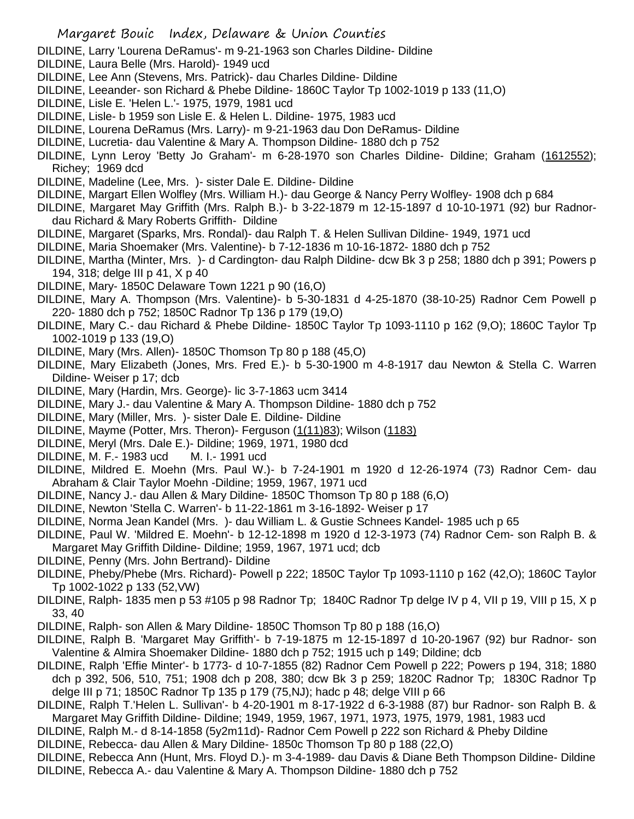DILDINE, Larry 'Lourena DeRamus'- m 9-21-1963 son Charles Dildine- Dildine

- DILDINE, Laura Belle (Mrs. Harold)- 1949 ucd
- DILDINE, Lee Ann (Stevens, Mrs. Patrick)- dau Charles Dildine- Dildine
- DILDINE, Leeander- son Richard & Phebe Dildine- 1860C Taylor Tp 1002-1019 p 133 (11,O)
- DILDINE, Lisle E. 'Helen L.'- 1975, 1979, 1981 ucd
- DILDINE, Lisle- b 1959 son Lisle E. & Helen L. Dildine- 1975, 1983 ucd
- DILDINE, Lourena DeRamus (Mrs. Larry)- m 9-21-1963 dau Don DeRamus- Dildine
- DILDINE, Lucretia- dau Valentine & Mary A. Thompson Dildine- 1880 dch p 752
- DILDINE, Lynn Leroy 'Betty Jo Graham'- m 6-28-1970 son Charles Dildine- Dildine; Graham (1612552); Richey; 1969 dcd
- DILDINE, Madeline (Lee, Mrs. )- sister Dale E. Dildine- Dildine
- DILDINE, Margart Ellen Wolfley (Mrs. William H.)- dau George & Nancy Perry Wolfley- 1908 dch p 684
- DILDINE, Margaret May Griffith (Mrs. Ralph B.)- b 3-22-1879 m 12-15-1897 d 10-10-1971 (92) bur Radnordau Richard & Mary Roberts Griffith- Dildine
- DILDINE, Margaret (Sparks, Mrs. Rondal)- dau Ralph T. & Helen Sullivan Dildine- 1949, 1971 ucd
- DILDINE, Maria Shoemaker (Mrs. Valentine)- b 7-12-1836 m 10-16-1872- 1880 dch p 752
- DILDINE, Martha (Minter, Mrs. )- d Cardington- dau Ralph Dildine- dcw Bk 3 p 258; 1880 dch p 391; Powers p 194, 318; delge III p 41, X p 40
- DILDINE, Mary- 1850C Delaware Town 1221 p 90 (16,O)
- DILDINE, Mary A. Thompson (Mrs. Valentine)- b 5-30-1831 d 4-25-1870 (38-10-25) Radnor Cem Powell p 220- 1880 dch p 752; 1850C Radnor Tp 136 p 179 (19,O)
- DILDINE, Mary C.- dau Richard & Phebe Dildine- 1850C Taylor Tp 1093-1110 p 162 (9,O); 1860C Taylor Tp 1002-1019 p 133 (19,O)
- DILDINE, Mary (Mrs. Allen)- 1850C Thomson Tp 80 p 188 (45,O)
- DILDINE, Mary Elizabeth (Jones, Mrs. Fred E.)- b 5-30-1900 m 4-8-1917 dau Newton & Stella C. Warren Dildine- Weiser p 17; dcb
- DILDINE, Mary (Hardin, Mrs. George)- lic 3-7-1863 ucm 3414
- DILDINE, Mary J.- dau Valentine & Mary A. Thompson Dildine- 1880 dch p 752
- DILDINE, Mary (Miller, Mrs. )- sister Dale E. Dildine- Dildine
- DILDINE, Mayme (Potter, Mrs. Theron)- Ferguson (1(11)83); Wilson (1183)
- DILDINE, Meryl (Mrs. Dale E.)- Dildine; 1969, 1971, 1980 dcd
- DILDINE, M. F.- 1983 ucd M. I.- 1991 ucd
- DILDINE, Mildred E. Moehn (Mrs. Paul W.)- b 7-24-1901 m 1920 d 12-26-1974 (73) Radnor Cem- dau Abraham & Clair Taylor Moehn -Dildine; 1959, 1967, 1971 ucd
- DILDINE, Nancy J.- dau Allen & Mary Dildine- 1850C Thomson Tp 80 p 188 (6,O)
- DILDINE, Newton 'Stella C. Warren'- b 11-22-1861 m 3-16-1892- Weiser p 17
- DILDINE, Norma Jean Kandel (Mrs. )- dau William L. & Gustie Schnees Kandel- 1985 uch p 65
- DILDINE, Paul W. 'Mildred E. Moehn'- b 12-12-1898 m 1920 d 12-3-1973 (74) Radnor Cem- son Ralph B. & Margaret May Griffith Dildine- Dildine; 1959, 1967, 1971 ucd; dcb
- DILDINE, Penny (Mrs. John Bertrand)- Dildine
- DILDINE, Pheby/Phebe (Mrs. Richard)- Powell p 222; 1850C Taylor Tp 1093-1110 p 162 (42,O); 1860C Taylor Tp 1002-1022 p 133 (52,VW)
- DILDINE, Ralph- 1835 men p 53 #105 p 98 Radnor Tp; 1840C Radnor Tp delge IV p 4, VII p 19, VIII p 15, X p 33, 40
- DILDINE, Ralph- son Allen & Mary Dildine- 1850C Thomson Tp 80 p 188 (16,O)
- DILDINE, Ralph B. 'Margaret May Griffith'- b 7-19-1875 m 12-15-1897 d 10-20-1967 (92) bur Radnor- son Valentine & Almira Shoemaker Dildine- 1880 dch p 752; 1915 uch p 149; Dildine; dcb
- DILDINE, Ralph 'Effie Minter'- b 1773- d 10-7-1855 (82) Radnor Cem Powell p 222; Powers p 194, 318; 1880 dch p 392, 506, 510, 751; 1908 dch p 208, 380; dcw Bk 3 p 259; 1820C Radnor Tp; 1830C Radnor Tp delge III p 71; 1850C Radnor Tp 135 p 179 (75,NJ); hadc p 48; delge VIII p 66
- DILDINE, Ralph T.'Helen L. Sullivan'- b 4-20-1901 m 8-17-1922 d 6-3-1988 (87) bur Radnor- son Ralph B. & Margaret May Griffith Dildine- Dildine; 1949, 1959, 1967, 1971, 1973, 1975, 1979, 1981, 1983 ucd
- DILDINE, Ralph M.- d 8-14-1858 (5y2m11d)- Radnor Cem Powell p 222 son Richard & Pheby Dildine
- DILDINE, Rebecca- dau Allen & Mary Dildine- 1850c Thomson Tp 80 p 188 (22,O)
- DILDINE, Rebecca Ann (Hunt, Mrs. Floyd D.)- m 3-4-1989- dau Davis & Diane Beth Thompson Dildine- Dildine DILDINE, Rebecca A.- dau Valentine & Mary A. Thompson Dildine- 1880 dch p 752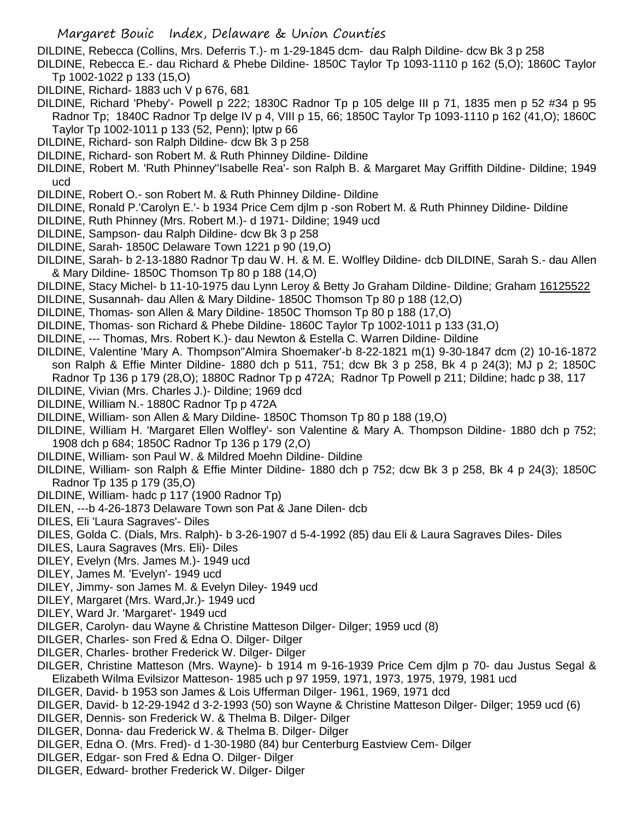DILDINE, Rebecca (Collins, Mrs. Deferris T.)- m 1-29-1845 dcm- dau Ralph Dildine- dcw Bk 3 p 258

- DILDINE, Rebecca E.- dau Richard & Phebe Dildine- 1850C Taylor Tp 1093-1110 p 162 (5,O); 1860C Taylor Tp 1002-1022 p 133 (15,O)
- DILDINE, Richard- 1883 uch V p 676, 681
- DILDINE, Richard 'Pheby'- Powell p 222; 1830C Radnor Tp p 105 delge III p 71, 1835 men p 52 #34 p 95 Radnor Tp; 1840C Radnor Tp delge IV p 4, VIII p 15, 66; 1850C Taylor Tp 1093-1110 p 162 (41,O); 1860C Taylor Tp 1002-1011 p 133 (52, Penn); lptw p 66
- DILDINE, Richard- son Ralph Dildine- dcw Bk 3 p 258
- DILDINE, Richard- son Robert M. & Ruth Phinney Dildine- Dildine
- DILDINE, Robert M. 'Ruth Phinney''Isabelle Rea'- son Ralph B. & Margaret May Griffith Dildine- Dildine; 1949 ucd
- DILDINE, Robert O.- son Robert M. & Ruth Phinney Dildine- Dildine
- DILDINE, Ronald P.'Carolyn E.'- b 1934 Price Cem djlm p -son Robert M. & Ruth Phinney Dildine- Dildine
- DILDINE, Ruth Phinney (Mrs. Robert M.)- d 1971- Dildine; 1949 ucd
- DILDINE, Sampson- dau Ralph Dildine- dcw Bk 3 p 258
- DILDINE, Sarah- 1850C Delaware Town 1221 p 90 (19,O)
- DILDINE, Sarah- b 2-13-1880 Radnor Tp dau W. H. & M. E. Wolfley Dildine- dcb DILDINE, Sarah S.- dau Allen & Mary Dildine- 1850C Thomson Tp 80 p 188 (14,O)
- DILDINE, Stacy Michel- b 11-10-1975 dau Lynn Leroy & Betty Jo Graham Dildine- Dildine; Graham 16125522
- DILDINE, Susannah- dau Allen & Mary Dildine- 1850C Thomson Tp 80 p 188 (12,O)
- DILDINE, Thomas- son Allen & Mary Dildine- 1850C Thomson Tp 80 p 188 (17,O)
- DILDINE, Thomas- son Richard & Phebe Dildine- 1860C Taylor Tp 1002-1011 p 133 (31,O)
- DILDINE, --- Thomas, Mrs. Robert K.)- dau Newton & Estella C. Warren Dildine- Dildine
- DILDINE, Valentine 'Mary A. Thompson''Almira Shoemaker'-b 8-22-1821 m(1) 9-30-1847 dcm (2) 10-16-1872 son Ralph & Effie Minter Dildine- 1880 dch p 511, 751; dcw Bk 3 p 258, Bk 4 p 24(3); MJ p 2; 1850C Radnor Tp 136 p 179 (28,O); 1880C Radnor Tp p 472A; Radnor Tp Powell p 211; Dildine; hadc p 38, 117
- DILDINE, Vivian (Mrs. Charles J.)- Dildine; 1969 dcd
- DILDINE, William N.- 1880C Radnor Tp p 472A
- DILDINE, William- son Allen & Mary Dildine- 1850C Thomson Tp 80 p 188 (19,O)
- DILDINE, William H. 'Margaret Ellen Wolfley'- son Valentine & Mary A. Thompson Dildine- 1880 dch p 752; 1908 dch p 684; 1850C Radnor Tp 136 p 179 (2,O)
- DILDINE, William- son Paul W. & Mildred Moehn Dildine- Dildine
- DILDINE, William- son Ralph & Effie Minter Dildine- 1880 dch p 752; dcw Bk 3 p 258, Bk 4 p 24(3); 1850C Radnor Tp 135 p 179 (35,O)
- DILDINE, William- hadc p 117 (1900 Radnor Tp)
- DILEN, ---b 4-26-1873 Delaware Town son Pat & Jane Dilen- dcb
- DILES, Eli 'Laura Sagraves'- Diles
- DILES, Golda C. (Dials, Mrs. Ralph)- b 3-26-1907 d 5-4-1992 (85) dau Eli & Laura Sagraves Diles- Diles
- DILES, Laura Sagraves (Mrs. Eli)- Diles
- DILEY, Evelyn (Mrs. James M.)- 1949 ucd
- DILEY, James M. 'Evelyn'- 1949 ucd
- DILEY, Jimmy- son James M. & Evelyn Diley- 1949 ucd
- DILEY, Margaret (Mrs. Ward,Jr.)- 1949 ucd
- DILEY, Ward Jr. 'Margaret'- 1949 ucd
- DILGER, Carolyn- dau Wayne & Christine Matteson Dilger- Dilger; 1959 ucd (8)
- DILGER, Charles- son Fred & Edna O. Dilger- Dilger
- DILGER, Charles- brother Frederick W. Dilger- Dilger
- DILGER, Christine Matteson (Mrs. Wayne)- b 1914 m 9-16-1939 Price Cem djlm p 70- dau Justus Segal & Elizabeth Wilma Evilsizor Matteson- 1985 uch p 97 1959, 1971, 1973, 1975, 1979, 1981 ucd
- DILGER, David- b 1953 son James & Lois Ufferman Dilger- 1961, 1969, 1971 dcd
- DILGER, David- b 12-29-1942 d 3-2-1993 (50) son Wayne & Christine Matteson Dilger- Dilger; 1959 ucd (6)
- DILGER, Dennis- son Frederick W. & Thelma B. Dilger- Dilger
- DILGER, Donna- dau Frederick W. & Thelma B. Dilger- Dilger
- DILGER, Edna O. (Mrs. Fred)- d 1-30-1980 (84) bur Centerburg Eastview Cem- Dilger
- DILGER, Edgar- son Fred & Edna O. Dilger- Dilger
- DILGER, Edward- brother Frederick W. Dilger- Dilger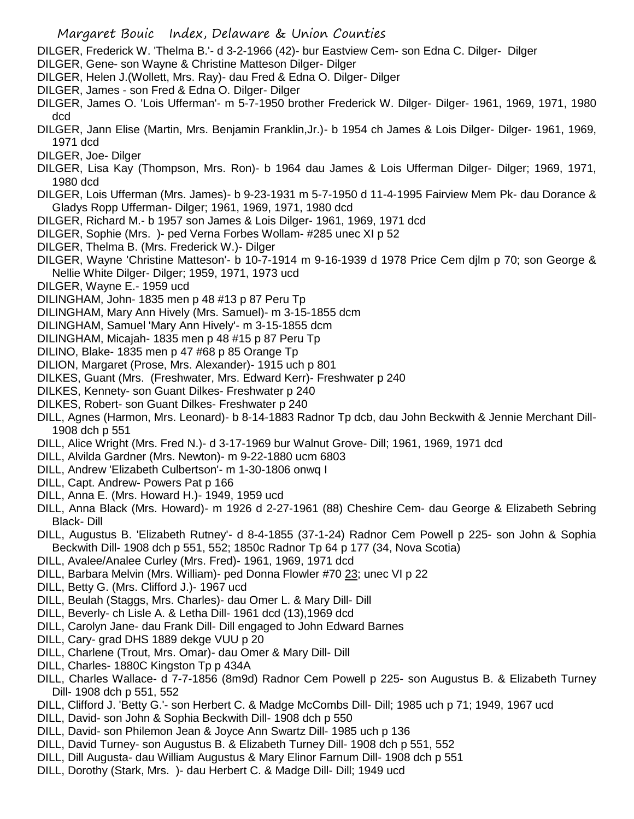DILGER, Frederick W. 'Thelma B.'- d 3-2-1966 (42)- bur Eastview Cem- son Edna C. Dilger- Dilger

- DILGER, Gene- son Wayne & Christine Matteson Dilger- Dilger
- DILGER, Helen J.(Wollett, Mrs. Ray)- dau Fred & Edna O. Dilger- Dilger
- DILGER, James son Fred & Edna O. Dilger- Dilger
- DILGER, James O. 'Lois Ufferman'- m 5-7-1950 brother Frederick W. Dilger- Dilger- 1961, 1969, 1971, 1980 dcd
- DILGER, Jann Elise (Martin, Mrs. Benjamin Franklin,Jr.)- b 1954 ch James & Lois Dilger- Dilger- 1961, 1969, 1971 dcd
- DILGER, Joe- Dilger
- DILGER, Lisa Kay (Thompson, Mrs. Ron)- b 1964 dau James & Lois Ufferman Dilger- Dilger; 1969, 1971, 1980 dcd
- DILGER, Lois Ufferman (Mrs. James)- b 9-23-1931 m 5-7-1950 d 11-4-1995 Fairview Mem Pk- dau Dorance & Gladys Ropp Ufferman- Dilger; 1961, 1969, 1971, 1980 dcd
- DILGER, Richard M.- b 1957 son James & Lois Dilger- 1961, 1969, 1971 dcd
- DILGER, Sophie (Mrs. )- ped Verna Forbes Wollam- #285 unec XI p 52
- DILGER, Thelma B. (Mrs. Frederick W.)- Dilger
- DILGER, Wayne 'Christine Matteson'- b 10-7-1914 m 9-16-1939 d 1978 Price Cem djlm p 70; son George & Nellie White Dilger- Dilger; 1959, 1971, 1973 ucd
- DILGER, Wayne E.- 1959 ucd
- DILINGHAM, John- 1835 men p 48 #13 p 87 Peru Tp
- DILINGHAM, Mary Ann Hively (Mrs. Samuel)- m 3-15-1855 dcm
- DILINGHAM, Samuel 'Mary Ann Hively'- m 3-15-1855 dcm
- DILINGHAM, Micajah- 1835 men p 48 #15 p 87 Peru Tp
- DILINO, Blake- 1835 men p 47 #68 p 85 Orange Tp
- DILION, Margaret (Prose, Mrs. Alexander)- 1915 uch p 801
- DILKES, Guant (Mrs. (Freshwater, Mrs. Edward Kerr)- Freshwater p 240
- DILKES, Kennety- son Guant Dilkes- Freshwater p 240
- DILKES, Robert- son Guant Dilkes- Freshwater p 240
- DILL, Agnes (Harmon, Mrs. Leonard)- b 8-14-1883 Radnor Tp dcb, dau John Beckwith & Jennie Merchant Dill-1908 dch p 551
- DILL, Alice Wright (Mrs. Fred N.)- d 3-17-1969 bur Walnut Grove- Dill; 1961, 1969, 1971 dcd
- DILL, Alvilda Gardner (Mrs. Newton)- m 9-22-1880 ucm 6803
- DILL, Andrew 'Elizabeth Culbertson'- m 1-30-1806 onwq I
- DILL, Capt. Andrew- Powers Pat p 166
- DILL, Anna E. (Mrs. Howard H.)- 1949, 1959 ucd
- DILL, Anna Black (Mrs. Howard)- m 1926 d 2-27-1961 (88) Cheshire Cem- dau George & Elizabeth Sebring Black- Dill
- DILL, Augustus B. 'Elizabeth Rutney'- d 8-4-1855 (37-1-24) Radnor Cem Powell p 225- son John & Sophia Beckwith Dill- 1908 dch p 551, 552; 1850c Radnor Tp 64 p 177 (34, Nova Scotia)
- DILL, Avalee/Analee Curley (Mrs. Fred)- 1961, 1969, 1971 dcd
- DILL, Barbara Melvin (Mrs. William)- ped Donna Flowler #70 23; unec VI p 22
- DILL, Betty G. (Mrs. Clifford J.)- 1967 ucd
- DILL, Beulah (Staggs, Mrs. Charles)- dau Omer L. & Mary Dill- Dill
- DILL, Beverly- ch Lisle A. & Letha Dill- 1961 dcd (13),1969 dcd
- DILL, Carolyn Jane- dau Frank Dill- Dill engaged to John Edward Barnes
- DILL, Cary- grad DHS 1889 dekge VUU p 20
- DILL, Charlene (Trout, Mrs. Omar)- dau Omer & Mary Dill- Dill
- DILL, Charles- 1880C Kingston Tp p 434A
- DILL, Charles Wallace- d 7-7-1856 (8m9d) Radnor Cem Powell p 225- son Augustus B. & Elizabeth Turney Dill- 1908 dch p 551, 552
- DILL, Clifford J. 'Betty G.'- son Herbert C. & Madge McCombs Dill- Dill; 1985 uch p 71; 1949, 1967 ucd
- DILL, David- son John & Sophia Beckwith Dill- 1908 dch p 550
- DILL, David- son Philemon Jean & Joyce Ann Swartz Dill- 1985 uch p 136
- DILL, David Turney- son Augustus B. & Elizabeth Turney Dill- 1908 dch p 551, 552
- DILL, Dill Augusta- dau William Augustus & Mary Elinor Farnum Dill- 1908 dch p 551
- DILL, Dorothy (Stark, Mrs. )- dau Herbert C. & Madge Dill- Dill; 1949 ucd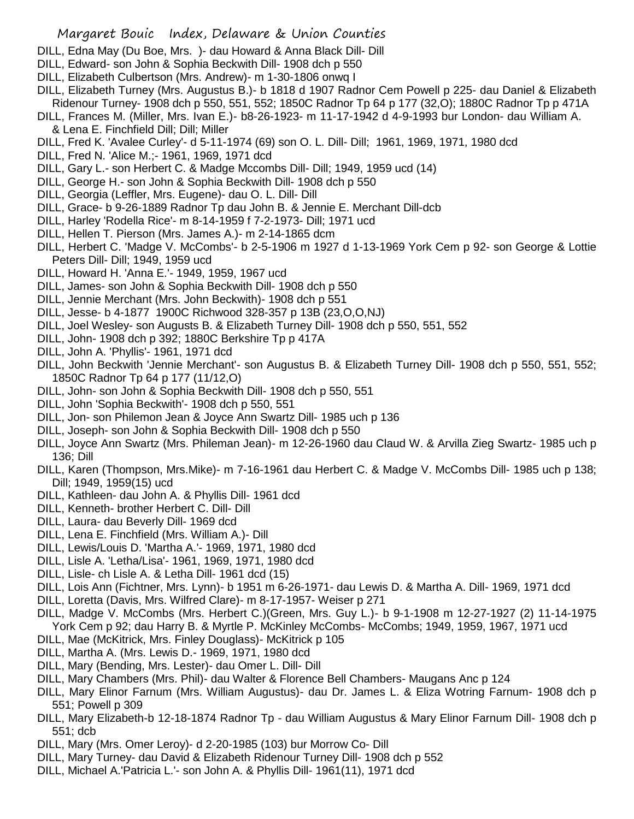## Margaret Bouic Index, Delaware & Union Counties

- DILL, Edna May (Du Boe, Mrs. )- dau Howard & Anna Black Dill- Dill
- DILL, Edward- son John & Sophia Beckwith Dill- 1908 dch p 550
- DILL, Elizabeth Culbertson (Mrs. Andrew)- m 1-30-1806 onwq I
- DILL, Elizabeth Turney (Mrs. Augustus B.)- b 1818 d 1907 Radnor Cem Powell p 225- dau Daniel & Elizabeth Ridenour Turney- 1908 dch p 550, 551, 552; 1850C Radnor Tp 64 p 177 (32,O); 1880C Radnor Tp p 471A
- DILL, Frances M. (Miller, Mrs. Ivan E.)- b8-26-1923- m 11-17-1942 d 4-9-1993 bur London- dau William A. & Lena E. Finchfield Dill; Dill; Miller
- DILL, Fred K. 'Avalee Curley'- d 5-11-1974 (69) son O. L. Dill- Dill; 1961, 1969, 1971, 1980 dcd
- DILL, Fred N. 'Alice M.;- 1961, 1969, 1971 dcd
- DILL, Gary L.- son Herbert C. & Madge Mccombs Dill- Dill; 1949, 1959 ucd (14)
- DILL, George H.- son John & Sophia Beckwith Dill- 1908 dch p 550
- DILL, Georgia (Leffler, Mrs. Eugene)- dau O. L. Dill- Dill
- DILL, Grace- b 9-26-1889 Radnor Tp dau John B. & Jennie E. Merchant Dill-dcb
- DILL, Harley 'Rodella Rice'- m 8-14-1959 f 7-2-1973- Dill; 1971 ucd
- DILL, Hellen T. Pierson (Mrs. James A.)- m 2-14-1865 dcm
- DILL, Herbert C. 'Madge V. McCombs'- b 2-5-1906 m 1927 d 1-13-1969 York Cem p 92- son George & Lottie Peters Dill- Dill; 1949, 1959 ucd
- DILL, Howard H. 'Anna E.'- 1949, 1959, 1967 ucd
- DILL, James- son John & Sophia Beckwith Dill- 1908 dch p 550
- DILL, Jennie Merchant (Mrs. John Beckwith)- 1908 dch p 551
- DILL, Jesse- b 4-1877 1900C Richwood 328-357 p 13B (23,O,O,NJ)
- DILL, Joel Wesley- son Augusts B. & Elizabeth Turney Dill- 1908 dch p 550, 551, 552
- DILL, John- 1908 dch p 392; 1880C Berkshire Tp p 417A
- DILL, John A. 'Phyllis'- 1961, 1971 dcd
- DILL, John Beckwith 'Jennie Merchant'- son Augustus B. & Elizabeth Turney Dill- 1908 dch p 550, 551, 552; 1850C Radnor Tp 64 p 177 (11/12,O)
- DILL, John- son John & Sophia Beckwith Dill- 1908 dch p 550, 551
- DILL, John 'Sophia Beckwith'- 1908 dch p 550, 551
- DILL, Jon- son Philemon Jean & Joyce Ann Swartz Dill- 1985 uch p 136
- DILL, Joseph- son John & Sophia Beckwith Dill- 1908 dch p 550
- DILL, Joyce Ann Swartz (Mrs. Phileman Jean)- m 12-26-1960 dau Claud W. & Arvilla Zieg Swartz- 1985 uch p 136; Dill
- DILL, Karen (Thompson, Mrs.Mike)- m 7-16-1961 dau Herbert C. & Madge V. McCombs Dill- 1985 uch p 138; Dill; 1949, 1959(15) ucd
- DILL, Kathleen- dau John A. & Phyllis Dill- 1961 dcd
- DILL, Kenneth- brother Herbert C. Dill- Dill
- DILL, Laura- dau Beverly Dill- 1969 dcd
- DILL, Lena E. Finchfield (Mrs. William A.)- Dill
- DILL, Lewis/Louis D. 'Martha A.'- 1969, 1971, 1980 dcd
- DILL, Lisle A. 'Letha/Lisa'- 1961, 1969, 1971, 1980 dcd
- DILL, Lisle- ch Lisle A. & Letha Dill- 1961 dcd (15)
- DILL, Lois Ann (Fichtner, Mrs. Lynn)- b 1951 m 6-26-1971- dau Lewis D. & Martha A. Dill- 1969, 1971 dcd
- DILL, Loretta (Davis, Mrs. Wilfred Clare)- m 8-17-1957- Weiser p 271
- DILL, Madge V. McCombs (Mrs. Herbert C.)(Green, Mrs. Guy L.)- b 9-1-1908 m 12-27-1927 (2) 11-14-1975 York Cem p 92; dau Harry B. & Myrtle P. McKinley McCombs- McCombs; 1949, 1959, 1967, 1971 ucd
- DILL, Mae (McKitrick, Mrs. Finley Douglass)- McKitrick p 105
- DILL, Martha A. (Mrs. Lewis D.- 1969, 1971, 1980 dcd
- DILL, Mary (Bending, Mrs. Lester)- dau Omer L. Dill- Dill
- DILL, Mary Chambers (Mrs. Phil)- dau Walter & Florence Bell Chambers- Maugans Anc p 124
- DILL, Mary Elinor Farnum (Mrs. William Augustus)- dau Dr. James L. & Eliza Wotring Farnum- 1908 dch p 551; Powell p 309
- DILL, Mary Elizabeth-b 12-18-1874 Radnor Tp dau William Augustus & Mary Elinor Farnum Dill- 1908 dch p 551; dcb
- DILL, Mary (Mrs. Omer Leroy)- d 2-20-1985 (103) bur Morrow Co- Dill
- DILL, Mary Turney- dau David & Elizabeth Ridenour Turney Dill- 1908 dch p 552
- DILL, Michael A.'Patricia L.'- son John A. & Phyllis Dill- 1961(11), 1971 dcd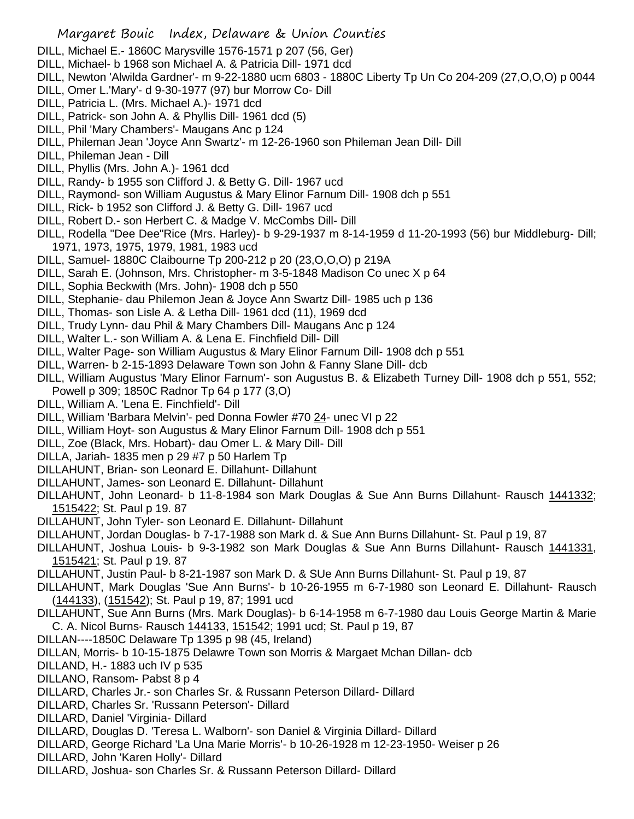## Margaret Bouic Index, Delaware & Union Counties

- DILL, Michael E.- 1860C Marysville 1576-1571 p 207 (56, Ger)
- DILL, Michael- b 1968 son Michael A. & Patricia Dill- 1971 dcd
- DILL, Newton 'Alwilda Gardner'- m 9-22-1880 ucm 6803 1880C Liberty Tp Un Co 204-209 (27,O,O,O) p 0044
- DILL, Omer L.'Mary'- d 9-30-1977 (97) bur Morrow Co- Dill
- DILL, Patricia L. (Mrs. Michael A.)- 1971 dcd
- DILL, Patrick- son John A. & Phyllis Dill- 1961 dcd (5)
- DILL, Phil 'Mary Chambers'- Maugans Anc p 124
- DILL, Phileman Jean 'Joyce Ann Swartz'- m 12-26-1960 son Phileman Jean Dill- Dill
- DILL, Phileman Jean Dill
- DILL, Phyllis (Mrs. John A.)- 1961 dcd
- DILL, Randy- b 1955 son Clifford J. & Betty G. Dill- 1967 ucd
- DILL, Raymond- son William Augustus & Mary Elinor Farnum Dill- 1908 dch p 551
- DILL, Rick- b 1952 son Clifford J. & Betty G. Dill- 1967 ucd
- DILL, Robert D.- son Herbert C. & Madge V. McCombs Dill- Dill
- DILL, Rodella "Dee Dee"Rice (Mrs. Harley)- b 9-29-1937 m 8-14-1959 d 11-20-1993 (56) bur Middleburg- Dill; 1971, 1973, 1975, 1979, 1981, 1983 ucd
- DILL, Samuel- 1880C Claibourne Tp 200-212 p 20 (23,O,O,O) p 219A
- DILL, Sarah E. (Johnson, Mrs. Christopher- m 3-5-1848 Madison Co unec X p 64
- DILL, Sophia Beckwith (Mrs. John)- 1908 dch p 550
- DILL, Stephanie- dau Philemon Jean & Joyce Ann Swartz Dill- 1985 uch p 136
- DILL, Thomas- son Lisle A. & Letha Dill- 1961 dcd (11), 1969 dcd
- DILL, Trudy Lynn- dau Phil & Mary Chambers Dill- Maugans Anc p 124
- DILL, Walter L.- son William A. & Lena E. Finchfield Dill- Dill
- DILL, Walter Page- son William Augustus & Mary Elinor Farnum Dill- 1908 dch p 551
- DILL, Warren- b 2-15-1893 Delaware Town son John & Fanny Slane Dill- dcb
- DILL, William Augustus 'Mary Elinor Farnum'- son Augustus B. & Elizabeth Turney Dill- 1908 dch p 551, 552; Powell p 309; 1850C Radnor Tp 64 p 177 (3,O)
- DILL, William A. 'Lena E. Finchfield'- Dill
- DILL, William 'Barbara Melvin'- ped Donna Fowler #70 24- unec VI p 22
- DILL, William Hoyt- son Augustus & Mary Elinor Farnum Dill- 1908 dch p 551
- DILL, Zoe (Black, Mrs. Hobart)- dau Omer L. & Mary Dill- Dill
- DILLA, Jariah- 1835 men p 29 #7 p 50 Harlem Tp
- DILLAHUNT, Brian- son Leonard E. Dillahunt- Dillahunt
- DILLAHUNT, James- son Leonard E. Dillahunt- Dillahunt
- DILLAHUNT, John Leonard- b 11-8-1984 son Mark Douglas & Sue Ann Burns Dillahunt- Rausch 1441332; 1515422; St. Paul p 19. 87
- DILLAHUNT, John Tyler- son Leonard E. Dillahunt- Dillahunt
- DILLAHUNT, Jordan Douglas- b 7-17-1988 son Mark d. & Sue Ann Burns Dillahunt- St. Paul p 19, 87
- DILLAHUNT, Joshua Louis- b 9-3-1982 son Mark Douglas & Sue Ann Burns Dillahunt- Rausch 1441331, 1515421; St. Paul p 19. 87
- DILLAHUNT, Justin Paul- b 8-21-1987 son Mark D. & SUe Ann Burns Dillahunt- St. Paul p 19, 87
- DILLAHUNT, Mark Douglas 'Sue Ann Burns'- b 10-26-1955 m 6-7-1980 son Leonard E. Dillahunt- Rausch (144133), (151542); St. Paul p 19, 87; 1991 ucd
- DILLAHUNT, Sue Ann Burns (Mrs. Mark Douglas)- b 6-14-1958 m 6-7-1980 dau Louis George Martin & Marie C. A. Nicol Burns- Rausch 144133, 151542; 1991 ucd; St. Paul p 19, 87
- DILLAN----1850C Delaware Tp 1395 p 98 (45, Ireland)
- DILLAN, Morris- b 10-15-1875 Delawre Town son Morris & Margaet Mchan Dillan- dcb
- DILLAND, H.- 1883 uch IV p 535
- DILLANO, Ransom- Pabst 8 p 4
- DILLARD, Charles Jr.- son Charles Sr. & Russann Peterson Dillard- Dillard
- DILLARD, Charles Sr. 'Russann Peterson'- Dillard
- DILLARD, Daniel 'Virginia- Dillard
- DILLARD, Douglas D. 'Teresa L. Walborn'- son Daniel & Virginia Dillard- Dillard
- DILLARD, George Richard 'La Una Marie Morris'- b 10-26-1928 m 12-23-1950- Weiser p 26
- DILLARD, John 'Karen Holly'- Dillard
- DILLARD, Joshua- son Charles Sr. & Russann Peterson Dillard- Dillard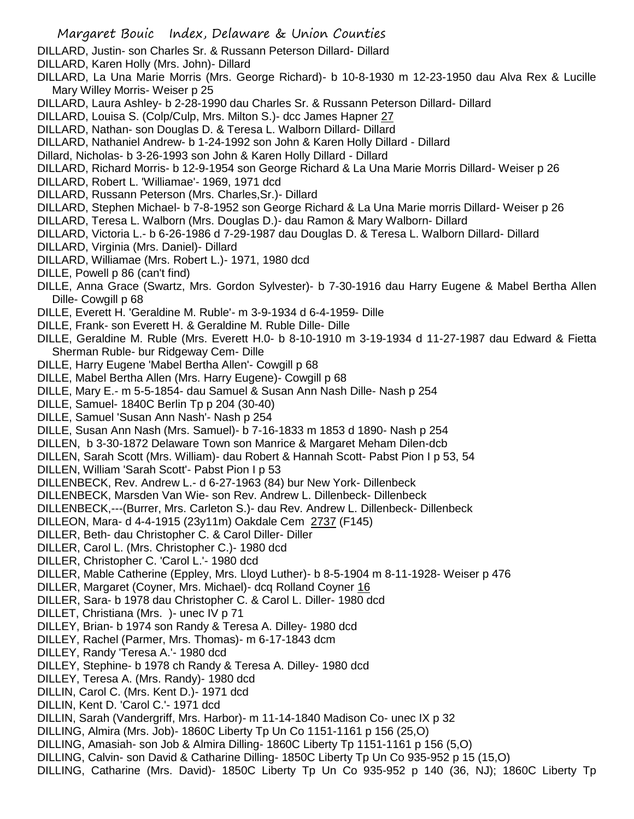- DILLARD, Justin- son Charles Sr. & Russann Peterson Dillard- Dillard
- DILLARD, Karen Holly (Mrs. John)- Dillard
- DILLARD, La Una Marie Morris (Mrs. George Richard)- b 10-8-1930 m 12-23-1950 dau Alva Rex & Lucille Mary Willey Morris- Weiser p 25
- DILLARD, Laura Ashley- b 2-28-1990 dau Charles Sr. & Russann Peterson Dillard- Dillard
- DILLARD, Louisa S. (Colp/Culp, Mrs. Milton S.)- dcc James Hapner 27
- DILLARD, Nathan- son Douglas D. & Teresa L. Walborn Dillard- Dillard
- DILLARD, Nathaniel Andrew- b 1-24-1992 son John & Karen Holly Dillard Dillard
- Dillard, Nicholas- b 3-26-1993 son John & Karen Holly Dillard Dillard
- DILLARD, Richard Morris- b 12-9-1954 son George Richard & La Una Marie Morris Dillard- Weiser p 26
- DILLARD, Robert L. 'Williamae'- 1969, 1971 dcd
- DILLARD, Russann Peterson (Mrs. Charles,Sr.)- Dillard
- DILLARD, Stephen Michael- b 7-8-1952 son George Richard & La Una Marie morris Dillard- Weiser p 26
- DILLARD, Teresa L. Walborn (Mrs. Douglas D.)- dau Ramon & Mary Walborn- Dillard
- DILLARD, Victoria L.- b 6-26-1986 d 7-29-1987 dau Douglas D. & Teresa L. Walborn Dillard- Dillard
- DILLARD, Virginia (Mrs. Daniel)- Dillard
- DILLARD, Williamae (Mrs. Robert L.)- 1971, 1980 dcd
- DILLE, Powell p 86 (can't find)
- DILLE, Anna Grace (Swartz, Mrs. Gordon Sylvester)- b 7-30-1916 dau Harry Eugene & Mabel Bertha Allen Dille- Cowgill p 68
- DILLE, Everett H. 'Geraldine M. Ruble'- m 3-9-1934 d 6-4-1959- Dille
- DILLE, Frank- son Everett H. & Geraldine M. Ruble Dille- Dille
- DILLE, Geraldine M. Ruble (Mrs. Everett H.0- b 8-10-1910 m 3-19-1934 d 11-27-1987 dau Edward & Fietta Sherman Ruble- bur Ridgeway Cem- Dille
- DILLE, Harry Eugene 'Mabel Bertha Allen'- Cowgill p 68
- DILLE, Mabel Bertha Allen (Mrs. Harry Eugene)- Cowgill p 68
- DILLE, Mary E.- m 5-5-1854- dau Samuel & Susan Ann Nash Dille- Nash p 254
- DILLE, Samuel- 1840C Berlin Tp p 204 (30-40)
- DILLE, Samuel 'Susan Ann Nash'- Nash p 254
- DILLE, Susan Ann Nash (Mrs. Samuel)- b 7-16-1833 m 1853 d 1890- Nash p 254
- DILLEN, b 3-30-1872 Delaware Town son Manrice & Margaret Meham Dilen-dcb
- DILLEN, Sarah Scott (Mrs. William)- dau Robert & Hannah Scott- Pabst Pion I p 53, 54
- DILLEN, William 'Sarah Scott'- Pabst Pion I p 53
- DILLENBECK, Rev. Andrew L.- d 6-27-1963 (84) bur New York- Dillenbeck
- DILLENBECK, Marsden Van Wie- son Rev. Andrew L. Dillenbeck- Dillenbeck
- DILLENBECK,---(Burrer, Mrs. Carleton S.)- dau Rev. Andrew L. Dillenbeck- Dillenbeck
- DILLEON, Mara- d 4-4-1915 (23y11m) Oakdale Cem 2737 (F145)
- DILLER, Beth- dau Christopher C. & Carol Diller- Diller
- DILLER, Carol L. (Mrs. Christopher C.)- 1980 dcd
- DILLER, Christopher C. 'Carol L.'- 1980 dcd
- DILLER, Mable Catherine (Eppley, Mrs. Lloyd Luther)- b 8-5-1904 m 8-11-1928- Weiser p 476
- DILLER, Margaret (Coyner, Mrs. Michael)- dcq Rolland Coyner 16
- DILLER, Sara- b 1978 dau Christopher C. & Carol L. Diller- 1980 dcd
- DILLET, Christiana (Mrs. )- unec IV p 71
- DILLEY, Brian- b 1974 son Randy & Teresa A. Dilley- 1980 dcd
- DILLEY, Rachel (Parmer, Mrs. Thomas)- m 6-17-1843 dcm
- DILLEY, Randy 'Teresa A.'- 1980 dcd
- DILLEY, Stephine- b 1978 ch Randy & Teresa A. Dilley- 1980 dcd
- DILLEY, Teresa A. (Mrs. Randy)- 1980 dcd
- DILLIN, Carol C. (Mrs. Kent D.)- 1971 dcd
- DILLIN, Kent D. 'Carol C.'- 1971 dcd
- DILLIN, Sarah (Vandergriff, Mrs. Harbor)- m 11-14-1840 Madison Co- unec IX p 32
- DILLING, Almira (Mrs. Job)- 1860C Liberty Tp Un Co 1151-1161 p 156 (25,O)
- DILLING, Amasiah- son Job & Almira Dilling- 1860C Liberty Tp 1151-1161 p 156 (5,O)
- DILLING, Calvin- son David & Catharine Dilling- 1850C Liberty Tp Un Co 935-952 p 15 (15,O)
- DILLING, Catharine (Mrs. David)- 1850C Liberty Tp Un Co 935-952 p 140 (36, NJ); 1860C Liberty Tp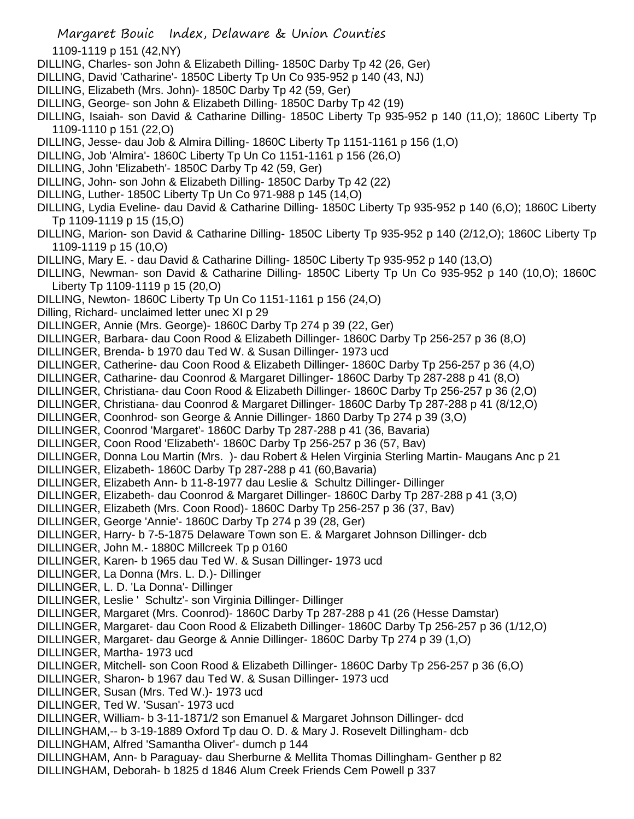1109-1119 p 151 (42,NY)

- DILLING, Charles- son John & Elizabeth Dilling- 1850C Darby Tp 42 (26, Ger)
- DILLING, David 'Catharine'- 1850C Liberty Tp Un Co 935-952 p 140 (43, NJ)
- DILLING, Elizabeth (Mrs. John)- 1850C Darby Tp 42 (59, Ger)
- DILLING, George- son John & Elizabeth Dilling- 1850C Darby Tp 42 (19)
- DILLING, Isaiah- son David & Catharine Dilling- 1850C Liberty Tp 935-952 p 140 (11,O); 1860C Liberty Tp 1109-1110 p 151 (22,O)
- DILLING, Jesse- dau Job & Almira Dilling- 1860C Liberty Tp 1151-1161 p 156 (1,O)
- DILLING, Job 'Almira'- 1860C Liberty Tp Un Co 1151-1161 p 156 (26,O)
- DILLING, John 'Elizabeth'- 1850C Darby Tp 42 (59, Ger)
- DILLING, John- son John & Elizabeth Dilling- 1850C Darby Tp 42 (22)
- DILLING, Luther- 1850C Liberty Tp Un Co 971-988 p 145 (14,O)
- DILLING, Lydia Eveline- dau David & Catharine Dilling- 1850C Liberty Tp 935-952 p 140 (6,O); 1860C Liberty Tp 1109-1119 p 15 (15,O)
- DILLING, Marion- son David & Catharine Dilling- 1850C Liberty Tp 935-952 p 140 (2/12,O); 1860C Liberty Tp 1109-1119 p 15 (10,O)
- DILLING, Mary E. dau David & Catharine Dilling- 1850C Liberty Tp 935-952 p 140 (13,O)
- DILLING, Newman- son David & Catharine Dilling- 1850C Liberty Tp Un Co 935-952 p 140 (10,O); 1860C Liberty Tp 1109-1119 p 15 (20,O)
- DILLING, Newton- 1860C Liberty Tp Un Co 1151-1161 p 156 (24,O)
- Dilling, Richard- unclaimed letter unec XI p 29
- DILLINGER, Annie (Mrs. George)- 1860C Darby Tp 274 p 39 (22, Ger)
- DILLINGER, Barbara- dau Coon Rood & Elizabeth Dillinger- 1860C Darby Tp 256-257 p 36 (8,O)
- DILLINGER, Brenda- b 1970 dau Ted W. & Susan Dillinger- 1973 ucd
- DILLINGER, Catherine- dau Coon Rood & Elizabeth Dillinger- 1860C Darby Tp 256-257 p 36 (4,O)
- DILLINGER, Catharine- dau Coonrod & Margaret Dillinger- 1860C Darby Tp 287-288 p 41 (8,O)
- DILLINGER, Christiana- dau Coon Rood & Elizabeth Dillinger- 1860C Darby Tp 256-257 p 36 (2,O)
- DILLINGER, Christiana- dau Coonrod & Margaret Dillinger- 1860C Darby Tp 287-288 p 41 (8/12,O)
- DILLINGER, Coonhrod- son George & Annie Dillinger- 1860 Darby Tp 274 p 39 (3,O)
- DILLINGER, Coonrod 'Margaret'- 1860C Darby Tp 287-288 p 41 (36, Bavaria)
- DILLINGER, Coon Rood 'Elizabeth'- 1860C Darby Tp 256-257 p 36 (57, Bav)
- DILLINGER, Donna Lou Martin (Mrs. )- dau Robert & Helen Virginia Sterling Martin- Maugans Anc p 21
- DILLINGER, Elizabeth- 1860C Darby Tp 287-288 p 41 (60,Bavaria)
- DILLINGER, Elizabeth Ann- b 11-8-1977 dau Leslie & Schultz Dillinger- Dillinger
- DILLINGER, Elizabeth- dau Coonrod & Margaret Dillinger- 1860C Darby Tp 287-288 p 41 (3,O)
- DILLINGER, Elizabeth (Mrs. Coon Rood)- 1860C Darby Tp 256-257 p 36 (37, Bav)
- DILLINGER, George 'Annie'- 1860C Darby Tp 274 p 39 (28, Ger)
- DILLINGER, Harry- b 7-5-1875 Delaware Town son E. & Margaret Johnson Dillinger- dcb
- DILLINGER, John M.- 1880C Millcreek Tp p 0160
- DILLINGER, Karen- b 1965 dau Ted W. & Susan Dillinger- 1973 ucd
- DILLINGER, La Donna (Mrs. L. D.)- Dillinger
- DILLINGER, L. D. 'La Donna'- Dillinger
- DILLINGER, Leslie ' Schultz'- son Virginia Dillinger- Dillinger
- DILLINGER, Margaret (Mrs. Coonrod)- 1860C Darby Tp 287-288 p 41 (26 (Hesse Damstar)
- DILLINGER, Margaret- dau Coon Rood & Elizabeth Dillinger- 1860C Darby Tp 256-257 p 36 (1/12,O)
- DILLINGER, Margaret- dau George & Annie Dillinger- 1860C Darby Tp 274 p 39 (1,O)
- DILLINGER, Martha- 1973 ucd
- DILLINGER, Mitchell- son Coon Rood & Elizabeth Dillinger- 1860C Darby Tp 256-257 p 36 (6,O)
- DILLINGER, Sharon- b 1967 dau Ted W. & Susan Dillinger- 1973 ucd
- DILLINGER, Susan (Mrs. Ted W.)- 1973 ucd
- DILLINGER, Ted W. 'Susan'- 1973 ucd
- DILLINGER, William- b 3-11-1871/2 son Emanuel & Margaret Johnson Dillinger- dcd
- DILLINGHAM,-- b 3-19-1889 Oxford Tp dau O. D. & Mary J. Rosevelt Dillingham- dcb
- DILLINGHAM, Alfred 'Samantha Oliver'- dumch p 144
- DILLINGHAM, Ann- b Paraguay- dau Sherburne & Mellita Thomas Dillingham- Genther p 82
- DILLINGHAM, Deborah- b 1825 d 1846 Alum Creek Friends Cem Powell p 337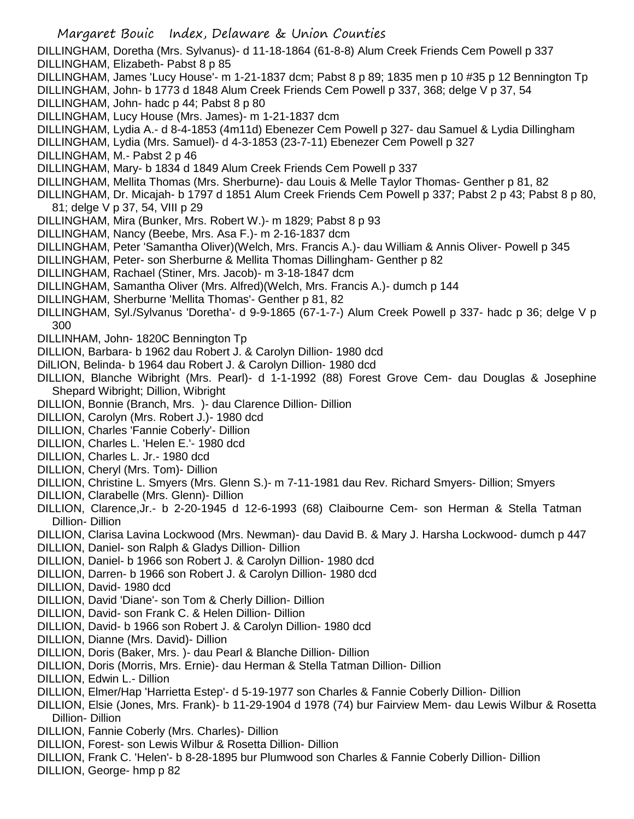Margaret Bouic Index, Delaware & Union Counties DILLINGHAM, Doretha (Mrs. Sylvanus)- d 11-18-1864 (61-8-8) Alum Creek Friends Cem Powell p 337 DILLINGHAM, Elizabeth- Pabst 8 p 85 DILLINGHAM, James 'Lucy House'- m 1-21-1837 dcm; Pabst 8 p 89; 1835 men p 10 #35 p 12 Bennington Tp DILLINGHAM, John- b 1773 d 1848 Alum Creek Friends Cem Powell p 337, 368; delge V p 37, 54 DILLINGHAM, John- hadc p 44; Pabst 8 p 80 DILLINGHAM, Lucy House (Mrs. James)- m 1-21-1837 dcm DILLINGHAM, Lydia A.- d 8-4-1853 (4m11d) Ebenezer Cem Powell p 327- dau Samuel & Lydia Dillingham DILLINGHAM, Lydia (Mrs. Samuel)- d 4-3-1853 (23-7-11) Ebenezer Cem Powell p 327 DILLINGHAM, M.- Pabst 2 p 46 DILLINGHAM, Mary- b 1834 d 1849 Alum Creek Friends Cem Powell p 337 DILLINGHAM, Mellita Thomas (Mrs. Sherburne)- dau Louis & Melle Taylor Thomas- Genther p 81, 82 DILLINGHAM, Dr. Micajah- b 1797 d 1851 Alum Creek Friends Cem Powell p 337; Pabst 2 p 43; Pabst 8 p 80, 81; delge V p 37, 54, VIII p 29 DILLINGHAM, Mira (Bunker, Mrs. Robert W.)- m 1829; Pabst 8 p 93 DILLINGHAM, Nancy (Beebe, Mrs. Asa F.)- m 2-16-1837 dcm DILLINGHAM, Peter 'Samantha Oliver)(Welch, Mrs. Francis A.)- dau William & Annis Oliver- Powell p 345 DILLINGHAM, Peter- son Sherburne & Mellita Thomas Dillingham- Genther p 82 DILLINGHAM, Rachael (Stiner, Mrs. Jacob)- m 3-18-1847 dcm DILLINGHAM, Samantha Oliver (Mrs. Alfred)(Welch, Mrs. Francis A.)- dumch p 144 DILLINGHAM, Sherburne 'Mellita Thomas'- Genther p 81, 82 DILLINGHAM, Syl./Sylvanus 'Doretha'- d 9-9-1865 (67-1-7-) Alum Creek Powell p 337- hadc p 36; delge V p 300 DILLINHAM, John- 1820C Bennington Tp DILLION, Barbara- b 1962 dau Robert J. & Carolyn Dillion- 1980 dcd DilLION, Belinda- b 1964 dau Robert J. & Carolyn Dillion- 1980 dcd DILLION, Blanche Wibright (Mrs. Pearl)- d 1-1-1992 (88) Forest Grove Cem- dau Douglas & Josephine Shepard Wibright; Dillion, Wibright DILLION, Bonnie (Branch, Mrs. )- dau Clarence Dillion- Dillion DILLION, Carolyn (Mrs. Robert J.)- 1980 dcd DILLION, Charles 'Fannie Coberly'- Dillion DILLION, Charles L. 'Helen E.'- 1980 dcd DILLION, Charles L. Jr.- 1980 dcd DILLION, Cheryl (Mrs. Tom)- Dillion DILLION, Christine L. Smyers (Mrs. Glenn S.)- m 7-11-1981 dau Rev. Richard Smyers- Dillion; Smyers DILLION, Clarabelle (Mrs. Glenn)- Dillion DILLION, Clarence,Jr.- b 2-20-1945 d 12-6-1993 (68) Claibourne Cem- son Herman & Stella Tatman Dillion- Dillion DILLION, Clarisa Lavina Lockwood (Mrs. Newman)- dau David B. & Mary J. Harsha Lockwood- dumch p 447 DILLION, Daniel- son Ralph & Gladys Dillion- Dillion DILLION, Daniel- b 1966 son Robert J. & Carolyn Dillion- 1980 dcd DILLION, Darren- b 1966 son Robert J. & Carolyn Dillion- 1980 dcd DILLION, David- 1980 dcd DILLION, David 'Diane'- son Tom & Cherly Dillion- Dillion DILLION, David- son Frank C. & Helen Dillion- Dillion DILLION, David- b 1966 son Robert J. & Carolyn Dillion- 1980 dcd DILLION, Dianne (Mrs. David)- Dillion DILLION, Doris (Baker, Mrs. )- dau Pearl & Blanche Dillion- Dillion DILLION, Doris (Morris, Mrs. Ernie)- dau Herman & Stella Tatman Dillion- Dillion DILLION, Edwin L.- Dillion DILLION, Elmer/Hap 'Harrietta Estep'- d 5-19-1977 son Charles & Fannie Coberly Dillion- Dillion DILLION, Elsie (Jones, Mrs. Frank)- b 11-29-1904 d 1978 (74) bur Fairview Mem- dau Lewis Wilbur & Rosetta Dillion- Dillion DILLION, Fannie Coberly (Mrs. Charles)- Dillion DILLION, Forest- son Lewis Wilbur & Rosetta Dillion- Dillion DILLION, Frank C. 'Helen'- b 8-28-1895 bur Plumwood son Charles & Fannie Coberly Dillion- Dillion DILLION, George- hmp p 82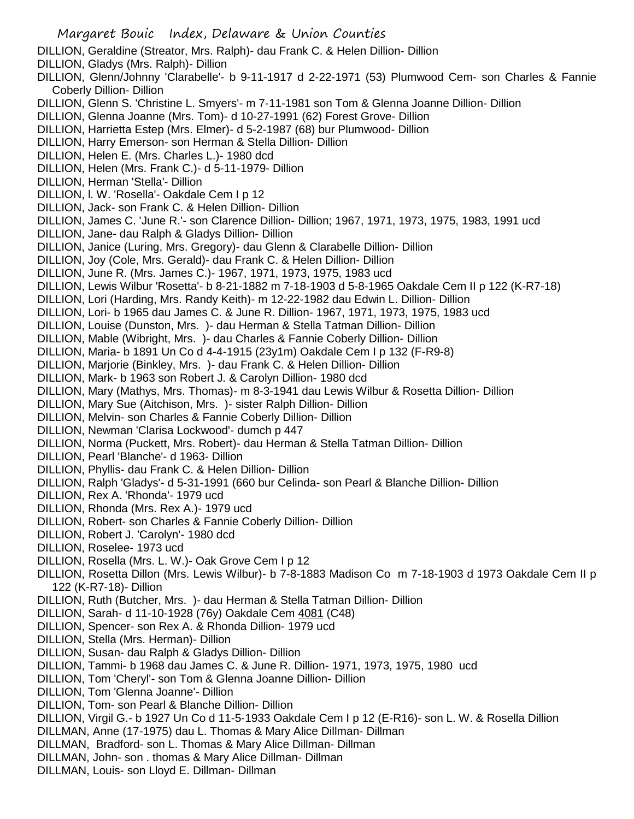- DILLION, Geraldine (Streator, Mrs. Ralph)- dau Frank C. & Helen Dillion- Dillion
- DILLION, Gladys (Mrs. Ralph)- Dillion
- DILLION, Glenn/Johnny 'Clarabelle'- b 9-11-1917 d 2-22-1971 (53) Plumwood Cem- son Charles & Fannie Coberly Dillion- Dillion
- DILLION, Glenn S. 'Christine L. Smyers'- m 7-11-1981 son Tom & Glenna Joanne Dillion- Dillion
- DILLION, Glenna Joanne (Mrs. Tom)- d 10-27-1991 (62) Forest Grove- Dillion
- DILLION, Harrietta Estep (Mrs. Elmer)- d 5-2-1987 (68) bur Plumwood- Dillion
- DILLION, Harry Emerson- son Herman & Stella Dillion- Dillion
- DILLION, Helen E. (Mrs. Charles L.)- 1980 dcd
- DILLION, Helen (Mrs. Frank C.)- d 5-11-1979- Dillion
- DILLION, Herman 'Stella'- Dillion
- DILLION, l. W. 'Rosella'- Oakdale Cem I p 12
- DILLION, Jack- son Frank C. & Helen Dillion- Dillion
- DILLION, James C. 'June R.'- son Clarence Dillion- Dillion; 1967, 1971, 1973, 1975, 1983, 1991 ucd
- DILLION, Jane- dau Ralph & Gladys Dillion- Dillion
- DILLION, Janice (Luring, Mrs. Gregory)- dau Glenn & Clarabelle Dillion- Dillion
- DILLION, Joy (Cole, Mrs. Gerald)- dau Frank C. & Helen Dillion- Dillion
- DILLION, June R. (Mrs. James C.)- 1967, 1971, 1973, 1975, 1983 ucd
- DILLION, Lewis Wilbur 'Rosetta'- b 8-21-1882 m 7-18-1903 d 5-8-1965 Oakdale Cem II p 122 (K-R7-18)
- DILLION, Lori (Harding, Mrs. Randy Keith)- m 12-22-1982 dau Edwin L. Dillion- Dillion
- DILLION, Lori- b 1965 dau James C. & June R. Dillion- 1967, 1971, 1973, 1975, 1983 ucd
- DILLION, Louise (Dunston, Mrs. )- dau Herman & Stella Tatman Dillion- Dillion
- DILLION, Mable (Wibright, Mrs. )- dau Charles & Fannie Coberly Dillion- Dillion
- DILLION, Maria- b 1891 Un Co d 4-4-1915 (23y1m) Oakdale Cem I p 132 (F-R9-8)
- DILLION, Marjorie (Binkley, Mrs. )- dau Frank C. & Helen Dillion- Dillion
- DILLION, Mark- b 1963 son Robert J. & Carolyn Dillion- 1980 dcd
- DILLION, Mary (Mathys, Mrs. Thomas)- m 8-3-1941 dau Lewis Wilbur & Rosetta Dillion- Dillion
- DILLION, Mary Sue (Aitchison, Mrs. )- sister Ralph Dillion- Dillion
- DILLION, Melvin- son Charles & Fannie Coberly Dillion- Dillion
- DILLION, Newman 'Clarisa Lockwood'- dumch p 447
- DILLION, Norma (Puckett, Mrs. Robert)- dau Herman & Stella Tatman Dillion- Dillion
- DILLION, Pearl 'Blanche'- d 1963- Dillion
- DILLION, Phyllis- dau Frank C. & Helen Dillion- Dillion
- DILLION, Ralph 'Gladys'- d 5-31-1991 (660 bur Celinda- son Pearl & Blanche Dillion- Dillion
- DILLION, Rex A. 'Rhonda'- 1979 ucd
- DILLION, Rhonda (Mrs. Rex A.)- 1979 ucd
- DILLION, Robert- son Charles & Fannie Coberly Dillion- Dillion
- DILLION, Robert J. 'Carolyn'- 1980 dcd
- DILLION, Roselee- 1973 ucd
- DILLION, Rosella (Mrs. L. W.)- Oak Grove Cem I p 12
- DILLION, Rosetta Dillon (Mrs. Lewis Wilbur)- b 7-8-1883 Madison Co m 7-18-1903 d 1973 Oakdale Cem II p 122 (K-R7-18)- Dillion
- DILLION, Ruth (Butcher, Mrs. )- dau Herman & Stella Tatman Dillion- Dillion
- DILLION, Sarah- d 11-10-1928 (76y) Oakdale Cem 4081 (C48)
- DILLION, Spencer- son Rex A. & Rhonda Dillion- 1979 ucd
- DILLION, Stella (Mrs. Herman)- Dillion
- DILLION, Susan- dau Ralph & Gladys Dillion- Dillion
- DILLION, Tammi- b 1968 dau James C. & June R. Dillion- 1971, 1973, 1975, 1980 ucd
- DILLION, Tom 'Cheryl'- son Tom & Glenna Joanne Dillion- Dillion
- DILLION, Tom 'Glenna Joanne'- Dillion
- DILLION, Tom- son Pearl & Blanche Dillion- Dillion
- DILLION, Virgil G.- b 1927 Un Co d 11-5-1933 Oakdale Cem I p 12 (E-R16)- son L. W. & Rosella Dillion
- DILLMAN, Anne (17-1975) dau L. Thomas & Mary Alice Dillman- Dillman
- DILLMAN, Bradford- son L. Thomas & Mary Alice Dillman- Dillman
- DILLMAN, John- son . thomas & Mary Alice Dillman- Dillman
- DILLMAN, Louis- son Lloyd E. Dillman- Dillman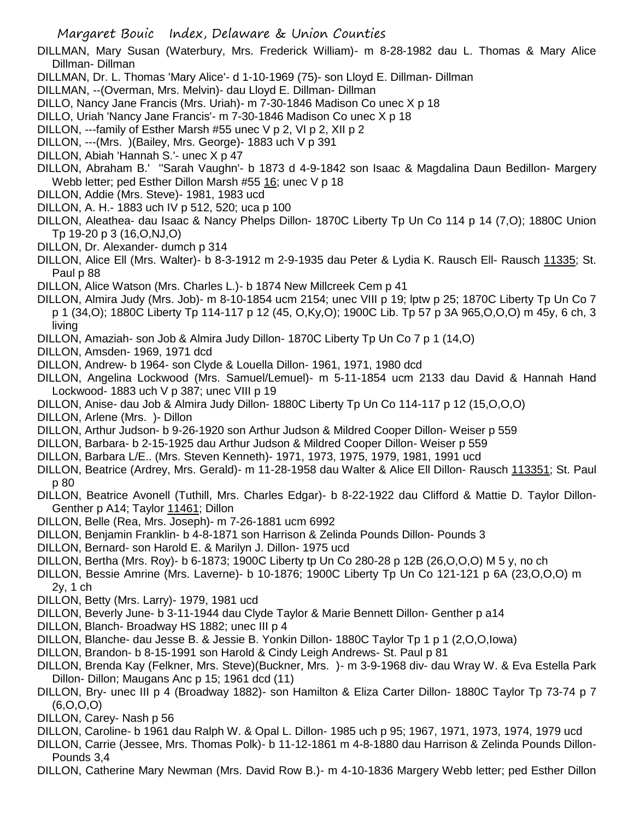DILLMAN, Mary Susan (Waterbury, Mrs. Frederick William)- m 8-28-1982 dau L. Thomas & Mary Alice Dillman- Dillman

- DILLMAN, Dr. L. Thomas 'Mary Alice'- d 1-10-1969 (75)- son Lloyd E. Dillman- Dillman
- DILLMAN, --(Overman, Mrs. Melvin)- dau Lloyd E. Dillman- Dillman
- DILLO, Nancy Jane Francis (Mrs. Uriah)- m 7-30-1846 Madison Co unec X p 18
- DILLO, Uriah 'Nancy Jane Francis'- m 7-30-1846 Madison Co unec X p 18
- DILLON, ---family of Esther Marsh #55 unec V p 2, VI p 2, XII p 2
- DILLON, ---(Mrs. )(Bailey, Mrs. George)- 1883 uch V p 391
- DILLON, Abiah 'Hannah S.'- unec X p 47
- DILLON, Abraham B.' ''Sarah Vaughn'- b 1873 d 4-9-1842 son Isaac & Magdalina Daun Bedillon- Margery Webb letter; ped Esther Dillon Marsh #55 16; unec V p 18
- DILLON, Addie (Mrs. Steve)- 1981, 1983 ucd
- DILLON, A. H.- 1883 uch IV p 512, 520; uca p 100
- DILLON, Aleathea- dau Isaac & Nancy Phelps Dillon- 1870C Liberty Tp Un Co 114 p 14 (7,O); 1880C Union Tp 19-20 p 3 (16,O,NJ,O)
- DILLON, Dr. Alexander- dumch p 314
- DILLON, Alice Ell (Mrs. Walter)- b 8-3-1912 m 2-9-1935 dau Peter & Lydia K. Rausch Ell- Rausch 11335; St. Paul p 88
- DILLON, Alice Watson (Mrs. Charles L.)- b 1874 New Millcreek Cem p 41
- DILLON, Almira Judy (Mrs. Job)- m 8-10-1854 ucm 2154; unec VIII p 19; lptw p 25; 1870C Liberty Tp Un Co 7 p 1 (34,O); 1880C Liberty Tp 114-117 p 12 (45, O,Ky,O); 1900C Lib. Tp 57 p 3A 965,O,O,O) m 45y, 6 ch, 3 living
- DILLON, Amaziah- son Job & Almira Judy Dillon- 1870C Liberty Tp Un Co 7 p 1 (14,O)
- DILLON, Amsden- 1969, 1971 dcd
- DILLON, Andrew- b 1964- son Clyde & Louella Dillon- 1961, 1971, 1980 dcd
- DILLON, Angelina Lockwood (Mrs. Samuel/Lemuel)- m 5-11-1854 ucm 2133 dau David & Hannah Hand Lockwood- 1883 uch V p 387; unec VIII p 19
- DILLON, Anise- dau Job & Almira Judy Dillon- 1880C Liberty Tp Un Co 114-117 p 12 (15,O,O,O)
- DILLON, Arlene (Mrs. )- Dillon
- DILLON, Arthur Judson- b 9-26-1920 son Arthur Judson & Mildred Cooper Dillon- Weiser p 559
- DILLON, Barbara- b 2-15-1925 dau Arthur Judson & Mildred Cooper Dillon- Weiser p 559
- DILLON, Barbara L/E.. (Mrs. Steven Kenneth)- 1971, 1973, 1975, 1979, 1981, 1991 ucd
- DILLON, Beatrice (Ardrey, Mrs. Gerald)- m 11-28-1958 dau Walter & Alice Ell Dillon- Rausch 113351; St. Paul p 80
- DILLON, Beatrice Avonell (Tuthill, Mrs. Charles Edgar)- b 8-22-1922 dau Clifford & Mattie D. Taylor Dillon-Genther p A14; Taylor 11461; Dillon
- DILLON, Belle (Rea, Mrs. Joseph)- m 7-26-1881 ucm 6992
- DILLON, Benjamin Franklin- b 4-8-1871 son Harrison & Zelinda Pounds Dillon- Pounds 3
- DILLON, Bernard- son Harold E. & Marilyn J. Dillon- 1975 ucd
- DILLON, Bertha (Mrs. Roy)- b 6-1873; 1900C Liberty tp Un Co 280-28 p 12B (26,O,O,O) M 5 y, no ch
- DILLON, Bessie Amrine (Mrs. Laverne)- b 10-1876; 1900C Liberty Tp Un Co 121-121 p 6A (23,O,O,O) m 2y, 1 ch
- DILLON, Betty (Mrs. Larry)- 1979, 1981 ucd
- DILLON, Beverly June- b 3-11-1944 dau Clyde Taylor & Marie Bennett Dillon- Genther p a14
- DILLON, Blanch- Broadway HS 1882; unec III p 4
- DILLON, Blanche- dau Jesse B. & Jessie B. Yonkin Dillon- 1880C Taylor Tp 1 p 1 (2,O,O,Iowa)
- DILLON, Brandon- b 8-15-1991 son Harold & Cindy Leigh Andrews- St. Paul p 81
- DILLON, Brenda Kay (Felkner, Mrs. Steve)(Buckner, Mrs. )- m 3-9-1968 div- dau Wray W. & Eva Estella Park Dillon- Dillon; Maugans Anc p 15; 1961 dcd (11)
- DILLON, Bry- unec III p 4 (Broadway 1882)- son Hamilton & Eliza Carter Dillon- 1880C Taylor Tp 73-74 p 7 (6,O,O,O)
- DILLON, Carey- Nash p 56
- DILLON, Caroline- b 1961 dau Ralph W. & Opal L. Dillon- 1985 uch p 95; 1967, 1971, 1973, 1974, 1979 ucd
- DILLON, Carrie (Jessee, Mrs. Thomas Polk)- b 11-12-1861 m 4-8-1880 dau Harrison & Zelinda Pounds Dillon-Pounds 3,4
- DILLON, Catherine Mary Newman (Mrs. David Row B.)- m 4-10-1836 Margery Webb letter; ped Esther Dillon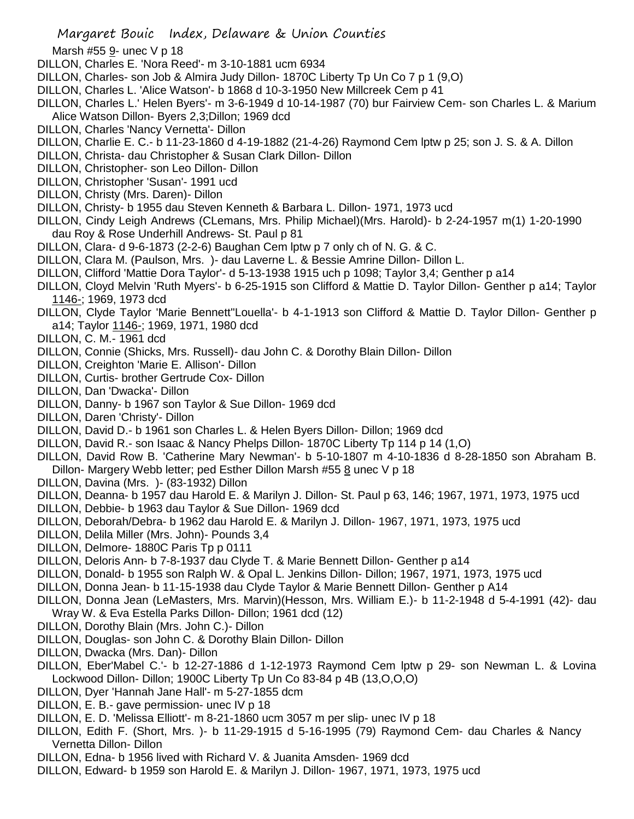- Marsh #55 9- unec V p 18
- DILLON, Charles E. 'Nora Reed'- m 3-10-1881 ucm 6934
- DILLON, Charles- son Job & Almira Judy Dillon- 1870C Liberty Tp Un Co 7 p 1 (9,O)
- DILLON, Charles L. 'Alice Watson'- b 1868 d 10-3-1950 New Millcreek Cem p 41
- DILLON, Charles L.' Helen Byers'- m 3-6-1949 d 10-14-1987 (70) bur Fairview Cem- son Charles L. & Marium Alice Watson Dillon- Byers 2,3;Dillon; 1969 dcd
- DILLON, Charles 'Nancy Vernetta'- Dillon
- DILLON, Charlie E. C.- b 11-23-1860 d 4-19-1882 (21-4-26) Raymond Cem lptw p 25; son J. S. & A. Dillon
- DILLON, Christa- dau Christopher & Susan Clark Dillon- Dillon
- DILLON, Christopher- son Leo Dillon- Dillon
- DILLON, Christopher 'Susan'- 1991 ucd
- DILLON, Christy (Mrs. Daren)- Dillon
- DILLON, Christy- b 1955 dau Steven Kenneth & Barbara L. Dillon- 1971, 1973 ucd
- DILLON, Cindy Leigh Andrews (CLemans, Mrs. Philip Michael)(Mrs. Harold)- b 2-24-1957 m(1) 1-20-1990 dau Roy & Rose Underhill Andrews- St. Paul p 81
- DILLON, Clara- d 9-6-1873 (2-2-6) Baughan Cem lptw p 7 only ch of N. G. & C.
- DILLON, Clara M. (Paulson, Mrs. )- dau Laverne L. & Bessie Amrine Dillon- Dillon L.
- DILLON, Clifford 'Mattie Dora Taylor'- d 5-13-1938 1915 uch p 1098; Taylor 3,4; Genther p a14
- DILLON, Cloyd Melvin 'Ruth Myers'- b 6-25-1915 son Clifford & Mattie D. Taylor Dillon- Genther p a14; Taylor 1146-; 1969, 1973 dcd
- DILLON, Clyde Taylor 'Marie Bennett''Louella'- b 4-1-1913 son Clifford & Mattie D. Taylor Dillon- Genther p a14; Taylor 1146-; 1969, 1971, 1980 dcd
- DILLON, C. M.- 1961 dcd
- DILLON, Connie (Shicks, Mrs. Russell)- dau John C. & Dorothy Blain Dillon- Dillon
- DILLON, Creighton 'Marie E. Allison'- Dillon
- DILLON, Curtis- brother Gertrude Cox- Dillon
- DILLON, Dan 'Dwacka'- Dillon
- DILLON, Danny- b 1967 son Taylor & Sue Dillon- 1969 dcd
- DILLON, Daren 'Christy'- Dillon
- DILLON, David D.- b 1961 son Charles L. & Helen Byers Dillon- Dillon; 1969 dcd
- DILLON, David R.- son Isaac & Nancy Phelps Dillon- 1870C Liberty Tp 114 p 14 (1,O)
- DILLON, David Row B. 'Catherine Mary Newman'- b 5-10-1807 m 4-10-1836 d 8-28-1850 son Abraham B. Dillon- Margery Webb letter; ped Esther Dillon Marsh #55 8 unec V p 18
- DILLON, Davina (Mrs. )- (83-1932) Dillon
- DILLON, Deanna- b 1957 dau Harold E. & Marilyn J. Dillon- St. Paul p 63, 146; 1967, 1971, 1973, 1975 ucd
- DILLON, Debbie- b 1963 dau Taylor & Sue Dillon- 1969 dcd
- DILLON, Deborah/Debra- b 1962 dau Harold E. & Marilyn J. Dillon- 1967, 1971, 1973, 1975 ucd
- DILLON, Delila Miller (Mrs. John)- Pounds 3,4
- DILLON, Delmore- 1880C Paris Tp p 0111
- DILLON, Deloris Ann- b 7-8-1937 dau Clyde T. & Marie Bennett Dillon- Genther p a14
- DILLON, Donald- b 1955 son Ralph W. & Opal L. Jenkins Dillon- Dillon; 1967, 1971, 1973, 1975 ucd
- DILLON, Donna Jean- b 11-15-1938 dau Clyde Taylor & Marie Bennett Dillon- Genther p A14
- DILLON, Donna Jean (LeMasters, Mrs. Marvin)(Hesson, Mrs. William E.)- b 11-2-1948 d 5-4-1991 (42)- dau Wray W. & Eva Estella Parks Dillon- Dillon; 1961 dcd (12)
- DILLON, Dorothy Blain (Mrs. John C.)- Dillon
- DILLON, Douglas- son John C. & Dorothy Blain Dillon- Dillon
- DILLON, Dwacka (Mrs. Dan)- Dillon
- DILLON, Eber'Mabel C.'- b 12-27-1886 d 1-12-1973 Raymond Cem lptw p 29- son Newman L. & Lovina Lockwood Dillon- Dillon; 1900C Liberty Tp Un Co 83-84 p 4B (13,O,O,O)
- DILLON, Dyer 'Hannah Jane Hall'- m 5-27-1855 dcm
- DILLON, E. B.- gave permission- unec IV p 18
- DILLON, E. D. 'Melissa Elliott'- m 8-21-1860 ucm 3057 m per slip- unec IV p 18
- DILLON, Edith F. (Short, Mrs. )- b 11-29-1915 d 5-16-1995 (79) Raymond Cem- dau Charles & Nancy Vernetta Dillon- Dillon
- DILLON, Edna- b 1956 lived with Richard V. & Juanita Amsden- 1969 dcd
- DILLON, Edward- b 1959 son Harold E. & Marilyn J. Dillon- 1967, 1971, 1973, 1975 ucd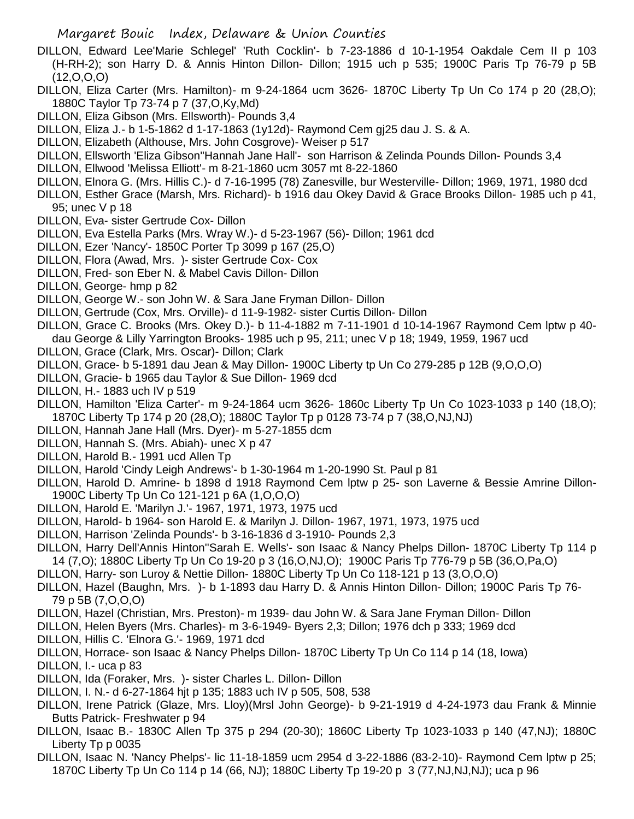- DILLON, Edward Lee'Marie Schlegel' 'Ruth Cocklin'- b 7-23-1886 d 10-1-1954 Oakdale Cem II p 103 (H-RH-2); son Harry D. & Annis Hinton Dillon- Dillon; 1915 uch p 535; 1900C Paris Tp 76-79 p 5B  $(12, 0, 0, 0)$
- DILLON, Eliza Carter (Mrs. Hamilton)- m 9-24-1864 ucm 3626- 1870C Liberty Tp Un Co 174 p 20 (28,O); 1880C Taylor Tp 73-74 p 7 (37,O,Ky,Md)
- DILLON, Eliza Gibson (Mrs. Ellsworth)- Pounds 3,4
- DILLON, Eliza J.- b 1-5-1862 d 1-17-1863 (1y12d)- Raymond Cem gj25 dau J. S. & A.
- DILLON, Elizabeth (Althouse, Mrs. John Cosgrove)- Weiser p 517
- DILLON, Ellsworth 'Eliza Gibson''Hannah Jane Hall'- son Harrison & Zelinda Pounds Dillon- Pounds 3,4
- DILLON, Ellwood 'Melissa Elliott'- m 8-21-1860 ucm 3057 mt 8-22-1860
- DILLON, Elnora G. (Mrs. Hillis C.)- d 7-16-1995 (78) Zanesville, bur Westerville- Dillon; 1969, 1971, 1980 dcd
- DILLON, Esther Grace (Marsh, Mrs. Richard)- b 1916 dau Okey David & Grace Brooks Dillon- 1985 uch p 41, 95; unec V p 18
- DILLON, Eva- sister Gertrude Cox- Dillon
- DILLON, Eva Estella Parks (Mrs. Wray W.)- d 5-23-1967 (56)- Dillon; 1961 dcd
- DILLON, Ezer 'Nancy'- 1850C Porter Tp 3099 p 167 (25,O)
- DILLON, Flora (Awad, Mrs. )- sister Gertrude Cox- Cox
- DILLON, Fred- son Eber N. & Mabel Cavis Dillon- Dillon
- DILLON, George- hmp p 82
- DILLON, George W.- son John W. & Sara Jane Fryman Dillon- Dillon
- DILLON, Gertrude (Cox, Mrs. Orville)- d 11-9-1982- sister Curtis Dillon- Dillon
- DILLON, Grace C. Brooks (Mrs. Okey D.)- b 11-4-1882 m 7-11-1901 d 10-14-1967 Raymond Cem lptw p 40 dau George & Lilly Yarrington Brooks- 1985 uch p 95, 211; unec V p 18; 1949, 1959, 1967 ucd
- DILLON, Grace (Clark, Mrs. Oscar)- Dillon; Clark
- DILLON, Grace- b 5-1891 dau Jean & May Dillon- 1900C Liberty tp Un Co 279-285 p 12B (9,O,O,O)
- DILLON, Gracie- b 1965 dau Taylor & Sue Dillon- 1969 dcd
- DILLON, H.- 1883 uch IV p 519
- DILLON, Hamilton 'Eliza Carter'- m 9-24-1864 ucm 3626- 1860c Liberty Tp Un Co 1023-1033 p 140 (18,O); 1870C Liberty Tp 174 p 20 (28,O); 1880C Taylor Tp p 0128 73-74 p 7 (38,O,NJ,NJ)
- DILLON, Hannah Jane Hall (Mrs. Dyer)- m 5-27-1855 dcm
- DILLON, Hannah S. (Mrs. Abiah)- unec X p 47
- DILLON, Harold B.- 1991 ucd Allen Tp
- DILLON, Harold 'Cindy Leigh Andrews'- b 1-30-1964 m 1-20-1990 St. Paul p 81
- DILLON, Harold D. Amrine- b 1898 d 1918 Raymond Cem lptw p 25- son Laverne & Bessie Amrine Dillon-1900C Liberty Tp Un Co 121-121 p 6A (1,O,O,O)
- DILLON, Harold E. 'Marilyn J.'- 1967, 1971, 1973, 1975 ucd
- DILLON, Harold- b 1964- son Harold E. & Marilyn J. Dillon- 1967, 1971, 1973, 1975 ucd
- DILLON, Harrison 'Zelinda Pounds'- b 3-16-1836 d 3-1910- Pounds 2,3
- DILLON, Harry Dell'Annis Hinton''Sarah E. Wells'- son Isaac & Nancy Phelps Dillon- 1870C Liberty Tp 114 p 14 (7,O); 1880C Liberty Tp Un Co 19-20 p 3 (16,O,NJ,O); 1900C Paris Tp 776-79 p 5B (36,O,Pa,O)
- DILLON, Harry- son Luroy & Nettie Dillon- 1880C Liberty Tp Un Co 118-121 p 13 (3,O,O,O)
- DILLON, Hazel (Baughn, Mrs. )- b 1-1893 dau Harry D. & Annis Hinton Dillon- Dillon; 1900C Paris Tp 76- 79 p 5B (7,O,O,O)
- DILLON, Hazel (Christian, Mrs. Preston)- m 1939- dau John W. & Sara Jane Fryman Dillon- Dillon
- DILLON, Helen Byers (Mrs. Charles)- m 3-6-1949- Byers 2,3; Dillon; 1976 dch p 333; 1969 dcd
- DILLON, Hillis C. 'Elnora G.'- 1969, 1971 dcd
- DILLON, Horrace- son Isaac & Nancy Phelps Dillon- 1870C Liberty Tp Un Co 114 p 14 (18, Iowa)

DILLON, I.- uca p 83

- DILLON, Ida (Foraker, Mrs. )- sister Charles L. Dillon- Dillon
- DILLON, I. N.- d 6-27-1864 hjt p 135; 1883 uch IV p 505, 508, 538
- DILLON, Irene Patrick (Glaze, Mrs. Lloy)(Mrsl John George)- b 9-21-1919 d 4-24-1973 dau Frank & Minnie Butts Patrick- Freshwater p 94
- DILLON, Isaac B.- 1830C Allen Tp 375 p 294 (20-30); 1860C Liberty Tp 1023-1033 p 140 (47,NJ); 1880C Liberty Tp p 0035
- DILLON, Isaac N. 'Nancy Phelps'- lic 11-18-1859 ucm 2954 d 3-22-1886 (83-2-10)- Raymond Cem lptw p 25; 1870C Liberty Tp Un Co 114 p 14 (66, NJ); 1880C Liberty Tp 19-20 p 3 (77,NJ,NJ,NJ); uca p 96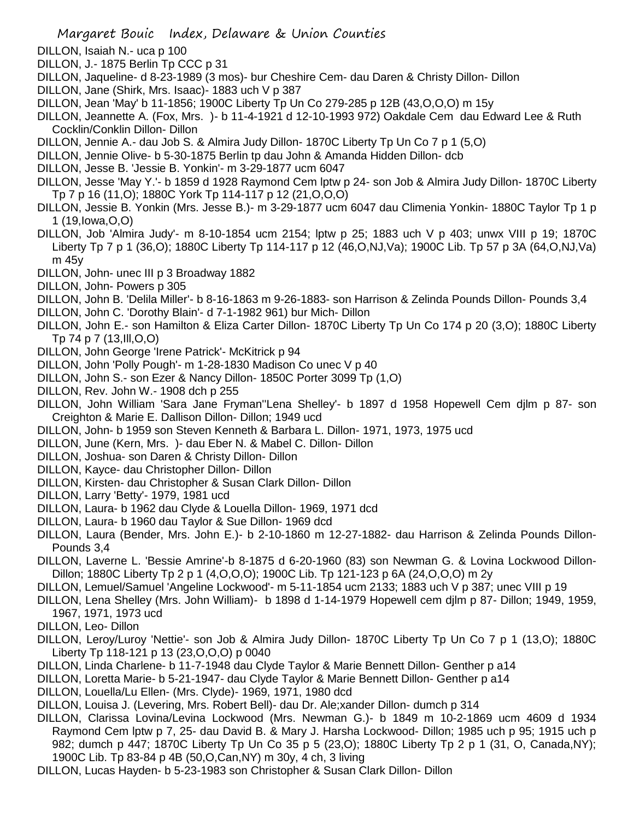- DILLON, Isaiah N.- uca p 100
- DILLON, J.- 1875 Berlin Tp CCC p 31
- DILLON, Jaqueline- d 8-23-1989 (3 mos)- bur Cheshire Cem- dau Daren & Christy Dillon- Dillon
- DILLON, Jane (Shirk, Mrs. Isaac)- 1883 uch V p 387
- DILLON, Jean 'May' b 11-1856; 1900C Liberty Tp Un Co 279-285 p 12B (43,O,O,O) m 15y
- DILLON, Jeannette A. (Fox, Mrs. )- b 11-4-1921 d 12-10-1993 972) Oakdale Cem dau Edward Lee & Ruth Cocklin/Conklin Dillon- Dillon
- DILLON, Jennie A.- dau Job S. & Almira Judy Dillon- 1870C Liberty Tp Un Co 7 p 1 (5,O)
- DILLON, Jennie Olive- b 5-30-1875 Berlin tp dau John & Amanda Hidden Dillon- dcb
- DILLON, Jesse B. 'Jessie B. Yonkin'- m 3-29-1877 ucm 6047
- DILLON, Jesse 'May Y.'- b 1859 d 1928 Raymond Cem lptw p 24- son Job & Almira Judy Dillon- 1870C Liberty Tp 7 p 16 (11,O); 1880C York Tp 114-117 p 12 (21,O,O,O)
- DILLON, Jessie B. Yonkin (Mrs. Jesse B.)- m 3-29-1877 ucm 6047 dau Climenia Yonkin- 1880C Taylor Tp 1 p 1 (19,Iowa,O,O)
- DILLON, Job 'Almira Judy'- m 8-10-1854 ucm 2154; lptw p 25; 1883 uch V p 403; unwx VIII p 19; 1870C Liberty Tp 7 p 1 (36,O); 1880C Liberty Tp 114-117 p 12 (46,O,NJ,Va); 1900C Lib. Tp 57 p 3A (64,O,NJ,Va) m 45y
- DILLON, John- unec III p 3 Broadway 1882
- DILLON, John- Powers p 305
- DILLON, John B. 'Delila Miller'- b 8-16-1863 m 9-26-1883- son Harrison & Zelinda Pounds Dillon- Pounds 3,4
- DILLON, John C. 'Dorothy Blain'- d 7-1-1982 961) bur Mich- Dillon
- DILLON, John E.- son Hamilton & Eliza Carter Dillon- 1870C Liberty Tp Un Co 174 p 20 (3,O); 1880C Liberty Tp 74 p 7 (13,Ill,O,O)
- DILLON, John George 'Irene Patrick'- McKitrick p 94
- DILLON, John 'Polly Pough'- m 1-28-1830 Madison Co unec V p 40
- DILLON, John S.- son Ezer & Nancy Dillon- 1850C Porter 3099 Tp (1,O)
- DILLON, Rev. John W.- 1908 dch p 255
- DILLON, John William 'Sara Jane Fryman''Lena Shelley'- b 1897 d 1958 Hopewell Cem djlm p 87- son Creighton & Marie E. Dallison Dillon- Dillon; 1949 ucd
- DILLON, John- b 1959 son Steven Kenneth & Barbara L. Dillon- 1971, 1973, 1975 ucd
- DILLON, June (Kern, Mrs. )- dau Eber N. & Mabel C. Dillon- Dillon
- DILLON, Joshua- son Daren & Christy Dillon- Dillon
- DILLON, Kayce- dau Christopher Dillon- Dillon
- DILLON, Kirsten- dau Christopher & Susan Clark Dillon- Dillon
- DILLON, Larry 'Betty'- 1979, 1981 ucd
- DILLON, Laura- b 1962 dau Clyde & Louella Dillon- 1969, 1971 dcd
- DILLON, Laura- b 1960 dau Taylor & Sue Dillon- 1969 dcd
- DILLON, Laura (Bender, Mrs. John E.)- b 2-10-1860 m 12-27-1882- dau Harrison & Zelinda Pounds Dillon-Pounds 3,4
- DILLON, Laverne L. 'Bessie Amrine'-b 8-1875 d 6-20-1960 (83) son Newman G. & Lovina Lockwood Dillon-Dillon; 1880C Liberty Tp 2 p 1 (4,O,O,O); 1900C Lib. Tp 121-123 p 6A (24,O,O,O) m 2y
- DILLON, Lemuel/Samuel 'Angeline Lockwood'- m 5-11-1854 ucm 2133; 1883 uch V p 387; unec VIII p 19
- DILLON, Lena Shelley (Mrs. John William)- b 1898 d 1-14-1979 Hopewell cem djlm p 87- Dillon; 1949, 1959, 1967, 1971, 1973 ucd
- DILLON, Leo- Dillon
- DILLON, Leroy/Luroy 'Nettie'- son Job & Almira Judy Dillon- 1870C Liberty Tp Un Co 7 p 1 (13,O); 1880C Liberty Tp 118-121 p 13 (23,O,O,O) p 0040
- DILLON, Linda Charlene- b 11-7-1948 dau Clyde Taylor & Marie Bennett Dillon- Genther p a14
- DILLON, Loretta Marie- b 5-21-1947- dau Clyde Taylor & Marie Bennett Dillon- Genther p a14
- DILLON, Louella/Lu Ellen- (Mrs. Clyde)- 1969, 1971, 1980 dcd
- DILLON, Louisa J. (Levering, Mrs. Robert Bell)- dau Dr. Ale;xander Dillon- dumch p 314
- DILLON, Clarissa Lovina/Levina Lockwood (Mrs. Newman G.)- b 1849 m 10-2-1869 ucm 4609 d 1934 Raymond Cem lptw p 7, 25- dau David B. & Mary J. Harsha Lockwood- Dillon; 1985 uch p 95; 1915 uch p 982; dumch p 447; 1870C Liberty Tp Un Co 35 p 5 (23,O); 1880C Liberty Tp 2 p 1 (31, O, Canada,NY); 1900C Lib. Tp 83-84 p 4B (50,O,Can,NY) m 30y, 4 ch, 3 living
- DILLON, Lucas Hayden- b 5-23-1983 son Christopher & Susan Clark Dillon- Dillon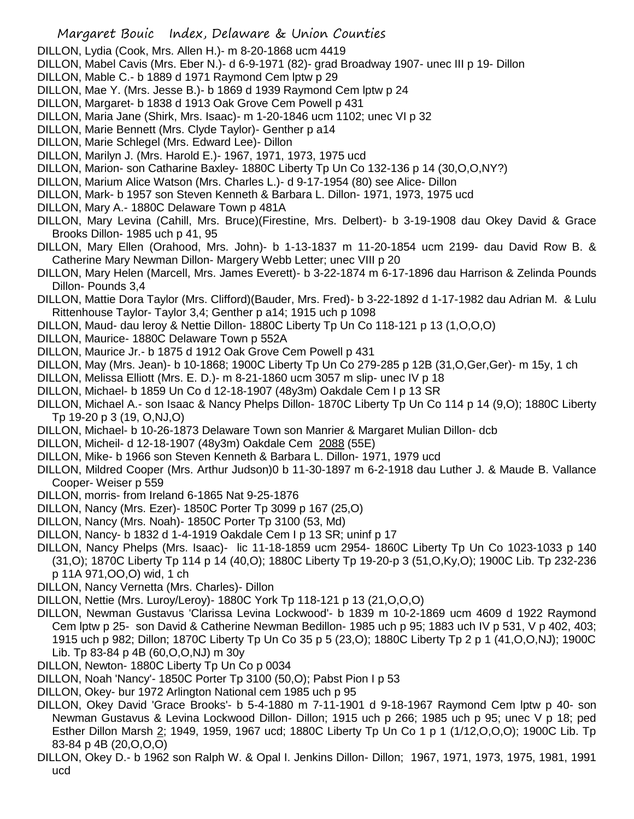- DILLON, Lydia (Cook, Mrs. Allen H.)- m 8-20-1868 ucm 4419
- DILLON, Mabel Cavis (Mrs. Eber N.)- d 6-9-1971 (82)- grad Broadway 1907- unec III p 19- Dillon
- DILLON, Mable C.- b 1889 d 1971 Raymond Cem lptw p 29
- DILLON, Mae Y. (Mrs. Jesse B.)- b 1869 d 1939 Raymond Cem lptw p 24
- DILLON, Margaret- b 1838 d 1913 Oak Grove Cem Powell p 431
- DILLON, Maria Jane (Shirk, Mrs. Isaac)- m 1-20-1846 ucm 1102; unec VI p 32
- DILLON, Marie Bennett (Mrs. Clyde Taylor)- Genther p a14
- DILLON, Marie Schlegel (Mrs. Edward Lee)- Dillon
- DILLON, Marilyn J. (Mrs. Harold E.)- 1967, 1971, 1973, 1975 ucd
- DILLON, Marion- son Catharine Baxley- 1880C Liberty Tp Un Co 132-136 p 14 (30,O,O,NY?)
- DILLON, Marium Alice Watson (Mrs. Charles L.)- d 9-17-1954 (80) see Alice- Dillon
- DILLON, Mark- b 1957 son Steven Kenneth & Barbara L. Dillon- 1971, 1973, 1975 ucd
- DILLON, Mary A.- 1880C Delaware Town p 481A
- DILLON, Mary Levina (Cahill, Mrs. Bruce)(Firestine, Mrs. Delbert)- b 3-19-1908 dau Okey David & Grace Brooks Dillon- 1985 uch p 41, 95
- DILLON, Mary Ellen (Orahood, Mrs. John)- b 1-13-1837 m 11-20-1854 ucm 2199- dau David Row B. & Catherine Mary Newman Dillon- Margery Webb Letter; unec VIII p 20
- DILLON, Mary Helen (Marcell, Mrs. James Everett)- b 3-22-1874 m 6-17-1896 dau Harrison & Zelinda Pounds Dillon- Pounds 3,4
- DILLON, Mattie Dora Taylor (Mrs. Clifford)(Bauder, Mrs. Fred)- b 3-22-1892 d 1-17-1982 dau Adrian M. & Lulu Rittenhouse Taylor- Taylor 3,4; Genther p a14; 1915 uch p 1098
- DILLON, Maud- dau leroy & Nettie Dillon- 1880C Liberty Tp Un Co 118-121 p 13 (1,O,O,O)
- DILLON, Maurice- 1880C Delaware Town p 552A
- DILLON, Maurice Jr.- b 1875 d 1912 Oak Grove Cem Powell p 431
- DILLON, May (Mrs. Jean)- b 10-1868; 1900C Liberty Tp Un Co 279-285 p 12B (31,O,Ger,Ger)- m 15y, 1 ch
- DILLON, Melissa Elliott (Mrs. E. D.)- m 8-21-1860 ucm 3057 m slip- unec IV p 18
- DILLON, Michael- b 1859 Un Co d 12-18-1907 (48y3m) Oakdale Cem I p 13 SR
- DILLON, Michael A.- son Isaac & Nancy Phelps Dillon- 1870C Liberty Tp Un Co 114 p 14 (9,O); 1880C Liberty Tp 19-20 p 3 (19, O,NJ,O)
- DILLON, Michael- b 10-26-1873 Delaware Town son Manrier & Margaret Mulian Dillon- dcb
- DILLON, Micheil- d 12-18-1907 (48y3m) Oakdale Cem 2088 (55E)
- DILLON, Mike- b 1966 son Steven Kenneth & Barbara L. Dillon- 1971, 1979 ucd
- DILLON, Mildred Cooper (Mrs. Arthur Judson)0 b 11-30-1897 m 6-2-1918 dau Luther J. & Maude B. Vallance Cooper- Weiser p 559
- DILLON, morris- from Ireland 6-1865 Nat 9-25-1876
- DILLON, Nancy (Mrs. Ezer)- 1850C Porter Tp 3099 p 167 (25,O)
- DILLON, Nancy (Mrs. Noah)- 1850C Porter Tp 3100 (53, Md)
- DILLON, Nancy- b 1832 d 1-4-1919 Oakdale Cem I p 13 SR; uninf p 17
- DILLON, Nancy Phelps (Mrs. Isaac)- lic 11-18-1859 ucm 2954- 1860C Liberty Tp Un Co 1023-1033 p 140 (31,O); 1870C Liberty Tp 114 p 14 (40,O); 1880C Liberty Tp 19-20-p 3 (51,O,Ky,O); 1900C Lib. Tp 232-236 p 11A 971,OO,O) wid, 1 ch
- DILLON, Nancy Vernetta (Mrs. Charles)- Dillon
- DILLON, Nettie (Mrs. Luroy/Leroy)- 1880C York Tp 118-121 p 13 (21,O,O,O)
- DILLON, Newman Gustavus 'Clarissa Levina Lockwood'- b 1839 m 10-2-1869 ucm 4609 d 1922 Raymond Cem lptw p 25- son David & Catherine Newman Bedillon- 1985 uch p 95; 1883 uch IV p 531, V p 402, 403; 1915 uch p 982; Dillon; 1870C Liberty Tp Un Co 35 p 5 (23,O); 1880C Liberty Tp 2 p 1 (41,O,O,NJ); 1900C Lib. Tp 83-84 p 4B (60,O,O,NJ) m 30y
- DILLON, Newton- 1880C Liberty Tp Un Co p 0034
- DILLON, Noah 'Nancy'- 1850C Porter Tp 3100 (50,O); Pabst Pion I p 53
- DILLON, Okey- bur 1972 Arlington National cem 1985 uch p 95
- DILLON, Okey David 'Grace Brooks'- b 5-4-1880 m 7-11-1901 d 9-18-1967 Raymond Cem lptw p 40- son Newman Gustavus & Levina Lockwood Dillon- Dillon; 1915 uch p 266; 1985 uch p 95; unec V p 18; ped Esther Dillon Marsh 2; 1949, 1959, 1967 ucd; 1880C Liberty Tp Un Co 1 p 1 (1/12,O,O,O); 1900C Lib. Tp 83-84 p 4B (20,O,O,O)
- DILLON, Okey D.- b 1962 son Ralph W. & Opal I. Jenkins Dillon- Dillon; 1967, 1971, 1973, 1975, 1981, 1991 ucd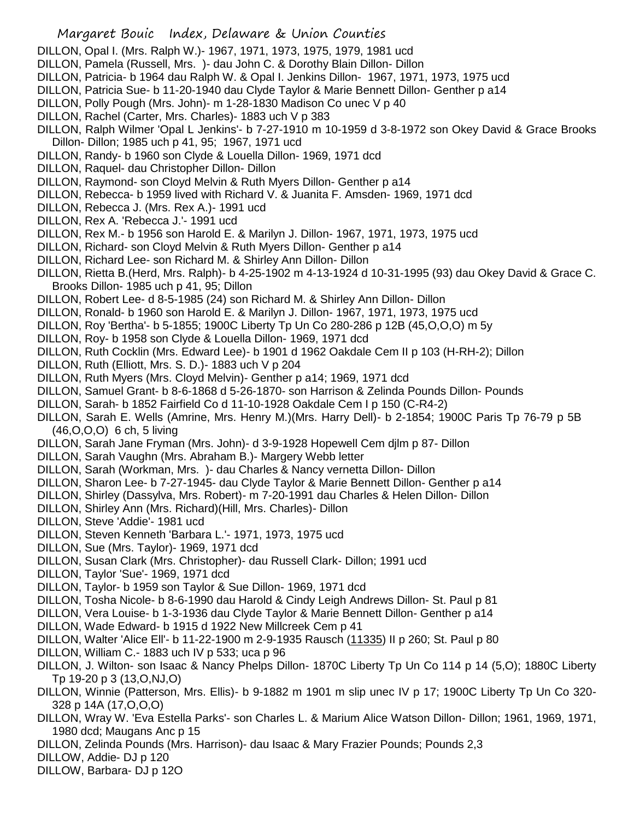- DILLON, Opal I. (Mrs. Ralph W.)- 1967, 1971, 1973, 1975, 1979, 1981 ucd
- DILLON, Pamela (Russell, Mrs. )- dau John C. & Dorothy Blain Dillon- Dillon
- DILLON, Patricia- b 1964 dau Ralph W. & Opal I. Jenkins Dillon- 1967, 1971, 1973, 1975 ucd
- DILLON, Patricia Sue- b 11-20-1940 dau Clyde Taylor & Marie Bennett Dillon- Genther p a14
- DILLON, Polly Pough (Mrs. John)- m 1-28-1830 Madison Co unec V p 40
- DILLON, Rachel (Carter, Mrs. Charles)- 1883 uch V p 383
- DILLON, Ralph Wilmer 'Opal L Jenkins'- b 7-27-1910 m 10-1959 d 3-8-1972 son Okey David & Grace Brooks Dillon- Dillon; 1985 uch p 41, 95; 1967, 1971 ucd
- DILLON, Randy- b 1960 son Clyde & Louella Dillon- 1969, 1971 dcd
- DILLON, Raquel- dau Christopher Dillon- Dillon
- DILLON, Raymond- son Cloyd Melvin & Ruth Myers Dillon- Genther p a14
- DILLON, Rebecca- b 1959 lived with Richard V. & Juanita F. Amsden- 1969, 1971 dcd
- DILLON, Rebecca J. (Mrs. Rex A.)- 1991 ucd
- DILLON, Rex A. 'Rebecca J.'- 1991 ucd
- DILLON, Rex M.- b 1956 son Harold E. & Marilyn J. Dillon- 1967, 1971, 1973, 1975 ucd
- DILLON, Richard- son Cloyd Melvin & Ruth Myers Dillon- Genther p a14
- DILLON, Richard Lee- son Richard M. & Shirley Ann Dillon- Dillon
- DILLON, Rietta B.(Herd, Mrs. Ralph)- b 4-25-1902 m 4-13-1924 d 10-31-1995 (93) dau Okey David & Grace C. Brooks Dillon- 1985 uch p 41, 95; Dillon
- DILLON, Robert Lee- d 8-5-1985 (24) son Richard M. & Shirley Ann Dillon- Dillon
- DILLON, Ronald- b 1960 son Harold E. & Marilyn J. Dillon- 1967, 1971, 1973, 1975 ucd
- DILLON, Roy 'Bertha'- b 5-1855; 1900C Liberty Tp Un Co 280-286 p 12B (45,O,O,O) m 5y
- DILLON, Roy- b 1958 son Clyde & Louella Dillon- 1969, 1971 dcd
- DILLON, Ruth Cocklin (Mrs. Edward Lee)- b 1901 d 1962 Oakdale Cem II p 103 (H-RH-2); Dillon
- DILLON, Ruth (Elliott, Mrs. S. D.)- 1883 uch V p 204
- DILLON, Ruth Myers (Mrs. Cloyd Melvin)- Genther p a14; 1969, 1971 dcd
- DILLON, Samuel Grant- b 8-6-1868 d 5-26-1870- son Harrison & Zelinda Pounds Dillon- Pounds
- DILLON, Sarah- b 1852 Fairfield Co d 11-10-1928 Oakdale Cem I p 150 (C-R4-2)
- DILLON, Sarah E. Wells (Amrine, Mrs. Henry M.)(Mrs. Harry Dell)- b 2-1854; 1900C Paris Tp 76-79 p 5B (46,O,O,O) 6 ch, 5 living
- DILLON, Sarah Jane Fryman (Mrs. John)- d 3-9-1928 Hopewell Cem djlm p 87- Dillon
- DILLON, Sarah Vaughn (Mrs. Abraham B.)- Margery Webb letter
- DILLON, Sarah (Workman, Mrs. )- dau Charles & Nancy vernetta Dillon- Dillon
- DILLON, Sharon Lee- b 7-27-1945- dau Clyde Taylor & Marie Bennett Dillon- Genther p a14
- DILLON, Shirley (Dassylva, Mrs. Robert)- m 7-20-1991 dau Charles & Helen Dillon- Dillon
- DILLON, Shirley Ann (Mrs. Richard)(Hill, Mrs. Charles)- Dillon
- DILLON, Steve 'Addie'- 1981 ucd
- DILLON, Steven Kenneth 'Barbara L.'- 1971, 1973, 1975 ucd
- DILLON, Sue (Mrs. Taylor)- 1969, 1971 dcd
- DILLON, Susan Clark (Mrs. Christopher)- dau Russell Clark- Dillon; 1991 ucd
- DILLON, Taylor 'Sue'- 1969, 1971 dcd
- DILLON, Taylor- b 1959 son Taylor & Sue Dillon- 1969, 1971 dcd
- DILLON, Tosha Nicole- b 8-6-1990 dau Harold & Cindy Leigh Andrews Dillon- St. Paul p 81
- DILLON, Vera Louise- b 1-3-1936 dau Clyde Taylor & Marie Bennett Dillon- Genther p a14
- DILLON, Wade Edward- b 1915 d 1922 New Millcreek Cem p 41
- DILLON, Walter 'Alice Ell'- b 11-22-1900 m 2-9-1935 Rausch (11335) II p 260; St. Paul p 80
- DILLON, William C.- 1883 uch IV p 533; uca p 96
- DILLON, J. Wilton- son Isaac & Nancy Phelps Dillon- 1870C Liberty Tp Un Co 114 p 14 (5,O); 1880C Liberty Tp 19-20 p 3 (13,O,NJ,O)
- DILLON, Winnie (Patterson, Mrs. Ellis)- b 9-1882 m 1901 m slip unec IV p 17; 1900C Liberty Tp Un Co 320- 328 p 14A (17,O,O,O)
- DILLON, Wray W. 'Eva Estella Parks'- son Charles L. & Marium Alice Watson Dillon- Dillon; 1961, 1969, 1971, 1980 dcd; Maugans Anc p 15
- DILLON, Zelinda Pounds (Mrs. Harrison)- dau Isaac & Mary Frazier Pounds; Pounds 2,3
- DILLOW, Addie- DJ p 120
- DILLOW, Barbara- DJ p 12O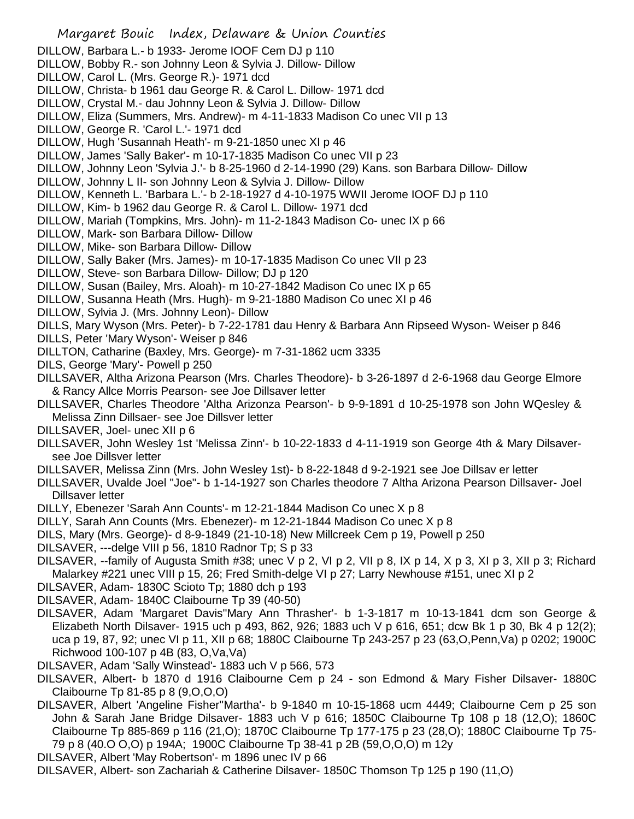Margaret Bouic Index, Delaware & Union Counties DILLOW, Barbara L.- b 1933- Jerome IOOF Cem DJ p 110 DILLOW, Bobby R.- son Johnny Leon & Sylvia J. Dillow- Dillow DILLOW, Carol L. (Mrs. George R.)- 1971 dcd DILLOW, Christa- b 1961 dau George R. & Carol L. Dillow- 1971 dcd DILLOW, Crystal M.- dau Johnny Leon & Sylvia J. Dillow- Dillow DILLOW, Eliza (Summers, Mrs. Andrew)- m 4-11-1833 Madison Co unec VII p 13 DILLOW, George R. 'Carol L.'- 1971 dcd DILLOW, Hugh 'Susannah Heath'- m 9-21-1850 unec XI p 46 DILLOW, James 'Sally Baker'- m 10-17-1835 Madison Co unec VII p 23 DILLOW, Johnny Leon 'Sylvia J.'- b 8-25-1960 d 2-14-1990 (29) Kans. son Barbara Dillow- Dillow DILLOW, Johnny L II- son Johnny Leon & Sylvia J. Dillow- Dillow DILLOW, Kenneth L. 'Barbara L.'- b 2-18-1927 d 4-10-1975 WWII Jerome IOOF DJ p 110 DILLOW, Kim- b 1962 dau George R. & Carol L. Dillow- 1971 dcd DILLOW, Mariah (Tompkins, Mrs. John)- m 11-2-1843 Madison Co- unec IX p 66 DILLOW, Mark- son Barbara Dillow- Dillow DILLOW, Mike- son Barbara Dillow- Dillow DILLOW, Sally Baker (Mrs. James)- m 10-17-1835 Madison Co unec VII p 23 DILLOW, Steve- son Barbara Dillow- Dillow; DJ p 120 DILLOW, Susan (Bailey, Mrs. Aloah)- m 10-27-1842 Madison Co unec IX p 65 DILLOW, Susanna Heath (Mrs. Hugh)- m 9-21-1880 Madison Co unec XI p 46 DILLOW, Sylvia J. (Mrs. Johnny Leon)- Dillow DILLS, Mary Wyson (Mrs. Peter)- b 7-22-1781 dau Henry & Barbara Ann Ripseed Wyson- Weiser p 846 DILLS, Peter 'Mary Wyson'- Weiser p 846 DILLTON, Catharine (Baxley, Mrs. George)- m 7-31-1862 ucm 3335 DILS, George 'Mary'- Powell p 250 DILLSAVER, Altha Arizona Pearson (Mrs. Charles Theodore)- b 3-26-1897 d 2-6-1968 dau George Elmore & Rancy Allce Morris Pearson- see Joe Dillsaver letter DILLSAVER, Charles Theodore 'Altha Arizonza Pearson'- b 9-9-1891 d 10-25-1978 son John WQesley & Melissa Zinn Dillsaer- see Joe Dillsver letter DILLSAVER, Joel- unec XII p 6 DILLSAVER, John Wesley 1st 'Melissa Zinn'- b 10-22-1833 d 4-11-1919 son George 4th & Mary Dilsaversee Joe Dillsver letter DILLSAVER, Melissa Zinn (Mrs. John Wesley 1st)- b 8-22-1848 d 9-2-1921 see Joe Dillsav er letter DILLSAVER, Uvalde Joel "Joe"- b 1-14-1927 son Charles theodore 7 Altha Arizona Pearson Dillsaver- Joel Dillsaver letter DILLY, Ebenezer 'Sarah Ann Counts'- m 12-21-1844 Madison Co unec X p 8 DILLY, Sarah Ann Counts (Mrs. Ebenezer)- m 12-21-1844 Madison Co unec X p 8 DILS, Mary (Mrs. George)- d 8-9-1849 (21-10-18) New Millcreek Cem p 19, Powell p 250 DILSAVER, ---delge VIII p 56, 1810 Radnor Tp; S p 33 DILSAVER, --family of Augusta Smith #38; unec V p 2, VI p 2, VII p 8, IX p 14, X p 3, XI p 3, XII p 3; Richard Malarkey #221 unec VIII p 15, 26; Fred Smith-delge VI p 27; Larry Newhouse #151, unec XI p 2 DILSAVER, Adam- 1830C Scioto Tp; 1880 dch p 193 DILSAVER, Adam- 1840C Claibourne Tp 39 (40-50) DILSAVER, Adam 'Margaret Davis''Mary Ann Thrasher'- b 1-3-1817 m 10-13-1841 dcm son George & Elizabeth North Dilsaver- 1915 uch p 493, 862, 926; 1883 uch V p 616, 651; dcw Bk 1 p 30, Bk 4 p 12(2); uca p 19, 87, 92; unec VI p 11, XII p 68; 1880C Claibourne Tp 243-257 p 23 (63,O,Penn,Va) p 0202; 1900C Richwood 100-107 p 4B (83, O,Va,Va) DILSAVER, Adam 'Sally Winstead'- 1883 uch V p 566, 573 DILSAVER, Albert- b 1870 d 1916 Claibourne Cem p 24 - son Edmond & Mary Fisher Dilsaver- 1880C Claibourne Tp 81-85 p 8 (9,O,O,O) DILSAVER, Albert 'Angeline Fisher''Martha'- b 9-1840 m 10-15-1868 ucm 4449; Claibourne Cem p 25 son John & Sarah Jane Bridge Dilsaver- 1883 uch V p 616; 1850C Claibourne Tp 108 p 18 (12,O); 1860C Claibourne Tp 885-869 p 116 (21,O); 1870C Claibourne Tp 177-175 p 23 (28,O); 1880C Claibourne Tp 75- 79 p 8 (40.O O,O) p 194A; 1900C Claibourne Tp 38-41 p 2B (59,O,O,O) m 12y DILSAVER, Albert 'May Robertson'- m 1896 unec IV p 66 DILSAVER, Albert- son Zachariah & Catherine Dilsaver- 1850C Thomson Tp 125 p 190 (11,O)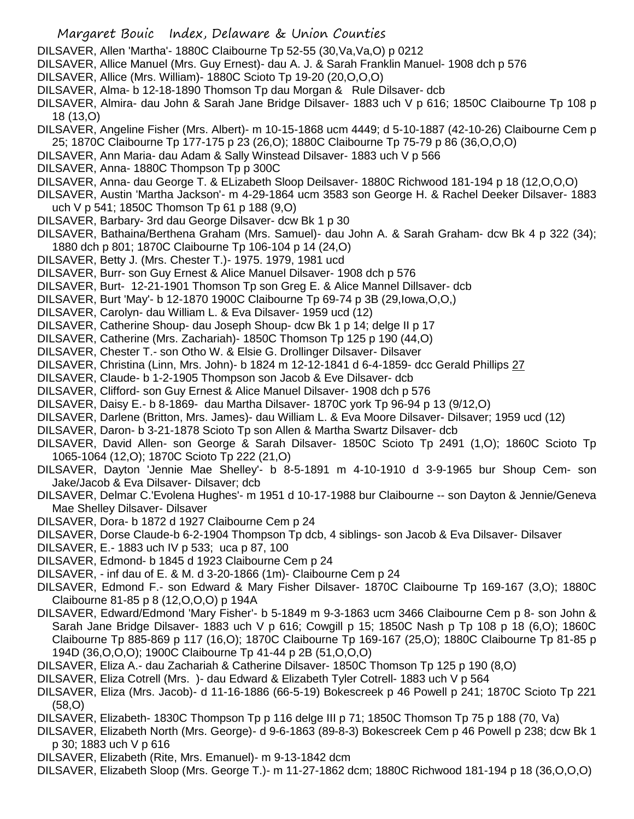- DILSAVER, Allen 'Martha'- 1880C Claibourne Tp 52-55 (30,Va,Va,O) p 0212
- DILSAVER, Allice Manuel (Mrs. Guy Ernest)- dau A. J. & Sarah Franklin Manuel- 1908 dch p 576
- DILSAVER, Allice (Mrs. William)- 1880C Scioto Tp 19-20 (20,O,O,O)
- DILSAVER, Alma- b 12-18-1890 Thomson Tp dau Morgan & Rule Dilsaver- dcb
- DILSAVER, Almira- dau John & Sarah Jane Bridge Dilsaver- 1883 uch V p 616; 1850C Claibourne Tp 108 p 18 (13,O)
- DILSAVER, Angeline Fisher (Mrs. Albert)- m 10-15-1868 ucm 4449; d 5-10-1887 (42-10-26) Claibourne Cem p 25; 1870C Claibourne Tp 177-175 p 23 (26,O); 1880C Claibourne Tp 75-79 p 86 (36,O,O,O)
- DILSAVER, Ann Maria- dau Adam & Sally Winstead Dilsaver- 1883 uch V p 566
- DILSAVER, Anna- 1880C Thompson Tp p 300C
- DILSAVER, Anna- dau George T. & ELizabeth Sloop Deilsaver- 1880C Richwood 181-194 p 18 (12,O,O,O)
- DILSAVER, Austin 'Martha Jackson'- m 4-29-1864 ucm 3583 son George H. & Rachel Deeker Dilsaver- 1883 uch V p 541; 1850C Thomson Tp 61 p 188 (9,O)
- DILSAVER, Barbary- 3rd dau George Dilsaver- dcw Bk 1 p 30
- DILSAVER, Bathaina/Berthena Graham (Mrs. Samuel)- dau John A. & Sarah Graham- dcw Bk 4 p 322 (34); 1880 dch p 801; 1870C Claibourne Tp 106-104 p 14 (24,O)
- DILSAVER, Betty J. (Mrs. Chester T.)- 1975. 1979, 1981 ucd
- DILSAVER, Burr- son Guy Ernest & Alice Manuel Dilsaver- 1908 dch p 576
- DILSAVER, Burt- 12-21-1901 Thomson Tp son Greg E. & Alice Mannel Dillsaver- dcb
- DILSAVER, Burt 'May'- b 12-1870 1900C Claibourne Tp 69-74 p 3B (29,Iowa,O,O,)
- DILSAVER, Carolyn- dau William L. & Eva Dilsaver- 1959 ucd (12)
- DILSAVER, Catherine Shoup- dau Joseph Shoup- dcw Bk 1 p 14; delge II p 17
- DILSAVER, Catherine (Mrs. Zachariah)- 1850C Thomson Tp 125 p 190 (44,O)
- DILSAVER, Chester T.- son Otho W. & Elsie G. Drollinger Dilsaver- Dilsaver
- DILSAVER, Christina (Linn, Mrs. John)- b 1824 m 12-12-1841 d 6-4-1859- dcc Gerald Phillips 27
- DILSAVER, Claude- b 1-2-1905 Thompson son Jacob & Eve Dilsaver- dcb
- DILSAVER, Clifford- son Guy Ernest & Alice Manuel Dilsaver- 1908 dch p 576
- DILSAVER, Daisy E.- b 8-1869- dau Martha Dilsaver- 1870C york Tp 96-94 p 13 (9/12,O)
- DILSAVER, Darlene (Britton, Mrs. James)- dau William L. & Eva Moore Dilsaver- Dilsaver; 1959 ucd (12)
- DILSAVER, Daron- b 3-21-1878 Scioto Tp son Allen & Martha Swartz Dilsaver- dcb
- DILSAVER, David Allen- son George & Sarah Dilsaver- 1850C Scioto Tp 2491 (1,O); 1860C Scioto Tp 1065-1064 (12,O); 1870C Scioto Tp 222 (21,O)
- DILSAVER, Dayton 'Jennie Mae Shelley'- b 8-5-1891 m 4-10-1910 d 3-9-1965 bur Shoup Cem- son Jake/Jacob & Eva Dilsaver- Dilsaver; dcb
- DILSAVER, Delmar C.'Evolena Hughes'- m 1951 d 10-17-1988 bur Claibourne -- son Dayton & Jennie/Geneva Mae Shelley Dilsaver- Dilsaver
- DILSAVER, Dora- b 1872 d 1927 Claibourne Cem p 24
- DILSAVER, Dorse Claude-b 6-2-1904 Thompson Tp dcb, 4 siblings- son Jacob & Eva Dilsaver- Dilsaver
- DILSAVER, E.- 1883 uch IV p 533; uca p 87, 100
- DILSAVER, Edmond- b 1845 d 1923 Claibourne Cem p 24
- DILSAVER, inf dau of E. & M. d 3-20-1866 (1m)- Claibourne Cem p 24
- DILSAVER, Edmond F.- son Edward & Mary Fisher Dilsaver- 1870C Claibourne Tp 169-167 (3,O); 1880C Claibourne 81-85 p 8 (12,O,O,O) p 194A
- DILSAVER, Edward/Edmond 'Mary Fisher'- b 5-1849 m 9-3-1863 ucm 3466 Claibourne Cem p 8- son John & Sarah Jane Bridge Dilsaver- 1883 uch V p 616; Cowgill p 15; 1850C Nash p Tp 108 p 18 (6,O); 1860C Claibourne Tp 885-869 p 117 (16,O); 1870C Claibourne Tp 169-167 (25,O); 1880C Claibourne Tp 81-85 p 194D (36,O,O,O); 1900C Claibourne Tp 41-44 p 2B (51,O,O,O)
- DILSAVER, Eliza A.- dau Zachariah & Catherine Dilsaver- 1850C Thomson Tp 125 p 190 (8,O)
- DILSAVER, Eliza Cotrell (Mrs. )- dau Edward & Elizabeth Tyler Cotrell- 1883 uch V p 564
- DILSAVER, Eliza (Mrs. Jacob)- d 11-16-1886 (66-5-19) Bokescreek p 46 Powell p 241; 1870C Scioto Tp 221 (58,O)
- DILSAVER, Elizabeth- 1830C Thompson Tp p 116 delge III p 71; 1850C Thomson Tp 75 p 188 (70, Va)
- DILSAVER, Elizabeth North (Mrs. George)- d 9-6-1863 (89-8-3) Bokescreek Cem p 46 Powell p 238; dcw Bk 1 p 30; 1883 uch V p 616
- DILSAVER, Elizabeth (Rite, Mrs. Emanuel)- m 9-13-1842 dcm
- DILSAVER, Elizabeth Sloop (Mrs. George T.)- m 11-27-1862 dcm; 1880C Richwood 181-194 p 18 (36,O,O,O)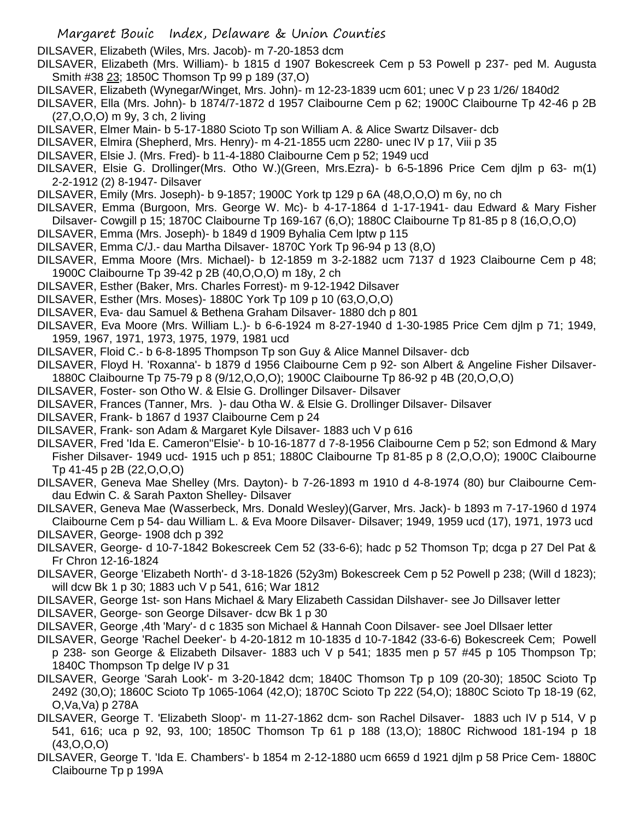DILSAVER, Elizabeth (Wiles, Mrs. Jacob)- m 7-20-1853 dcm

- DILSAVER, Elizabeth (Mrs. William)- b 1815 d 1907 Bokescreek Cem p 53 Powell p 237- ped M. Augusta Smith #38 23; 1850C Thomson Tp 99 p 189 (37,O)
- DILSAVER, Elizabeth (Wynegar/Winget, Mrs. John)- m 12-23-1839 ucm 601; unec V p 23 1/26/ 1840d2
- DILSAVER, Ella (Mrs. John)- b 1874/7-1872 d 1957 Claibourne Cem p 62; 1900C Claibourne Tp 42-46 p 2B (27,O,O,O) m 9y, 3 ch, 2 living
- DILSAVER, Elmer Main- b 5-17-1880 Scioto Tp son William A. & Alice Swartz Dilsaver- dcb
- DILSAVER, Elmira (Shepherd, Mrs. Henry)- m 4-21-1855 ucm 2280- unec IV p 17, Viii p 35
- DILSAVER, Elsie J. (Mrs. Fred)- b 11-4-1880 Claibourne Cem p 52; 1949 ucd
- DILSAVER, Elsie G. Drollinger(Mrs. Otho W.)(Green, Mrs.Ezra)- b 6-5-1896 Price Cem djlm p 63- m(1) 2-2-1912 (2) 8-1947- Dilsaver
- DILSAVER, Emily (Mrs. Joseph)- b 9-1857; 1900C York tp 129 p 6A (48,O,O,O) m 6y, no ch
- DILSAVER, Emma (Burgoon, Mrs. George W. Mc)- b 4-17-1864 d 1-17-1941- dau Edward & Mary Fisher Dilsaver- Cowgill p 15; 1870C Claibourne Tp 169-167 (6,O); 1880C Claibourne Tp 81-85 p 8 (16,O,O,O)
- DILSAVER, Emma (Mrs. Joseph)- b 1849 d 1909 Byhalia Cem lptw p 115
- DILSAVER, Emma C/J.- dau Martha Dilsaver- 1870C York Tp 96-94 p 13 (8,O)
- DILSAVER, Emma Moore (Mrs. Michael)- b 12-1859 m 3-2-1882 ucm 7137 d 1923 Claibourne Cem p 48; 1900C Claibourne Tp 39-42 p 2B (40,O,O,O) m 18y, 2 ch
- DILSAVER, Esther (Baker, Mrs. Charles Forrest)- m 9-12-1942 Dilsaver
- DILSAVER, Esther (Mrs. Moses)- 1880C York Tp 109 p 10 (63,O,O,O)
- DILSAVER, Eva- dau Samuel & Bethena Graham Dilsaver- 1880 dch p 801
- DILSAVER, Eva Moore (Mrs. William L.)- b 6-6-1924 m 8-27-1940 d 1-30-1985 Price Cem djlm p 71; 1949, 1959, 1967, 1971, 1973, 1975, 1979, 1981 ucd
- DILSAVER, Floid C.- b 6-8-1895 Thompson Tp son Guy & Alice Mannel Dilsaver- dcb
- DILSAVER, Floyd H. 'Roxanna'- b 1879 d 1956 Claibourne Cem p 92- son Albert & Angeline Fisher Dilsaver-1880C Claibourne Tp 75-79 p 8 (9/12,O,O,O); 1900C Claibourne Tp 86-92 p 4B (20,O,O,O)
- DILSAVER, Foster- son Otho W. & Elsie G. Drollinger Dilsaver- Dilsaver
- DILSAVER, Frances (Tanner, Mrs. )- dau Otha W. & Elsie G. Drollinger Dilsaver- Dilsaver
- DILSAVER, Frank- b 1867 d 1937 Claibourne Cem p 24
- DILSAVER, Frank- son Adam & Margaret Kyle Dilsaver- 1883 uch V p 616
- DILSAVER, Fred 'Ida E. Cameron''Elsie'- b 10-16-1877 d 7-8-1956 Claibourne Cem p 52; son Edmond & Mary Fisher Dilsaver- 1949 ucd- 1915 uch p 851; 1880C Claibourne Tp 81-85 p 8 (2,O,O,O); 1900C Claibourne Tp 41-45 p 2B (22,O,O,O)
- DILSAVER, Geneva Mae Shelley (Mrs. Dayton)- b 7-26-1893 m 1910 d 4-8-1974 (80) bur Claibourne Cemdau Edwin C. & Sarah Paxton Shelley- Dilsaver
- DILSAVER, Geneva Mae (Wasserbeck, Mrs. Donald Wesley)(Garver, Mrs. Jack)- b 1893 m 7-17-1960 d 1974 Claibourne Cem p 54- dau William L. & Eva Moore Dilsaver- Dilsaver; 1949, 1959 ucd (17), 1971, 1973 ucd
- DILSAVER, George- 1908 dch p 392
- DILSAVER, George- d 10-7-1842 Bokescreek Cem 52 (33-6-6); hadc p 52 Thomson Tp; dcga p 27 Del Pat & Fr Chron 12-16-1824
- DILSAVER, George 'Elizabeth North'- d 3-18-1826 (52y3m) Bokescreek Cem p 52 Powell p 238; (Will d 1823); will dcw Bk 1 p 30; 1883 uch V p 541, 616; War 1812
- DILSAVER, George 1st- son Hans Michael & Mary Elizabeth Cassidan Dilshaver- see Jo Dillsaver letter
- DILSAVER, George- son George Dilsaver- dcw Bk 1 p 30
- DILSAVER, George ,4th 'Mary'- d c 1835 son Michael & Hannah Coon Dilsaver- see Joel Dllsaer letter
- DILSAVER, George 'Rachel Deeker'- b 4-20-1812 m 10-1835 d 10-7-1842 (33-6-6) Bokescreek Cem; Powell p 238- son George & Elizabeth Dilsaver- 1883 uch V p 541; 1835 men p 57 #45 p 105 Thompson Tp; 1840C Thompson Tp delge IV p 31
- DILSAVER, George 'Sarah Look'- m 3-20-1842 dcm; 1840C Thomson Tp p 109 (20-30); 1850C Scioto Tp 2492 (30,O); 1860C Scioto Tp 1065-1064 (42,O); 1870C Scioto Tp 222 (54,O); 1880C Scioto Tp 18-19 (62, O,Va,Va) p 278A
- DILSAVER, George T. 'Elizabeth Sloop'- m 11-27-1862 dcm- son Rachel Dilsaver- 1883 uch IV p 514, V p 541, 616; uca p 92, 93, 100; 1850C Thomson Tp 61 p 188 (13,O); 1880C Richwood 181-194 p 18 (43,O,O,O)
- DILSAVER, George T. 'Ida E. Chambers'- b 1854 m 2-12-1880 ucm 6659 d 1921 djlm p 58 Price Cem- 1880C Claibourne Tp p 199A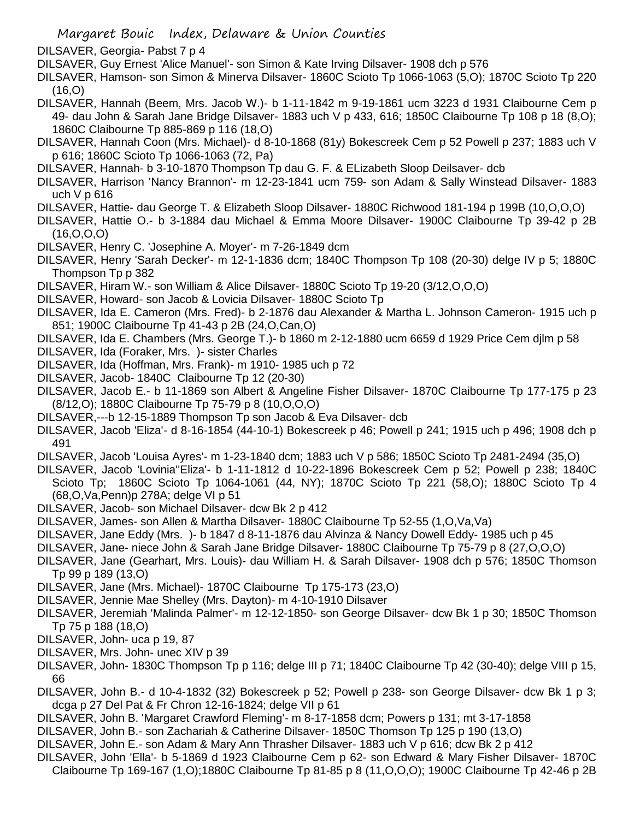- DILSAVER, Georgia- Pabst 7 p 4
- DILSAVER, Guy Ernest 'Alice Manuel'- son Simon & Kate Irving Dilsaver- 1908 dch p 576
- DILSAVER, Hamson- son Simon & Minerva Dilsaver- 1860C Scioto Tp 1066-1063 (5,O); 1870C Scioto Tp 220 (16,O)
- DILSAVER, Hannah (Beem, Mrs. Jacob W.)- b 1-11-1842 m 9-19-1861 ucm 3223 d 1931 Claibourne Cem p 49- dau John & Sarah Jane Bridge Dilsaver- 1883 uch V p 433, 616; 1850C Claibourne Tp 108 p 18 (8,O); 1860C Claibourne Tp 885-869 p 116 (18,O)
- DILSAVER, Hannah Coon (Mrs. Michael)- d 8-10-1868 (81y) Bokescreek Cem p 52 Powell p 237; 1883 uch V p 616; 1860C Scioto Tp 1066-1063 (72, Pa)
- DILSAVER, Hannah- b 3-10-1870 Thompson Tp dau G. F. & ELizabeth Sloop Deilsaver- dcb
- DILSAVER, Harrison 'Nancy Brannon'- m 12-23-1841 ucm 759- son Adam & Sally Winstead Dilsaver- 1883 uch V p 616
- DILSAVER, Hattie- dau George T. & Elizabeth Sloop Dilsaver- 1880C Richwood 181-194 p 199B (10,O,O,O)
- DILSAVER, Hattie O.- b 3-1884 dau Michael & Emma Moore Dilsaver- 1900C Claibourne Tp 39-42 p 2B (16,O,O,O)
- DILSAVER, Henry C. 'Josephine A. Moyer'- m 7-26-1849 dcm
- DILSAVER, Henry 'Sarah Decker'- m 12-1-1836 dcm; 1840C Thompson Tp 108 (20-30) delge IV p 5; 1880C Thompson Tp p 382
- DILSAVER, Hiram W.- son William & Alice Dilsaver- 1880C Scioto Tp 19-20 (3/12,O,O,O)
- DILSAVER, Howard- son Jacob & Lovicia Dilsaver- 1880C Scioto Tp
- DILSAVER, Ida E. Cameron (Mrs. Fred)- b 2-1876 dau Alexander & Martha L. Johnson Cameron- 1915 uch p 851; 1900C Claibourne Tp 41-43 p 2B (24,O,Can,O)
- DILSAVER, Ida E. Chambers (Mrs. George T.)- b 1860 m 2-12-1880 ucm 6659 d 1929 Price Cem djlm p 58
- DILSAVER, Ida (Foraker, Mrs. )- sister Charles
- DILSAVER, Ida (Hoffman, Mrs. Frank)- m 1910- 1985 uch p 72
- DILSAVER, Jacob- 1840C Claibourne Tp 12 (20-30)
- DILSAVER, Jacob E.- b 11-1869 son Albert & Angeline Fisher Dilsaver- 1870C Claibourne Tp 177-175 p 23 (8/12,O); 1880C Claibourne Tp 75-79 p 8 (10,O,O,O)
- DILSAVER,---b 12-15-1889 Thompson Tp son Jacob & Eva Dilsaver- dcb
- DILSAVER, Jacob 'Eliza'- d 8-16-1854 (44-10-1) Bokescreek p 46; Powell p 241; 1915 uch p 496; 1908 dch p 491
- DILSAVER, Jacob 'Louisa Ayres'- m 1-23-1840 dcm; 1883 uch V p 586; 1850C Scioto Tp 2481-2494 (35,O)
- DILSAVER, Jacob 'Lovinia''Eliza'- b 1-11-1812 d 10-22-1896 Bokescreek Cem p 52; Powell p 238; 1840C Scioto Tp; 1860C Scioto Tp 1064-1061 (44, NY); 1870C Scioto Tp 221 (58,O); 1880C Scioto Tp 4 (68,O,Va,Penn)p 278A; delge VI p 51
- DILSAVER, Jacob- son Michael Dilsaver- dcw Bk 2 p 412
- DILSAVER, James- son Allen & Martha Dilsaver- 1880C Claibourne Tp 52-55 (1,O,Va,Va)
- DILSAVER, Jane Eddy (Mrs. )- b 1847 d 8-11-1876 dau Alvinza & Nancy Dowell Eddy- 1985 uch p 45
- DILSAVER, Jane- niece John & Sarah Jane Bridge Dilsaver- 1880C Claibourne Tp 75-79 p 8 (27,O,O,O)
- DILSAVER, Jane (Gearhart, Mrs. Louis)- dau William H. & Sarah Dilsaver- 1908 dch p 576; 1850C Thomson Tp 99 p 189 (13,O)
- DILSAVER, Jane (Mrs. Michael)- 1870C Claibourne Tp 175-173 (23,O)
- DILSAVER, Jennie Mae Shelley (Mrs. Dayton)- m 4-10-1910 Dilsaver
- DILSAVER, Jeremiah 'Malinda Palmer'- m 12-12-1850- son George Dilsaver- dcw Bk 1 p 30; 1850C Thomson Tp 75 p 188 (18,O)
- DILSAVER, John- uca p 19, 87
- DILSAVER, Mrs. John- unec XIV p 39
- DILSAVER, John- 1830C Thompson Tp p 116; delge III p 71; 1840C Claibourne Tp 42 (30-40); delge VIII p 15, 66
- DILSAVER, John B.- d 10-4-1832 (32) Bokescreek p 52; Powell p 238- son George Dilsaver- dcw Bk 1 p 3; dcga p 27 Del Pat & Fr Chron 12-16-1824; delge VII p 61
- DILSAVER, John B. 'Margaret Crawford Fleming'- m 8-17-1858 dcm; Powers p 131; mt 3-17-1858
- DILSAVER, John B.- son Zachariah & Catherine Dilsaver- 1850C Thomson Tp 125 p 190 (13,O)
- DILSAVER, John E.- son Adam & Mary Ann Thrasher Dilsaver- 1883 uch V p 616; dcw Bk 2 p 412
- DILSAVER, John 'Ella'- b 5-1869 d 1923 Claibourne Cem p 62- son Edward & Mary Fisher Dilsaver- 1870C Claibourne Tp 169-167 (1,O);1880C Claibourne Tp 81-85 p 8 (11,O,O,O); 1900C Claibourne Tp 42-46 p 2B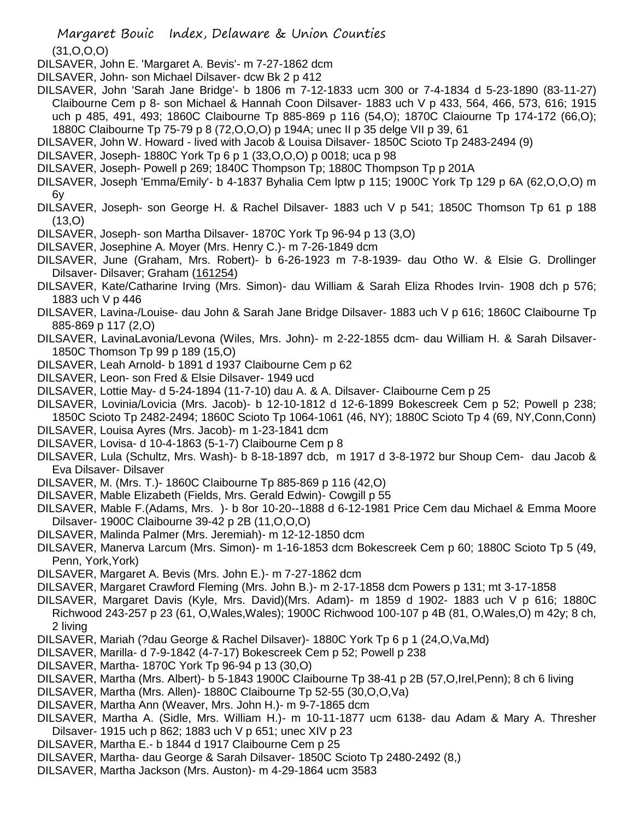(31,O,O,O)

DILSAVER, John E. 'Margaret A. Bevis'- m 7-27-1862 dcm

- DILSAVER, John- son Michael Dilsaver- dcw Bk 2 p 412
- DILSAVER, John 'Sarah Jane Bridge'- b 1806 m 7-12-1833 ucm 300 or 7-4-1834 d 5-23-1890 (83-11-27) Claibourne Cem p 8- son Michael & Hannah Coon Dilsaver- 1883 uch V p 433, 564, 466, 573, 616; 1915 uch p 485, 491, 493; 1860C Claibourne Tp 885-869 p 116 (54,O); 1870C Claiourne Tp 174-172 (66,O); 1880C Claibourne Tp 75-79 p 8 (72,O,O,O) p 194A; unec II p 35 delge VII p 39, 61
- DILSAVER, John W. Howard lived with Jacob & Louisa Dilsaver- 1850C Scioto Tp 2483-2494 (9)
- DILSAVER, Joseph- 1880C York Tp 6 p 1 (33,O,O,O) p 0018; uca p 98
- DILSAVER, Joseph- Powell p 269; 1840C Thompson Tp; 1880C Thompson Tp p 201A
- DILSAVER, Joseph 'Emma/Emily'- b 4-1837 Byhalia Cem lptw p 115; 1900C York Tp 129 p 6A (62,O,O,O) m 6y
- DILSAVER, Joseph- son George H. & Rachel Dilsaver- 1883 uch V p 541; 1850C Thomson Tp 61 p 188 (13,O)
- DILSAVER, Joseph- son Martha Dilsaver- 1870C York Tp 96-94 p 13 (3,O)
- DILSAVER, Josephine A. Moyer (Mrs. Henry C.)- m 7-26-1849 dcm
- DILSAVER, June (Graham, Mrs. Robert)- b 6-26-1923 m 7-8-1939- dau Otho W. & Elsie G. Drollinger Dilsaver- Dilsaver; Graham (161254)
- DILSAVER, Kate/Catharine Irving (Mrs. Simon)- dau William & Sarah Eliza Rhodes Irvin- 1908 dch p 576; 1883 uch V p 446
- DILSAVER, Lavina-/Louise- dau John & Sarah Jane Bridge Dilsaver- 1883 uch V p 616; 1860C Claibourne Tp 885-869 p 117 (2,O)
- DILSAVER, LavinaLavonia/Levona (Wiles, Mrs. John)- m 2-22-1855 dcm- dau William H. & Sarah Dilsaver-1850C Thomson Tp 99 p 189 (15,O)
- DILSAVER, Leah Arnold- b 1891 d 1937 Claibourne Cem p 62
- DILSAVER, Leon- son Fred & Elsie Dilsaver- 1949 ucd
- DILSAVER, Lottie May- d 5-24-1894 (11-7-10) dau A. & A. Dilsaver- Claibourne Cem p 25
- DILSAVER, Lovinia/Lovicia (Mrs. Jacob)- b 12-10-1812 d 12-6-1899 Bokescreek Cem p 52; Powell p 238; 1850C Scioto Tp 2482-2494; 1860C Scioto Tp 1064-1061 (46, NY); 1880C Scioto Tp 4 (69, NY,Conn,Conn)
- DILSAVER, Louisa Ayres (Mrs. Jacob)- m 1-23-1841 dcm
- DILSAVER, Lovisa- d 10-4-1863 (5-1-7) Claibourne Cem p 8
- DILSAVER, Lula (Schultz, Mrs. Wash)- b 8-18-1897 dcb, m 1917 d 3-8-1972 bur Shoup Cem- dau Jacob & Eva Dilsaver- Dilsaver
- DILSAVER, M. (Mrs. T.)- 1860C Claibourne Tp 885-869 p 116 (42,O)
- DILSAVER, Mable Elizabeth (Fields, Mrs. Gerald Edwin)- Cowgill p 55
- DILSAVER, Mable F.(Adams, Mrs. )- b 8or 10-20--1888 d 6-12-1981 Price Cem dau Michael & Emma Moore Dilsaver- 1900C Claibourne 39-42 p 2B (11,O,O,O)
- DILSAVER, Malinda Palmer (Mrs. Jeremiah)- m 12-12-1850 dcm
- DILSAVER, Manerva Larcum (Mrs. Simon)- m 1-16-1853 dcm Bokescreek Cem p 60; 1880C Scioto Tp 5 (49, Penn, York,York)
- DILSAVER, Margaret A. Bevis (Mrs. John E.)- m 7-27-1862 dcm
- DILSAVER, Margaret Crawford Fleming (Mrs. John B.)- m 2-17-1858 dcm Powers p 131; mt 3-17-1858
- DILSAVER, Margaret Davis (Kyle, Mrs. David)(Mrs. Adam)- m 1859 d 1902- 1883 uch V p 616; 1880C Richwood 243-257 p 23 (61, O,Wales,Wales); 1900C Richwood 100-107 p 4B (81, O,Wales,O) m 42y; 8 ch, 2 living
- DILSAVER, Mariah (?dau George & Rachel Dilsaver)- 1880C York Tp 6 p 1 (24,O,Va,Md)
- DILSAVER, Marilla- d 7-9-1842 (4-7-17) Bokescreek Cem p 52; Powell p 238
- DILSAVER, Martha- 1870C York Tp 96-94 p 13 (30,O)
- DILSAVER, Martha (Mrs. Albert)- b 5-1843 1900C Claibourne Tp 38-41 p 2B (57,O,Irel,Penn); 8 ch 6 living
- DILSAVER, Martha (Mrs. Allen)- 1880C Claibourne Tp 52-55 (30,O,O,Va)
- DILSAVER, Martha Ann (Weaver, Mrs. John H.)- m 9-7-1865 dcm
- DILSAVER, Martha A. (Sidle, Mrs. William H.)- m 10-11-1877 ucm 6138- dau Adam & Mary A. Thresher Dilsaver- 1915 uch p 862; 1883 uch V p 651; unec XIV p 23
- DILSAVER, Martha E.- b 1844 d 1917 Claibourne Cem p 25
- DILSAVER, Martha- dau George & Sarah Dilsaver- 1850C Scioto Tp 2480-2492 (8,)
- DILSAVER, Martha Jackson (Mrs. Auston)- m 4-29-1864 ucm 3583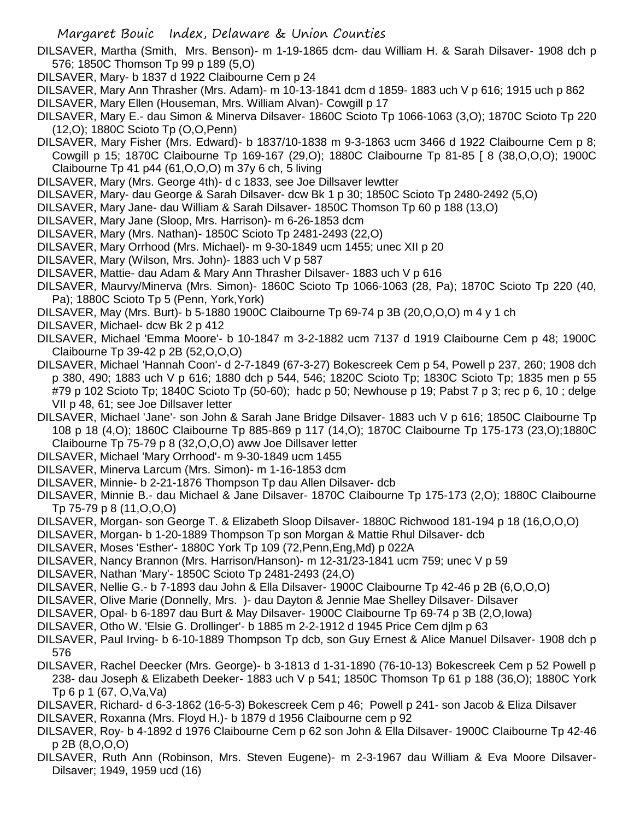DILSAVER, Martha (Smith, Mrs. Benson)- m 1-19-1865 dcm- dau William H. & Sarah Dilsaver- 1908 dch p 576; 1850C Thomson Tp 99 p 189 (5,O)

- DILSAVER, Mary- b 1837 d 1922 Claibourne Cem p 24
- DILSAVER, Mary Ann Thrasher (Mrs. Adam)- m 10-13-1841 dcm d 1859- 1883 uch V p 616; 1915 uch p 862
- DILSAVER, Mary Ellen (Houseman, Mrs. William Alvan)- Cowgill p 17
- DILSAVER, Mary E.- dau Simon & Minerva Dilsaver- 1860C Scioto Tp 1066-1063 (3,O); 1870C Scioto Tp 220 (12,O); 1880C Scioto Tp (O,O,Penn)
- DILSAVER, Mary Fisher (Mrs. Edward)- b 1837/10-1838 m 9-3-1863 ucm 3466 d 1922 Claibourne Cem p 8; Cowgill p 15; 1870C Claibourne Tp 169-167 (29,O); 1880C Claibourne Tp 81-85 [ 8 (38,O,O,O); 1900C Claibourne Tp 41 p44 (61,O,O,O) m 37y 6 ch, 5 living
- DILSAVER, Mary (Mrs. George 4th)- d c 1833, see Joe Dillsaver lewtter
- DILSAVER, Mary- dau George & Sarah Dilsaver- dcw Bk 1 p 30; 1850C Scioto Tp 2480-2492 (5,O)
- DILSAVER, Mary Jane- dau William & Sarah Dilsaver- 1850C Thomson Tp 60 p 188 (13,O)
- DILSAVER, Mary Jane (Sloop, Mrs. Harrison)- m 6-26-1853 dcm
- DILSAVER, Mary (Mrs. Nathan)- 1850C Scioto Tp 2481-2493 (22,O)
- DILSAVER, Mary Orrhood (Mrs. Michael)- m 9-30-1849 ucm 1455; unec XII p 20
- DILSAVER, Mary (Wilson, Mrs. John)- 1883 uch V p 587
- DILSAVER, Mattie- dau Adam & Mary Ann Thrasher Dilsaver- 1883 uch V p 616
- DILSAVER, Maurvy/Minerva (Mrs. Simon)- 1860C Scioto Tp 1066-1063 (28, Pa); 1870C Scioto Tp 220 (40, Pa); 1880C Scioto Tp 5 (Penn, York,York)
- DILSAVER, May (Mrs. Burt)- b 5-1880 1900C Claibourne Tp 69-74 p 3B (20,O,O,O) m 4 y 1 ch
- DILSAVER, Michael- dcw Bk 2 p 412
- DILSAVER, Michael 'Emma Moore'- b 10-1847 m 3-2-1882 ucm 7137 d 1919 Claibourne Cem p 48; 1900C Claibourne Tp 39-42 p 2B (52,O,O,O)
- DILSAVER, Michael 'Hannah Coon'- d 2-7-1849 (67-3-27) Bokescreek Cem p 54, Powell p 237, 260; 1908 dch p 380, 490; 1883 uch V p 616; 1880 dch p 544, 546; 1820C Scioto Tp; 1830C Scioto Tp; 1835 men p 55 #79 p 102 Scioto Tp; 1840C Scioto Tp (50-60); hadc p 50; Newhouse p 19; Pabst 7 p 3; rec p 6, 10 ; delge VII p 48, 61; see Joe Dillsaver letter
- DILSAVER, Michael 'Jane'- son John & Sarah Jane Bridge Dilsaver- 1883 uch V p 616; 1850C Claibourne Tp 108 p 18 (4,O); 1860C Claibourne Tp 885-869 p 117 (14,O); 1870C Claibourne Tp 175-173 (23,O);1880C Claibourne Tp 75-79 p 8 (32,O,O,O) aww Joe Dillsaver letter
- DILSAVER, Michael 'Mary Orrhood'- m 9-30-1849 ucm 1455
- DILSAVER, Minerva Larcum (Mrs. Simon)- m 1-16-1853 dcm
- DILSAVER, Minnie- b 2-21-1876 Thompson Tp dau Allen Dilsaver- dcb
- DILSAVER, Minnie B.- dau Michael & Jane Dilsaver- 1870C Claibourne Tp 175-173 (2,O); 1880C Claibourne Tp 75-79 p 8 (11,O,O,O)
- DILSAVER, Morgan- son George T. & Elizabeth Sloop Dilsaver- 1880C Richwood 181-194 p 18 (16,O,O,O)
- DILSAVER, Morgan- b 1-20-1889 Thompson Tp son Morgan & Mattie Rhul Dilsaver- dcb
- DILSAVER, Moses 'Esther'- 1880C York Tp 109 (72,Penn,Eng,Md) p 022A
- DILSAVER, Nancy Brannon (Mrs. Harrison/Hanson)- m 12-31/23-1841 ucm 759; unec V p 59
- DILSAVER, Nathan 'Mary'- 1850C Scioto Tp 2481-2493 (24,O)
- DILSAVER, Nellie G.- b 7-1893 dau John & Ella Dilsaver- 1900C Claibourne Tp 42-46 p 2B (6,O,O,O)
- DILSAVER, Olive Marie (Donnelly, Mrs. )- dau Dayton & Jennie Mae Shelley Dilsaver- Dilsaver
- DILSAVER, Opal- b 6-1897 dau Burt & May Dilsaver- 1900C Claibourne Tp 69-74 p 3B (2,O,Iowa)
- DILSAVER, Otho W. 'Elsie G. Drollinger'- b 1885 m 2-2-1912 d 1945 Price Cem djlm p 63
- DILSAVER, Paul Irving- b 6-10-1889 Thompson Tp dcb, son Guy Ernest & Alice Manuel Dilsaver- 1908 dch p 576
- DILSAVER, Rachel Deecker (Mrs. George)- b 3-1813 d 1-31-1890 (76-10-13) Bokescreek Cem p 52 Powell p 238- dau Joseph & Elizabeth Deeker- 1883 uch V p 541; 1850C Thomson Tp 61 p 188 (36,O); 1880C York Tp 6 p 1 (67, O,Va,Va)
- DILSAVER, Richard- d 6-3-1862 (16-5-3) Bokescreek Cem p 46; Powell p 241- son Jacob & Eliza Dilsaver
- DILSAVER, Roxanna (Mrs. Floyd H.)- b 1879 d 1956 Claibourne cem p 92
- DILSAVER, Roy- b 4-1892 d 1976 Claibourne Cem p 62 son John & Ella Dilsaver- 1900C Claibourne Tp 42-46 p 2B (8,O,O,O)
- DILSAVER, Ruth Ann (Robinson, Mrs. Steven Eugene)- m 2-3-1967 dau William & Eva Moore Dilsaver-Dilsaver; 1949, 1959 ucd (16)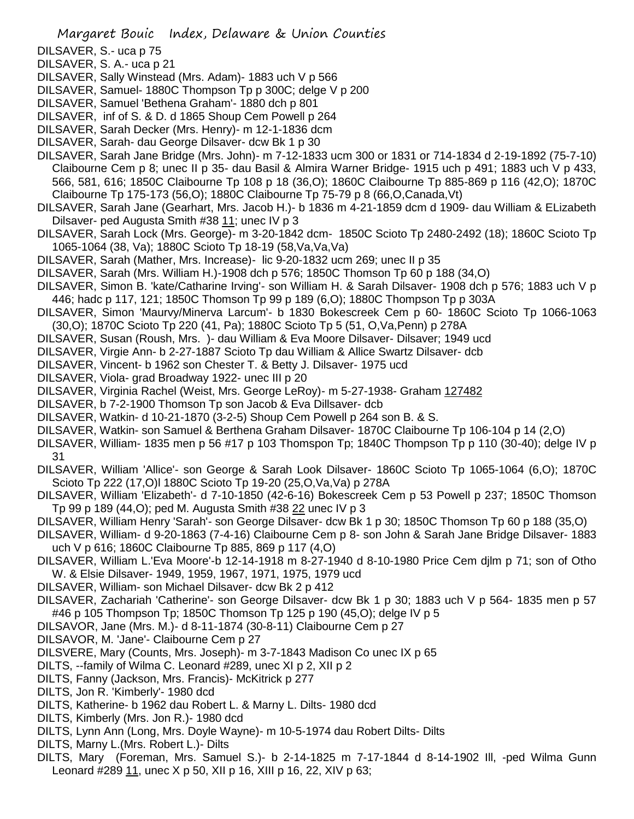DILSAVER, S.- uca p 75

DILSAVER, S. A.- uca p 21

- DILSAVER, Sally Winstead (Mrs. Adam)- 1883 uch V p 566
- DILSAVER, Samuel- 1880C Thompson Tp p 300C; delge V p 200
- DILSAVER, Samuel 'Bethena Graham'- 1880 dch p 801
- DILSAVER, inf of S. & D. d 1865 Shoup Cem Powell p 264
- DILSAVER, Sarah Decker (Mrs. Henry)- m 12-1-1836 dcm
- DILSAVER, Sarah- dau George Dilsaver- dcw Bk 1 p 30
- DILSAVER, Sarah Jane Bridge (Mrs. John)- m 7-12-1833 ucm 300 or 1831 or 714-1834 d 2-19-1892 (75-7-10) Claibourne Cem p 8; unec II p 35- dau Basil & Almira Warner Bridge- 1915 uch p 491; 1883 uch V p 433, 566, 581, 616; 1850C Claibourne Tp 108 p 18 (36,O); 1860C Claibourne Tp 885-869 p 116 (42,O); 1870C Claibourne Tp 175-173 (56,O); 1880C Claibourne Tp 75-79 p 8 (66,O,Canada,Vt)
- DILSAVER, Sarah Jane (Gearhart, Mrs. Jacob H.)- b 1836 m 4-21-1859 dcm d 1909- dau William & ELizabeth Dilsaver- ped Augusta Smith #38 11; unec IV p 3
- DILSAVER, Sarah Lock (Mrs. George)- m 3-20-1842 dcm- 1850C Scioto Tp 2480-2492 (18); 1860C Scioto Tp 1065-1064 (38, Va); 1880C Scioto Tp 18-19 (58,Va,Va,Va)
- DILSAVER, Sarah (Mather, Mrs. Increase)- lic 9-20-1832 ucm 269; unec II p 35
- DILSAVER, Sarah (Mrs. William H.)-1908 dch p 576; 1850C Thomson Tp 60 p 188 (34,O)
- DILSAVER, Simon B. 'kate/Catharine Irving'- son William H. & Sarah Dilsaver- 1908 dch p 576; 1883 uch V p 446; hadc p 117, 121; 1850C Thomson Tp 99 p 189 (6,O); 1880C Thompson Tp p 303A
- DILSAVER, Simon 'Maurvy/Minerva Larcum'- b 1830 Bokescreek Cem p 60- 1860C Scioto Tp 1066-1063 (30,O); 1870C Scioto Tp 220 (41, Pa); 1880C Scioto Tp 5 (51, O,Va,Penn) p 278A
- DILSAVER, Susan (Roush, Mrs. )- dau William & Eva Moore Dilsaver- Dilsaver; 1949 ucd
- DILSAVER, Virgie Ann- b 2-27-1887 Scioto Tp dau William & Allice Swartz Dilsaver- dcb
- DILSAVER, Vincent- b 1962 son Chester T. & Betty J. Dilsaver- 1975 ucd
- DILSAVER, Viola- grad Broadway 1922- unec III p 20
- DILSAVER, Virginia Rachel (Weist, Mrs. George LeRoy)- m 5-27-1938- Graham 127482
- DILSAVER, b 7-2-1900 Thomson Tp son Jacob & Eva Dillsaver- dcb
- DILSAVER, Watkin- d 10-21-1870 (3-2-5) Shoup Cem Powell p 264 son B. & S.
- DILSAVER, Watkin- son Samuel & Berthena Graham Dilsaver- 1870C Claibourne Tp 106-104 p 14 (2,O)
- DILSAVER, William- 1835 men p 56 #17 p 103 Thomspon Tp; 1840C Thompson Tp p 110 (30-40); delge IV p 31
- DILSAVER, William 'Allice'- son George & Sarah Look Dilsaver- 1860C Scioto Tp 1065-1064 (6,O); 1870C Scioto Tp 222 (17,O)l 1880C Scioto Tp 19-20 (25,O,Va,Va) p 278A
- DILSAVER, William 'Elizabeth'- d 7-10-1850 (42-6-16) Bokescreek Cem p 53 Powell p 237; 1850C Thomson Tp 99 p 189 (44,O); ped M. Augusta Smith #38 22 unec IV p 3
- DILSAVER, William Henry 'Sarah'- son George Dilsaver- dcw Bk 1 p 30; 1850C Thomson Tp 60 p 188 (35,O)
- DILSAVER, William- d 9-20-1863 (7-4-16) Claibourne Cem p 8- son John & Sarah Jane Bridge Dilsaver- 1883 uch V p 616; 1860C Claibourne Tp 885, 869 p 117 (4,O)
- DILSAVER, William L.'Eva Moore'-b 12-14-1918 m 8-27-1940 d 8-10-1980 Price Cem djlm p 71; son of Otho W. & Elsie Dilsaver- 1949, 1959, 1967, 1971, 1975, 1979 ucd
- DILSAVER, William- son Michael Dilsaver- dcw Bk 2 p 412
- DILSAVER, Zachariah 'Catherine'- son George Dilsaver- dcw Bk 1 p 30; 1883 uch V p 564- 1835 men p 57 #46 p 105 Thompson Tp; 1850C Thomson Tp 125 p 190 (45,O); delge IV p 5
- DILSAVOR, Jane (Mrs. M.)- d 8-11-1874 (30-8-11) Claibourne Cem p 27
- DILSAVOR, M. 'Jane'- Claibourne Cem p 27
- DILSVERE, Mary (Counts, Mrs. Joseph)- m 3-7-1843 Madison Co unec IX p 65
- DILTS, --family of Wilma C. Leonard #289, unec XI p 2, XII p 2
- DILTS, Fanny (Jackson, Mrs. Francis)- McKitrick p 277
- DILTS, Jon R. 'Kimberly'- 1980 dcd
- DILTS, Katherine- b 1962 dau Robert L. & Marny L. Dilts- 1980 dcd
- DILTS, Kimberly (Mrs. Jon R.)- 1980 dcd
- DILTS, Lynn Ann (Long, Mrs. Doyle Wayne)- m 10-5-1974 dau Robert Dilts- Dilts
- DILTS, Marny L.(Mrs. Robert L.)- Dilts
- DILTS, Mary (Foreman, Mrs. Samuel S.)- b 2-14-1825 m 7-17-1844 d 8-14-1902 Ill, -ped Wilma Gunn Leonard #289 11, unec X p 50, XII p 16, XIII p 16, 22, XIV p 63;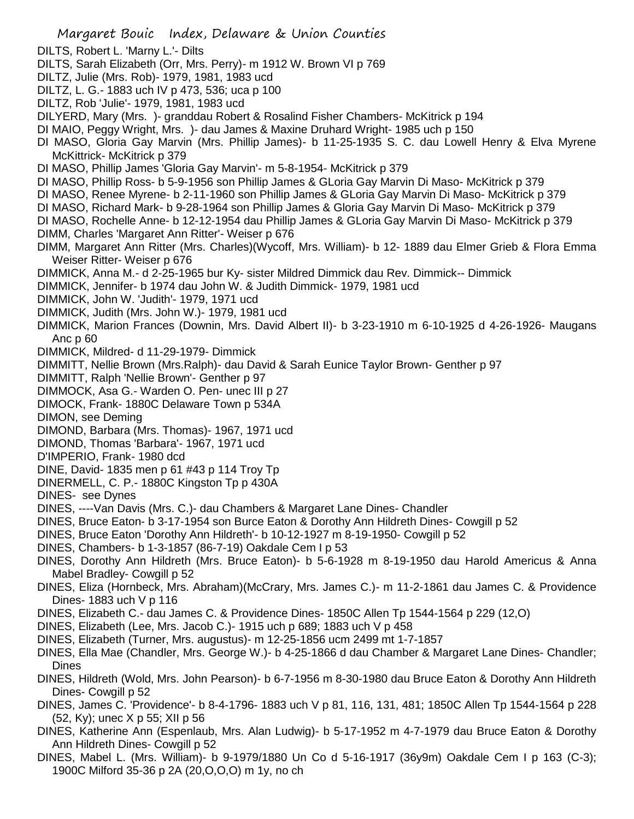- Margaret Bouic Index, Delaware & Union Counties DILTS, Robert L. 'Marny L.'- Dilts DILTS, Sarah Elizabeth (Orr, Mrs. Perry)- m 1912 W. Brown VI p 769 DILTZ, Julie (Mrs. Rob)- 1979, 1981, 1983 ucd DILTZ, L. G.- 1883 uch IV p 473, 536; uca p 100 DILTZ, Rob 'Julie'- 1979, 1981, 1983 ucd DILYERD, Mary (Mrs. )- granddau Robert & Rosalind Fisher Chambers- McKitrick p 194 DI MAIO, Peggy Wright, Mrs. )- dau James & Maxine Druhard Wright- 1985 uch p 150 DI MASO, Gloria Gay Marvin (Mrs. Phillip James)- b 11-25-1935 S. C. dau Lowell Henry & Elva Myrene McKittrick- McKitrick p 379 DI MASO, Phillip James 'Gloria Gay Marvin'- m 5-8-1954- McKitrick p 379 DI MASO, Phillip Ross- b 5-9-1956 son Phillip James & GLoria Gay Marvin Di Maso- McKitrick p 379 DI MASO, Renee Myrene- b 2-11-1960 son Phillip James & GLoria Gay Marvin Di Maso- McKitrick p 379 DI MASO, Richard Mark- b 9-28-1964 son Phillip James & Gloria Gay Marvin Di Maso- McKitrick p 379 DI MASO, Rochelle Anne- b 12-12-1954 dau Phillip James & GLoria Gay Marvin Di Maso- McKitrick p 379 DIMM, Charles 'Margaret Ann Ritter'- Weiser p 676 DIMM, Margaret Ann Ritter (Mrs. Charles)(Wycoff, Mrs. William)- b 12- 1889 dau Elmer Grieb & Flora Emma Weiser Ritter- Weiser p 676 DIMMICK, Anna M.- d 2-25-1965 bur Ky- sister Mildred Dimmick dau Rev. Dimmick-- Dimmick DIMMICK, Jennifer- b 1974 dau John W. & Judith Dimmick- 1979, 1981 ucd DIMMICK, John W. 'Judith'- 1979, 1971 ucd DIMMICK, Judith (Mrs. John W.)- 1979, 1981 ucd DIMMICK, Marion Frances (Downin, Mrs. David Albert II)- b 3-23-1910 m 6-10-1925 d 4-26-1926- Maugans Anc p 60 DIMMICK, Mildred- d 11-29-1979- Dimmick DIMMITT, Nellie Brown (Mrs.Ralph)- dau David & Sarah Eunice Taylor Brown- Genther p 97 DIMMITT, Ralph 'Nellie Brown'- Genther p 97 DIMMOCK, Asa G.- Warden O. Pen- unec III p 27 DIMOCK, Frank- 1880C Delaware Town p 534A DIMON, see Deming DIMOND, Barbara (Mrs. Thomas)- 1967, 1971 ucd DIMOND, Thomas 'Barbara'- 1967, 1971 ucd D'IMPERIO, Frank- 1980 dcd DINE, David- 1835 men p 61 #43 p 114 Troy Tp DINERMELL, C. P.- 1880C Kingston Tp p 430A DINES- see Dynes DINES, ----Van Davis (Mrs. C.)- dau Chambers & Margaret Lane Dines- Chandler DINES, Bruce Eaton- b 3-17-1954 son Burce Eaton & Dorothy Ann Hildreth Dines- Cowgill p 52 DINES, Bruce Eaton 'Dorothy Ann Hildreth'- b 10-12-1927 m 8-19-1950- Cowgill p 52 DINES, Chambers- b 1-3-1857 (86-7-19) Oakdale Cem I p 53 DINES, Dorothy Ann Hildreth (Mrs. Bruce Eaton)- b 5-6-1928 m 8-19-1950 dau Harold Americus & Anna Mabel Bradley- Cowgill p 52 DINES, Eliza (Hornbeck, Mrs. Abraham)(McCrary, Mrs. James C.)- m 11-2-1861 dau James C. & Providence Dines- 1883 uch V p 116 DINES, Elizabeth C.- dau James C. & Providence Dines- 1850C Allen Tp 1544-1564 p 229 (12,O) DINES, Elizabeth (Lee, Mrs. Jacob C.)- 1915 uch p 689; 1883 uch V p 458 DINES, Elizabeth (Turner, Mrs. augustus)- m 12-25-1856 ucm 2499 mt 1-7-1857 DINES, Ella Mae (Chandler, Mrs. George W.)- b 4-25-1866 d dau Chamber & Margaret Lane Dines- Chandler; Dines DINES, Hildreth (Wold, Mrs. John Pearson)- b 6-7-1956 m 8-30-1980 dau Bruce Eaton & Dorothy Ann Hildreth Dines- Cowgill p 52
- DINES, James C. 'Providence'- b 8-4-1796- 1883 uch V p 81, 116, 131, 481; 1850C Allen Tp 1544-1564 p 228 (52, Ky); unec X p 55; XII p 56
- DINES, Katherine Ann (Espenlaub, Mrs. Alan Ludwig)- b 5-17-1952 m 4-7-1979 dau Bruce Eaton & Dorothy Ann Hildreth Dines- Cowgill p 52
- DINES, Mabel L. (Mrs. William)- b 9-1979/1880 Un Co d 5-16-1917 (36y9m) Oakdale Cem I p 163 (C-3); 1900C Milford 35-36 p 2A (20,O,O,O) m 1y, no ch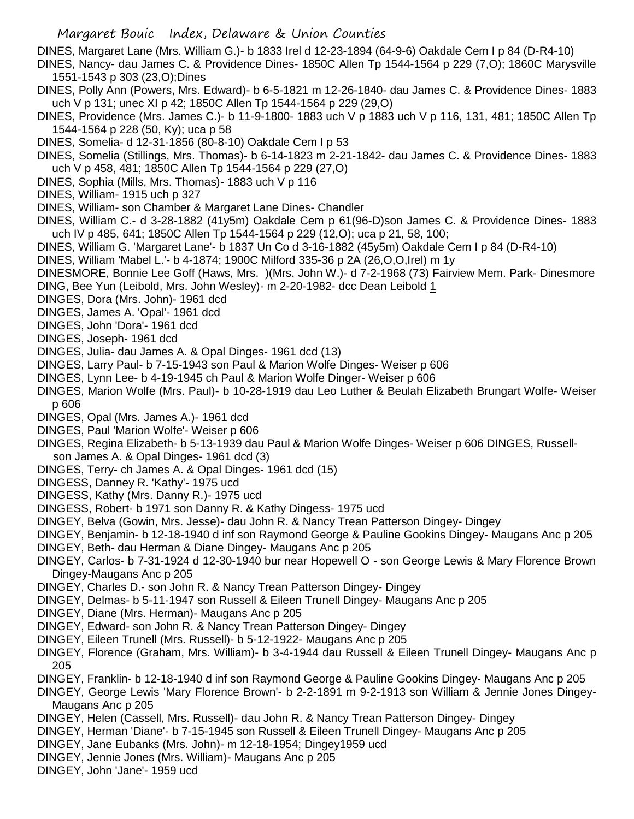DINES, Margaret Lane (Mrs. William G.)- b 1833 Irel d 12-23-1894 (64-9-6) Oakdale Cem I p 84 (D-R4-10)

- DINES, Nancy- dau James C. & Providence Dines- 1850C Allen Tp 1544-1564 p 229 (7,O); 1860C Marysville 1551-1543 p 303 (23,O);Dines
- DINES, Polly Ann (Powers, Mrs. Edward)- b 6-5-1821 m 12-26-1840- dau James C. & Providence Dines- 1883 uch V p 131; unec XI p 42; 1850C Allen Tp 1544-1564 p 229 (29,O)
- DINES, Providence (Mrs. James C.)- b 11-9-1800- 1883 uch V p 1883 uch V p 116, 131, 481; 1850C Allen Tp 1544-1564 p 228 (50, Ky); uca p 58
- DINES, Somelia- d 12-31-1856 (80-8-10) Oakdale Cem I p 53
- DINES, Somelia (Stillings, Mrs. Thomas)- b 6-14-1823 m 2-21-1842- dau James C. & Providence Dines- 1883 uch V p 458, 481; 1850C Allen Tp 1544-1564 p 229 (27,O)
- DINES, Sophia (Mills, Mrs. Thomas)- 1883 uch V p 116
- DINES, William- 1915 uch p 327
- DINES, William- son Chamber & Margaret Lane Dines- Chandler
- DINES, William C.- d 3-28-1882 (41y5m) Oakdale Cem p 61(96-D)son James C. & Providence Dines- 1883 uch IV p 485, 641; 1850C Allen Tp 1544-1564 p 229 (12,O); uca p 21, 58, 100;
- DINES, William G. 'Margaret Lane'- b 1837 Un Co d 3-16-1882 (45y5m) Oakdale Cem I p 84 (D-R4-10)
- DINES, William 'Mabel L.'- b 4-1874; 1900C Milford 335-36 p 2A (26,O,O,Irel) m 1y
- DINESMORE, Bonnie Lee Goff (Haws, Mrs. )(Mrs. John W.)- d 7-2-1968 (73) Fairview Mem. Park- Dinesmore DING, Bee Yun (Leibold, Mrs. John Wesley)- m 2-20-1982- dcc Dean Leibold 1
- DINGES, Dora (Mrs. John)- 1961 dcd
- DINGES, James A. 'Opal'- 1961 dcd
- DINGES, John 'Dora'- 1961 dcd
- DINGES, Joseph- 1961 dcd
- DINGES, Julia- dau James A. & Opal Dinges- 1961 dcd (13)
- DINGES, Larry Paul- b 7-15-1943 son Paul & Marion Wolfe Dinges- Weiser p 606
- DINGES, Lynn Lee- b 4-19-1945 ch Paul & Marion Wolfe Dinger- Weiser p 606
- DINGES, Marion Wolfe (Mrs. Paul)- b 10-28-1919 dau Leo Luther & Beulah Elizabeth Brungart Wolfe- Weiser p 606
- DINGES, Opal (Mrs. James A.)- 1961 dcd
- DINGES, Paul 'Marion Wolfe'- Weiser p 606
- DINGES, Regina Elizabeth- b 5-13-1939 dau Paul & Marion Wolfe Dinges- Weiser p 606 DINGES, Russell son James A. & Opal Dinges- 1961 dcd (3)
- DINGES, Terry- ch James A. & Opal Dinges- 1961 dcd (15)
- DINGESS, Danney R. 'Kathy'- 1975 ucd
- DINGESS, Kathy (Mrs. Danny R.)- 1975 ucd
- DINGESS, Robert- b 1971 son Danny R. & Kathy Dingess- 1975 ucd
- DINGEY, Belva (Gowin, Mrs. Jesse)- dau John R. & Nancy Trean Patterson Dingey- Dingey
- DINGEY, Benjamin- b 12-18-1940 d inf son Raymond George & Pauline Gookins Dingey- Maugans Anc p 205 DINGEY, Beth- dau Herman & Diane Dingey- Maugans Anc p 205
- DINGEY, Carlos- b 7-31-1924 d 12-30-1940 bur near Hopewell O son George Lewis & Mary Florence Brown Dingey-Maugans Anc p 205
- DINGEY, Charles D.- son John R. & Nancy Trean Patterson Dingey- Dingey
- DINGEY, Delmas- b 5-11-1947 son Russell & Eileen Trunell Dingey- Maugans Anc p 205
- DINGEY, Diane (Mrs. Herman)- Maugans Anc p 205
- DINGEY, Edward- son John R. & Nancy Trean Patterson Dingey- Dingey
- DINGEY, Eileen Trunell (Mrs. Russell)- b 5-12-1922- Maugans Anc p 205
- DINGEY, Florence (Graham, Mrs. William)- b 3-4-1944 dau Russell & Eileen Trunell Dingey- Maugans Anc p 205
- DINGEY, Franklin- b 12-18-1940 d inf son Raymond George & Pauline Gookins Dingey- Maugans Anc p 205
- DINGEY, George Lewis 'Mary Florence Brown'- b 2-2-1891 m 9-2-1913 son William & Jennie Jones Dingey-Maugans Anc p 205
- DINGEY, Helen (Cassell, Mrs. Russell)- dau John R. & Nancy Trean Patterson Dingey- Dingey
- DINGEY, Herman 'Diane'- b 7-15-1945 son Russell & Eileen Trunell Dingey- Maugans Anc p 205
- DINGEY, Jane Eubanks (Mrs. John)- m 12-18-1954; Dingey1959 ucd
- DINGEY, Jennie Jones (Mrs. William)- Maugans Anc p 205
- DINGEY, John 'Jane'- 1959 ucd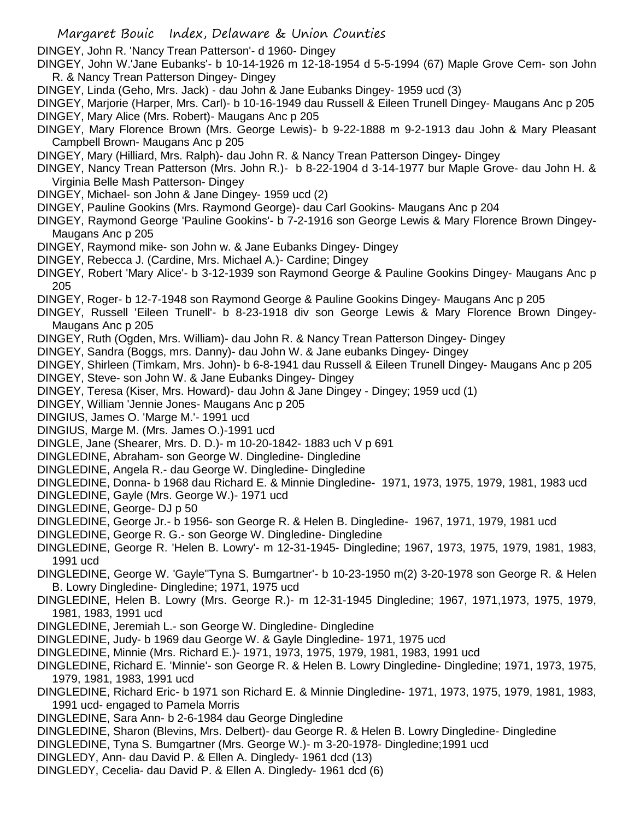DINGEY, John R. 'Nancy Trean Patterson'- d 1960- Dingey

- DINGEY, John W.'Jane Eubanks'- b 10-14-1926 m 12-18-1954 d 5-5-1994 (67) Maple Grove Cem- son John R. & Nancy Trean Patterson Dingey- Dingey
- DINGEY, Linda (Geho, Mrs. Jack) dau John & Jane Eubanks Dingey- 1959 ucd (3)
- DINGEY, Marjorie (Harper, Mrs. Carl)- b 10-16-1949 dau Russell & Eileen Trunell Dingey- Maugans Anc p 205 DINGEY, Mary Alice (Mrs. Robert)- Maugans Anc p 205
- DINGEY, Mary Florence Brown (Mrs. George Lewis)- b 9-22-1888 m 9-2-1913 dau John & Mary Pleasant Campbell Brown- Maugans Anc p 205
- DINGEY, Mary (Hilliard, Mrs. Ralph)- dau John R. & Nancy Trean Patterson Dingey- Dingey
- DINGEY, Nancy Trean Patterson (Mrs. John R.)- b 8-22-1904 d 3-14-1977 bur Maple Grove- dau John H. & Virginia Belle Mash Patterson- Dingey
- DINGEY, Michael- son John & Jane Dingey- 1959 ucd (2)
- DINGEY, Pauline Gookins (Mrs. Raymond George)- dau Carl Gookins- Maugans Anc p 204
- DINGEY, Raymond George 'Pauline Gookins'- b 7-2-1916 son George Lewis & Mary Florence Brown Dingey-Maugans Anc p 205
- DINGEY, Raymond mike- son John w. & Jane Eubanks Dingey- Dingey
- DINGEY, Rebecca J. (Cardine, Mrs. Michael A.)- Cardine; Dingey
- DINGEY, Robert 'Mary Alice'- b 3-12-1939 son Raymond George & Pauline Gookins Dingey- Maugans Anc p 205
- DINGEY, Roger- b 12-7-1948 son Raymond George & Pauline Gookins Dingey- Maugans Anc p 205
- DINGEY, Russell 'Eileen Trunell'- b 8-23-1918 div son George Lewis & Mary Florence Brown Dingey-Maugans Anc p 205
- DINGEY, Ruth (Ogden, Mrs. William)- dau John R. & Nancy Trean Patterson Dingey- Dingey
- DINGEY, Sandra (Boggs, mrs. Danny)- dau John W. & Jane eubanks Dingey- Dingey
- DINGEY, Shirleen (Timkam, Mrs. John)- b 6-8-1941 dau Russell & Eileen Trunell Dingey- Maugans Anc p 205
- DINGEY, Steve- son John W. & Jane Eubanks Dingey- Dingey
- DINGEY, Teresa (Kiser, Mrs. Howard)- dau John & Jane Dingey Dingey; 1959 ucd (1)
- DINGEY, William 'Jennie Jones- Maugans Anc p 205
- DINGIUS, James O. 'Marge M.'- 1991 ucd
- DINGIUS, Marge M. (Mrs. James O.)-1991 ucd
- DINGLE, Jane (Shearer, Mrs. D. D.)- m 10-20-1842- 1883 uch V p 691
- DINGLEDINE, Abraham- son George W. Dingledine- Dingledine
- DINGLEDINE, Angela R.- dau George W. Dingledine- Dingledine
- DINGLEDINE, Donna- b 1968 dau Richard E. & Minnie Dingledine- 1971, 1973, 1975, 1979, 1981, 1983 ucd
- DINGLEDINE, Gayle (Mrs. George W.)- 1971 ucd
- DINGLEDINE, George- DJ p 50
- DINGLEDINE, George Jr.- b 1956- son George R. & Helen B. Dingledine- 1967, 1971, 1979, 1981 ucd
- DINGLEDINE, George R. G.- son George W. Dingledine- Dingledine
- DINGLEDINE, George R. 'Helen B. Lowry'- m 12-31-1945- Dingledine; 1967, 1973, 1975, 1979, 1981, 1983, 1991 ucd
- DINGLEDINE, George W. 'Gayle''Tyna S. Bumgartner'- b 10-23-1950 m(2) 3-20-1978 son George R. & Helen B. Lowry Dingledine- Dingledine; 1971, 1975 ucd
- DINGLEDINE, Helen B. Lowry (Mrs. George R.)- m 12-31-1945 Dingledine; 1967, 1971,1973, 1975, 1979, 1981, 1983, 1991 ucd
- DINGLEDINE, Jeremiah L.- son George W. Dingledine- Dingledine
- DINGLEDINE, Judy- b 1969 dau George W. & Gayle Dingledine- 1971, 1975 ucd
- DINGLEDINE, Minnie (Mrs. Richard E.)- 1971, 1973, 1975, 1979, 1981, 1983, 1991 ucd
- DINGLEDINE, Richard E. 'Minnie'- son George R. & Helen B. Lowry Dingledine- Dingledine; 1971, 1973, 1975, 1979, 1981, 1983, 1991 ucd
- DINGLEDINE, Richard Eric- b 1971 son Richard E. & Minnie Dingledine- 1971, 1973, 1975, 1979, 1981, 1983, 1991 ucd- engaged to Pamela Morris
- DINGLEDINE, Sara Ann- b 2-6-1984 dau George Dingledine
- DINGLEDINE, Sharon (Blevins, Mrs. Delbert)- dau George R. & Helen B. Lowry Dingledine- Dingledine
- DINGLEDINE, Tyna S. Bumgartner (Mrs. George W.)- m 3-20-1978- Dingledine;1991 ucd
- DINGLEDY, Ann- dau David P. & Ellen A. Dingledy- 1961 dcd (13)
- DINGLEDY, Cecelia- dau David P. & Ellen A. Dingledy- 1961 dcd (6)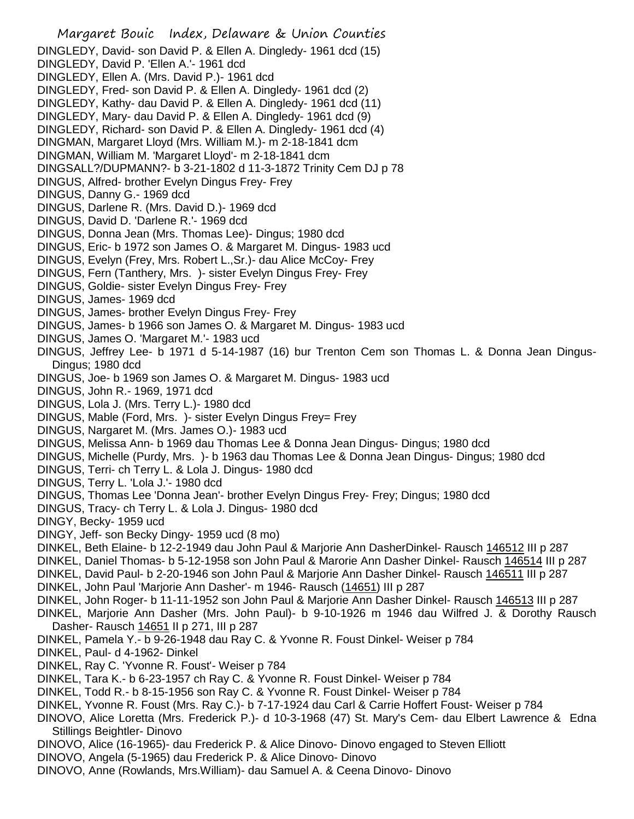Margaret Bouic Index, Delaware & Union Counties DINGLEDY, David- son David P. & Ellen A. Dingledy- 1961 dcd (15) DINGLEDY, David P. 'Ellen A.'- 1961 dcd DINGLEDY, Ellen A. (Mrs. David P.)- 1961 dcd DINGLEDY, Fred- son David P. & Ellen A. Dingledy- 1961 dcd (2) DINGLEDY, Kathy- dau David P. & Ellen A. Dingledy- 1961 dcd (11) DINGLEDY, Mary- dau David P. & Ellen A. Dingledy- 1961 dcd (9) DINGLEDY, Richard- son David P. & Ellen A. Dingledy- 1961 dcd (4) DINGMAN, Margaret Lloyd (Mrs. William M.)- m 2-18-1841 dcm DINGMAN, William M. 'Margaret Lloyd'- m 2-18-1841 dcm DINGSALL?/DUPMANN?- b 3-21-1802 d 11-3-1872 Trinity Cem DJ p 78 DINGUS, Alfred- brother Evelyn Dingus Frey- Frey DINGUS, Danny G.- 1969 dcd DINGUS, Darlene R. (Mrs. David D.)- 1969 dcd DINGUS, David D. 'Darlene R.'- 1969 dcd DINGUS, Donna Jean (Mrs. Thomas Lee)- Dingus; 1980 dcd DINGUS, Eric- b 1972 son James O. & Margaret M. Dingus- 1983 ucd DINGUS, Evelyn (Frey, Mrs. Robert L.,Sr.)- dau Alice McCoy- Frey DINGUS, Fern (Tanthery, Mrs. )- sister Evelyn Dingus Frey- Frey DINGUS, Goldie- sister Evelyn Dingus Frey- Frey DINGUS, James- 1969 dcd DINGUS, James- brother Evelyn Dingus Frey- Frey DINGUS, James- b 1966 son James O. & Margaret M. Dingus- 1983 ucd DINGUS, James O. 'Margaret M.'- 1983 ucd DINGUS, Jeffrey Lee- b 1971 d 5-14-1987 (16) bur Trenton Cem son Thomas L. & Donna Jean Dingus-Dingus; 1980 dcd DINGUS, Joe- b 1969 son James O. & Margaret M. Dingus- 1983 ucd DINGUS, John R.- 1969, 1971 dcd DINGUS, Lola J. (Mrs. Terry L.)- 1980 dcd DINGUS, Mable (Ford, Mrs. )- sister Evelyn Dingus Frey= Frey DINGUS, Nargaret M. (Mrs. James O.)- 1983 ucd DINGUS, Melissa Ann- b 1969 dau Thomas Lee & Donna Jean Dingus- Dingus; 1980 dcd DINGUS, Michelle (Purdy, Mrs. )- b 1963 dau Thomas Lee & Donna Jean Dingus- Dingus; 1980 dcd DINGUS, Terri- ch Terry L. & Lola J. Dingus- 1980 dcd DINGUS, Terry L. 'Lola J.'- 1980 dcd DINGUS, Thomas Lee 'Donna Jean'- brother Evelyn Dingus Frey- Frey; Dingus; 1980 dcd DINGUS, Tracy- ch Terry L. & Lola J. Dingus- 1980 dcd DINGY, Becky- 1959 ucd DINGY, Jeff- son Becky Dingy- 1959 ucd (8 mo) DINKEL, Beth Elaine- b 12-2-1949 dau John Paul & Marjorie Ann DasherDinkel- Rausch 146512 III p 287 DINKEL, Daniel Thomas- b 5-12-1958 son John Paul & Marorie Ann Dasher Dinkel- Rausch 146514 III p 287 DINKEL, David Paul- b 2-20-1946 son John Paul & Marjorie Ann Dasher Dinkel- Rausch 146511 III p 287 DINKEL, John Paul 'Marjorie Ann Dasher'- m 1946- Rausch (14651) III p 287 DINKEL, John Roger- b 11-11-1952 son John Paul & Marjorie Ann Dasher Dinkel- Rausch 146513 III p 287 DINKEL, Marjorie Ann Dasher (Mrs. John Paul)- b 9-10-1926 m 1946 dau Wilfred J. & Dorothy Rausch Dasher- Rausch 14651 II p 271, III p 287 DINKEL, Pamela Y.- b 9-26-1948 dau Ray C. & Yvonne R. Foust Dinkel- Weiser p 784 DINKEL, Paul- d 4-1962- Dinkel DINKEL, Ray C. 'Yvonne R. Foust'- Weiser p 784 DINKEL, Tara K.- b 6-23-1957 ch Ray C. & Yvonne R. Foust Dinkel- Weiser p 784 DINKEL, Todd R.- b 8-15-1956 son Ray C. & Yvonne R. Foust Dinkel- Weiser p 784 DINKEL, Yvonne R. Foust (Mrs. Ray C.)- b 7-17-1924 dau Carl & Carrie Hoffert Foust- Weiser p 784 DINOVO, Alice Loretta (Mrs. Frederick P.)- d 10-3-1968 (47) St. Mary's Cem- dau Elbert Lawrence & Edna Stillings Beightler- Dinovo DINOVO, Alice (16-1965)- dau Frederick P. & Alice Dinovo- Dinovo engaged to Steven Elliott DINOVO, Angela (5-1965) dau Frederick P. & Alice Dinovo- Dinovo DINOVO, Anne (Rowlands, Mrs.William)- dau Samuel A. & Ceena Dinovo- Dinovo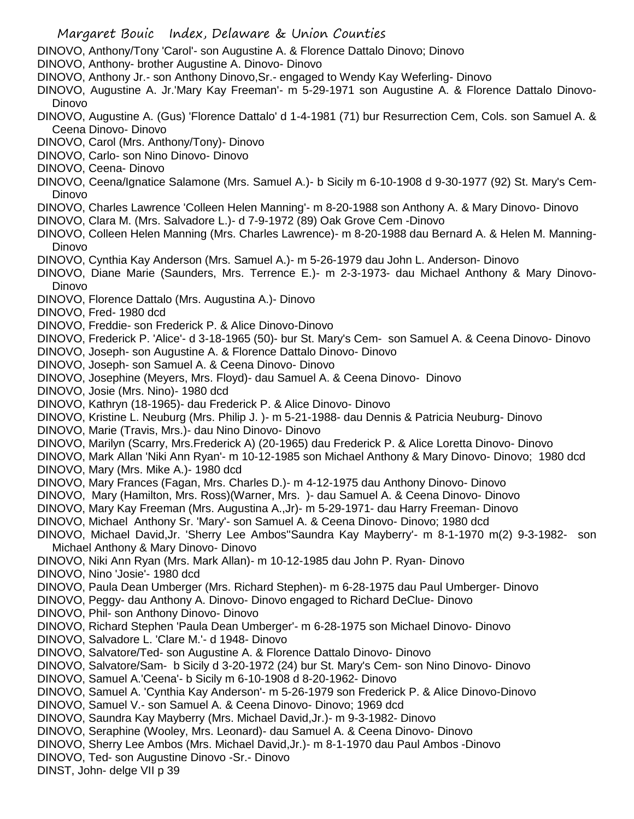DINOVO, Anthony/Tony 'Carol'- son Augustine A. & Florence Dattalo Dinovo; Dinovo

- DINOVO, Anthony- brother Augustine A. Dinovo- Dinovo
- DINOVO, Anthony Jr.- son Anthony Dinovo,Sr.- engaged to Wendy Kay Weferling- Dinovo
- DINOVO, Augustine A. Jr.'Mary Kay Freeman'- m 5-29-1971 son Augustine A. & Florence Dattalo Dinovo-Dinovo
- DINOVO, Augustine A. (Gus) 'Florence Dattalo' d 1-4-1981 (71) bur Resurrection Cem, Cols. son Samuel A. & Ceena Dinovo- Dinovo
- DINOVO, Carol (Mrs. Anthony/Tony)- Dinovo
- DINOVO, Carlo- son Nino Dinovo- Dinovo
- DINOVO, Ceena- Dinovo
- DINOVO, Ceena/Ignatice Salamone (Mrs. Samuel A.)- b Sicily m 6-10-1908 d 9-30-1977 (92) St. Mary's Cem-Dinovo
- DINOVO, Charles Lawrence 'Colleen Helen Manning'- m 8-20-1988 son Anthony A. & Mary Dinovo- Dinovo
- DINOVO, Clara M. (Mrs. Salvadore L.)- d 7-9-1972 (89) Oak Grove Cem -Dinovo
- DINOVO, Colleen Helen Manning (Mrs. Charles Lawrence)- m 8-20-1988 dau Bernard A. & Helen M. Manning-Dinovo
- DINOVO, Cynthia Kay Anderson (Mrs. Samuel A.)- m 5-26-1979 dau John L. Anderson- Dinovo
- DINOVO, Diane Marie (Saunders, Mrs. Terrence E.)- m 2-3-1973- dau Michael Anthony & Mary Dinovo-Dinovo
- DINOVO, Florence Dattalo (Mrs. Augustina A.)- Dinovo
- DINOVO, Fred- 1980 dcd
- DINOVO, Freddie- son Frederick P. & Alice Dinovo-Dinovo
- DINOVO, Frederick P. 'Alice'- d 3-18-1965 (50)- bur St. Mary's Cem- son Samuel A. & Ceena Dinovo- Dinovo
- DINOVO, Joseph- son Augustine A. & Florence Dattalo Dinovo- Dinovo
- DINOVO, Joseph- son Samuel A. & Ceena Dinovo- Dinovo
- DINOVO, Josephine (Meyers, Mrs. Floyd)- dau Samuel A. & Ceena Dinovo- Dinovo
- DINOVO, Josie (Mrs. Nino)- 1980 dcd
- DINOVO, Kathryn (18-1965)- dau Frederick P. & Alice Dinovo- Dinovo
- DINOVO, Kristine L. Neuburg (Mrs. Philip J. )- m 5-21-1988- dau Dennis & Patricia Neuburg- Dinovo
- DINOVO, Marie (Travis, Mrs.)- dau Nino Dinovo- Dinovo
- DINOVO, Marilyn (Scarry, Mrs.Frederick A) (20-1965) dau Frederick P. & Alice Loretta Dinovo- Dinovo
- DINOVO, Mark Allan 'Niki Ann Ryan'- m 10-12-1985 son Michael Anthony & Mary Dinovo- Dinovo; 1980 dcd
- DINOVO, Mary (Mrs. Mike A.)- 1980 dcd
- DINOVO, Mary Frances (Fagan, Mrs. Charles D.)- m 4-12-1975 dau Anthony Dinovo- Dinovo
- DINOVO, Mary (Hamilton, Mrs. Ross)(Warner, Mrs. )- dau Samuel A. & Ceena Dinovo- Dinovo
- DINOVO, Mary Kay Freeman (Mrs. Augustina A.,Jr)- m 5-29-1971- dau Harry Freeman- Dinovo
- DINOVO, Michael Anthony Sr. 'Mary'- son Samuel A. & Ceena Dinovo- Dinovo; 1980 dcd
- DINOVO, Michael David,Jr. 'Sherry Lee Ambos''Saundra Kay Mayberry'- m 8-1-1970 m(2) 9-3-1982- son Michael Anthony & Mary Dinovo- Dinovo
- DINOVO, Niki Ann Ryan (Mrs. Mark Allan)- m 10-12-1985 dau John P. Ryan- Dinovo
- DINOVO, Nino 'Josie'- 1980 dcd
- DINOVO, Paula Dean Umberger (Mrs. Richard Stephen)- m 6-28-1975 dau Paul Umberger- Dinovo
- DINOVO, Peggy- dau Anthony A. Dinovo- Dinovo engaged to Richard DeClue- Dinovo
- DINOVO, Phil- son Anthony Dinovo- Dinovo
- DINOVO, Richard Stephen 'Paula Dean Umberger'- m 6-28-1975 son Michael Dinovo- Dinovo
- DINOVO, Salvadore L. 'Clare M.'- d 1948- Dinovo
- DINOVO, Salvatore/Ted- son Augustine A. & Florence Dattalo Dinovo- Dinovo
- DINOVO, Salvatore/Sam- b Sicily d 3-20-1972 (24) bur St. Mary's Cem- son Nino Dinovo- Dinovo
- DINOVO, Samuel A.'Ceena'- b Sicily m 6-10-1908 d 8-20-1962- Dinovo
- DINOVO, Samuel A. 'Cynthia Kay Anderson'- m 5-26-1979 son Frederick P. & Alice Dinovo-Dinovo
- DINOVO, Samuel V.- son Samuel A. & Ceena Dinovo- Dinovo; 1969 dcd
- DINOVO, Saundra Kay Mayberry (Mrs. Michael David,Jr.)- m 9-3-1982- Dinovo
- DINOVO, Seraphine (Wooley, Mrs. Leonard)- dau Samuel A. & Ceena Dinovo- Dinovo
- DINOVO, Sherry Lee Ambos (Mrs. Michael David,Jr.)- m 8-1-1970 dau Paul Ambos -Dinovo
- DINOVO, Ted- son Augustine Dinovo -Sr.- Dinovo
- DINST, John- delge VII p 39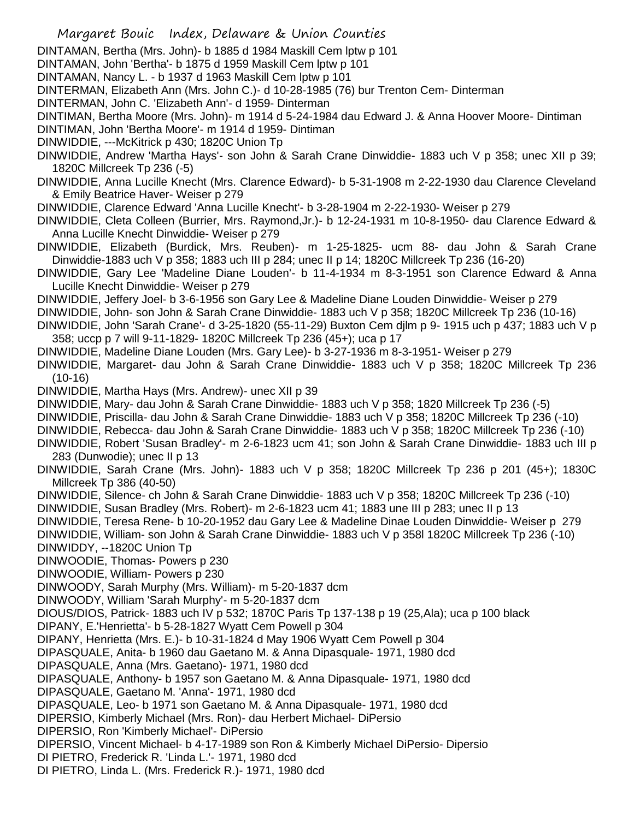- Margaret Bouic Index, Delaware & Union Counties
- DINTAMAN, Bertha (Mrs. John)- b 1885 d 1984 Maskill Cem lptw p 101
- DINTAMAN, John 'Bertha'- b 1875 d 1959 Maskill Cem lptw p 101
- DINTAMAN, Nancy L. b 1937 d 1963 Maskill Cem lptw p 101
- DINTERMAN, Elizabeth Ann (Mrs. John C.)- d 10-28-1985 (76) bur Trenton Cem- Dinterman
- DINTERMAN, John C. 'Elizabeth Ann'- d 1959- Dinterman
- DINTIMAN, Bertha Moore (Mrs. John)- m 1914 d 5-24-1984 dau Edward J. & Anna Hoover Moore- Dintiman
- DINTIMAN, John 'Bertha Moore'- m 1914 d 1959- Dintiman
- DINWIDDIE, ---McKitrick p 430; 1820C Union Tp
- DINWIDDIE, Andrew 'Martha Hays'- son John & Sarah Crane Dinwiddie- 1883 uch V p 358; unec XII p 39; 1820C Millcreek Tp 236 (-5)
- DINWIDDIE, Anna Lucille Knecht (Mrs. Clarence Edward)- b 5-31-1908 m 2-22-1930 dau Clarence Cleveland & Emily Beatrice Haver- Weiser p 279
- DINWIDDIE, Clarence Edward 'Anna Lucille Knecht'- b 3-28-1904 m 2-22-1930- Weiser p 279
- DINWIDDIE, Cleta Colleen (Burrier, Mrs. Raymond,Jr.)- b 12-24-1931 m 10-8-1950- dau Clarence Edward & Anna Lucille Knecht Dinwiddie- Weiser p 279
- DINWIDDIE, Elizabeth (Burdick, Mrs. Reuben)- m 1-25-1825- ucm 88- dau John & Sarah Crane Dinwiddie-1883 uch V p 358; 1883 uch III p 284; unec II p 14; 1820C Millcreek Tp 236 (16-20)
- DINWIDDIE, Gary Lee 'Madeline Diane Louden'- b 11-4-1934 m 8-3-1951 son Clarence Edward & Anna Lucille Knecht Dinwiddie- Weiser p 279
- DINWIDDIE, Jeffery Joel- b 3-6-1956 son Gary Lee & Madeline Diane Louden Dinwiddie- Weiser p 279
- DINWIDDIE, John- son John & Sarah Crane Dinwiddie- 1883 uch V p 358; 1820C Millcreek Tp 236 (10-16)
- DINWIDDIE, John 'Sarah Crane'- d 3-25-1820 (55-11-29) Buxton Cem djlm p 9- 1915 uch p 437; 1883 uch V p 358; uccp p 7 will 9-11-1829- 1820C Millcreek Tp 236 (45+); uca p 17
- DINWIDDIE, Madeline Diane Louden (Mrs. Gary Lee)- b 3-27-1936 m 8-3-1951- Weiser p 279
- DINWIDDIE, Margaret- dau John & Sarah Crane Dinwiddie- 1883 uch V p 358; 1820C Millcreek Tp 236 (10-16)
- DINWIDDIE, Martha Hays (Mrs. Andrew)- unec XII p 39
- DINWIDDIE, Mary- dau John & Sarah Crane Dinwiddie- 1883 uch V p 358; 1820 Millcreek Tp 236 (-5)
- DINWIDDIE, Priscilla- dau John & Sarah Crane Dinwiddie- 1883 uch V p 358; 1820C Millcreek Tp 236 (-10)
- DINWIDDIE, Rebecca- dau John & Sarah Crane Dinwiddie- 1883 uch V p 358; 1820C Millcreek Tp 236 (-10)
- DINWIDDIE, Robert 'Susan Bradley'- m 2-6-1823 ucm 41; son John & Sarah Crane Dinwiddie- 1883 uch III p 283 (Dunwodie); unec II p 13
- DINWIDDIE, Sarah Crane (Mrs. John)- 1883 uch V p 358; 1820C Millcreek Tp 236 p 201 (45+); 1830C Millcreek Tp 386 (40-50)
- DINWIDDIE, Silence- ch John & Sarah Crane Dinwiddie- 1883 uch V p 358; 1820C Millcreek Tp 236 (-10)
- DINWIDDIE, Susan Bradley (Mrs. Robert)- m 2-6-1823 ucm 41; 1883 une III p 283; unec II p 13
- DINWIDDIE, Teresa Rene- b 10-20-1952 dau Gary Lee & Madeline Dinae Louden Dinwiddie- Weiser p 279
- DINWIDDIE, William- son John & Sarah Crane Dinwiddie- 1883 uch V p 358l 1820C Millcreek Tp 236 (-10)
- DINWIDDY, --1820C Union Tp
- DINWOODIE, Thomas- Powers p 230
- DINWOODIE, William- Powers p 230
- DINWOODY, Sarah Murphy (Mrs. William)- m 5-20-1837 dcm
- DINWOODY, William 'Sarah Murphy'- m 5-20-1837 dcm
- DIOUS/DIOS, Patrick- 1883 uch IV p 532; 1870C Paris Tp 137-138 p 19 (25,Ala); uca p 100 black
- DIPANY, E.'Henrietta'- b 5-28-1827 Wyatt Cem Powell p 304
- DIPANY, Henrietta (Mrs. E.)- b 10-31-1824 d May 1906 Wyatt Cem Powell p 304
- DIPASQUALE, Anita- b 1960 dau Gaetano M. & Anna Dipasquale- 1971, 1980 dcd
- DIPASQUALE, Anna (Mrs. Gaetano)- 1971, 1980 dcd
- DIPASQUALE, Anthony- b 1957 son Gaetano M. & Anna Dipasquale- 1971, 1980 dcd
- DIPASQUALE, Gaetano M. 'Anna'- 1971, 1980 dcd
- DIPASQUALE, Leo- b 1971 son Gaetano M. & Anna Dipasquale- 1971, 1980 dcd
- DIPERSIO, Kimberly Michael (Mrs. Ron)- dau Herbert Michael- DiPersio
- DIPERSIO, Ron 'Kimberly Michael'- DiPersio
- DIPERSIO, Vincent Michael- b 4-17-1989 son Ron & Kimberly Michael DiPersio- Dipersio
- DI PIETRO, Frederick R. 'Linda L.'- 1971, 1980 dcd
- DI PIETRO, Linda L. (Mrs. Frederick R.)- 1971, 1980 dcd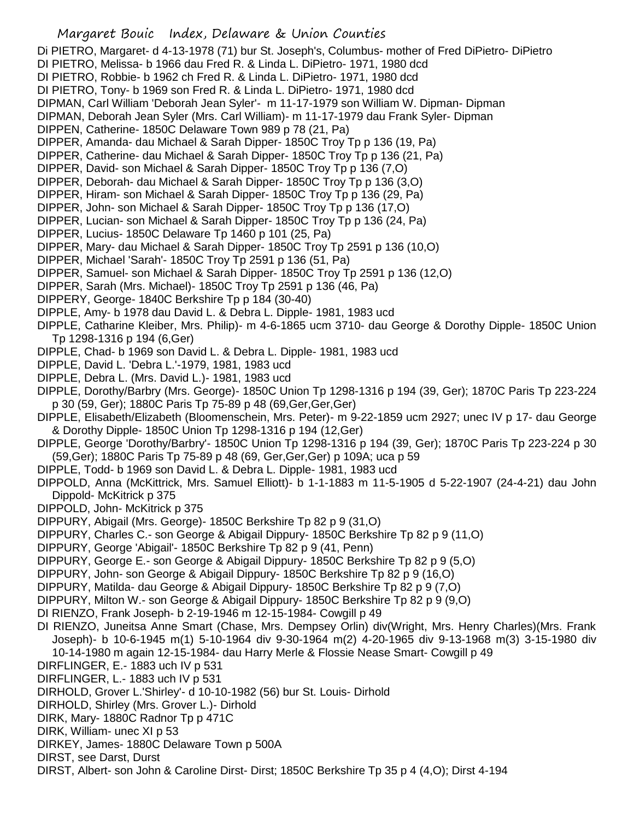Di PIETRO, Margaret- d 4-13-1978 (71) bur St. Joseph's, Columbus- mother of Fred DiPietro- DiPietro

- DI PIETRO, Melissa- b 1966 dau Fred R. & Linda L. DiPietro- 1971, 1980 dcd
- DI PIETRO, Robbie- b 1962 ch Fred R. & Linda L. DiPietro- 1971, 1980 dcd
- DI PIETRO, Tony- b 1969 son Fred R. & Linda L. DiPietro- 1971, 1980 dcd
- DIPMAN, Carl William 'Deborah Jean Syler'- m 11-17-1979 son William W. Dipman- Dipman
- DIPMAN, Deborah Jean Syler (Mrs. Carl William)- m 11-17-1979 dau Frank Syler- Dipman
- DIPPEN, Catherine- 1850C Delaware Town 989 p 78 (21, Pa)
- DIPPER, Amanda- dau Michael & Sarah Dipper- 1850C Troy Tp p 136 (19, Pa)
- DIPPER, Catherine- dau Michael & Sarah Dipper- 1850C Troy Tp p 136 (21, Pa)
- DIPPER, David- son Michael & Sarah Dipper- 1850C Troy Tp p 136 (7,O)
- DIPPER, Deborah- dau Michael & Sarah Dipper- 1850C Troy Tp p 136 (3,O)
- DIPPER, Hiram- son Michael & Sarah Dipper- 1850C Troy Tp p 136 (29, Pa)
- DIPPER, John- son Michael & Sarah Dipper- 1850C Troy Tp p 136 (17,O)
- DIPPER, Lucian- son Michael & Sarah Dipper- 1850C Troy Tp p 136 (24, Pa)
- DIPPER, Lucius- 1850C Delaware Tp 1460 p 101 (25, Pa)
- DIPPER, Mary- dau Michael & Sarah Dipper- 1850C Troy Tp 2591 p 136 (10,O)
- DIPPER, Michael 'Sarah'- 1850C Troy Tp 2591 p 136 (51, Pa)
- DIPPER, Samuel- son Michael & Sarah Dipper- 1850C Troy Tp 2591 p 136 (12,O)
- DIPPER, Sarah (Mrs. Michael)- 1850C Troy Tp 2591 p 136 (46, Pa)
- DIPPERY, George- 1840C Berkshire Tp p 184 (30-40)
- DIPPLE, Amy- b 1978 dau David L. & Debra L. Dipple- 1981, 1983 ucd
- DIPPLE, Catharine Kleiber, Mrs. Philip)- m 4-6-1865 ucm 3710- dau George & Dorothy Dipple- 1850C Union Tp 1298-1316 p 194 (6,Ger)
- DIPPLE, Chad- b 1969 son David L. & Debra L. Dipple- 1981, 1983 ucd
- DIPPLE, David L. 'Debra L.'-1979, 1981, 1983 ucd
- DIPPLE, Debra L. (Mrs. David L.)- 1981, 1983 ucd
- DIPPLE, Dorothy/Barbry (Mrs. George)- 1850C Union Tp 1298-1316 p 194 (39, Ger); 1870C Paris Tp 223-224 p 30 (59, Ger); 1880C Paris Tp 75-89 p 48 (69,Ger,Ger,Ger)
- DIPPLE, Elisabeth/Elizabeth (Bloomenschein, Mrs. Peter)- m 9-22-1859 ucm 2927; unec IV p 17- dau George & Dorothy Dipple- 1850C Union Tp 1298-1316 p 194 (12,Ger)
- DIPPLE, George 'Dorothy/Barbry'- 1850C Union Tp 1298-1316 p 194 (39, Ger); 1870C Paris Tp 223-224 p 30 (59,Ger); 1880C Paris Tp 75-89 p 48 (69, Ger,Ger,Ger) p 109A; uca p 59
- DIPPLE, Todd- b 1969 son David L. & Debra L. Dipple- 1981, 1983 ucd
- DIPPOLD, Anna (McKittrick, Mrs. Samuel Elliott)- b 1-1-1883 m 11-5-1905 d 5-22-1907 (24-4-21) dau John Dippold- McKitrick p 375
- DIPPOLD, John- McKitrick p 375
- DIPPURY, Abigail (Mrs. George)- 1850C Berkshire Tp 82 p 9 (31,O)
- DIPPURY, Charles C.- son George & Abigail Dippury- 1850C Berkshire Tp 82 p 9 (11,O)
- DIPPURY, George 'Abigail'- 1850C Berkshire Tp 82 p 9 (41, Penn)
- DIPPURY, George E.- son George & Abigail Dippury- 1850C Berkshire Tp 82 p 9 (5,O)
- DIPPURY, John- son George & Abigail Dippury- 1850C Berkshire Tp 82 p 9 (16,O)
- DIPPURY, Matilda- dau George & Abigail Dippury- 1850C Berkshire Tp 82 p 9 (7,O)
- DIPPURY, Milton W.- son George & Abigail Dippury- 1850C Berkshire Tp 82 p 9 (9,O)
- DI RIENZO, Frank Joseph- b 2-19-1946 m 12-15-1984- Cowgill p 49
- DI RIENZO, Juneitsa Anne Smart (Chase, Mrs. Dempsey Orlin) div(Wright, Mrs. Henry Charles)(Mrs. Frank Joseph)- b 10-6-1945 m(1) 5-10-1964 div 9-30-1964 m(2) 4-20-1965 div 9-13-1968 m(3) 3-15-1980 div 10-14-1980 m again 12-15-1984- dau Harry Merle & Flossie Nease Smart- Cowgill p 49
- DIRFLINGER, E.- 1883 uch IV p 531
- DIRFLINGER, L.- 1883 uch IV p 531
- DIRHOLD, Grover L.'Shirley'- d 10-10-1982 (56) bur St. Louis- Dirhold
- DIRHOLD, Shirley (Mrs. Grover L.)- Dirhold
- DIRK, Mary- 1880C Radnor Tp p 471C
- DIRK, William- unec XI p 53
- DIRKEY, James- 1880C Delaware Town p 500A
- DIRST, see Darst, Durst
- DIRST, Albert- son John & Caroline Dirst- Dirst; 1850C Berkshire Tp 35 p 4 (4,O); Dirst 4-194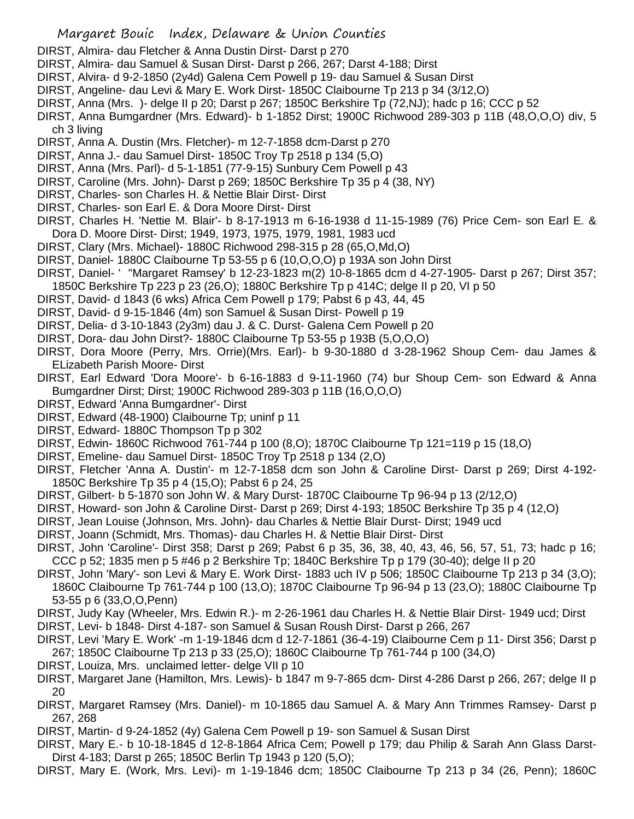- DIRST, Almira- dau Fletcher & Anna Dustin Dirst- Darst p 270
- DIRST, Almira- dau Samuel & Susan Dirst- Darst p 266, 267; Darst 4-188; Dirst
- DIRST, Alvira- d 9-2-1850 (2y4d) Galena Cem Powell p 19- dau Samuel & Susan Dirst
- DIRST, Angeline- dau Levi & Mary E. Work Dirst- 1850C Claibourne Tp 213 p 34 (3/12,O)
- DIRST, Anna (Mrs. )- delge II p 20; Darst p 267; 1850C Berkshire Tp (72,NJ); hadc p 16; CCC p 52
- DIRST, Anna Bumgardner (Mrs. Edward)- b 1-1852 Dirst; 1900C Richwood 289-303 p 11B (48,O,O,O) div, 5 ch 3 living
- DIRST, Anna A. Dustin (Mrs. Fletcher)- m 12-7-1858 dcm-Darst p 270
- DIRST, Anna J.- dau Samuel Dirst- 1850C Troy Tp 2518 p 134 (5,O)
- DIRST, Anna (Mrs. Parl)- d 5-1-1851 (77-9-15) Sunbury Cem Powell p 43
- DIRST, Caroline (Mrs. John)- Darst p 269; 1850C Berkshire Tp 35 p 4 (38, NY)
- DIRST, Charles- son Charles H. & Nettie Blair Dirst- Dirst
- DIRST, Charles- son Earl E. & Dora Moore Dirst- Dirst
- DIRST, Charles H. 'Nettie M. Blair'- b 8-17-1913 m 6-16-1938 d 11-15-1989 (76) Price Cem- son Earl E. & Dora D. Moore Dirst- Dirst; 1949, 1973, 1975, 1979, 1981, 1983 ucd
- DIRST, Clary (Mrs. Michael)- 1880C Richwood 298-315 p 28 (65,O,Md,O)
- DIRST, Daniel- 1880C Claibourne Tp 53-55 p 6 (10,O,O,O) p 193A son John Dirst
- DIRST, Daniel- ' ''Margaret Ramsey' b 12-23-1823 m(2) 10-8-1865 dcm d 4-27-1905- Darst p 267; Dirst 357;
- 1850C Berkshire Tp 223 p 23 (26,O); 1880C Berkshire Tp p 414C; delge II p 20, VI p 50
- DIRST, David- d 1843 (6 wks) Africa Cem Powell p 179; Pabst 6 p 43, 44, 45
- DIRST, David- d 9-15-1846 (4m) son Samuel & Susan Dirst- Powell p 19
- DIRST, Delia- d 3-10-1843 (2y3m) dau J. & C. Durst- Galena Cem Powell p 20
- DIRST, Dora- dau John Dirst?- 1880C Claibourne Tp 53-55 p 193B (5,O,O,O)
- DIRST, Dora Moore (Perry, Mrs. Orrie)(Mrs. Earl)- b 9-30-1880 d 3-28-1962 Shoup Cem- dau James & ELizabeth Parish Moore- Dirst
- DIRST, Earl Edward 'Dora Moore'- b 6-16-1883 d 9-11-1960 (74) bur Shoup Cem- son Edward & Anna Bumgardner Dirst; Dirst; 1900C Richwood 289-303 p 11B (16,O,O,O)
- DIRST, Edward 'Anna Bumgardner'- Dirst
- DIRST, Edward (48-1900) Claibourne Tp; uninf p 11
- DIRST, Edward- 1880C Thompson Tp p 302
- DIRST, Edwin- 1860C Richwood 761-744 p 100 (8,O); 1870C Claibourne Tp 121=119 p 15 (18,O)
- DIRST, Emeline- dau Samuel Dirst- 1850C Troy Tp 2518 p 134 (2,O)
- DIRST, Fletcher 'Anna A. Dustin'- m 12-7-1858 dcm son John & Caroline Dirst- Darst p 269; Dirst 4-192- 1850C Berkshire Tp 35 p 4 (15,O); Pabst 6 p 24, 25
- DIRST, Gilbert- b 5-1870 son John W. & Mary Durst- 1870C Claibourne Tp 96-94 p 13 (2/12,O)
- DIRST, Howard- son John & Caroline Dirst- Darst p 269; Dirst 4-193; 1850C Berkshire Tp 35 p 4 (12,O)
- DIRST, Jean Louise (Johnson, Mrs. John)- dau Charles & Nettie Blair Durst- Dirst; 1949 ucd
- DIRST, Joann (Schmidt, Mrs. Thomas)- dau Charles H. & Nettie Blair Dirst- Dirst
- DIRST, John 'Caroline'- Dirst 358; Darst p 269; Pabst 6 p 35, 36, 38, 40, 43, 46, 56, 57, 51, 73; hadc p 16; CCC p 52; 1835 men p 5 #46 p 2 Berkshire Tp; 1840C Berkshire Tp p 179 (30-40); delge II p 20
- DIRST, John 'Mary'- son Levi & Mary E. Work Dirst- 1883 uch IV p 506; 1850C Claibourne Tp 213 p 34 (3,O); 1860C Claibourne Tp 761-744 p 100 (13,O); 1870C Claibourne Tp 96-94 p 13 (23,O); 1880C Claibourne Tp 53-55 p 6 (33,O,O,Penn)
- DIRST, Judy Kay (Wheeler, Mrs. Edwin R.)- m 2-26-1961 dau Charles H. & Nettie Blair Dirst- 1949 ucd; Dirst
- DIRST, Levi- b 1848- Dirst 4-187- son Samuel & Susan Roush Dirst- Darst p 266, 267
- DIRST, Levi 'Mary E. Work' -m 1-19-1846 dcm d 12-7-1861 (36-4-19) Claibourne Cem p 11- Dirst 356; Darst p 267; 1850C Claibourne Tp 213 p 33 (25,O); 1860C Claibourne Tp 761-744 p 100 (34,O)
- DIRST, Louiza, Mrs. unclaimed letter- delge VII p 10
- DIRST, Margaret Jane (Hamilton, Mrs. Lewis)- b 1847 m 9-7-865 dcm- Dirst 4-286 Darst p 266, 267; delge II p 20
- DIRST, Margaret Ramsey (Mrs. Daniel)- m 10-1865 dau Samuel A. & Mary Ann Trimmes Ramsey- Darst p 267, 268
- DIRST, Martin- d 9-24-1852 (4y) Galena Cem Powell p 19- son Samuel & Susan Dirst
- DIRST, Mary E.- b 10-18-1845 d 12-8-1864 Africa Cem; Powell p 179; dau Philip & Sarah Ann Glass Darst-Dirst 4-183; Darst p 265; 1850C Berlin Tp 1943 p 120 (5,O);
- DIRST, Mary E. (Work, Mrs. Levi)- m 1-19-1846 dcm; 1850C Claibourne Tp 213 p 34 (26, Penn); 1860C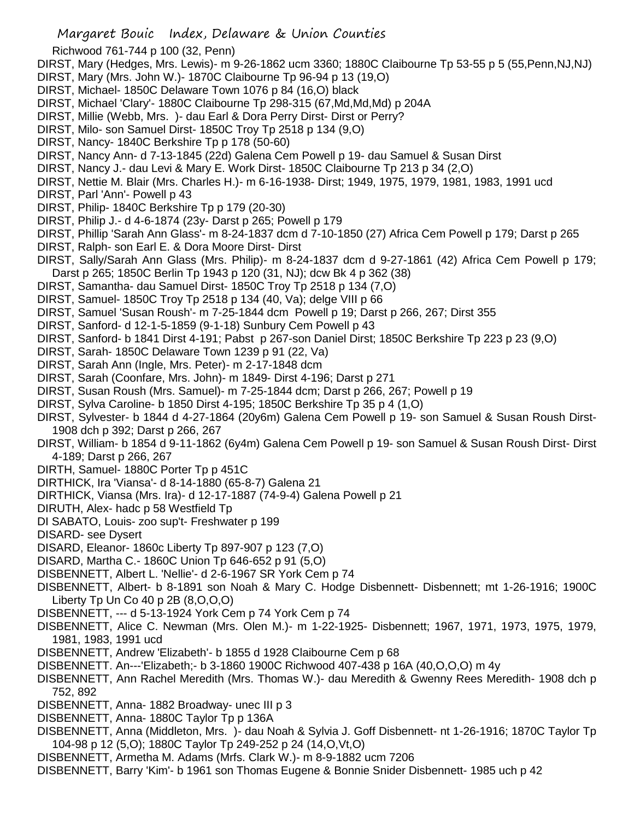- Richwood 761-744 p 100 (32, Penn)
- DIRST, Mary (Hedges, Mrs. Lewis)- m 9-26-1862 ucm 3360; 1880C Claibourne Tp 53-55 p 5 (55,Penn,NJ,NJ)
- DIRST, Mary (Mrs. John W.)- 1870C Claibourne Tp 96-94 p 13 (19,O)
- DIRST, Michael- 1850C Delaware Town 1076 p 84 (16,O) black
- DIRST, Michael 'Clary'- 1880C Claibourne Tp 298-315 (67,Md,Md,Md) p 204A
- DIRST, Millie (Webb, Mrs. )- dau Earl & Dora Perry Dirst- Dirst or Perry?
- DIRST, Milo- son Samuel Dirst- 1850C Troy Tp 2518 p 134 (9,O)
- DIRST, Nancy- 1840C Berkshire Tp p 178 (50-60)
- DIRST, Nancy Ann- d 7-13-1845 (22d) Galena Cem Powell p 19- dau Samuel & Susan Dirst
- DIRST, Nancy J.- dau Levi & Mary E. Work Dirst- 1850C Claibourne Tp 213 p 34 (2,O)
- DIRST, Nettie M. Blair (Mrs. Charles H.)- m 6-16-1938- Dirst; 1949, 1975, 1979, 1981, 1983, 1991 ucd
- DIRST, Parl 'Ann'- Powell p 43
- DIRST, Philip- 1840C Berkshire Tp p 179 (20-30)
- DIRST, Philip J.- d 4-6-1874 (23y- Darst p 265; Powell p 179
- DIRST, Phillip 'Sarah Ann Glass'- m 8-24-1837 dcm d 7-10-1850 (27) Africa Cem Powell p 179; Darst p 265
- DIRST, Ralph- son Earl E. & Dora Moore Dirst- Dirst
- DIRST, Sally/Sarah Ann Glass (Mrs. Philip)- m 8-24-1837 dcm d 9-27-1861 (42) Africa Cem Powell p 179; Darst p 265; 1850C Berlin Tp 1943 p 120 (31, NJ); dcw Bk 4 p 362 (38)
- DIRST, Samantha- dau Samuel Dirst- 1850C Troy Tp 2518 p 134 (7,O)
- DIRST, Samuel- 1850C Troy Tp 2518 p 134 (40, Va); delge VIII p 66
- DIRST, Samuel 'Susan Roush'- m 7-25-1844 dcm Powell p 19; Darst p 266, 267; Dirst 355
- DIRST, Sanford- d 12-1-5-1859 (9-1-18) Sunbury Cem Powell p 43
- DIRST, Sanford- b 1841 Dirst 4-191; Pabst p 267-son Daniel Dirst; 1850C Berkshire Tp 223 p 23 (9,O)
- DIRST, Sarah- 1850C Delaware Town 1239 p 91 (22, Va)
- DIRST, Sarah Ann (Ingle, Mrs. Peter)- m 2-17-1848 dcm
- DIRST, Sarah (Coonfare, Mrs. John)- m 1849- Dirst 4-196; Darst p 271
- DIRST, Susan Roush (Mrs. Samuel)- m 7-25-1844 dcm; Darst p 266, 267; Powell p 19
- DIRST, Sylva Caroline- b 1850 Dirst 4-195; 1850C Berkshire Tp 35 p 4 (1,O)
- DIRST, Sylvester- b 1844 d 4-27-1864 (20y6m) Galena Cem Powell p 19- son Samuel & Susan Roush Dirst-1908 dch p 392; Darst p 266, 267
- DIRST, William- b 1854 d 9-11-1862 (6y4m) Galena Cem Powell p 19- son Samuel & Susan Roush Dirst- Dirst 4-189; Darst p 266, 267
- DIRTH, Samuel- 1880C Porter Tp p 451C
- DIRTHICK, Ira 'Viansa'- d 8-14-1880 (65-8-7) Galena 21
- DIRTHICK, Viansa (Mrs. Ira)- d 12-17-1887 (74-9-4) Galena Powell p 21
- DIRUTH, Alex- hadc p 58 Westfield Tp
- DI SABATO, Louis- zoo sup't- Freshwater p 199
- DISARD- see Dysert
- DISARD, Eleanor- 1860c Liberty Tp 897-907 p 123 (7,O)
- DISARD, Martha C.- 1860C Union Tp 646-652 p 91 (5,O)
- DISBENNETT, Albert L. 'Nellie'- d 2-6-1967 SR York Cem p 74
- DISBENNETT, Albert- b 8-1891 son Noah & Mary C. Hodge Disbennett- Disbennett; mt 1-26-1916; 1900C Liberty Tp Un Co 40 p 2B (8,O,O,O)
- DISBENNETT, --- d 5-13-1924 York Cem p 74 York Cem p 74
- DISBENNETT, Alice C. Newman (Mrs. Olen M.)- m 1-22-1925- Disbennett; 1967, 1971, 1973, 1975, 1979, 1981, 1983, 1991 ucd
- DISBENNETT, Andrew 'Elizabeth'- b 1855 d 1928 Claibourne Cem p 68
- DISBENNETT. An---'Elizabeth;- b 3-1860 1900C Richwood 407-438 p 16A (40,O,O,O) m 4y
- DISBENNETT, Ann Rachel Meredith (Mrs. Thomas W.)- dau Meredith & Gwenny Rees Meredith- 1908 dch p 752, 892
- DISBENNETT, Anna- 1882 Broadway- unec III p 3
- DISBENNETT, Anna- 1880C Taylor Tp p 136A
- DISBENNETT, Anna (Middleton, Mrs. )- dau Noah & Sylvia J. Goff Disbennett- nt 1-26-1916; 1870C Taylor Tp 104-98 p 12 (5,O); 1880C Taylor Tp 249-252 p 24 (14,O,Vt,O)
- DISBENNETT, Armetha M. Adams (Mrfs. Clark W.)- m 8-9-1882 ucm 7206
- DISBENNETT, Barry 'Kim'- b 1961 son Thomas Eugene & Bonnie Snider Disbennett- 1985 uch p 42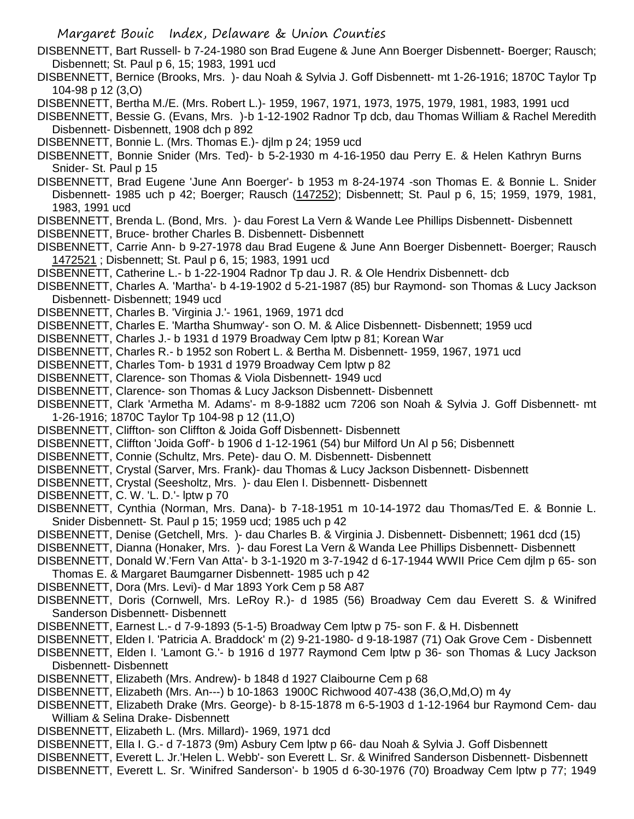- DISBENNETT, Bart Russell- b 7-24-1980 son Brad Eugene & June Ann Boerger Disbennett- Boerger; Rausch; Disbennett; St. Paul p 6, 15; 1983, 1991 ucd
- DISBENNETT, Bernice (Brooks, Mrs. )- dau Noah & Sylvia J. Goff Disbennett- mt 1-26-1916; 1870C Taylor Tp 104-98 p 12 (3,O)
- DISBENNETT, Bertha M./E. (Mrs. Robert L.)- 1959, 1967, 1971, 1973, 1975, 1979, 1981, 1983, 1991 ucd
- DISBENNETT, Bessie G. (Evans, Mrs. )-b 1-12-1902 Radnor Tp dcb, dau Thomas William & Rachel Meredith Disbennett- Disbennett, 1908 dch p 892
- DISBENNETT, Bonnie L. (Mrs. Thomas E.)- djlm p 24; 1959 ucd
- DISBENNETT, Bonnie Snider (Mrs. Ted)- b 5-2-1930 m 4-16-1950 dau Perry E. & Helen Kathryn Burns Snider- St. Paul p 15
- DISBENNETT, Brad Eugene 'June Ann Boerger'- b 1953 m 8-24-1974 -son Thomas E. & Bonnie L. Snider Disbennett- 1985 uch p 42; Boerger; Rausch (147252); Disbennett; St. Paul p 6, 15; 1959, 1979, 1981, 1983, 1991 ucd
- DISBENNETT, Brenda L. (Bond, Mrs. )- dau Forest La Vern & Wande Lee Phillips Disbennett- Disbennett
- DISBENNETT, Bruce- brother Charles B. Disbennett- Disbennett
- DISBENNETT, Carrie Ann- b 9-27-1978 dau Brad Eugene & June Ann Boerger Disbennett- Boerger; Rausch 1472521 ; Disbennett; St. Paul p 6, 15; 1983, 1991 ucd
- DISBENNETT, Catherine L.- b 1-22-1904 Radnor Tp dau J. R. & Ole Hendrix Disbennett- dcb
- DISBENNETT, Charles A. 'Martha'- b 4-19-1902 d 5-21-1987 (85) bur Raymond- son Thomas & Lucy Jackson Disbennett- Disbennett; 1949 ucd
- DISBENNETT, Charles B. 'Virginia J.'- 1961, 1969, 1971 dcd
- DISBENNETT, Charles E. 'Martha Shumway'- son O. M. & Alice Disbennett- Disbennett; 1959 ucd
- DISBENNETT, Charles J.- b 1931 d 1979 Broadway Cem lptw p 81; Korean War
- DISBENNETT, Charles R.- b 1952 son Robert L. & Bertha M. Disbennett- 1959, 1967, 1971 ucd
- DISBENNETT, Charles Tom- b 1931 d 1979 Broadway Cem lptw p 82
- DISBENNETT, Clarence- son Thomas & Viola Disbennett- 1949 ucd
- DISBENNETT, Clarence- son Thomas & Lucy Jackson Disbennett- Disbennett
- DISBENNETT, Clark 'Armetha M. Adams'- m 8-9-1882 ucm 7206 son Noah & Sylvia J. Goff Disbennett- mt 1-26-1916; 1870C Taylor Tp 104-98 p 12 (11,O)
- DISBENNETT, Cliffton- son Cliffton & Joida Goff Disbennett- Disbennett
- DISBENNETT, Cliffton 'Joida Goff'- b 1906 d 1-12-1961 (54) bur Milford Un Al p 56; Disbennett
- DISBENNETT, Connie (Schultz, Mrs. Pete)- dau O. M. Disbennett- Disbennett
- DISBENNETT, Crystal (Sarver, Mrs. Frank)- dau Thomas & Lucy Jackson Disbennett- Disbennett
- DISBENNETT, Crystal (Seesholtz, Mrs. )- dau Elen I. Disbennett- Disbennett
- DISBENNETT, C. W. 'L. D.'- lptw p 70
- DISBENNETT, Cynthia (Norman, Mrs. Dana)- b 7-18-1951 m 10-14-1972 dau Thomas/Ted E. & Bonnie L. Snider Disbennett- St. Paul p 15; 1959 ucd; 1985 uch p 42
- DISBENNETT, Denise (Getchell, Mrs. )- dau Charles B. & Virginia J. Disbennett- Disbennett; 1961 dcd (15)
- DISBENNETT, Dianna (Honaker, Mrs. )- dau Forest La Vern & Wanda Lee Phillips Disbennett- Disbennett
- DISBENNETT, Donald W.'Fern Van Atta'- b 3-1-1920 m 3-7-1942 d 6-17-1944 WWII Price Cem djlm p 65- son Thomas E. & Margaret Baumgarner Disbennett- 1985 uch p 42
- DISBENNETT, Dora (Mrs. Levi)- d Mar 1893 York Cem p 58 A87
- DISBENNETT, Doris (Cornwell, Mrs. LeRoy R.)- d 1985 (56) Broadway Cem dau Everett S. & Winifred Sanderson Disbennett- Disbennett
- DISBENNETT, Earnest L.- d 7-9-1893 (5-1-5) Broadway Cem lptw p 75- son F. & H. Disbennett
- DISBENNETT, Elden I. 'Patricia A. Braddock' m (2) 9-21-1980- d 9-18-1987 (71) Oak Grove Cem Disbennett
- DISBENNETT, Elden I. 'Lamont G.'- b 1916 d 1977 Raymond Cem lptw p 36- son Thomas & Lucy Jackson Disbennett- Disbennett
- DISBENNETT, Elizabeth (Mrs. Andrew)- b 1848 d 1927 Claibourne Cem p 68
- DISBENNETT, Elizabeth (Mrs. An---) b 10-1863 1900C Richwood 407-438 (36,O,Md,O) m 4y
- DISBENNETT, Elizabeth Drake (Mrs. George)- b 8-15-1878 m 6-5-1903 d 1-12-1964 bur Raymond Cem- dau William & Selina Drake- Disbennett
- DISBENNETT, Elizabeth L. (Mrs. Millard)- 1969, 1971 dcd
- DISBENNETT, Ella I. G.- d 7-1873 (9m) Asbury Cem lptw p 66- dau Noah & Sylvia J. Goff Disbennett
- DISBENNETT, Everett L. Jr.'Helen L. Webb'- son Everett L. Sr. & Winifred Sanderson Disbennett- Disbennett
- DISBENNETT, Everett L. Sr. 'Winifred Sanderson'- b 1905 d 6-30-1976 (70) Broadway Cem lptw p 77; 1949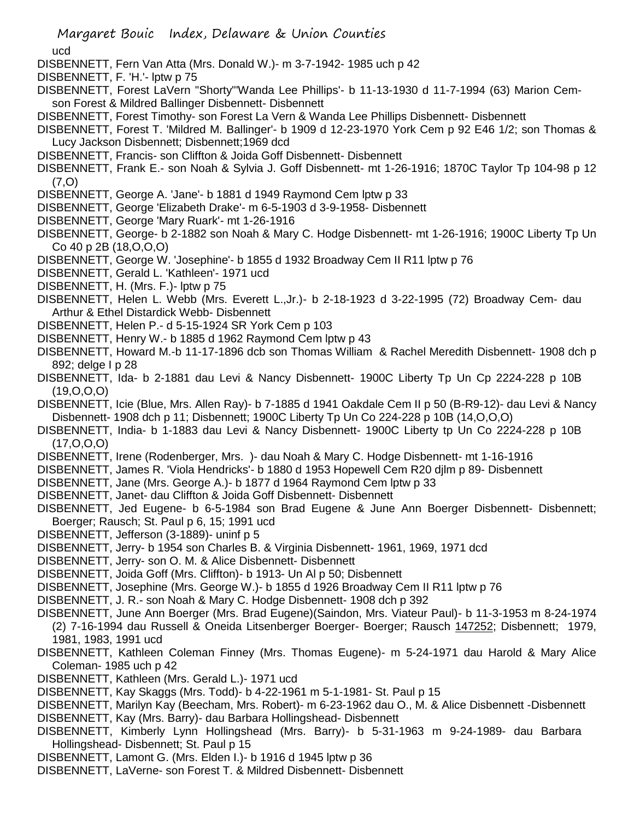ucd

- DISBENNETT, Fern Van Atta (Mrs. Donald W.)- m 3-7-1942- 1985 uch p 42
- DISBENNETT, F. 'H.'- lptw p 75
- DISBENNETT, Forest LaVern "Shorty"'Wanda Lee Phillips'- b 11-13-1930 d 11-7-1994 (63) Marion Cemson Forest & Mildred Ballinger Disbennett- Disbennett
- DISBENNETT, Forest Timothy- son Forest La Vern & Wanda Lee Phillips Disbennett- Disbennett
- DISBENNETT, Forest T. 'Mildred M. Ballinger'- b 1909 d 12-23-1970 York Cem p 92 E46 1/2; son Thomas & Lucy Jackson Disbennett; Disbennett;1969 dcd
- DISBENNETT, Francis- son Cliffton & Joida Goff Disbennett- Disbennett
- DISBENNETT, Frank E.- son Noah & Sylvia J. Goff Disbennett- mt 1-26-1916; 1870C Taylor Tp 104-98 p 12 (7,O)
- DISBENNETT, George A. 'Jane'- b 1881 d 1949 Raymond Cem lptw p 33
- DISBENNETT, George 'Elizabeth Drake'- m 6-5-1903 d 3-9-1958- Disbennett
- DISBENNETT, George 'Mary Ruark'- mt 1-26-1916
- DISBENNETT, George- b 2-1882 son Noah & Mary C. Hodge Disbennett- mt 1-26-1916; 1900C Liberty Tp Un Co 40 p 2B (18,O,O,O)
- DISBENNETT, George W. 'Josephine'- b 1855 d 1932 Broadway Cem II R11 lptw p 76
- DISBENNETT, Gerald L. 'Kathleen'- 1971 ucd
- DISBENNETT, H. (Mrs. F.)- lptw p 75
- DISBENNETT, Helen L. Webb (Mrs. Everett L.,Jr.)- b 2-18-1923 d 3-22-1995 (72) Broadway Cem- dau Arthur & Ethel Distardick Webb- Disbennett
- DISBENNETT, Helen P.- d 5-15-1924 SR York Cem p 103
- DISBENNETT, Henry W.- b 1885 d 1962 Raymond Cem lptw p 43
- DISBENNETT, Howard M.-b 11-17-1896 dcb son Thomas William & Rachel Meredith Disbennett- 1908 dch p 892; delge I p 28
- DISBENNETT, Ida- b 2-1881 dau Levi & Nancy Disbennett- 1900C Liberty Tp Un Cp 2224-228 p 10B (19,O,O,O)
- DISBENNETT, Icie (Blue, Mrs. Allen Ray)- b 7-1885 d 1941 Oakdale Cem II p 50 (B-R9-12)- dau Levi & Nancy Disbennett- 1908 dch p 11; Disbennett; 1900C Liberty Tp Un Co 224-228 p 10B (14,O,O,O)
- DISBENNETT, India- b 1-1883 dau Levi & Nancy Disbennett- 1900C Liberty tp Un Co 2224-228 p 10B (17,O,O,O)
- DISBENNETT, Irene (Rodenberger, Mrs. )- dau Noah & Mary C. Hodge Disbennett- mt 1-16-1916
- DISBENNETT, James R. 'Viola Hendricks'- b 1880 d 1953 Hopewell Cem R20 djlm p 89- Disbennett
- DISBENNETT, Jane (Mrs. George A.)- b 1877 d 1964 Raymond Cem lptw p 33
- DISBENNETT, Janet- dau Cliffton & Joida Goff Disbennett- Disbennett
- DISBENNETT, Jed Eugene- b 6-5-1984 son Brad Eugene & June Ann Boerger Disbennett- Disbennett; Boerger; Rausch; St. Paul p 6, 15; 1991 ucd
- DISBENNETT, Jefferson (3-1889)- uninf p 5
- DISBENNETT, Jerry- b 1954 son Charles B. & Virginia Disbennett- 1961, 1969, 1971 dcd
- DISBENNETT, Jerry- son O. M. & Alice Disbennett- Disbennett
- DISBENNETT, Joida Goff (Mrs. Cliffton)- b 1913- Un Al p 50; Disbennett
- DISBENNETT, Josephine (Mrs. George W.)- b 1855 d 1926 Broadway Cem II R11 lptw p 76
- DISBENNETT, J. R.- son Noah & Mary C. Hodge Disbennett- 1908 dch p 392
- DISBENNETT, June Ann Boerger (Mrs. Brad Eugene)(Saindon, Mrs. Viateur Paul)- b 11-3-1953 m 8-24-1974 (2) 7-16-1994 dau Russell & Oneida Litsenberger Boerger- Boerger; Rausch 147252; Disbennett; 1979, 1981, 1983, 1991 ucd
- DISBENNETT, Kathleen Coleman Finney (Mrs. Thomas Eugene)- m 5-24-1971 dau Harold & Mary Alice Coleman- 1985 uch p 42
- DISBENNETT, Kathleen (Mrs. Gerald L.)- 1971 ucd
- DISBENNETT, Kay Skaggs (Mrs. Todd)- b 4-22-1961 m 5-1-1981- St. Paul p 15
- DISBENNETT, Marilyn Kay (Beecham, Mrs. Robert)- m 6-23-1962 dau O., M. & Alice Disbennett -Disbennett DISBENNETT, Kay (Mrs. Barry)- dau Barbara Hollingshead- Disbennett
- 
- DISBENNETT, Kimberly Lynn Hollingshead (Mrs. Barry)- b 5-31-1963 m 9-24-1989- dau Barbara Hollingshead- Disbennett; St. Paul p 15
- DISBENNETT, Lamont G. (Mrs. Elden I.)- b 1916 d 1945 lptw p 36
- DISBENNETT, LaVerne- son Forest T. & Mildred Disbennett- Disbennett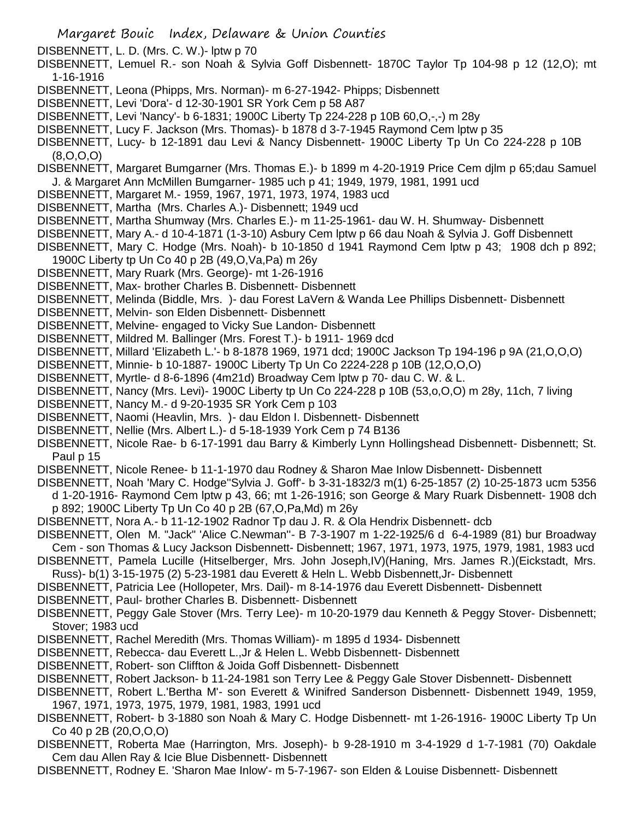- DISBENNETT, L. D. (Mrs. C. W.)- lptw p 70
- DISBENNETT, Lemuel R.- son Noah & Sylvia Goff Disbennett- 1870C Taylor Tp 104-98 p 12 (12,O); mt 1-16-1916
- DISBENNETT, Leona (Phipps, Mrs. Norman)- m 6-27-1942- Phipps; Disbennett
- DISBENNETT, Levi 'Dora'- d 12-30-1901 SR York Cem p 58 A87
- DISBENNETT, Levi 'Nancy'- b 6-1831; 1900C Liberty Tp 224-228 p 10B 60,O,-,-) m 28y
- DISBENNETT, Lucy F. Jackson (Mrs. Thomas)- b 1878 d 3-7-1945 Raymond Cem lptw p 35
- DISBENNETT, Lucy- b 12-1891 dau Levi & Nancy Disbennett- 1900C Liberty Tp Un Co 224-228 p 10B (8,O,O,O)
- DISBENNETT, Margaret Bumgarner (Mrs. Thomas E.)- b 1899 m 4-20-1919 Price Cem djlm p 65;dau Samuel J. & Margaret Ann McMillen Bumgarner- 1985 uch p 41; 1949, 1979, 1981, 1991 ucd
- DISBENNETT, Margaret M.- 1959, 1967, 1971, 1973, 1974, 1983 ucd
- DISBENNETT, Martha (Mrs. Charles A.)- Disbennett; 1949 ucd
- DISBENNETT, Martha Shumway (Mrs. Charles E.)- m 11-25-1961- dau W. H. Shumway- Disbennett
- DISBENNETT, Mary A.- d 10-4-1871 (1-3-10) Asbury Cem lptw p 66 dau Noah & Sylvia J. Goff Disbennett
- DISBENNETT, Mary C. Hodge (Mrs. Noah)- b 10-1850 d 1941 Raymond Cem lptw p 43; 1908 dch p 892; 1900C Liberty tp Un Co 40 p 2B (49,O,Va,Pa) m 26y
- DISBENNETT, Mary Ruark (Mrs. George)- mt 1-26-1916
- DISBENNETT, Max- brother Charles B. Disbennett- Disbennett
- DISBENNETT, Melinda (Biddle, Mrs. )- dau Forest LaVern & Wanda Lee Phillips Disbennett- Disbennett
- DISBENNETT, Melvin- son Elden Disbennett- Disbennett
- DISBENNETT, Melvine- engaged to Vicky Sue Landon- Disbennett
- DISBENNETT, Mildred M. Ballinger (Mrs. Forest T.)- b 1911- 1969 dcd
- DISBENNETT, Millard 'Elizabeth L.'- b 8-1878 1969, 1971 dcd; 1900C Jackson Tp 194-196 p 9A (21,O,O,O)
- DISBENNETT, Minnie- b 10-1887- 1900C Liberty Tp Un Co 2224-228 p 10B (12,O,O,O)
- DISBENNETT, Myrtle- d 8-6-1896 (4m21d) Broadway Cem lptw p 70- dau C. W. & L.
- DISBENNETT, Nancy (Mrs. Levi)- 1900C Liberty tp Un Co 224-228 p 10B (53,o,O,O) m 28y, 11ch, 7 living
- DISBENNETT, Nancy M.- d 9-20-1935 SR York Cem p 103
- DISBENNETT, Naomi (Heavlin, Mrs. )- dau Eldon I. Disbennett- Disbennett
- DISBENNETT, Nellie (Mrs. Albert L.)- d 5-18-1939 York Cem p 74 B136
- DISBENNETT, Nicole Rae- b 6-17-1991 dau Barry & Kimberly Lynn Hollingshead Disbennett- Disbennett; St. Paul p 15
- DISBENNETT, Nicole Renee- b 11-1-1970 dau Rodney & Sharon Mae Inlow Disbennett- Disbennett
- DISBENNETT, Noah 'Mary C. Hodge''Sylvia J. Goff'- b 3-31-1832/3 m(1) 6-25-1857 (2) 10-25-1873 ucm 5356 d 1-20-1916- Raymond Cem lptw p 43, 66; mt 1-26-1916; son George & Mary Ruark Disbennett- 1908 dch p 892; 1900C Liberty Tp Un Co 40 p 2B (67,O,Pa,Md) m 26y
- DISBENNETT, Nora A.- b 11-12-1902 Radnor Tp dau J. R. & Ola Hendrix Disbennett- dcb
- DISBENNETT, Olen M. "Jack" 'Alice C.Newman''- B 7-3-1907 m 1-22-1925/6 d 6-4-1989 (81) bur Broadway
- Cem son Thomas & Lucy Jackson Disbennett- Disbennett; 1967, 1971, 1973, 1975, 1979, 1981, 1983 ucd DISBENNETT, Pamela Lucille (Hitselberger, Mrs. John Joseph,IV)(Haning, Mrs. James R.)(Eickstadt, Mrs.
- Russ)- b(1) 3-15-1975 (2) 5-23-1981 dau Everett & Heln L. Webb Disbennett,Jr- Disbennett
- DISBENNETT, Patricia Lee (Hollopeter, Mrs. Dail)- m 8-14-1976 dau Everett Disbennett- Disbennett
- DISBENNETT, Paul- brother Charles B. Disbennett- Disbennett
- DISBENNETT, Peggy Gale Stover (Mrs. Terry Lee)- m 10-20-1979 dau Kenneth & Peggy Stover- Disbennett; Stover; 1983 ucd
- DISBENNETT, Rachel Meredith (Mrs. Thomas William)- m 1895 d 1934- Disbennett
- DISBENNETT, Rebecca- dau Everett L.,Jr & Helen L. Webb Disbennett- Disbennett
- DISBENNETT, Robert- son Cliffton & Joida Goff Disbennett- Disbennett
- DISBENNETT, Robert Jackson- b 11-24-1981 son Terry Lee & Peggy Gale Stover Disbennett- Disbennett
- DISBENNETT, Robert L.'Bertha M'- son Everett & Winifred Sanderson Disbennett- Disbennett 1949, 1959, 1967, 1971, 1973, 1975, 1979, 1981, 1983, 1991 ucd
- DISBENNETT, Robert- b 3-1880 son Noah & Mary C. Hodge Disbennett- mt 1-26-1916- 1900C Liberty Tp Un Co 40 p 2B (20,O,O,O)
- DISBENNETT, Roberta Mae (Harrington, Mrs. Joseph)- b 9-28-1910 m 3-4-1929 d 1-7-1981 (70) Oakdale Cem dau Allen Ray & Icie Blue Disbennett- Disbennett
- DISBENNETT, Rodney E. 'Sharon Mae Inlow'- m 5-7-1967- son Elden & Louise Disbennett- Disbennett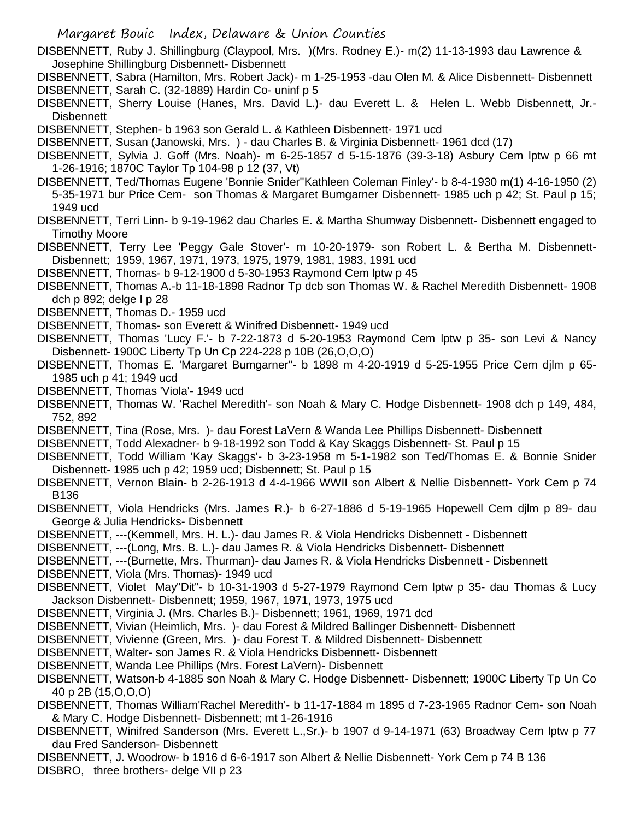Margaret Bouic Index, Delaware & Union Counties DISBENNETT, Ruby J. Shillingburg (Claypool, Mrs. )(Mrs. Rodney E.)- m(2) 11-13-1993 dau Lawrence & Josephine Shillingburg Disbennett- Disbennett DISBENNETT, Sabra (Hamilton, Mrs. Robert Jack)- m 1-25-1953 -dau Olen M. & Alice Disbennett- Disbennett DISBENNETT, Sarah C. (32-1889) Hardin Co- uninf p 5 DISBENNETT, Sherry Louise (Hanes, Mrs. David L.)- dau Everett L. & Helen L. Webb Disbennett, Jr.- **Disbennett** DISBENNETT, Stephen- b 1963 son Gerald L. & Kathleen Disbennett- 1971 ucd DISBENNETT, Susan (Janowski, Mrs. ) - dau Charles B. & Virginia Disbennett- 1961 dcd (17) DISBENNETT, Sylvia J. Goff (Mrs. Noah)- m 6-25-1857 d 5-15-1876 (39-3-18) Asbury Cem lptw p 66 mt 1-26-1916; 1870C Taylor Tp 104-98 p 12 (37, Vt) DISBENNETT, Ted/Thomas Eugene 'Bonnie Snider''Kathleen Coleman Finley'- b 8-4-1930 m(1) 4-16-1950 (2) 5-35-1971 bur Price Cem- son Thomas & Margaret Bumgarner Disbennett- 1985 uch p 42; St. Paul p 15; 1949 ucd DISBENNETT, Terri Linn- b 9-19-1962 dau Charles E. & Martha Shumway Disbennett- Disbennett engaged to Timothy Moore DISBENNETT, Terry Lee 'Peggy Gale Stover'- m 10-20-1979- son Robert L. & Bertha M. Disbennett-Disbennett; 1959, 1967, 1971, 1973, 1975, 1979, 1981, 1983, 1991 ucd DISBENNETT, Thomas- b 9-12-1900 d 5-30-1953 Raymond Cem lptw p 45 DISBENNETT, Thomas A.-b 11-18-1898 Radnor Tp dcb son Thomas W. & Rachel Meredith Disbennett- 1908 dch p 892; delge I p 28 DISBENNETT, Thomas D.- 1959 ucd DISBENNETT, Thomas- son Everett & Winifred Disbennett- 1949 ucd DISBENNETT, Thomas 'Lucy F.'- b 7-22-1873 d 5-20-1953 Raymond Cem lptw p 35- son Levi & Nancy Disbennett- 1900C Liberty Tp Un Cp 224-228 p 10B (26,O,O,O) DISBENNETT, Thomas E. 'Margaret Bumgarner''- b 1898 m 4-20-1919 d 5-25-1955 Price Cem djlm p 65- 1985 uch p 41; 1949 ucd DISBENNETT, Thomas 'Viola'- 1949 ucd DISBENNETT, Thomas W. 'Rachel Meredith'- son Noah & Mary C. Hodge Disbennett- 1908 dch p 149, 484, 752, 892 DISBENNETT, Tina (Rose, Mrs. )- dau Forest LaVern & Wanda Lee Phillips Disbennett- Disbennett DISBENNETT, Todd Alexadner- b 9-18-1992 son Todd & Kay Skaggs Disbennett- St. Paul p 15 DISBENNETT, Todd William 'Kay Skaggs'- b 3-23-1958 m 5-1-1982 son Ted/Thomas E. & Bonnie Snider Disbennett- 1985 uch p 42; 1959 ucd; Disbennett; St. Paul p 15 DISBENNETT, Vernon Blain- b 2-26-1913 d 4-4-1966 WWII son Albert & Nellie Disbennett- York Cem p 74 B136 DISBENNETT, Viola Hendricks (Mrs. James R.)- b 6-27-1886 d 5-19-1965 Hopewell Cem djlm p 89- dau George & Julia Hendricks- Disbennett DISBENNETT, ---(Kemmell, Mrs. H. L.)- dau James R. & Viola Hendricks Disbennett - Disbennett DISBENNETT, ---(Long, Mrs. B. L.)- dau James R. & Viola Hendricks Disbennett- Disbennett DISBENNETT, ---(Burnette, Mrs. Thurman)- dau James R. & Viola Hendricks Disbennett - Disbennett DISBENNETT, Viola (Mrs. Thomas)- 1949 ucd DISBENNETT, Violet May"Dit"- b 10-31-1903 d 5-27-1979 Raymond Cem lptw p 35- dau Thomas & Lucy Jackson Disbennett- Disbennett; 1959, 1967, 1971, 1973, 1975 ucd DISBENNETT, Virginia J. (Mrs. Charles B.)- Disbennett; 1961, 1969, 1971 dcd DISBENNETT, Vivian (Heimlich, Mrs. )- dau Forest & Mildred Ballinger Disbennett- Disbennett DISBENNETT, Vivienne (Green, Mrs. )- dau Forest T. & Mildred Disbennett- Disbennett DISBENNETT, Walter- son James R. & Viola Hendricks Disbennett- Disbennett DISBENNETT, Wanda Lee Phillips (Mrs. Forest LaVern)- Disbennett DISBENNETT, Watson-b 4-1885 son Noah & Mary C. Hodge Disbennett- Disbennett; 1900C Liberty Tp Un Co 40 p 2B (15,O,O,O) DISBENNETT, Thomas William'Rachel Meredith'- b 11-17-1884 m 1895 d 7-23-1965 Radnor Cem- son Noah & Mary C. Hodge Disbennett- Disbennett; mt 1-26-1916 DISBENNETT, Winifred Sanderson (Mrs. Everett L.,Sr.)- b 1907 d 9-14-1971 (63) Broadway Cem lptw p 77 dau Fred Sanderson- Disbennett

DISBENNETT, J. Woodrow- b 1916 d 6-6-1917 son Albert & Nellie Disbennett- York Cem p 74 B 136 DISBRO, three brothers- delge VII p 23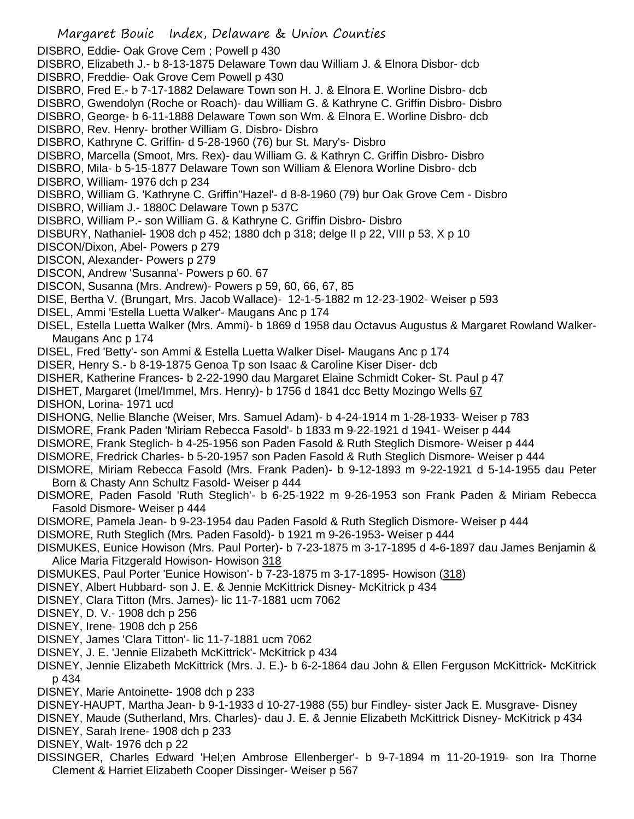Margaret Bouic Index, Delaware & Union Counties DISBRO, Eddie- Oak Grove Cem ; Powell p 430 DISBRO, Elizabeth J.- b 8-13-1875 Delaware Town dau William J. & Elnora Disbor- dcb DISBRO, Freddie- Oak Grove Cem Powell p 430 DISBRO, Fred E.- b 7-17-1882 Delaware Town son H. J. & Elnora E. Worline Disbro- dcb DISBRO, Gwendolyn (Roche or Roach)- dau William G. & Kathryne C. Griffin Disbro- Disbro DISBRO, George- b 6-11-1888 Delaware Town son Wm. & Elnora E. Worline Disbro- dcb DISBRO, Rev. Henry- brother William G. Disbro- Disbro DISBRO, Kathryne C. Griffin- d 5-28-1960 (76) bur St. Mary's- Disbro DISBRO, Marcella (Smoot, Mrs. Rex)- dau William G. & Kathryn C. Griffin Disbro- Disbro DISBRO, Mila- b 5-15-1877 Delaware Town son William & Elenora Worline Disbro- dcb DISBRO, William- 1976 dch p 234 DISBRO, William G. 'Kathryne C. Griffin''Hazel'- d 8-8-1960 (79) bur Oak Grove Cem - Disbro DISBRO, William J.- 1880C Delaware Town p 537C DISBRO, William P.- son William G. & Kathryne C. Griffin Disbro- Disbro DISBURY, Nathaniel- 1908 dch p 452; 1880 dch p 318; delge II p 22, VIII p 53, X p 10 DISCON/Dixon, Abel- Powers p 279 DISCON, Alexander- Powers p 279 DISCON, Andrew 'Susanna'- Powers p 60. 67 DISCON, Susanna (Mrs. Andrew)- Powers p 59, 60, 66, 67, 85 DISE, Bertha V. (Brungart, Mrs. Jacob Wallace)- 12-1-5-1882 m 12-23-1902- Weiser p 593 DISEL, Ammi 'Estella Luetta Walker'- Maugans Anc p 174 DISEL, Estella Luetta Walker (Mrs. Ammi)- b 1869 d 1958 dau Octavus Augustus & Margaret Rowland Walker-Maugans Anc p 174 DISEL, Fred 'Betty'- son Ammi & Estella Luetta Walker Disel- Maugans Anc p 174 DISER, Henry S.- b 8-19-1875 Genoa Tp son Isaac & Caroline Kiser Diser- dcb DISHER, Katherine Frances- b 2-22-1990 dau Margaret Elaine Schmidt Coker- St. Paul p 47 DISHET, Margaret (Imel/Immel, Mrs. Henry)- b 1756 d 1841 dcc Betty Mozingo Wells 67 DISHON, Lorina- 1971 ucd DISHONG, Nellie Blanche (Weiser, Mrs. Samuel Adam)- b 4-24-1914 m 1-28-1933- Weiser p 783 DISMORE, Frank Paden 'Miriam Rebecca Fasold'- b 1833 m 9-22-1921 d 1941- Weiser p 444 DISMORE, Frank Steglich- b 4-25-1956 son Paden Fasold & Ruth Steglich Dismore- Weiser p 444 DISMORE, Fredrick Charles- b 5-20-1957 son Paden Fasold & Ruth Steglich Dismore- Weiser p 444 DISMORE, Miriam Rebecca Fasold (Mrs. Frank Paden)- b 9-12-1893 m 9-22-1921 d 5-14-1955 dau Peter Born & Chasty Ann Schultz Fasold- Weiser p 444 DISMORE, Paden Fasold 'Ruth Steglich'- b 6-25-1922 m 9-26-1953 son Frank Paden & Miriam Rebecca Fasold Dismore- Weiser p 444 DISMORE, Pamela Jean- b 9-23-1954 dau Paden Fasold & Ruth Steglich Dismore- Weiser p 444 DISMORE, Ruth Steglich (Mrs. Paden Fasold)- b 1921 m 9-26-1953- Weiser p 444 DISMUKES, Eunice Howison (Mrs. Paul Porter)- b 7-23-1875 m 3-17-1895 d 4-6-1897 dau James Benjamin & Alice Maria Fitzgerald Howison- Howison 318 DISMUKES, Paul Porter 'Eunice Howison'- b 7-23-1875 m 3-17-1895- Howison (318) DISNEY, Albert Hubbard- son J. E. & Jennie McKittrick Disney- McKitrick p 434 DISNEY, Clara Titton (Mrs. James)- lic 11-7-1881 ucm 7062 DISNEY, D. V.- 1908 dch p 256 DISNEY, Irene- 1908 dch p 256 DISNEY, James 'Clara Titton'- lic 11-7-1881 ucm 7062 DISNEY, J. E. 'Jennie Elizabeth McKittrick'- McKitrick p 434 DISNEY, Jennie Elizabeth McKittrick (Mrs. J. E.)- b 6-2-1864 dau John & Ellen Ferguson McKittrick- McKitrick p 434 DISNEY, Marie Antoinette- 1908 dch p 233 DISNEY-HAUPT, Martha Jean- b 9-1-1933 d 10-27-1988 (55) bur Findley- sister Jack E. Musgrave- Disney DISNEY, Maude (Sutherland, Mrs. Charles)- dau J. E. & Jennie Elizabeth McKittrick Disney- McKitrick p 434 DISNEY, Sarah Irene- 1908 dch p 233 DISNEY, Walt- 1976 dch p 22 DISSINGER, Charles Edward 'Hel;en Ambrose Ellenberger'- b 9-7-1894 m 11-20-1919- son Ira Thorne Clement & Harriet Elizabeth Cooper Dissinger- Weiser p 567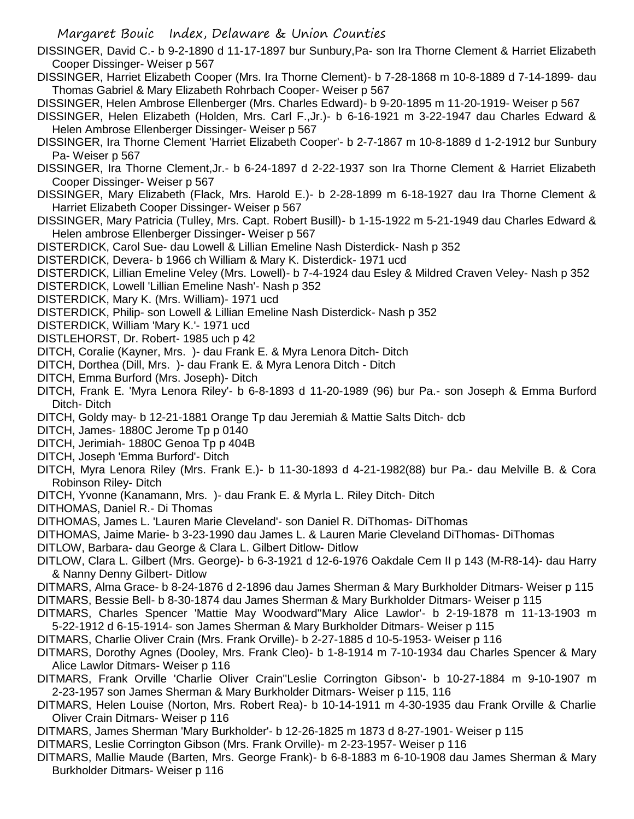DISSINGER, David C.- b 9-2-1890 d 11-17-1897 bur Sunbury,Pa- son Ira Thorne Clement & Harriet Elizabeth Cooper Dissinger- Weiser p 567

- DISSINGER, Harriet Elizabeth Cooper (Mrs. Ira Thorne Clement)- b 7-28-1868 m 10-8-1889 d 7-14-1899- dau Thomas Gabriel & Mary Elizabeth Rohrbach Cooper- Weiser p 567
- DISSINGER, Helen Ambrose Ellenberger (Mrs. Charles Edward)- b 9-20-1895 m 11-20-1919- Weiser p 567
- DISSINGER, Helen Elizabeth (Holden, Mrs. Carl F.,Jr.)- b 6-16-1921 m 3-22-1947 dau Charles Edward & Helen Ambrose Ellenberger Dissinger- Weiser p 567
- DISSINGER, Ira Thorne Clement 'Harriet Elizabeth Cooper'- b 2-7-1867 m 10-8-1889 d 1-2-1912 bur Sunbury Pa- Weiser p 567
- DISSINGER, Ira Thorne Clement,Jr.- b 6-24-1897 d 2-22-1937 son Ira Thorne Clement & Harriet Elizabeth Cooper Dissinger- Weiser p 567
- DISSINGER, Mary Elizabeth (Flack, Mrs. Harold E.)- b 2-28-1899 m 6-18-1927 dau Ira Thorne Clement & Harriet Elizabeth Cooper Dissinger- Weiser p 567
- DISSINGER, Mary Patricia (Tulley, Mrs. Capt. Robert Busill)- b 1-15-1922 m 5-21-1949 dau Charles Edward & Helen ambrose Ellenberger Dissinger- Weiser p 567
- DISTERDICK, Carol Sue- dau Lowell & Lillian Emeline Nash Disterdick- Nash p 352
- DISTERDICK, Devera- b 1966 ch William & Mary K. Disterdick- 1971 ucd
- DISTERDICK, Lillian Emeline Veley (Mrs. Lowell)- b 7-4-1924 dau Esley & Mildred Craven Veley- Nash p 352
- DISTERDICK, Lowell 'Lillian Emeline Nash'- Nash p 352
- DISTERDICK, Mary K. (Mrs. William)- 1971 ucd
- DISTERDICK, Philip- son Lowell & Lillian Emeline Nash Disterdick- Nash p 352
- DISTERDICK, William 'Mary K.'- 1971 ucd
- DISTLEHORST, Dr. Robert- 1985 uch p 42
- DITCH, Coralie (Kayner, Mrs. )- dau Frank E. & Myra Lenora Ditch- Ditch
- DITCH, Dorthea (Dill, Mrs. )- dau Frank E. & Myra Lenora Ditch Ditch
- DITCH, Emma Burford (Mrs. Joseph)- Ditch
- DITCH, Frank E. 'Myra Lenora Riley'- b 6-8-1893 d 11-20-1989 (96) bur Pa.- son Joseph & Emma Burford Ditch- Ditch
- DITCH, Goldy may- b 12-21-1881 Orange Tp dau Jeremiah & Mattie Salts Ditch- dcb
- DITCH, James- 1880C Jerome Tp p 0140
- DITCH, Jerimiah- 1880C Genoa Tp p 404B
- DITCH, Joseph 'Emma Burford'- Ditch
- DITCH, Myra Lenora Riley (Mrs. Frank E.)- b 11-30-1893 d 4-21-1982(88) bur Pa.- dau Melville B. & Cora Robinson Riley- Ditch
- DITCH, Yvonne (Kanamann, Mrs. )- dau Frank E. & Myrla L. Riley Ditch- Ditch
- DITHOMAS, Daniel R.- Di Thomas
- DITHOMAS, James L. 'Lauren Marie Cleveland'- son Daniel R. DiThomas- DiThomas
- DITHOMAS, Jaime Marie- b 3-23-1990 dau James L. & Lauren Marie Cleveland DiThomas- DiThomas
- DITLOW, Barbara- dau George & Clara L. Gilbert Ditlow- Ditlow
- DITLOW, Clara L. Gilbert (Mrs. George)- b 6-3-1921 d 12-6-1976 Oakdale Cem II p 143 (M-R8-14)- dau Harry & Nanny Denny Gilbert- Ditlow
- DITMARS, Alma Grace- b 8-24-1876 d 2-1896 dau James Sherman & Mary Burkholder Ditmars- Weiser p 115 DITMARS, Bessie Bell- b 8-30-1874 dau James Sherman & Mary Burkholder Ditmars- Weiser p 115
- DITMARS, Charles Spencer 'Mattie May Woodward''Mary Alice Lawlor'- b 2-19-1878 m 11-13-1903 m 5-22-1912 d 6-15-1914- son James Sherman & Mary Burkholder Ditmars- Weiser p 115
- DITMARS, Charlie Oliver Crain (Mrs. Frank Orville)- b 2-27-1885 d 10-5-1953- Weiser p 116
- DITMARS, Dorothy Agnes (Dooley, Mrs. Frank Cleo)- b 1-8-1914 m 7-10-1934 dau Charles Spencer & Mary Alice Lawlor Ditmars- Weiser p 116
- DITMARS, Frank Orville 'Charlie Oliver Crain''Leslie Corrington Gibson'- b 10-27-1884 m 9-10-1907 m 2-23-1957 son James Sherman & Mary Burkholder Ditmars- Weiser p 115, 116
- DITMARS, Helen Louise (Norton, Mrs. Robert Rea)- b 10-14-1911 m 4-30-1935 dau Frank Orville & Charlie Oliver Crain Ditmars- Weiser p 116
- DITMARS, James Sherman 'Mary Burkholder'- b 12-26-1825 m 1873 d 8-27-1901- Weiser p 115
- DITMARS, Leslie Corrington Gibson (Mrs. Frank Orville)- m 2-23-1957- Weiser p 116
- DITMARS, Mallie Maude (Barten, Mrs. George Frank)- b 6-8-1883 m 6-10-1908 dau James Sherman & Mary Burkholder Ditmars- Weiser p 116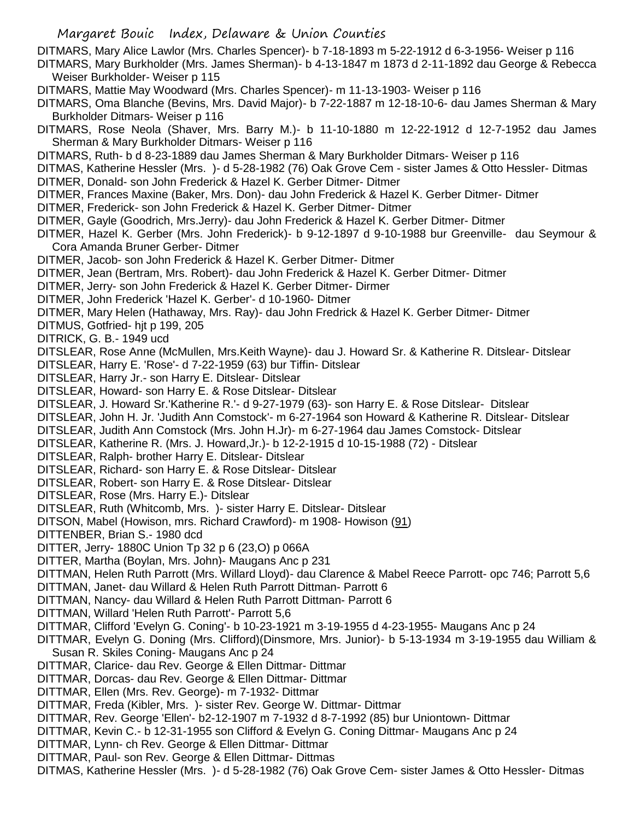DITMARS, Mary Alice Lawlor (Mrs. Charles Spencer)- b 7-18-1893 m 5-22-1912 d 6-3-1956- Weiser p 116

- DITMARS, Mary Burkholder (Mrs. James Sherman)- b 4-13-1847 m 1873 d 2-11-1892 dau George & Rebecca Weiser Burkholder- Weiser p 115
- DITMARS, Mattie May Woodward (Mrs. Charles Spencer)- m 11-13-1903- Weiser p 116
- DITMARS, Oma Blanche (Bevins, Mrs. David Major)- b 7-22-1887 m 12-18-10-6- dau James Sherman & Mary Burkholder Ditmars- Weiser p 116
- DITMARS, Rose Neola (Shaver, Mrs. Barry M.)- b 11-10-1880 m 12-22-1912 d 12-7-1952 dau James Sherman & Mary Burkholder Ditmars- Weiser p 116
- DITMARS, Ruth- b d 8-23-1889 dau James Sherman & Mary Burkholder Ditmars- Weiser p 116
- DITMAS, Katherine Hessler (Mrs. )- d 5-28-1982 (76) Oak Grove Cem sister James & Otto Hessler- Ditmas
- DITMER, Donald- son John Frederick & Hazel K. Gerber Ditmer- Ditmer
- DITMER, Frances Maxine (Baker, Mrs. Don)- dau John Frederick & Hazel K. Gerber Ditmer- Ditmer
- DITMER, Frederick- son John Frederick & Hazel K. Gerber Ditmer- Ditmer
- DITMER, Gayle (Goodrich, Mrs.Jerry)- dau John Frederick & Hazel K. Gerber Ditmer- Ditmer
- DITMER, Hazel K. Gerber (Mrs. John Frederick)- b 9-12-1897 d 9-10-1988 bur Greenville- dau Seymour & Cora Amanda Bruner Gerber- Ditmer
- DITMER, Jacob- son John Frederick & Hazel K. Gerber Ditmer- Ditmer
- DITMER, Jean (Bertram, Mrs. Robert)- dau John Frederick & Hazel K. Gerber Ditmer- Ditmer
- DITMER, Jerry- son John Frederick & Hazel K. Gerber Ditmer- Dirmer
- DITMER, John Frederick 'Hazel K. Gerber'- d 10-1960- Ditmer
- DITMER, Mary Helen (Hathaway, Mrs. Ray)- dau John Fredrick & Hazel K. Gerber Ditmer- Ditmer
- DITMUS, Gotfried- hjt p 199, 205
- DITRICK, G. B.- 1949 ucd
- DITSLEAR, Rose Anne (McMullen, Mrs.Keith Wayne)- dau J. Howard Sr. & Katherine R. Ditslear- Ditslear
- DITSLEAR, Harry E. 'Rose'- d 7-22-1959 (63) bur Tiffin- Ditslear
- DITSLEAR, Harry Jr.- son Harry E. Ditslear- Ditslear
- DITSLEAR, Howard- son Harry E. & Rose Ditslear- Ditslear
- DITSLEAR, J. Howard Sr.'Katherine R.'- d 9-27-1979 (63)- son Harry E. & Rose Ditslear- Ditslear
- DITSLEAR, John H. Jr. 'Judith Ann Comstock'- m 6-27-1964 son Howard & Katherine R. Ditslear- Ditslear
- DITSLEAR, Judith Ann Comstock (Mrs. John H.Jr)- m 6-27-1964 dau James Comstock- Ditslear
- DITSLEAR, Katherine R. (Mrs. J. Howard,Jr.)- b 12-2-1915 d 10-15-1988 (72) Ditslear
- DITSLEAR, Ralph- brother Harry E. Ditslear- Ditslear
- DITSLEAR, Richard- son Harry E. & Rose Ditslear- Ditslear
- DITSLEAR, Robert- son Harry E. & Rose Ditslear- Ditslear
- DITSLEAR, Rose (Mrs. Harry E.)- Ditslear
- DITSLEAR, Ruth (Whitcomb, Mrs. )- sister Harry E. Ditslear- Ditslear
- DITSON, Mabel (Howison, mrs. Richard Crawford)- m 1908- Howison (91)
- DITTENBER, Brian S.- 1980 dcd
- DITTER, Jerry- 1880C Union Tp 32 p 6 (23,O) p 066A
- DITTER, Martha (Boylan, Mrs. John)- Maugans Anc p 231
- DITTMAN, Helen Ruth Parrott (Mrs. Willard Lloyd)- dau Clarence & Mabel Reece Parrott- opc 746; Parrott 5,6
- DITTMAN, Janet- dau Willard & Helen Ruth Parrott Dittman- Parrott 6
- DITTMAN, Nancy- dau Willard & Helen Ruth Parrott Dittman- Parrott 6
- DITTMAN, Willard 'Helen Ruth Parrott'- Parrott 5,6
- DITTMAR, Clifford 'Evelyn G. Coning'- b 10-23-1921 m 3-19-1955 d 4-23-1955- Maugans Anc p 24
- DITTMAR, Evelyn G. Doning (Mrs. Clifford)(Dinsmore, Mrs. Junior)- b 5-13-1934 m 3-19-1955 dau William & Susan R. Skiles Coning- Maugans Anc p 24
- DITTMAR, Clarice- dau Rev. George & Ellen Dittmar- Dittmar
- DITTMAR, Dorcas- dau Rev. George & Ellen Dittmar- Dittmar
- DITTMAR, Ellen (Mrs. Rev. George)- m 7-1932- Dittmar
- DITTMAR, Freda (Kibler, Mrs. )- sister Rev. George W. Dittmar- Dittmar
- DITTMAR, Rev. George 'Ellen'- b2-12-1907 m 7-1932 d 8-7-1992 (85) bur Uniontown- Dittmar
- DITTMAR, Kevin C.- b 12-31-1955 son Clifford & Evelyn G. Coning Dittmar- Maugans Anc p 24
- DITTMAR, Lynn- ch Rev. George & Ellen Dittmar- Dittmar
- DITTMAR, Paul- son Rev. George & Ellen Dittmar- Dittmas
- DITMAS, Katherine Hessler (Mrs. )- d 5-28-1982 (76) Oak Grove Cem- sister James & Otto Hessler- Ditmas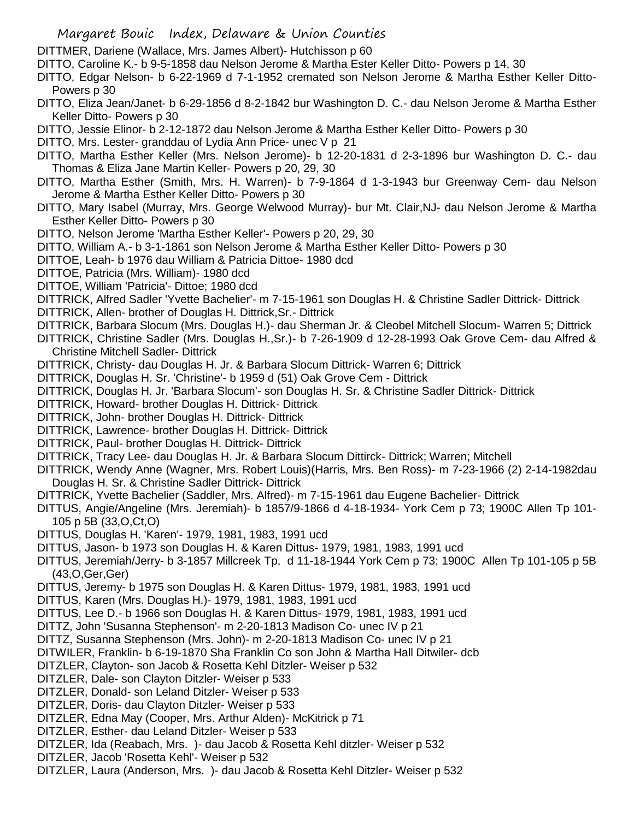- DITTMER, Dariene (Wallace, Mrs. James Albert)- Hutchisson p 60
- DITTO, Caroline K.- b 9-5-1858 dau Nelson Jerome & Martha Ester Keller Ditto- Powers p 14, 30
- DITTO, Edgar Nelson- b 6-22-1969 d 7-1-1952 cremated son Nelson Jerome & Martha Esther Keller Ditto-Powers p 30
- DITTO, Eliza Jean/Janet- b 6-29-1856 d 8-2-1842 bur Washington D. C.- dau Nelson Jerome & Martha Esther Keller Ditto- Powers p 30
- DITTO, Jessie Elinor- b 2-12-1872 dau Nelson Jerome & Martha Esther Keller Ditto- Powers p 30
- DITTO, Mrs. Lester- granddau of Lydia Ann Price- unec V p 21
- DITTO, Martha Esther Keller (Mrs. Nelson Jerome)- b 12-20-1831 d 2-3-1896 bur Washington D. C.- dau Thomas & Eliza Jane Martin Keller- Powers p 20, 29, 30
- DITTO, Martha Esther (Smith, Mrs. H. Warren)- b 7-9-1864 d 1-3-1943 bur Greenway Cem- dau Nelson Jerome & Martha Esther Keller Ditto- Powers p 30
- DITTO, Mary Isabel (Murray, Mrs. George Welwood Murray)- bur Mt. Clair,NJ- dau Nelson Jerome & Martha Esther Keller Ditto- Powers p 30
- DITTO, Nelson Jerome 'Martha Esther Keller'- Powers p 20, 29, 30
- DITTO, William A.- b 3-1-1861 son Nelson Jerome & Martha Esther Keller Ditto- Powers p 30
- DITTOE, Leah- b 1976 dau William & Patricia Dittoe- 1980 dcd
- DITTOE, Patricia (Mrs. William)- 1980 dcd
- DITTOE, William 'Patricia'- Dittoe; 1980 dcd
- DITTRICK, Alfred Sadler 'Yvette Bachelier'- m 7-15-1961 son Douglas H. & Christine Sadler Dittrick- Dittrick
- DITTRICK, Allen- brother of Douglas H. Dittrick,Sr.- Dittrick
- DITTRICK, Barbara Slocum (Mrs. Douglas H.)- dau Sherman Jr. & Cleobel Mitchell Slocum- Warren 5; Dittrick
- DITTRICK, Christine Sadler (Mrs. Douglas H.,Sr.)- b 7-26-1909 d 12-28-1993 Oak Grove Cem- dau Alfred & Christine Mitchell Sadler- Dittrick
- DITTRICK, Christy- dau Douglas H. Jr. & Barbara Slocum Dittrick- Warren 6; Dittrick
- DITTRICK, Douglas H. Sr. 'Christine'- b 1959 d (51) Oak Grove Cem Dittrick
- DITTRICK, Douglas H. Jr. 'Barbara Slocum'- son Douglas H. Sr. & Christine Sadler Dittrick- Dittrick
- DITTRICK, Howard- brother Douglas H. Dittrick- Dittrick
- DITTRICK, John- brother Douglas H. Dittrick- Dittrick
- DITTRICK, Lawrence- brother Douglas H. Dittrick- Dittrick
- DITTRICK, Paul- brother Douglas H. Dittrick- Dittrick
- DITTRICK, Tracy Lee- dau Douglas H. Jr. & Barbara Slocum Dittirck- Dittrick; Warren; Mitchell
- DITTRICK, Wendy Anne (Wagner, Mrs. Robert Louis)(Harris, Mrs. Ben Ross)- m 7-23-1966 (2) 2-14-1982dau Douglas H. Sr. & Christine Sadler Dittrick- Dittrick
- DITTRICK, Yvette Bachelier (Saddler, Mrs. Alfred)- m 7-15-1961 dau Eugene Bachelier- Dittrick
- DITTUS, Angie/Angeline (Mrs. Jeremiah)- b 1857/9-1866 d 4-18-1934- York Cem p 73; 1900C Allen Tp 101- 105 p 5B (33,O,Ct,O)
- DITTUS, Douglas H. 'Karen'- 1979, 1981, 1983, 1991 ucd
- DITTUS, Jason- b 1973 son Douglas H. & Karen Dittus- 1979, 1981, 1983, 1991 ucd
- DITTUS, Jeremiah/Jerry- b 3-1857 Millcreek Tp, d 11-18-1944 York Cem p 73; 1900C Allen Tp 101-105 p 5B (43,O,Ger,Ger)
- DITTUS, Jeremy- b 1975 son Douglas H. & Karen Dittus- 1979, 1981, 1983, 1991 ucd
- DITTUS, Karen (Mrs. Douglas H.)- 1979, 1981, 1983, 1991 ucd
- DITTUS, Lee D.- b 1966 son Douglas H. & Karen Dittus- 1979, 1981, 1983, 1991 ucd
- DITTZ, John 'Susanna Stephenson'- m 2-20-1813 Madison Co- unec IV p 21
- DITTZ, Susanna Stephenson (Mrs. John)- m 2-20-1813 Madison Co- unec IV p 21
- DITWILER, Franklin- b 6-19-1870 Sha Franklin Co son John & Martha Hall Ditwiler- dcb
- DITZLER, Clayton- son Jacob & Rosetta Kehl Ditzler- Weiser p 532
- DITZLER, Dale- son Clayton Ditzler- Weiser p 533
- DITZLER, Donald- son Leland Ditzler- Weiser p 533
- DITZLER, Doris- dau Clayton Ditzler- Weiser p 533
- DITZLER, Edna May (Cooper, Mrs. Arthur Alden)- McKitrick p 71
- DITZLER, Esther- dau Leland Ditzler- Weiser p 533
- DITZLER, Ida (Reabach, Mrs. )- dau Jacob & Rosetta Kehl ditzler- Weiser p 532
- DITZLER, Jacob 'Rosetta Kehl'- Weiser p 532
- DITZLER, Laura (Anderson, Mrs. )- dau Jacob & Rosetta Kehl Ditzler- Weiser p 532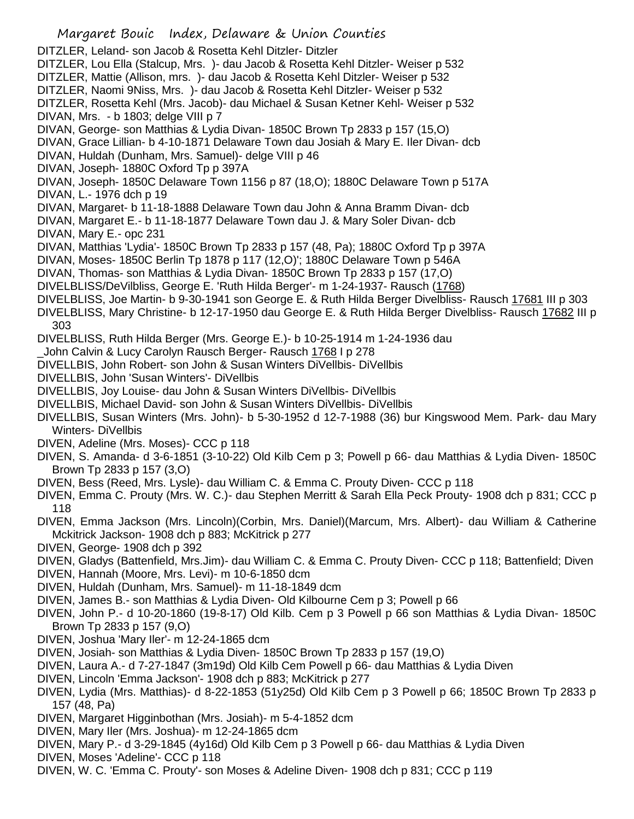- Margaret Bouic Index, Delaware & Union Counties DITZLER, Leland- son Jacob & Rosetta Kehl Ditzler- Ditzler DITZLER, Lou Ella (Stalcup, Mrs. )- dau Jacob & Rosetta Kehl Ditzler- Weiser p 532 DITZLER, Mattie (Allison, mrs. )- dau Jacob & Rosetta Kehl Ditzler- Weiser p 532 DITZLER, Naomi 9Niss, Mrs. )- dau Jacob & Rosetta Kehl Ditzler- Weiser p 532 DITZLER, Rosetta Kehl (Mrs. Jacob)- dau Michael & Susan Ketner Kehl- Weiser p 532 DIVAN, Mrs. - b 1803; delge VIII p 7 DIVAN, George- son Matthias & Lydia Divan- 1850C Brown Tp 2833 p 157 (15,O) DIVAN, Grace Lillian- b 4-10-1871 Delaware Town dau Josiah & Mary E. Iler Divan- dcb DIVAN, Huldah (Dunham, Mrs. Samuel)- delge VIII p 46 DIVAN, Joseph- 1880C Oxford Tp p 397A DIVAN, Joseph- 1850C Delaware Town 1156 p 87 (18,O); 1880C Delaware Town p 517A DIVAN, L.- 1976 dch p 19 DIVAN, Margaret- b 11-18-1888 Delaware Town dau John & Anna Bramm Divan- dcb DIVAN, Margaret E.- b 11-18-1877 Delaware Town dau J. & Mary Soler Divan- dcb DIVAN, Mary E.- opc 231 DIVAN, Matthias 'Lydia'- 1850C Brown Tp 2833 p 157 (48, Pa); 1880C Oxford Tp p 397A DIVAN, Moses- 1850C Berlin Tp 1878 p 117 (12,O)'; 1880C Delaware Town p 546A DIVAN, Thomas- son Matthias & Lydia Divan- 1850C Brown Tp 2833 p 157 (17,O) DIVELBLISS/DeVilbliss, George E. 'Ruth Hilda Berger'- m 1-24-1937- Rausch (1768) DIVELBLISS, Joe Martin- b 9-30-1941 son George E. & Ruth Hilda Berger Divelbliss- Rausch 17681 III p 303 DIVELBLISS, Mary Christine- b 12-17-1950 dau George E. & Ruth Hilda Berger Divelbliss- Rausch 17682 III p 303 DIVELBLISS, Ruth Hilda Berger (Mrs. George E.)- b 10-25-1914 m 1-24-1936 dau \_John Calvin & Lucy Carolyn Rausch Berger- Rausch 1768 I p 278 DIVELLBIS, John Robert- son John & Susan Winters DiVellbis- DiVellbis DIVELLBIS, John 'Susan Winters'- DiVellbis DIVELLBIS, Joy Louise- dau John & Susan Winters DiVellbis- DiVellbis DIVELLBIS, Michael David- son John & Susan Winters DiVellbis- DiVellbis DIVELLBIS, Susan Winters (Mrs. John)- b 5-30-1952 d 12-7-1988 (36) bur Kingswood Mem. Park- dau Mary Winters- DiVellbis DIVEN, Adeline (Mrs. Moses)- CCC p 118 DIVEN, S. Amanda- d 3-6-1851 (3-10-22) Old Kilb Cem p 3; Powell p 66- dau Matthias & Lydia Diven- 1850C Brown Tp 2833 p 157 (3,O) DIVEN, Bess (Reed, Mrs. Lysle)- dau William C. & Emma C. Prouty Diven- CCC p 118 DIVEN, Emma C. Prouty (Mrs. W. C.)- dau Stephen Merritt & Sarah Ella Peck Prouty- 1908 dch p 831; CCC p 118 DIVEN, Emma Jackson (Mrs. Lincoln)(Corbin, Mrs. Daniel)(Marcum, Mrs. Albert)- dau William & Catherine Mckitrick Jackson- 1908 dch p 883; McKitrick p 277 DIVEN, George- 1908 dch p 392 DIVEN, Gladys (Battenfield, Mrs.Jim)- dau William C. & Emma C. Prouty Diven- CCC p 118; Battenfield; Diven DIVEN, Hannah (Moore, Mrs. Levi)- m 10-6-1850 dcm DIVEN, Huldah (Dunham, Mrs. Samuel)- m 11-18-1849 dcm DIVEN, James B.- son Matthias & Lydia Diven- Old Kilbourne Cem p 3; Powell p 66 DIVEN, John P.- d 10-20-1860 (19-8-17) Old Kilb. Cem p 3 Powell p 66 son Matthias & Lydia Divan- 1850C Brown Tp 2833 p 157 (9,O) DIVEN, Joshua 'Mary Iler'- m 12-24-1865 dcm DIVEN, Josiah- son Matthias & Lydia Diven- 1850C Brown Tp 2833 p 157 (19,O) DIVEN, Laura A.- d 7-27-1847 (3m19d) Old Kilb Cem Powell p 66- dau Matthias & Lydia Diven DIVEN, Lincoln 'Emma Jackson'- 1908 dch p 883; McKitrick p 277 DIVEN, Lydia (Mrs. Matthias)- d 8-22-1853 (51y25d) Old Kilb Cem p 3 Powell p 66; 1850C Brown Tp 2833 p 157 (48, Pa)
- DIVEN, Margaret Higginbothan (Mrs. Josiah)- m 5-4-1852 dcm
- DIVEN, Mary Iler (Mrs. Joshua)- m 12-24-1865 dcm
- DIVEN, Mary P.- d 3-29-1845 (4y16d) Old Kilb Cem p 3 Powell p 66- dau Matthias & Lydia Diven
- DIVEN, Moses 'Adeline'- CCC p 118
- DIVEN, W. C. 'Emma C. Prouty'- son Moses & Adeline Diven- 1908 dch p 831; CCC p 119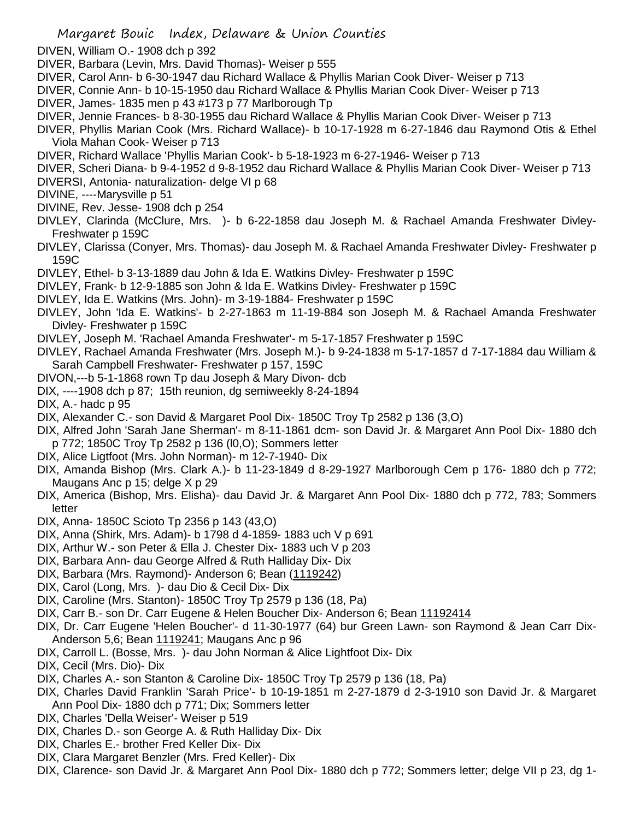- DIVEN, William O.- 1908 dch p 392
- DIVER, Barbara (Levin, Mrs. David Thomas)- Weiser p 555
- DIVER, Carol Ann- b 6-30-1947 dau Richard Wallace & Phyllis Marian Cook Diver- Weiser p 713
- DIVER, Connie Ann- b 10-15-1950 dau Richard Wallace & Phyllis Marian Cook Diver- Weiser p 713
- DIVER, James- 1835 men p 43 #173 p 77 Marlborough Tp
- DIVER, Jennie Frances- b 8-30-1955 dau Richard Wallace & Phyllis Marian Cook Diver- Weiser p 713
- DIVER, Phyllis Marian Cook (Mrs. Richard Wallace)- b 10-17-1928 m 6-27-1846 dau Raymond Otis & Ethel Viola Mahan Cook- Weiser p 713
- DIVER, Richard Wallace 'Phyllis Marian Cook'- b 5-18-1923 m 6-27-1946- Weiser p 713
- DIVER, Scheri Diana- b 9-4-1952 d 9-8-1952 dau Richard Wallace & Phyllis Marian Cook Diver- Weiser p 713
- DIVERSI, Antonia- naturalization- delge VI p 68
- DIVINE, ----Marysville p 51
- DIVINE, Rev. Jesse- 1908 dch p 254
- DIVLEY, Clarinda (McClure, Mrs. )- b 6-22-1858 dau Joseph M. & Rachael Amanda Freshwater Divley-Freshwater p 159C
- DIVLEY, Clarissa (Conyer, Mrs. Thomas)- dau Joseph M. & Rachael Amanda Freshwater Divley- Freshwater p 159C
- DIVLEY, Ethel- b 3-13-1889 dau John & Ida E. Watkins Divley- Freshwater p 159C
- DIVLEY, Frank- b 12-9-1885 son John & Ida E. Watkins Divley- Freshwater p 159C
- DIVLEY, Ida E. Watkins (Mrs. John)- m 3-19-1884- Freshwater p 159C
- DIVLEY, John 'Ida E. Watkins'- b 2-27-1863 m 11-19-884 son Joseph M. & Rachael Amanda Freshwater Divley- Freshwater p 159C
- DIVLEY, Joseph M. 'Rachael Amanda Freshwater'- m 5-17-1857 Freshwater p 159C
- DIVLEY, Rachael Amanda Freshwater (Mrs. Joseph M.)- b 9-24-1838 m 5-17-1857 d 7-17-1884 dau William & Sarah Campbell Freshwater- Freshwater p 157, 159C
- DIVON,---b 5-1-1868 rown Tp dau Joseph & Mary Divon- dcb
- DIX, ----1908 dch p 87; 15th reunion, dg semiweekly 8-24-1894
- DIX, A.- hadc p 95
- DIX, Alexander C.- son David & Margaret Pool Dix- 1850C Troy Tp 2582 p 136 (3,O)
- DIX, Alfred John 'Sarah Jane Sherman'- m 8-11-1861 dcm- son David Jr. & Margaret Ann Pool Dix- 1880 dch p 772; 1850C Troy Tp 2582 p 136 (l0,O); Sommers letter
- DIX, Alice Ligtfoot (Mrs. John Norman)- m 12-7-1940- Dix
- DIX, Amanda Bishop (Mrs. Clark A.)- b 11-23-1849 d 8-29-1927 Marlborough Cem p 176- 1880 dch p 772; Maugans Anc p 15; delge X p 29
- DIX, America (Bishop, Mrs. Elisha)- dau David Jr. & Margaret Ann Pool Dix- 1880 dch p 772, 783; Sommers letter
- DIX, Anna- 1850C Scioto Tp 2356 p 143 (43,O)
- DIX, Anna (Shirk, Mrs. Adam)- b 1798 d 4-1859- 1883 uch V p 691
- DIX, Arthur W.- son Peter & Ella J. Chester Dix- 1883 uch V p 203
- DIX, Barbara Ann- dau George Alfred & Ruth Halliday Dix- Dix
- DIX, Barbara (Mrs. Raymond)- Anderson 6; Bean (1119242)
- DIX, Carol (Long, Mrs. )- dau Dio & Cecil Dix- Dix
- DIX, Caroline (Mrs. Stanton)- 1850C Troy Tp 2579 p 136 (18, Pa)
- DIX, Carr B.- son Dr. Carr Eugene & Helen Boucher Dix- Anderson 6; Bean 11192414
- DIX, Dr. Carr Eugene 'Helen Boucher'- d 11-30-1977 (64) bur Green Lawn- son Raymond & Jean Carr Dix-Anderson 5,6; Bean 1119241; Maugans Anc p 96
- DIX, Carroll L. (Bosse, Mrs. )- dau John Norman & Alice Lightfoot Dix- Dix
- DIX, Cecil (Mrs. Dio)- Dix
- DIX, Charles A.- son Stanton & Caroline Dix- 1850C Troy Tp 2579 p 136 (18, Pa)
- DIX, Charles David Franklin 'Sarah Price'- b 10-19-1851 m 2-27-1879 d 2-3-1910 son David Jr. & Margaret Ann Pool Dix- 1880 dch p 771; Dix; Sommers letter
- DIX, Charles 'Della Weiser'- Weiser p 519
- DIX, Charles D.- son George A. & Ruth Halliday Dix- Dix
- DIX, Charles E.- brother Fred Keller Dix- Dix
- DIX, Clara Margaret Benzler (Mrs. Fred Keller)- Dix
- DIX, Clarence- son David Jr. & Margaret Ann Pool Dix- 1880 dch p 772; Sommers letter; delge VII p 23, dg 1-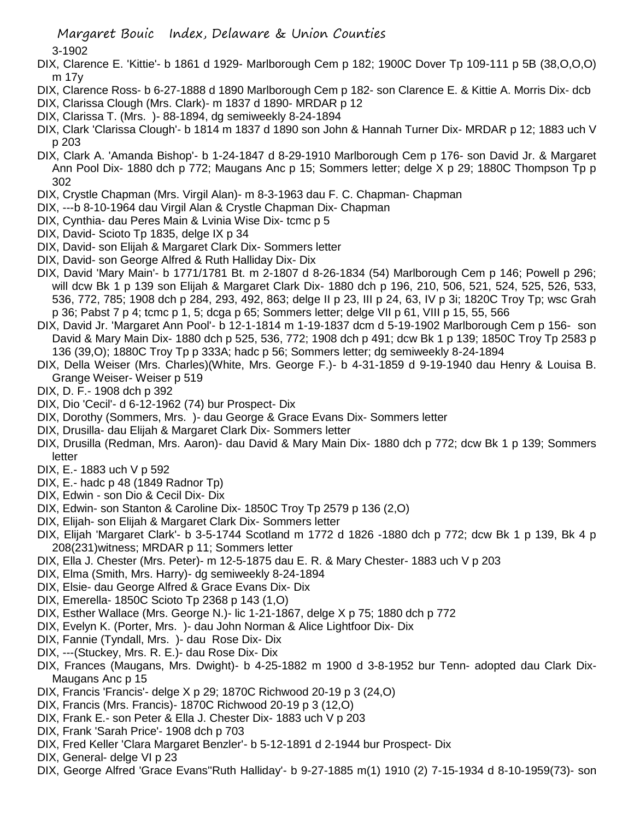3-1902

- DIX, Clarence E. 'Kittie'- b 1861 d 1929- Marlborough Cem p 182; 1900C Dover Tp 109-111 p 5B (38,O,O,O) m 17y
- DIX, Clarence Ross- b 6-27-1888 d 1890 Marlborough Cem p 182- son Clarence E. & Kittie A. Morris Dix- dcb
- DIX, Clarissa Clough (Mrs. Clark)- m 1837 d 1890- MRDAR p 12
- DIX, Clarissa T. (Mrs. )- 88-1894, dg semiweekly 8-24-1894
- DIX, Clark 'Clarissa Clough'- b 1814 m 1837 d 1890 son John & Hannah Turner Dix- MRDAR p 12; 1883 uch V p 203
- DIX, Clark A. 'Amanda Bishop'- b 1-24-1847 d 8-29-1910 Marlborough Cem p 176- son David Jr. & Margaret Ann Pool Dix- 1880 dch p 772; Maugans Anc p 15; Sommers letter; delge X p 29; 1880C Thompson Tp p 302
- DIX, Crystle Chapman (Mrs. Virgil Alan)- m 8-3-1963 dau F. C. Chapman- Chapman
- DIX, ---b 8-10-1964 dau Virgil Alan & Crystle Chapman Dix- Chapman
- DIX, Cynthia- dau Peres Main & Lvinia Wise Dix- tcmc p 5
- DIX, David- Scioto Tp 1835, delge IX p 34
- DIX, David- son Elijah & Margaret Clark Dix- Sommers letter
- DIX, David- son George Alfred & Ruth Halliday Dix- Dix
- DIX, David 'Mary Main'- b 1771/1781 Bt. m 2-1807 d 8-26-1834 (54) Marlborough Cem p 146; Powell p 296; will dcw Bk 1 p 139 son Elijah & Margaret Clark Dix- 1880 dch p 196, 210, 506, 521, 524, 525, 526, 533, 536, 772, 785; 1908 dch p 284, 293, 492, 863; delge II p 23, III p 24, 63, IV p 3i; 1820C Troy Tp; wsc Grah p 36; Pabst 7 p 4; tcmc p 1, 5; dcga p 65; Sommers letter; delge VII p 61, VIII p 15, 55, 566
- DIX, David Jr. 'Margaret Ann Pool'- b 12-1-1814 m 1-19-1837 dcm d 5-19-1902 Marlborough Cem p 156- son David & Mary Main Dix- 1880 dch p 525, 536, 772; 1908 dch p 491; dcw Bk 1 p 139; 1850C Troy Tp 2583 p 136 (39,O); 1880C Troy Tp p 333A; hadc p 56; Sommers letter; dg semiweekly 8-24-1894
- DIX, Della Weiser (Mrs. Charles)(White, Mrs. George F.)- b 4-31-1859 d 9-19-1940 dau Henry & Louisa B. Grange Weiser- Weiser p 519
- DIX, D. F.- 1908 dch p 392
- DIX, Dio 'Cecil'- d 6-12-1962 (74) bur Prospect- Dix
- DIX, Dorothy (Sommers, Mrs. )- dau George & Grace Evans Dix- Sommers letter
- DIX, Drusilla- dau Elijah & Margaret Clark Dix- Sommers letter
- DIX, Drusilla (Redman, Mrs. Aaron)- dau David & Mary Main Dix- 1880 dch p 772; dcw Bk 1 p 139; Sommers letter
- DIX, E.- 1883 uch V p 592
- DIX, E.- hadc p 48 (1849 Radnor Tp)
- DIX, Edwin son Dio & Cecil Dix- Dix
- DIX, Edwin- son Stanton & Caroline Dix- 1850C Troy Tp 2579 p 136 (2,O)
- DIX, Elijah- son Elijah & Margaret Clark Dix- Sommers letter
- DIX, Elijah 'Margaret Clark'- b 3-5-1744 Scotland m 1772 d 1826 -1880 dch p 772; dcw Bk 1 p 139, Bk 4 p 208(231)witness; MRDAR p 11; Sommers letter
- DIX, Ella J. Chester (Mrs. Peter)- m 12-5-1875 dau E. R. & Mary Chester- 1883 uch V p 203
- DIX, Elma (Smith, Mrs. Harry)- dg semiweekly 8-24-1894
- DIX, Elsie- dau George Alfred & Grace Evans Dix- Dix
- DIX, Emerella- 1850C Scioto Tp 2368 p 143 (1,O)
- DIX, Esther Wallace (Mrs. George N.)- lic 1-21-1867, delge X p 75; 1880 dch p 772
- DIX, Evelyn K. (Porter, Mrs. )- dau John Norman & Alice Lightfoor Dix- Dix
- DIX, Fannie (Tyndall, Mrs. )- dau Rose Dix- Dix
- DIX, ---(Stuckey, Mrs. R. E.)- dau Rose Dix- Dix
- DIX, Frances (Maugans, Mrs. Dwight)- b 4-25-1882 m 1900 d 3-8-1952 bur Tenn- adopted dau Clark Dix-Maugans Anc p 15
- DIX, Francis 'Francis'- delge X p 29; 1870C Richwood 20-19 p 3 (24,O)
- DIX, Francis (Mrs. Francis)- 1870C Richwood 20-19 p 3 (12,O)
- DIX, Frank E.- son Peter & Ella J. Chester Dix- 1883 uch V p 203
- DIX, Frank 'Sarah Price'- 1908 dch p 703
- DIX, Fred Keller 'Clara Margaret Benzler'- b 5-12-1891 d 2-1944 bur Prospect- Dix
- DIX, General- delge VI p 23
- DIX, George Alfred 'Grace Evans''Ruth Halliday'- b 9-27-1885 m(1) 1910 (2) 7-15-1934 d 8-10-1959(73)- son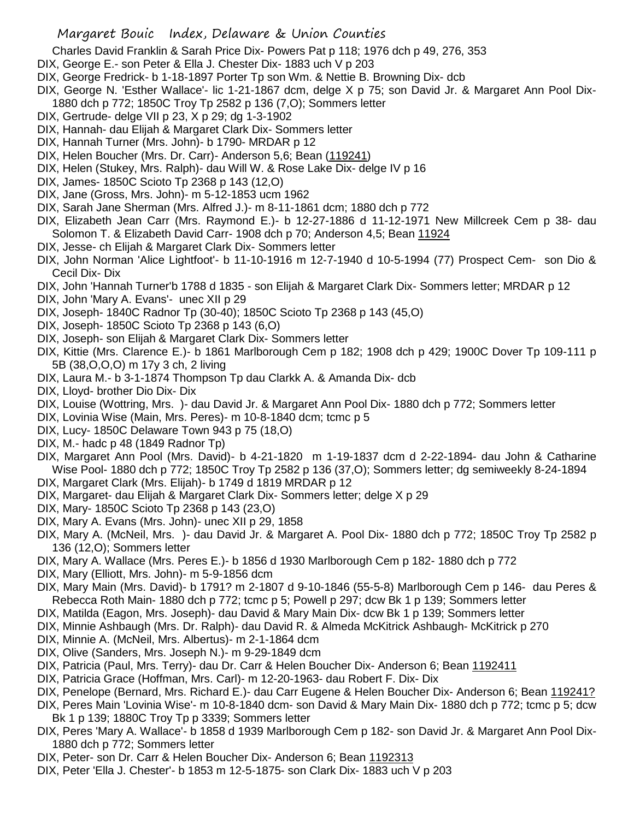- Charles David Franklin & Sarah Price Dix- Powers Pat p 118; 1976 dch p 49, 276, 353
- DIX, George E.- son Peter & Ella J. Chester Dix- 1883 uch V p 203
- DIX, George Fredrick- b 1-18-1897 Porter Tp son Wm. & Nettie B. Browning Dix- dcb
- DIX, George N. 'Esther Wallace'- lic 1-21-1867 dcm, delge X p 75; son David Jr. & Margaret Ann Pool Dix-1880 dch p 772; 1850C Troy Tp 2582 p 136 (7,O); Sommers letter
- DIX, Gertrude- delge VII p 23, X p 29; dg 1-3-1902
- DIX, Hannah- dau Elijah & Margaret Clark Dix- Sommers letter
- DIX, Hannah Turner (Mrs. John)- b 1790- MRDAR p 12
- DIX, Helen Boucher (Mrs. Dr. Carr)- Anderson 5,6; Bean (119241)
- DIX, Helen (Stukey, Mrs. Ralph)- dau Will W. & Rose Lake Dix- delge IV p 16
- DIX, James- 1850C Scioto Tp 2368 p 143 (12,O)
- DIX, Jane (Gross, Mrs. John)- m 5-12-1853 ucm 1962
- DIX, Sarah Jane Sherman (Mrs. Alfred J.)- m 8-11-1861 dcm; 1880 dch p 772
- DIX, Elizabeth Jean Carr (Mrs. Raymond E.)- b 12-27-1886 d 11-12-1971 New Millcreek Cem p 38- dau Solomon T. & Elizabeth David Carr- 1908 dch p 70; Anderson 4,5; Bean 11924
- DIX, Jesse- ch Elijah & Margaret Clark Dix- Sommers letter
- DIX, John Norman 'Alice Lightfoot'- b 11-10-1916 m 12-7-1940 d 10-5-1994 (77) Prospect Cem- son Dio & Cecil Dix- Dix
- DIX, John 'Hannah Turner'b 1788 d 1835 son Elijah & Margaret Clark Dix- Sommers letter; MRDAR p 12
- DIX, John 'Mary A. Evans'- unec XII p 29
- DIX, Joseph- 1840C Radnor Tp (30-40); 1850C Scioto Tp 2368 p 143 (45,O)
- DIX, Joseph- 1850C Scioto Tp 2368 p 143 (6,O)
- DIX, Joseph- son Elijah & Margaret Clark Dix- Sommers letter
- DIX, Kittie (Mrs. Clarence E.)- b 1861 Marlborough Cem p 182; 1908 dch p 429; 1900C Dover Tp 109-111 p 5B (38,O,O,O) m 17y 3 ch, 2 living
- DIX, Laura M.- b 3-1-1874 Thompson Tp dau Clarkk A. & Amanda Dix- dcb
- DIX, Lloyd- brother Dio Dix- Dix
- DIX, Louise (Wottring, Mrs. )- dau David Jr. & Margaret Ann Pool Dix- 1880 dch p 772; Sommers letter
- DIX, Lovinia Wise (Main, Mrs. Peres)- m 10-8-1840 dcm; tcmc p 5
- DIX, Lucy- 1850C Delaware Town 943 p 75 (18,O)
- DIX, M.- hadc p 48 (1849 Radnor Tp)
- DIX, Margaret Ann Pool (Mrs. David)- b 4-21-1820 m 1-19-1837 dcm d 2-22-1894- dau John & Catharine Wise Pool- 1880 dch p 772; 1850C Troy Tp 2582 p 136 (37,O); Sommers letter; dg semiweekly 8-24-1894
- DIX, Margaret Clark (Mrs. Elijah)- b 1749 d 1819 MRDAR p 12
- DIX, Margaret- dau Elijah & Margaret Clark Dix- Sommers letter; delge X p 29
- DIX, Mary- 1850C Scioto Tp 2368 p 143 (23,O)
- DIX, Mary A. Evans (Mrs. John)- unec XII p 29, 1858
- DIX, Mary A. (McNeil, Mrs. )- dau David Jr. & Margaret A. Pool Dix- 1880 dch p 772; 1850C Troy Tp 2582 p 136 (12,O); Sommers letter
- DIX, Mary A. Wallace (Mrs. Peres E.)- b 1856 d 1930 Marlborough Cem p 182- 1880 dch p 772
- DIX, Mary (Elliott, Mrs. John)- m 5-9-1856 dcm
- DIX, Mary Main (Mrs. David)- b 1791? m 2-1807 d 9-10-1846 (55-5-8) Marlborough Cem p 146- dau Peres & Rebecca Roth Main- 1880 dch p 772; tcmc p 5; Powell p 297; dcw Bk 1 p 139; Sommers letter
- DIX, Matilda (Eagon, Mrs. Joseph)- dau David & Mary Main Dix- dcw Bk 1 p 139; Sommers letter
- DIX, Minnie Ashbaugh (Mrs. Dr. Ralph)- dau David R. & Almeda McKitrick Ashbaugh- McKitrick p 270
- DIX, Minnie A. (McNeil, Mrs. Albertus)- m 2-1-1864 dcm
- DIX, Olive (Sanders, Mrs. Joseph N.)- m 9-29-1849 dcm
- DIX, Patricia (Paul, Mrs. Terry)- dau Dr. Carr & Helen Boucher Dix- Anderson 6; Bean 1192411
- DIX, Patricia Grace (Hoffman, Mrs. Carl)- m 12-20-1963- dau Robert F. Dix- Dix
- DIX, Penelope (Bernard, Mrs. Richard E.)- dau Carr Eugene & Helen Boucher Dix- Anderson 6; Bean 119241?
- DIX, Peres Main 'Lovinia Wise'- m 10-8-1840 dcm- son David & Mary Main Dix- 1880 dch p 772; tcmc p 5; dcw Bk 1 p 139; 1880C Troy Tp p 3339; Sommers letter
- DIX, Peres 'Mary A. Wallace'- b 1858 d 1939 Marlborough Cem p 182- son David Jr. & Margaret Ann Pool Dix-1880 dch p 772; Sommers letter
- DIX, Peter- son Dr. Carr & Helen Boucher Dix- Anderson 6; Bean 1192313
- DIX, Peter 'Ella J. Chester'- b 1853 m 12-5-1875- son Clark Dix- 1883 uch V p 203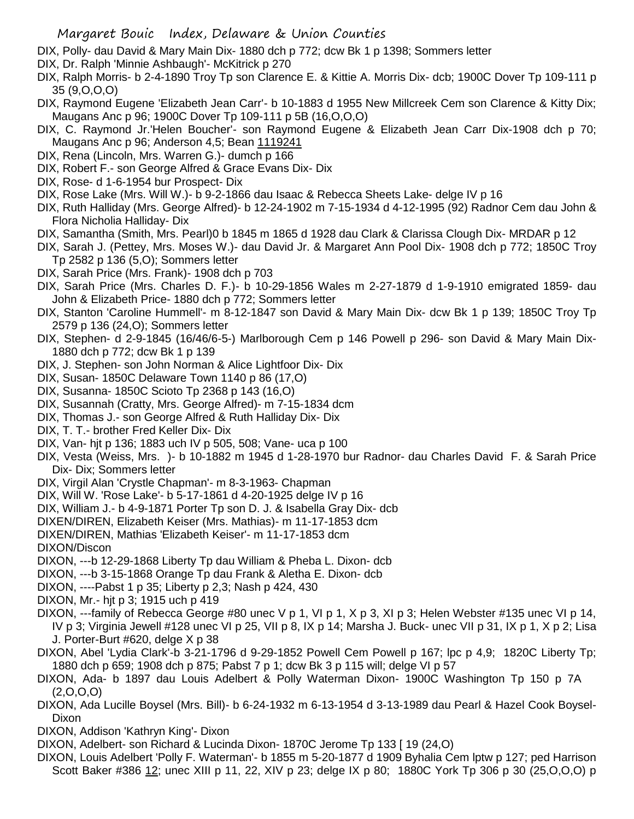- DIX, Polly- dau David & Mary Main Dix- 1880 dch p 772; dcw Bk 1 p 1398; Sommers letter
- DIX, Dr. Ralph 'Minnie Ashbaugh'- McKitrick p 270
- DIX, Ralph Morris- b 2-4-1890 Troy Tp son Clarence E. & Kittie A. Morris Dix- dcb; 1900C Dover Tp 109-111 p 35 (9,O,O,O)
- DIX, Raymond Eugene 'Elizabeth Jean Carr'- b 10-1883 d 1955 New Millcreek Cem son Clarence & Kitty Dix; Maugans Anc p 96; 1900C Dover Tp 109-111 p 5B (16,O,O,O)
- DIX, C. Raymond Jr.'Helen Boucher'- son Raymond Eugene & Elizabeth Jean Carr Dix-1908 dch p 70; Maugans Anc p 96; Anderson 4,5; Bean 1119241
- DIX, Rena (Lincoln, Mrs. Warren G.)- dumch p 166
- DIX, Robert F.- son George Alfred & Grace Evans Dix- Dix
- DIX, Rose- d 1-6-1954 bur Prospect- Dix
- DIX, Rose Lake (Mrs. Will W.)- b 9-2-1866 dau Isaac & Rebecca Sheets Lake- delge IV p 16
- DIX, Ruth Halliday (Mrs. George Alfred)- b 12-24-1902 m 7-15-1934 d 4-12-1995 (92) Radnor Cem dau John & Flora Nicholia Halliday- Dix
- DIX, Samantha (Smith, Mrs. Pearl)0 b 1845 m 1865 d 1928 dau Clark & Clarissa Clough Dix- MRDAR p 12
- DIX, Sarah J. (Pettey, Mrs. Moses W.)- dau David Jr. & Margaret Ann Pool Dix- 1908 dch p 772; 1850C Troy Tp 2582 p 136 (5,O); Sommers letter
- DIX, Sarah Price (Mrs. Frank)- 1908 dch p 703
- DIX, Sarah Price (Mrs. Charles D. F.)- b 10-29-1856 Wales m 2-27-1879 d 1-9-1910 emigrated 1859- dau John & Elizabeth Price- 1880 dch p 772; Sommers letter
- DIX, Stanton 'Caroline Hummell'- m 8-12-1847 son David & Mary Main Dix- dcw Bk 1 p 139; 1850C Troy Tp 2579 p 136 (24,O); Sommers letter
- DIX, Stephen- d 2-9-1845 (16/46/6-5-) Marlborough Cem p 146 Powell p 296- son David & Mary Main Dix-1880 dch p 772; dcw Bk 1 p 139
- DIX, J. Stephen- son John Norman & Alice Lightfoor Dix- Dix
- DIX, Susan- 1850C Delaware Town 1140 p 86 (17,O)
- DIX, Susanna- 1850C Scioto Tp 2368 p 143 (16,O)
- DIX, Susannah (Cratty, Mrs. George Alfred)- m 7-15-1834 dcm
- DIX, Thomas J.- son George Alfred & Ruth Halliday Dix- Dix
- DIX, T. T.- brother Fred Keller Dix- Dix
- DIX, Van- hjt p 136; 1883 uch IV p 505, 508; Vane- uca p 100
- DIX, Vesta (Weiss, Mrs. )- b 10-1882 m 1945 d 1-28-1970 bur Radnor- dau Charles David F. & Sarah Price Dix- Dix; Sommers letter
- DIX, Virgil Alan 'Crystle Chapman'- m 8-3-1963- Chapman
- DIX, Will W. 'Rose Lake'- b 5-17-1861 d 4-20-1925 delge IV p 16
- DIX, William J.- b 4-9-1871 Porter Tp son D. J. & Isabella Gray Dix- dcb
- DIXEN/DIREN, Elizabeth Keiser (Mrs. Mathias)- m 11-17-1853 dcm
- DIXEN/DIREN, Mathias 'Elizabeth Keiser'- m 11-17-1853 dcm
- DIXON/Discon
- DIXON, ---b 12-29-1868 Liberty Tp dau William & Pheba L. Dixon- dcb
- DIXON, ---b 3-15-1868 Orange Tp dau Frank & Aletha E. Dixon- dcb
- DIXON, ----Pabst 1 p 35; Liberty p 2,3; Nash p 424, 430
- DIXON, Mr.- hjt p 3; 1915 uch p 419
- DIXON, ---family of Rebecca George #80 unec V p 1, VI p 1, X p 3, XI p 3; Helen Webster #135 unec VI p 14, IV p 3; Virginia Jewell #128 unec VI p 25, VII p 8, IX p 14; Marsha J. Buck- unec VII p 31, IX p 1, X p 2; Lisa J. Porter-Burt #620, delge X p 38
- DIXON, Abel 'Lydia Clark'-b 3-21-1796 d 9-29-1852 Powell Cem Powell p 167; lpc p 4,9; 1820C Liberty Tp; 1880 dch p 659; 1908 dch p 875; Pabst 7 p 1; dcw Bk 3 p 115 will; delge VI p 57
- DIXON, Ada- b 1897 dau Louis Adelbert & Polly Waterman Dixon- 1900C Washington Tp 150 p 7A (2,O,O,O)
- DIXON, Ada Lucille Boysel (Mrs. Bill)- b 6-24-1932 m 6-13-1954 d 3-13-1989 dau Pearl & Hazel Cook Boysel-Dixon
- DIXON, Addison 'Kathryn King'- Dixon
- DIXON, Adelbert- son Richard & Lucinda Dixon- 1870C Jerome Tp 133 [ 19 (24,O)
- DIXON, Louis Adelbert 'Polly F. Waterman'- b 1855 m 5-20-1877 d 1909 Byhalia Cem lptw p 127; ped Harrison Scott Baker #386 12; unec XIII p 11, 22, XIV p 23; delge IX p 80; 1880C York Tp 306 p 30 (25,O,O,O) p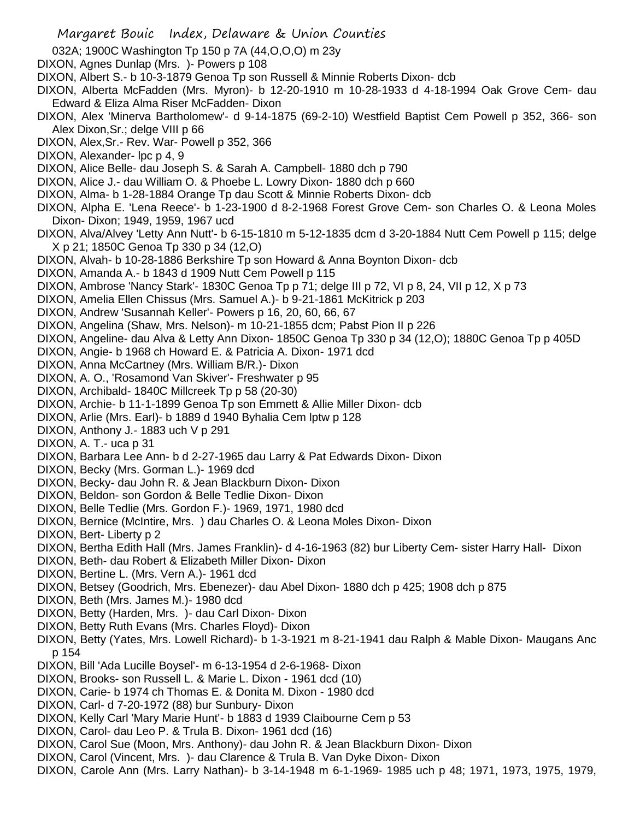- 032A; 1900C Washington Tp 150 p 7A (44,O,O,O) m 23y
- DIXON, Agnes Dunlap (Mrs. )- Powers p 108
- DIXON, Albert S.- b 10-3-1879 Genoa Tp son Russell & Minnie Roberts Dixon- dcb
- DIXON, Alberta McFadden (Mrs. Myron)- b 12-20-1910 m 10-28-1933 d 4-18-1994 Oak Grove Cem- dau Edward & Eliza Alma Riser McFadden- Dixon
- DIXON, Alex 'Minerva Bartholomew'- d 9-14-1875 (69-2-10) Westfield Baptist Cem Powell p 352, 366- son Alex Dixon,Sr.; delge VIII p 66
- DIXON, Alex,Sr.- Rev. War- Powell p 352, 366
- DIXON, Alexander- lpc p 4, 9
- DIXON, Alice Belle- dau Joseph S. & Sarah A. Campbell- 1880 dch p 790
- DIXON, Alice J.- dau William O. & Phoebe L. Lowry Dixon- 1880 dch p 660
- DIXON, Alma- b 1-28-1884 Orange Tp dau Scott & Minnie Roberts Dixon- dcb
- DIXON, Alpha E. 'Lena Reece'- b 1-23-1900 d 8-2-1968 Forest Grove Cem- son Charles O. & Leona Moles Dixon- Dixon; 1949, 1959, 1967 ucd
- DIXON, Alva/Alvey 'Letty Ann Nutt'- b 6-15-1810 m 5-12-1835 dcm d 3-20-1884 Nutt Cem Powell p 115; delge X p 21; 1850C Genoa Tp 330 p 34 (12,O)
- DIXON, Alvah- b 10-28-1886 Berkshire Tp son Howard & Anna Boynton Dixon- dcb
- DIXON, Amanda A.- b 1843 d 1909 Nutt Cem Powell p 115
- DIXON, Ambrose 'Nancy Stark'- 1830C Genoa Tp p 71; delge III p 72, VI p 8, 24, VII p 12, X p 73
- DIXON, Amelia Ellen Chissus (Mrs. Samuel A.)- b 9-21-1861 McKitrick p 203
- DIXON, Andrew 'Susannah Keller'- Powers p 16, 20, 60, 66, 67
- DIXON, Angelina (Shaw, Mrs. Nelson)- m 10-21-1855 dcm; Pabst Pion II p 226
- DIXON, Angeline- dau Alva & Letty Ann Dixon- 1850C Genoa Tp 330 p 34 (12,O); 1880C Genoa Tp p 405D
- DIXON, Angie- b 1968 ch Howard E. & Patricia A. Dixon- 1971 dcd
- DIXON, Anna McCartney (Mrs. William B/R.)- Dixon
- DIXON, A. O., 'Rosamond Van Skiver'- Freshwater p 95
- DIXON, Archibald- 1840C Millcreek Tp p 58 (20-30)
- DIXON, Archie- b 11-1-1899 Genoa Tp son Emmett & Allie Miller Dixon- dcb
- DIXON, Arlie (Mrs. Earl)- b 1889 d 1940 Byhalia Cem lptw p 128
- DIXON, Anthony J.- 1883 uch V p 291
- DIXON, A. T.- uca p 31
- DIXON, Barbara Lee Ann- b d 2-27-1965 dau Larry & Pat Edwards Dixon- Dixon
- DIXON, Becky (Mrs. Gorman L.)- 1969 dcd
- DIXON, Becky- dau John R. & Jean Blackburn Dixon- Dixon
- DIXON, Beldon- son Gordon & Belle Tedlie Dixon- Dixon
- DIXON, Belle Tedlie (Mrs. Gordon F.)- 1969, 1971, 1980 dcd
- DIXON, Bernice (McIntire, Mrs. ) dau Charles O. & Leona Moles Dixon- Dixon
- DIXON, Bert- Liberty p 2
- DIXON, Bertha Edith Hall (Mrs. James Franklin)- d 4-16-1963 (82) bur Liberty Cem- sister Harry Hall- Dixon
- DIXON, Beth- dau Robert & Elizabeth Miller Dixon- Dixon
- DIXON, Bertine L. (Mrs. Vern A.)- 1961 dcd
- DIXON, Betsey (Goodrich, Mrs. Ebenezer)- dau Abel Dixon- 1880 dch p 425; 1908 dch p 875
- DIXON, Beth (Mrs. James M.)- 1980 dcd
- DIXON, Betty (Harden, Mrs. )- dau Carl Dixon- Dixon
- DIXON, Betty Ruth Evans (Mrs. Charles Floyd)- Dixon
- DIXON, Betty (Yates, Mrs. Lowell Richard)- b 1-3-1921 m 8-21-1941 dau Ralph & Mable Dixon- Maugans Anc p 154
- DIXON, Bill 'Ada Lucille Boysel'- m 6-13-1954 d 2-6-1968- Dixon
- DIXON, Brooks- son Russell L. & Marie L. Dixon 1961 dcd (10)
- DIXON, Carie- b 1974 ch Thomas E. & Donita M. Dixon 1980 dcd
- DIXON, Carl- d 7-20-1972 (88) bur Sunbury- Dixon
- DIXON, Kelly Carl 'Mary Marie Hunt'- b 1883 d 1939 Claibourne Cem p 53
- DIXON, Carol- dau Leo P. & Trula B. Dixon- 1961 dcd (16)
- DIXON, Carol Sue (Moon, Mrs. Anthony)- dau John R. & Jean Blackburn Dixon- Dixon
- DIXON, Carol (Vincent, Mrs. )- dau Clarence & Trula B. Van Dyke Dixon- Dixon
- DIXON, Carole Ann (Mrs. Larry Nathan)- b 3-14-1948 m 6-1-1969- 1985 uch p 48; 1971, 1973, 1975, 1979,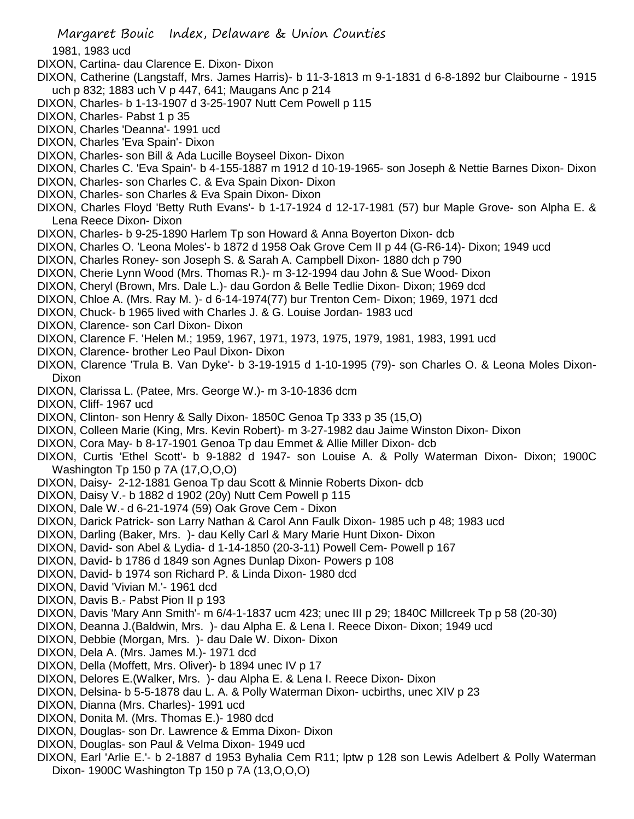1981, 1983 ucd

- DIXON, Cartina- dau Clarence E. Dixon- Dixon
- DIXON, Catherine (Langstaff, Mrs. James Harris)- b 11-3-1813 m 9-1-1831 d 6-8-1892 bur Claibourne 1915 uch p 832; 1883 uch V p 447, 641; Maugans Anc p 214
- DIXON, Charles- b 1-13-1907 d 3-25-1907 Nutt Cem Powell p 115
- DIXON, Charles- Pabst 1 p 35
- DIXON, Charles 'Deanna'- 1991 ucd
- DIXON, Charles 'Eva Spain'- Dixon
- DIXON, Charles- son Bill & Ada Lucille Boyseel Dixon- Dixon
- DIXON, Charles C. 'Eva Spain'- b 4-155-1887 m 1912 d 10-19-1965- son Joseph & Nettie Barnes Dixon- Dixon
- DIXON, Charles- son Charles C. & Eva Spain Dixon- Dixon
- DIXON, Charles- son Charles & Eva Spain Dixon- Dixon
- DIXON, Charles Floyd 'Betty Ruth Evans'- b 1-17-1924 d 12-17-1981 (57) bur Maple Grove- son Alpha E. & Lena Reece Dixon- Dixon
- DIXON, Charles- b 9-25-1890 Harlem Tp son Howard & Anna Boyerton Dixon- dcb
- DIXON, Charles O. 'Leona Moles'- b 1872 d 1958 Oak Grove Cem II p 44 (G-R6-14)- Dixon; 1949 ucd
- DIXON, Charles Roney- son Joseph S. & Sarah A. Campbell Dixon- 1880 dch p 790
- DIXON, Cherie Lynn Wood (Mrs. Thomas R.)- m 3-12-1994 dau John & Sue Wood- Dixon
- DIXON, Cheryl (Brown, Mrs. Dale L.)- dau Gordon & Belle Tedlie Dixon- Dixon; 1969 dcd
- DIXON, Chloe A. (Mrs. Ray M. )- d 6-14-1974(77) bur Trenton Cem- Dixon; 1969, 1971 dcd
- DIXON, Chuck- b 1965 lived with Charles J. & G. Louise Jordan- 1983 ucd
- DIXON, Clarence- son Carl Dixon- Dixon
- DIXON, Clarence F. 'Helen M.; 1959, 1967, 1971, 1973, 1975, 1979, 1981, 1983, 1991 ucd
- DIXON, Clarence- brother Leo Paul Dixon- Dixon
- DIXON, Clarence 'Trula B. Van Dyke'- b 3-19-1915 d 1-10-1995 (79)- son Charles O. & Leona Moles Dixon-Dixon
- DIXON, Clarissa L. (Patee, Mrs. George W.)- m 3-10-1836 dcm
- DIXON, Cliff- 1967 ucd
- DIXON, Clinton- son Henry & Sally Dixon- 1850C Genoa Tp 333 p 35 (15,O)
- DIXON, Colleen Marie (King, Mrs. Kevin Robert)- m 3-27-1982 dau Jaime Winston Dixon- Dixon
- DIXON, Cora May- b 8-17-1901 Genoa Tp dau Emmet & Allie Miller Dixon- dcb
- DIXON, Curtis 'Ethel Scott'- b 9-1882 d 1947- son Louise A. & Polly Waterman Dixon- Dixon; 1900C Washington Tp 150 p 7A (17,O,O,O)
- DIXON, Daisy- 2-12-1881 Genoa Tp dau Scott & Minnie Roberts Dixon- dcb
- DIXON, Daisy V.- b 1882 d 1902 (20y) Nutt Cem Powell p 115
- DIXON, Dale W.- d 6-21-1974 (59) Oak Grove Cem Dixon
- DIXON, Darick Patrick- son Larry Nathan & Carol Ann Faulk Dixon- 1985 uch p 48; 1983 ucd
- DIXON, Darling (Baker, Mrs. )- dau Kelly Carl & Mary Marie Hunt Dixon- Dixon
- DIXON, David- son Abel & Lydia- d 1-14-1850 (20-3-11) Powell Cem- Powell p 167
- DIXON, David- b 1786 d 1849 son Agnes Dunlap Dixon- Powers p 108
- DIXON, David- b 1974 son Richard P. & Linda Dixon- 1980 dcd
- DIXON, David 'Vivian M.'- 1961 dcd
- DIXON, Davis B.- Pabst Pion II p 193
- DIXON, Davis 'Mary Ann Smith'- m 6/4-1-1837 ucm 423; unec III p 29; 1840C Millcreek Tp p 58 (20-30)
- DIXON, Deanna J.(Baldwin, Mrs. )- dau Alpha E. & Lena I. Reece Dixon- Dixon; 1949 ucd
- DIXON, Debbie (Morgan, Mrs. )- dau Dale W. Dixon- Dixon
- DIXON, Dela A. (Mrs. James M.)- 1971 dcd
- DIXON, Della (Moffett, Mrs. Oliver)- b 1894 unec IV p 17
- DIXON, Delores E.(Walker, Mrs. )- dau Alpha E. & Lena I. Reece Dixon- Dixon
- DIXON, Delsina- b 5-5-1878 dau L. A. & Polly Waterman Dixon- ucbirths, unec XIV p 23
- DIXON, Dianna (Mrs. Charles)- 1991 ucd
- DIXON, Donita M. (Mrs. Thomas E.)- 1980 dcd
- DIXON, Douglas- son Dr. Lawrence & Emma Dixon- Dixon
- DIXON, Douglas- son Paul & Velma Dixon- 1949 ucd
- DIXON, Earl 'Arlie E.'- b 2-1887 d 1953 Byhalia Cem R11; lptw p 128 son Lewis Adelbert & Polly Waterman Dixon- 1900C Washington Tp 150 p 7A (13,O,O,O)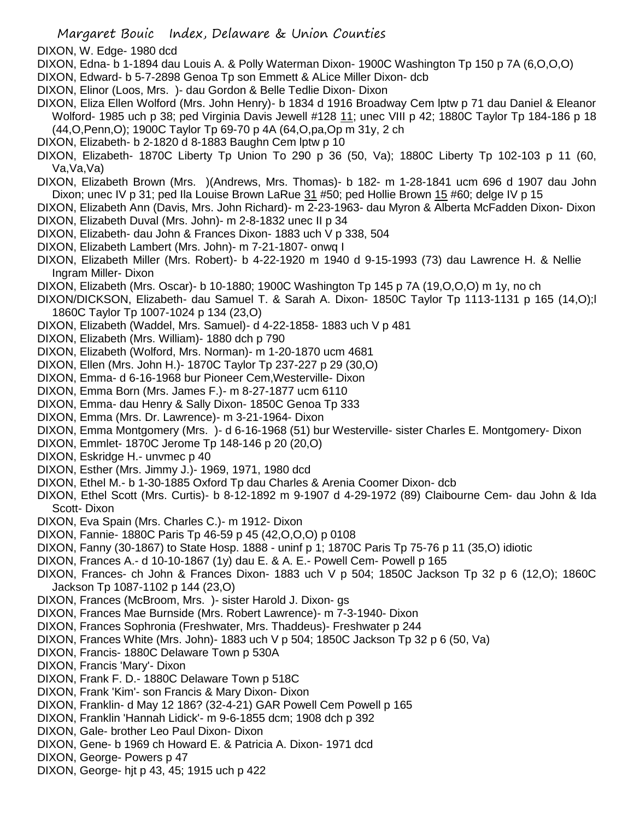DIXON, W. Edge- 1980 dcd

- DIXON, Edna- b 1-1894 dau Louis A. & Polly Waterman Dixon- 1900C Washington Tp 150 p 7A (6,O,O,O)
- DIXON, Edward- b 5-7-2898 Genoa Tp son Emmett & ALice Miller Dixon- dcb
- DIXON, Elinor (Loos, Mrs. )- dau Gordon & Belle Tedlie Dixon- Dixon
- DIXON, Eliza Ellen Wolford (Mrs. John Henry)- b 1834 d 1916 Broadway Cem lptw p 71 dau Daniel & Eleanor Wolford- 1985 uch p 38; ped Virginia Davis Jewell #128 11; unec VIII p 42; 1880C Taylor Tp 184-186 p 18 (44,O,Penn,O); 1900C Taylor Tp 69-70 p 4A (64,O,pa,Op m 31y, 2 ch
- DIXON, Elizabeth- b 2-1820 d 8-1883 Baughn Cem lptw p 10
- DIXON, Elizabeth- 1870C Liberty Tp Union To 290 p 36 (50, Va); 1880C Liberty Tp 102-103 p 11 (60, Va,Va,Va)
- DIXON, Elizabeth Brown (Mrs. )(Andrews, Mrs. Thomas)- b 182- m 1-28-1841 ucm 696 d 1907 dau John Dixon; unec IV p 31; ped Ila Louise Brown LaRue 31 #50; ped Hollie Brown 15 #60; delge IV p 15
- DIXON, Elizabeth Ann (Davis, Mrs. John Richard)- m 2-23-1963- dau Myron & Alberta McFadden Dixon- Dixon DIXON, Elizabeth Duval (Mrs. John)- m 2-8-1832 unec II p 34
- DIXON, Elizabeth- dau John & Frances Dixon- 1883 uch V p 338, 504
- DIXON, Elizabeth Lambert (Mrs. John)- m 7-21-1807- onwq I
- DIXON, Elizabeth Miller (Mrs. Robert)- b 4-22-1920 m 1940 d 9-15-1993 (73) dau Lawrence H. & Nellie Ingram Miller- Dixon
- DIXON, Elizabeth (Mrs. Oscar)- b 10-1880; 1900C Washington Tp 145 p 7A (19,O,O,O) m 1y, no ch
- DIXON/DICKSON, Elizabeth- dau Samuel T. & Sarah A. Dixon- 1850C Taylor Tp 1113-1131 p 165 (14,O);l 1860C Taylor Tp 1007-1024 p 134 (23,O)
- DIXON, Elizabeth (Waddel, Mrs. Samuel)- d 4-22-1858- 1883 uch V p 481
- DIXON, Elizabeth (Mrs. William)- 1880 dch p 790
- DIXON, Elizabeth (Wolford, Mrs. Norman)- m 1-20-1870 ucm 4681
- DIXON, Ellen (Mrs. John H.)- 1870C Taylor Tp 237-227 p 29 (30,O)
- DIXON, Emma- d 6-16-1968 bur Pioneer Cem,Westerville- Dixon
- DIXON, Emma Born (Mrs. James F.)- m 8-27-1877 ucm 6110
- DIXON, Emma- dau Henry & Sally Dixon- 1850C Genoa Tp 333
- DIXON, Emma (Mrs. Dr. Lawrence)- m 3-21-1964- Dixon
- DIXON, Emma Montgomery (Mrs. )- d 6-16-1968 (51) bur Westerville- sister Charles E. Montgomery- Dixon
- DIXON, Emmlet- 1870C Jerome Tp 148-146 p 20 (20,O)
- DIXON, Eskridge H.- unvmec p 40
- DIXON, Esther (Mrs. Jimmy J.)- 1969, 1971, 1980 dcd
- DIXON, Ethel M.- b 1-30-1885 Oxford Tp dau Charles & Arenia Coomer Dixon- dcb
- DIXON, Ethel Scott (Mrs. Curtis)- b 8-12-1892 m 9-1907 d 4-29-1972 (89) Claibourne Cem- dau John & Ida Scott- Dixon
- DIXON, Eva Spain (Mrs. Charles C.)- m 1912- Dixon
- DIXON, Fannie- 1880C Paris Tp 46-59 p 45 (42,O,O,O) p 0108
- DIXON, Fanny (30-1867) to State Hosp. 1888 uninf p 1; 1870C Paris Tp 75-76 p 11 (35,O) idiotic
- DIXON, Frances A.- d 10-10-1867 (1y) dau E. & A. E.- Powell Cem- Powell p 165
- DIXON, Frances- ch John & Frances Dixon- 1883 uch V p 504; 1850C Jackson Tp 32 p 6 (12,O); 1860C Jackson Tp 1087-1102 p 144 (23,O)
- DIXON, Frances (McBroom, Mrs. )- sister Harold J. Dixon- gs
- DIXON, Frances Mae Burnside (Mrs. Robert Lawrence)- m 7-3-1940- Dixon
- DIXON, Frances Sophronia (Freshwater, Mrs. Thaddeus)- Freshwater p 244
- DIXON, Frances White (Mrs. John)- 1883 uch V p 504; 1850C Jackson Tp 32 p 6 (50, Va)
- DIXON, Francis- 1880C Delaware Town p 530A
- DIXON, Francis 'Mary'- Dixon
- DIXON, Frank F. D.- 1880C Delaware Town p 518C
- DIXON, Frank 'Kim'- son Francis & Mary Dixon- Dixon
- DIXON, Franklin- d May 12 186? (32-4-21) GAR Powell Cem Powell p 165
- DIXON, Franklin 'Hannah Lidick'- m 9-6-1855 dcm; 1908 dch p 392
- DIXON, Gale- brother Leo Paul Dixon- Dixon
- DIXON, Gene- b 1969 ch Howard E. & Patricia A. Dixon- 1971 dcd
- DIXON, George- Powers p 47
- DIXON, George- hjt p 43, 45; 1915 uch p 422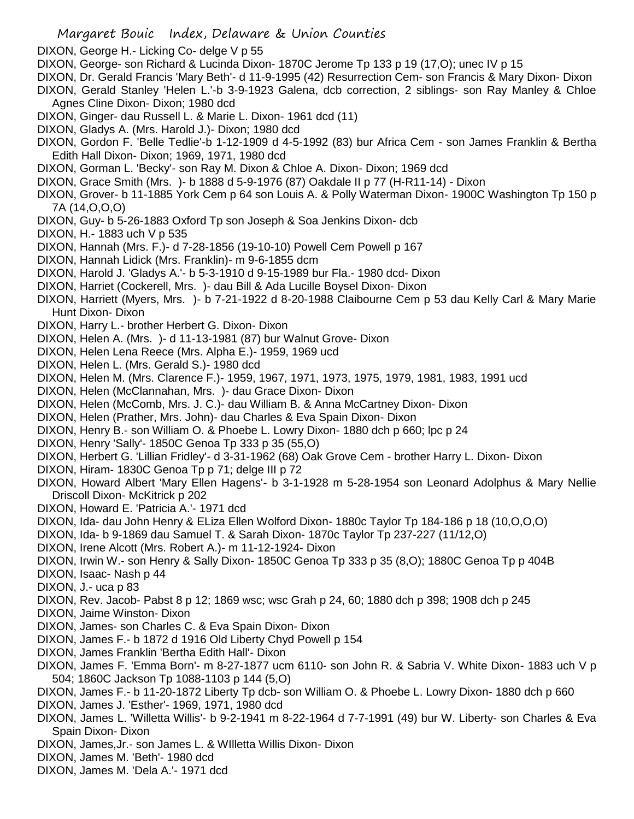- DIXON, George H.- Licking Co- delge V p 55
- DIXON, George- son Richard & Lucinda Dixon- 1870C Jerome Tp 133 p 19 (17,O); unec IV p 15
- DIXON, Dr. Gerald Francis 'Mary Beth'- d 11-9-1995 (42) Resurrection Cem- son Francis & Mary Dixon- Dixon
- DIXON, Gerald Stanley 'Helen L.'-b 3-9-1923 Galena, dcb correction, 2 siblings- son Ray Manley & Chloe Agnes Cline Dixon- Dixon; 1980 dcd
- DIXON, Ginger- dau Russell L. & Marie L. Dixon- 1961 dcd (11)
- DIXON, Gladys A. (Mrs. Harold J.)- Dixon; 1980 dcd
- DIXON, Gordon F. 'Belle Tedlie'-b 1-12-1909 d 4-5-1992 (83) bur Africa Cem son James Franklin & Bertha Edith Hall Dixon- Dixon; 1969, 1971, 1980 dcd
- DIXON, Gorman L. 'Becky'- son Ray M. Dixon & Chloe A. Dixon- Dixon; 1969 dcd
- DIXON, Grace Smith (Mrs. )- b 1888 d 5-9-1976 (87) Oakdale II p 77 (H-R11-14) Dixon
- DIXON, Grover- b 11-1885 York Cem p 64 son Louis A. & Polly Waterman Dixon- 1900C Washington Tp 150 p 7A (14,O,O,O)
- DIXON, Guy- b 5-26-1883 Oxford Tp son Joseph & Soa Jenkins Dixon- dcb
- DIXON, H.- 1883 uch V p 535
- DIXON, Hannah (Mrs. F.)- d 7-28-1856 (19-10-10) Powell Cem Powell p 167
- DIXON, Hannah Lidick (Mrs. Franklin)- m 9-6-1855 dcm
- DIXON, Harold J. 'Gladys A.'- b 5-3-1910 d 9-15-1989 bur Fla.- 1980 dcd- Dixon
- DIXON, Harriet (Cockerell, Mrs. )- dau Bill & Ada Lucille Boysel Dixon- Dixon
- DIXON, Harriett (Myers, Mrs. )- b 7-21-1922 d 8-20-1988 Claibourne Cem p 53 dau Kelly Carl & Mary Marie Hunt Dixon- Dixon
- DIXON, Harry L.- brother Herbert G. Dixon- Dixon
- DIXON, Helen A. (Mrs. )- d 11-13-1981 (87) bur Walnut Grove- Dixon
- DIXON, Helen Lena Reece (Mrs. Alpha E.)- 1959, 1969 ucd
- DIXON, Helen L. (Mrs. Gerald S.)- 1980 dcd
- DIXON, Helen M. (Mrs. Clarence F.)- 1959, 1967, 1971, 1973, 1975, 1979, 1981, 1983, 1991 ucd
- DIXON, Helen (McClannahan, Mrs. )- dau Grace Dixon- Dixon
- DIXON, Helen (McComb, Mrs. J. C.)- dau William B. & Anna McCartney Dixon- Dixon
- DIXON, Helen (Prather, Mrs. John)- dau Charles & Eva Spain Dixon- Dixon
- DIXON, Henry B.- son William O. & Phoebe L. Lowry Dixon- 1880 dch p 660; lpc p 24
- DIXON, Henry 'Sally'- 1850C Genoa Tp 333 p 35 (55,O)
- DIXON, Herbert G. 'Lillian Fridley'- d 3-31-1962 (68) Oak Grove Cem brother Harry L. Dixon- Dixon
- DIXON, Hiram- 1830C Genoa Tp p 71; delge III p 72
- DIXON, Howard Albert 'Mary Ellen Hagens'- b 3-1-1928 m 5-28-1954 son Leonard Adolphus & Mary Nellie Driscoll Dixon- McKitrick p 202
- DIXON, Howard E. 'Patricia A.'- 1971 dcd
- DIXON, Ida- dau John Henry & ELiza Ellen Wolford Dixon- 1880c Taylor Tp 184-186 p 18 (10,O,O,O)
- DIXON, Ida- b 9-1869 dau Samuel T. & Sarah Dixon- 1870c Taylor Tp 237-227 (11/12,O)
- DIXON, Irene Alcott (Mrs. Robert A.)- m 11-12-1924- Dixon
- DIXON, Irwin W.- son Henry & Sally Dixon- 1850C Genoa Tp 333 p 35 (8,O); 1880C Genoa Tp p 404B
- DIXON, Isaac- Nash p 44
- DIXON, J.- uca p 83
- DIXON, Rev. Jacob- Pabst 8 p 12; 1869 wsc; wsc Grah p 24, 60; 1880 dch p 398; 1908 dch p 245
- DIXON, Jaime Winston- Dixon
- DIXON, James- son Charles C. & Eva Spain Dixon- Dixon
- DIXON, James F.- b 1872 d 1916 Old Liberty Chyd Powell p 154
- DIXON, James Franklin 'Bertha Edith Hall'- Dixon
- DIXON, James F. 'Emma Born'- m 8-27-1877 ucm 6110- son John R. & Sabria V. White Dixon- 1883 uch V p 504; 1860C Jackson Tp 1088-1103 p 144 (5,O)
- DIXON, James F.- b 11-20-1872 Liberty Tp dcb- son William O. & Phoebe L. Lowry Dixon- 1880 dch p 660
- DIXON, James J. 'Esther'- 1969, 1971, 1980 dcd
- DIXON, James L. 'Willetta Willis'- b 9-2-1941 m 8-22-1964 d 7-7-1991 (49) bur W. Liberty- son Charles & Eva Spain Dixon- Dixon
- DIXON, James,Jr.- son James L. & WIlletta Willis Dixon- Dixon
- DIXON, James M. 'Beth'- 1980 dcd
- DIXON, James M. 'Dela A.'- 1971 dcd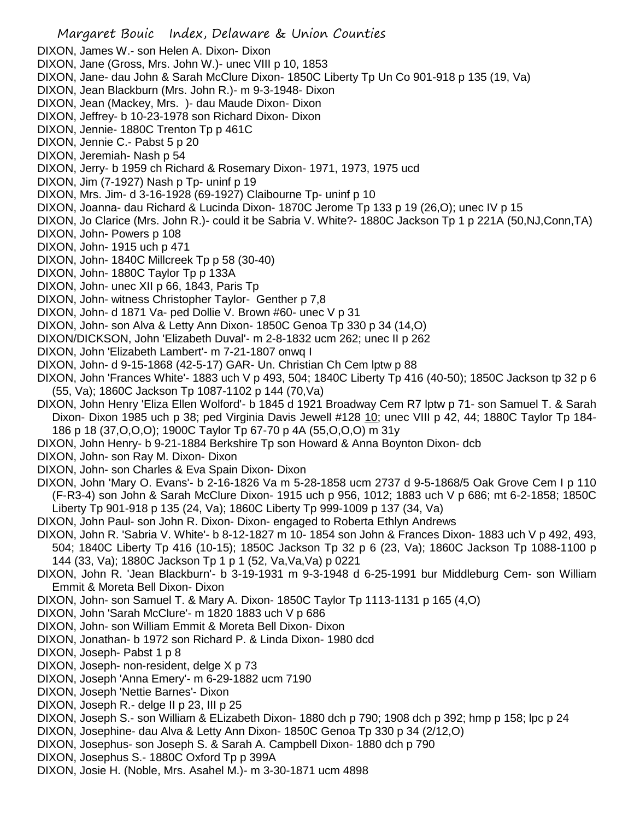- Margaret Bouic Index, Delaware & Union Counties DIXON, James W.- son Helen A. Dixon- Dixon DIXON, Jane (Gross, Mrs. John W.)- unec VIII p 10, 1853 DIXON, Jane- dau John & Sarah McClure Dixon- 1850C Liberty Tp Un Co 901-918 p 135 (19, Va) DIXON, Jean Blackburn (Mrs. John R.)- m 9-3-1948- Dixon DIXON, Jean (Mackey, Mrs. )- dau Maude Dixon- Dixon DIXON, Jeffrey- b 10-23-1978 son Richard Dixon- Dixon DIXON, Jennie- 1880C Trenton Tp p 461C DIXON, Jennie C.- Pabst 5 p 20 DIXON, Jeremiah- Nash p 54 DIXON, Jerry- b 1959 ch Richard & Rosemary Dixon- 1971, 1973, 1975 ucd DIXON, Jim (7-1927) Nash p Tp- uninf p 19 DIXON, Mrs. Jim- d 3-16-1928 (69-1927) Claibourne Tp- uninf p 10 DIXON, Joanna- dau Richard & Lucinda Dixon- 1870C Jerome Tp 133 p 19 (26,O); unec IV p 15 DIXON, Jo Clarice (Mrs. John R.)- could it be Sabria V. White?- 1880C Jackson Tp 1 p 221A (50,NJ,Conn,TA) DIXON, John- Powers p 108 DIXON, John- 1915 uch p 471 DIXON, John- 1840C Millcreek Tp p 58 (30-40) DIXON, John- 1880C Taylor Tp p 133A DIXON, John- unec XII p 66, 1843, Paris Tp DIXON, John- witness Christopher Taylor- Genther p 7,8 DIXON, John- d 1871 Va- ped Dollie V. Brown #60- unec V p 31 DIXON, John- son Alva & Letty Ann Dixon- 1850C Genoa Tp 330 p 34 (14,O) DIXON/DICKSON, John 'Elizabeth Duval'- m 2-8-1832 ucm 262; unec II p 262 DIXON, John 'Elizabeth Lambert'- m 7-21-1807 onwq I DIXON, John- d 9-15-1868 (42-5-17) GAR- Un. Christian Ch Cem lptw p 88 DIXON, John 'Frances White'- 1883 uch V p 493, 504; 1840C Liberty Tp 416 (40-50); 1850C Jackson tp 32 p 6 (55, Va); 1860C Jackson Tp 1087-1102 p 144 (70,Va) DIXON, John Henry 'Eliza Ellen Wolford'- b 1845 d 1921 Broadway Cem R7 lptw p 71- son Samuel T. & Sarah Dixon- Dixon 1985 uch p 38; ped Virginia Davis Jewell #128 10; unec VIII p 42, 44; 1880C Taylor Tp 184- 186 p 18 (37,O,O,O); 1900C Taylor Tp 67-70 p 4A (55,O,O,O) m 31y DIXON, John Henry- b 9-21-1884 Berkshire Tp son Howard & Anna Boynton Dixon- dcb DIXON, John- son Ray M. Dixon- Dixon DIXON, John- son Charles & Eva Spain Dixon- Dixon DIXON, John 'Mary O. Evans'- b 2-16-1826 Va m 5-28-1858 ucm 2737 d 9-5-1868/5 Oak Grove Cem I p 110 (F-R3-4) son John & Sarah McClure Dixon- 1915 uch p 956, 1012; 1883 uch V p 686; mt 6-2-1858; 1850C Liberty Tp 901-918 p 135 (24, Va); 1860C Liberty Tp 999-1009 p 137 (34, Va) DIXON, John Paul- son John R. Dixon- Dixon- engaged to Roberta Ethlyn Andrews DIXON, John R. 'Sabria V. White'- b 8-12-1827 m 10- 1854 son John & Frances Dixon- 1883 uch V p 492, 493, 504; 1840C Liberty Tp 416 (10-15); 1850C Jackson Tp 32 p 6 (23, Va); 1860C Jackson Tp 1088-1100 p
- 144 (33, Va); 1880C Jackson Tp 1 p 1 (52, Va,Va,Va) p 0221 DIXON, John R. 'Jean Blackburn'- b 3-19-1931 m 9-3-1948 d 6-25-1991 bur Middleburg Cem- son William
- Emmit & Moreta Bell Dixon- Dixon
- DIXON, John- son Samuel T. & Mary A. Dixon- 1850C Taylor Tp 1113-1131 p 165 (4,O)
- DIXON, John 'Sarah McClure'- m 1820 1883 uch V p 686
- DIXON, John- son William Emmit & Moreta Bell Dixon- Dixon
- DIXON, Jonathan- b 1972 son Richard P. & Linda Dixon- 1980 dcd
- DIXON, Joseph- Pabst 1 p 8
- DIXON, Joseph- non-resident, delge X p 73
- DIXON, Joseph 'Anna Emery'- m 6-29-1882 ucm 7190
- DIXON, Joseph 'Nettie Barnes'- Dixon
- DIXON, Joseph R.- delge II p 23, III p 25
- DIXON, Joseph S.- son William & ELizabeth Dixon- 1880 dch p 790; 1908 dch p 392; hmp p 158; lpc p 24
- DIXON, Josephine- dau Alva & Letty Ann Dixon- 1850C Genoa Tp 330 p 34 (2/12,O)
- DIXON, Josephus- son Joseph S. & Sarah A. Campbell Dixon- 1880 dch p 790
- DIXON, Josephus S.- 1880C Oxford Tp p 399A
- DIXON, Josie H. (Noble, Mrs. Asahel M.)- m 3-30-1871 ucm 4898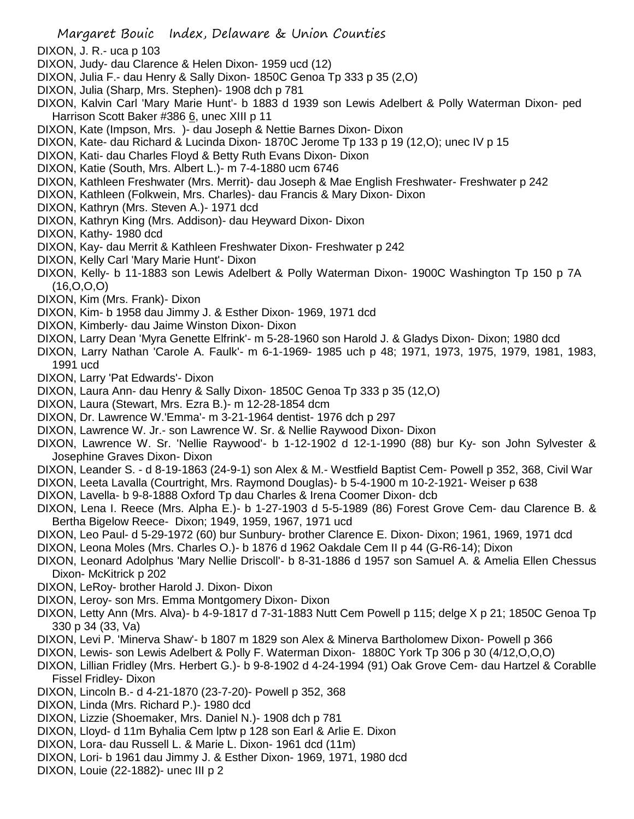- DIXON, J. R.- uca p 103
- DIXON, Judy- dau Clarence & Helen Dixon- 1959 ucd (12)
- DIXON, Julia F.- dau Henry & Sally Dixon- 1850C Genoa Tp 333 p 35 (2,O)
- DIXON, Julia (Sharp, Mrs. Stephen)- 1908 dch p 781
- DIXON, Kalvin Carl 'Mary Marie Hunt'- b 1883 d 1939 son Lewis Adelbert & Polly Waterman Dixon- ped Harrison Scott Baker #386 6, unec XIII p 11
- DIXON, Kate (Impson, Mrs. )- dau Joseph & Nettie Barnes Dixon- Dixon
- DIXON, Kate- dau Richard & Lucinda Dixon- 1870C Jerome Tp 133 p 19 (12,O); unec IV p 15
- DIXON, Kati- dau Charles Floyd & Betty Ruth Evans Dixon- Dixon
- DIXON, Katie (South, Mrs. Albert L.)- m 7-4-1880 ucm 6746
- DIXON, Kathleen Freshwater (Mrs. Merrit)- dau Joseph & Mae English Freshwater- Freshwater p 242
- DIXON, Kathleen (Folkwein, Mrs. Charles)- dau Francis & Mary Dixon- Dixon
- DIXON, Kathryn (Mrs. Steven A.)- 1971 dcd
- DIXON, Kathryn King (Mrs. Addison)- dau Heyward Dixon- Dixon
- DIXON, Kathy- 1980 dcd
- DIXON, Kay- dau Merrit & Kathleen Freshwater Dixon- Freshwater p 242
- DIXON, Kelly Carl 'Mary Marie Hunt'- Dixon
- DIXON, Kelly- b 11-1883 son Lewis Adelbert & Polly Waterman Dixon- 1900C Washington Tp 150 p 7A (16,O,O,O)
- DIXON, Kim (Mrs. Frank)- Dixon
- DIXON, Kim- b 1958 dau Jimmy J. & Esther Dixon- 1969, 1971 dcd
- DIXON, Kimberly- dau Jaime Winston Dixon- Dixon
- DIXON, Larry Dean 'Myra Genette Elfrink'- m 5-28-1960 son Harold J. & Gladys Dixon- Dixon; 1980 dcd
- DIXON, Larry Nathan 'Carole A. Faulk'- m 6-1-1969- 1985 uch p 48; 1971, 1973, 1975, 1979, 1981, 1983, 1991 ucd
- DIXON, Larry 'Pat Edwards'- Dixon
- DIXON, Laura Ann- dau Henry & Sally Dixon- 1850C Genoa Tp 333 p 35 (12,O)
- DIXON, Laura (Stewart, Mrs. Ezra B.)- m 12-28-1854 dcm
- DIXON, Dr. Lawrence W.'Emma'- m 3-21-1964 dentist- 1976 dch p 297
- DIXON, Lawrence W. Jr.- son Lawrence W. Sr. & Nellie Raywood Dixon- Dixon
- DIXON, Lawrence W. Sr. 'Nellie Raywood'- b 1-12-1902 d 12-1-1990 (88) bur Ky- son John Sylvester & Josephine Graves Dixon- Dixon
- DIXON, Leander S. d 8-19-1863 (24-9-1) son Alex & M.- Westfield Baptist Cem- Powell p 352, 368, Civil War
- DIXON, Leeta Lavalla (Courtright, Mrs. Raymond Douglas)- b 5-4-1900 m 10-2-1921- Weiser p 638
- DIXON, Lavella- b 9-8-1888 Oxford Tp dau Charles & Irena Coomer Dixon- dcb
- DIXON, Lena I. Reece (Mrs. Alpha E.)- b 1-27-1903 d 5-5-1989 (86) Forest Grove Cem- dau Clarence B. & Bertha Bigelow Reece- Dixon; 1949, 1959, 1967, 1971 ucd
- DIXON, Leo Paul- d 5-29-1972 (60) bur Sunbury- brother Clarence E. Dixon- Dixon; 1961, 1969, 1971 dcd
- DIXON, Leona Moles (Mrs. Charles O.)- b 1876 d 1962 Oakdale Cem II p 44 (G-R6-14); Dixon
- DIXON, Leonard Adolphus 'Mary Nellie Driscoll'- b 8-31-1886 d 1957 son Samuel A. & Amelia Ellen Chessus Dixon- McKitrick p 202
- DIXON, LeRoy- brother Harold J. Dixon- Dixon
- DIXON, Leroy- son Mrs. Emma Montgomery Dixon- Dixon
- DIXON, Letty Ann (Mrs. Alva)- b 4-9-1817 d 7-31-1883 Nutt Cem Powell p 115; delge X p 21; 1850C Genoa Tp 330 p 34 (33, Va)
- DIXON, Levi P. 'Minerva Shaw'- b 1807 m 1829 son Alex & Minerva Bartholomew Dixon- Powell p 366
- DIXON, Lewis- son Lewis Adelbert & Polly F. Waterman Dixon- 1880C York Tp 306 p 30 (4/12,O,O,O)
- DIXON, Lillian Fridley (Mrs. Herbert G.)- b 9-8-1902 d 4-24-1994 (91) Oak Grove Cem- dau Hartzel & Corablle Fissel Fridley- Dixon
- DIXON, Lincoln B.- d 4-21-1870 (23-7-20)- Powell p 352, 368
- DIXON, Linda (Mrs. Richard P.)- 1980 dcd
- DIXON, Lizzie (Shoemaker, Mrs. Daniel N.)- 1908 dch p 781
- DIXON, Lloyd- d 11m Byhalia Cem lptw p 128 son Earl & Arlie E. Dixon
- DIXON, Lora- dau Russell L. & Marie L. Dixon- 1961 dcd (11m)
- DIXON, Lori- b 1961 dau Jimmy J. & Esther Dixon- 1969, 1971, 1980 dcd
- DIXON, Louie (22-1882)- unec III p 2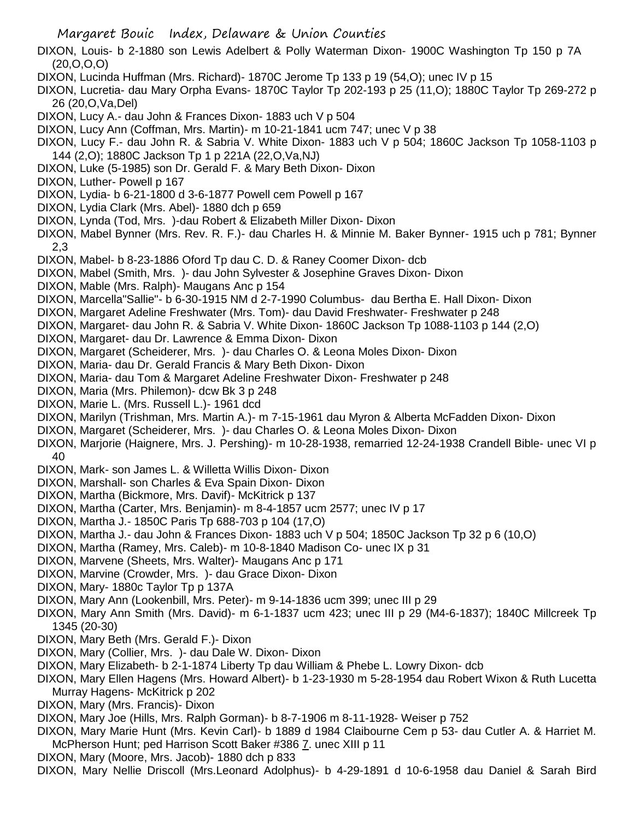- DIXON, Louis- b 2-1880 son Lewis Adelbert & Polly Waterman Dixon- 1900C Washington Tp 150 p 7A (20,O,O,O)
- DIXON, Lucinda Huffman (Mrs. Richard)- 1870C Jerome Tp 133 p 19 (54,O); unec IV p 15
- DIXON, Lucretia- dau Mary Orpha Evans- 1870C Taylor Tp 202-193 p 25 (11,O); 1880C Taylor Tp 269-272 p 26 (20,O,Va,Del)
- DIXON, Lucy A.- dau John & Frances Dixon- 1883 uch V p 504
- DIXON, Lucy Ann (Coffman, Mrs. Martin)- m 10-21-1841 ucm 747; unec V p 38
- DIXON, Lucy F.- dau John R. & Sabria V. White Dixon- 1883 uch V p 504; 1860C Jackson Tp 1058-1103 p 144 (2,O); 1880C Jackson Tp 1 p 221A (22,O,Va,NJ)
- DIXON, Luke (5-1985) son Dr. Gerald F. & Mary Beth Dixon- Dixon
- DIXON, Luther- Powell p 167
- DIXON, Lydia- b 6-21-1800 d 3-6-1877 Powell cem Powell p 167
- DIXON, Lydia Clark (Mrs. Abel)- 1880 dch p 659
- DIXON, Lynda (Tod, Mrs. )-dau Robert & Elizabeth Miller Dixon- Dixon
- DIXON, Mabel Bynner (Mrs. Rev. R. F.)- dau Charles H. & Minnie M. Baker Bynner- 1915 uch p 781; Bynner 2,3
- DIXON, Mabel- b 8-23-1886 Oford Tp dau C. D. & Raney Coomer Dixon- dcb
- DIXON, Mabel (Smith, Mrs. )- dau John Sylvester & Josephine Graves Dixon- Dixon
- DIXON, Mable (Mrs. Ralph)- Maugans Anc p 154
- DIXON, Marcella"Sallie"- b 6-30-1915 NM d 2-7-1990 Columbus- dau Bertha E. Hall Dixon- Dixon
- DIXON, Margaret Adeline Freshwater (Mrs. Tom)- dau David Freshwater- Freshwater p 248
- DIXON, Margaret- dau John R. & Sabria V. White Dixon- 1860C Jackson Tp 1088-1103 p 144 (2,O)
- DIXON, Margaret- dau Dr. Lawrence & Emma Dixon- Dixon
- DIXON, Margaret (Scheiderer, Mrs. )- dau Charles O. & Leona Moles Dixon- Dixon
- DIXON, Maria- dau Dr. Gerald Francis & Mary Beth Dixon- Dixon
- DIXON, Maria- dau Tom & Margaret Adeline Freshwater Dixon- Freshwater p 248
- DIXON, Maria (Mrs. Philemon)- dcw Bk 3 p 248
- DIXON, Marie L. (Mrs. Russell L.)- 1961 dcd
- DIXON, Marilyn (Trishman, Mrs. Martin A.)- m 7-15-1961 dau Myron & Alberta McFadden Dixon- Dixon
- DIXON, Margaret (Scheiderer, Mrs. )- dau Charles O. & Leona Moles Dixon- Dixon
- DIXON, Marjorie (Haignere, Mrs. J. Pershing)- m 10-28-1938, remarried 12-24-1938 Crandell Bible- unec VI p 40
- DIXON, Mark- son James L. & Willetta Willis Dixon- Dixon
- DIXON, Marshall- son Charles & Eva Spain Dixon- Dixon
- DIXON, Martha (Bickmore, Mrs. Davif)- McKitrick p 137
- DIXON, Martha (Carter, Mrs. Benjamin)- m 8-4-1857 ucm 2577; unec IV p 17
- DIXON, Martha J.- 1850C Paris Tp 688-703 p 104 (17,O)
- DIXON, Martha J.- dau John & Frances Dixon- 1883 uch V p 504; 1850C Jackson Tp 32 p 6 (10,O)
- DIXON, Martha (Ramey, Mrs. Caleb)- m 10-8-1840 Madison Co- unec IX p 31
- DIXON, Marvene (Sheets, Mrs. Walter)- Maugans Anc p 171
- DIXON, Marvine (Crowder, Mrs. )- dau Grace Dixon- Dixon
- DIXON, Mary- 1880c Taylor Tp p 137A
- DIXON, Mary Ann (Lookenbill, Mrs. Peter)- m 9-14-1836 ucm 399; unec III p 29
- DIXON, Mary Ann Smith (Mrs. David)- m 6-1-1837 ucm 423; unec III p 29 (M4-6-1837); 1840C Millcreek Tp 1345 (20-30)
- DIXON, Mary Beth (Mrs. Gerald F.)- Dixon
- DIXON, Mary (Collier, Mrs. )- dau Dale W. Dixon- Dixon
- DIXON, Mary Elizabeth- b 2-1-1874 Liberty Tp dau William & Phebe L. Lowry Dixon- dcb
- DIXON, Mary Ellen Hagens (Mrs. Howard Albert)- b 1-23-1930 m 5-28-1954 dau Robert Wixon & Ruth Lucetta Murray Hagens- McKitrick p 202
- DIXON, Mary (Mrs. Francis)- Dixon
- DIXON, Mary Joe (Hills, Mrs. Ralph Gorman)- b 8-7-1906 m 8-11-1928- Weiser p 752
- DIXON, Mary Marie Hunt (Mrs. Kevin Carl)- b 1889 d 1984 Claibourne Cem p 53- dau Cutler A. & Harriet M. McPherson Hunt; ped Harrison Scott Baker #386 7. unec XIII p 11
- DIXON, Mary (Moore, Mrs. Jacob)- 1880 dch p 833
- DIXON, Mary Nellie Driscoll (Mrs.Leonard Adolphus)- b 4-29-1891 d 10-6-1958 dau Daniel & Sarah Bird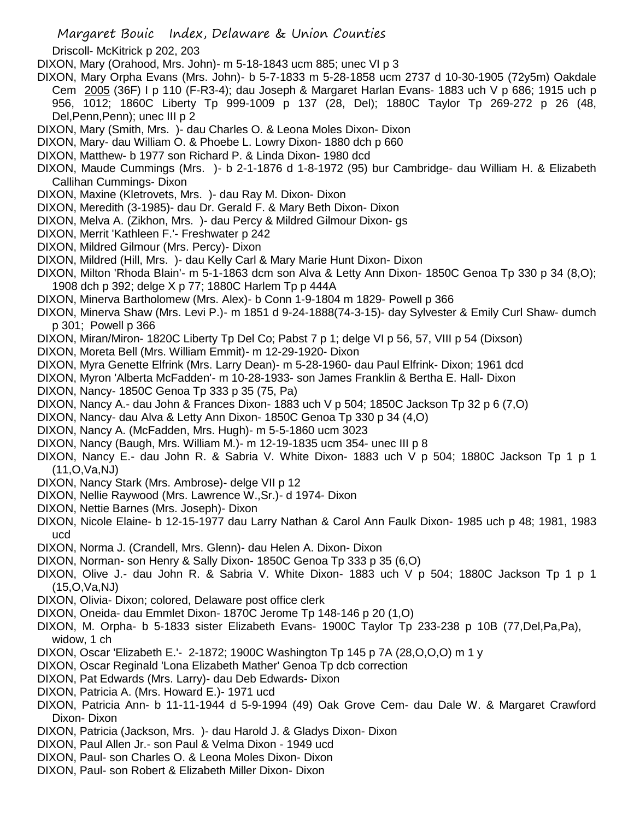Driscoll- McKitrick p 202, 203

- DIXON, Mary (Orahood, Mrs. John)- m 5-18-1843 ucm 885; unec VI p 3
- DIXON, Mary Orpha Evans (Mrs. John)- b 5-7-1833 m 5-28-1858 ucm 2737 d 10-30-1905 (72y5m) Oakdale Cem 2005 (36F) I p 110 (F-R3-4); dau Joseph & Margaret Harlan Evans- 1883 uch V p 686; 1915 uch p 956, 1012; 1860C Liberty Tp 999-1009 p 137 (28, Del); 1880C Taylor Tp 269-272 p 26 (48, Del,Penn,Penn); unec III p 2
- DIXON, Mary (Smith, Mrs. )- dau Charles O. & Leona Moles Dixon- Dixon
- DIXON, Mary- dau William O. & Phoebe L. Lowry Dixon- 1880 dch p 660
- DIXON, Matthew- b 1977 son Richard P. & Linda Dixon- 1980 dcd
- DIXON, Maude Cummings (Mrs. )- b 2-1-1876 d 1-8-1972 (95) bur Cambridge- dau William H. & Elizabeth Callihan Cummings- Dixon
- DIXON, Maxine (Kletrovets, Mrs. )- dau Ray M. Dixon- Dixon
- DIXON, Meredith (3-1985)- dau Dr. Gerald F. & Mary Beth Dixon- Dixon
- DIXON, Melva A. (Zikhon, Mrs. )- dau Percy & Mildred Gilmour Dixon- gs
- DIXON, Merrit 'Kathleen F.'- Freshwater p 242
- DIXON, Mildred Gilmour (Mrs. Percy)- Dixon
- DIXON, Mildred (Hill, Mrs. )- dau Kelly Carl & Mary Marie Hunt Dixon- Dixon
- DIXON, Milton 'Rhoda Blain'- m 5-1-1863 dcm son Alva & Letty Ann Dixon- 1850C Genoa Tp 330 p 34 (8,O); 1908 dch p 392; delge X p 77; 1880C Harlem Tp p 444A
- DIXON, Minerva Bartholomew (Mrs. Alex)- b Conn 1-9-1804 m 1829- Powell p 366
- DIXON, Minerva Shaw (Mrs. Levi P.)- m 1851 d 9-24-1888(74-3-15)- day Sylvester & Emily Curl Shaw- dumch p 301; Powell p 366
- DIXON, Miran/Miron- 1820C Liberty Tp Del Co; Pabst 7 p 1; delge VI p 56, 57, VIII p 54 (Dixson)
- DIXON, Moreta Bell (Mrs. William Emmit)- m 12-29-1920- Dixon
- DIXON, Myra Genette Elfrink (Mrs. Larry Dean)- m 5-28-1960- dau Paul Elfrink- Dixon; 1961 dcd
- DIXON, Myron 'Alberta McFadden'- m 10-28-1933- son James Franklin & Bertha E. Hall- Dixon
- DIXON, Nancy- 1850C Genoa Tp 333 p 35 (75, Pa)
- DIXON, Nancy A.- dau John & Frances Dixon- 1883 uch V p 504; 1850C Jackson Tp 32 p 6 (7,O)
- DIXON, Nancy- dau Alva & Letty Ann Dixon- 1850C Genoa Tp 330 p 34 (4,O)
- DIXON, Nancy A. (McFadden, Mrs. Hugh)- m 5-5-1860 ucm 3023
- DIXON, Nancy (Baugh, Mrs. William M.)- m 12-19-1835 ucm 354- unec III p 8
- DIXON, Nancy E.- dau John R. & Sabria V. White Dixon- 1883 uch V p 504; 1880C Jackson Tp 1 p 1 (11,O,Va,NJ)
- DIXON, Nancy Stark (Mrs. Ambrose)- delge VII p 12
- DIXON, Nellie Raywood (Mrs. Lawrence W.,Sr.)- d 1974- Dixon
- DIXON, Nettie Barnes (Mrs. Joseph)- Dixon
- DIXON, Nicole Elaine- b 12-15-1977 dau Larry Nathan & Carol Ann Faulk Dixon- 1985 uch p 48; 1981, 1983 ucd
- DIXON, Norma J. (Crandell, Mrs. Glenn)- dau Helen A. Dixon- Dixon
- DIXON, Norman- son Henry & Sally Dixon- 1850C Genoa Tp 333 p 35 (6,O)
- DIXON, Olive J.- dau John R. & Sabria V. White Dixon- 1883 uch V p 504; 1880C Jackson Tp 1 p 1 (15,O,Va,NJ)
- DIXON, Olivia- Dixon; colored, Delaware post office clerk
- DIXON, Oneida- dau Emmlet Dixon- 1870C Jerome Tp 148-146 p 20 (1,O)
- DIXON, M. Orpha- b 5-1833 sister Elizabeth Evans- 1900C Taylor Tp 233-238 p 10B (77,Del,Pa,Pa), widow, 1 ch
- DIXON, Oscar 'Elizabeth E.'- 2-1872; 1900C Washington Tp 145 p 7A (28,O,O,O) m 1 y
- DIXON, Oscar Reginald 'Lona Elizabeth Mather' Genoa Tp dcb correction
- DIXON, Pat Edwards (Mrs. Larry)- dau Deb Edwards- Dixon
- DIXON, Patricia A. (Mrs. Howard E.)- 1971 ucd
- DIXON, Patricia Ann- b 11-11-1944 d 5-9-1994 (49) Oak Grove Cem- dau Dale W. & Margaret Crawford Dixon- Dixon
- DIXON, Patricia (Jackson, Mrs. )- dau Harold J. & Gladys Dixon- Dixon
- DIXON, Paul Allen Jr.- son Paul & Velma Dixon 1949 ucd
- DIXON, Paul- son Charles O. & Leona Moles Dixon- Dixon
- DIXON, Paul- son Robert & Elizabeth Miller Dixon- Dixon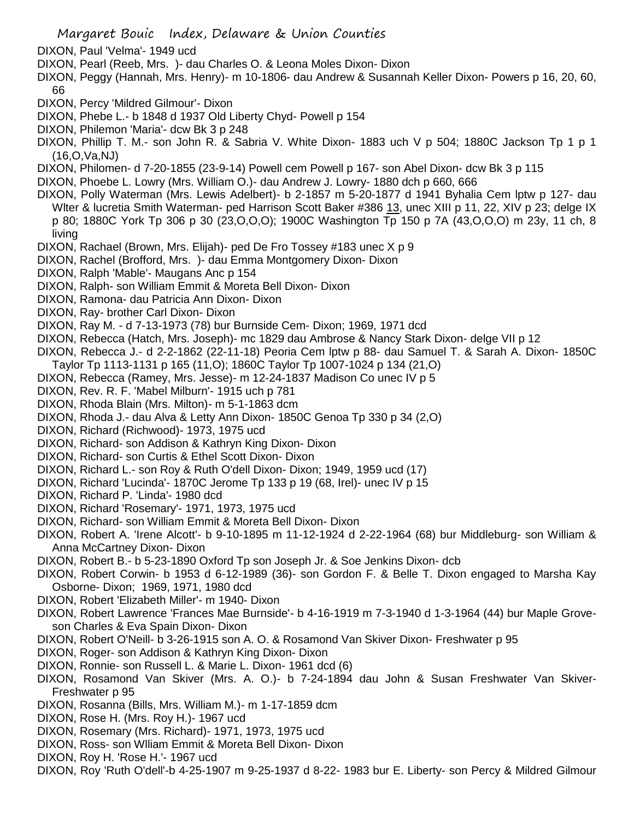- DIXON, Paul 'Velma'- 1949 ucd
- DIXON, Pearl (Reeb, Mrs. )- dau Charles O. & Leona Moles Dixon- Dixon
- DIXON, Peggy (Hannah, Mrs. Henry)- m 10-1806- dau Andrew & Susannah Keller Dixon- Powers p 16, 20, 60, 66
- DIXON, Percy 'Mildred Gilmour'- Dixon
- DIXON, Phebe L.- b 1848 d 1937 Old Liberty Chyd- Powell p 154
- DIXON, Philemon 'Maria'- dcw Bk 3 p 248
- DIXON, Phillip T. M.- son John R. & Sabria V. White Dixon- 1883 uch V p 504; 1880C Jackson Tp 1 p 1 (16,O,Va,NJ)
- DIXON, Philomen- d 7-20-1855 (23-9-14) Powell cem Powell p 167- son Abel Dixon- dcw Bk 3 p 115
- DIXON, Phoebe L. Lowry (Mrs. William O.)- dau Andrew J. Lowry- 1880 dch p 660, 666
- DIXON, Polly Waterman (Mrs. Lewis Adelbert)- b 2-1857 m 5-20-1877 d 1941 Byhalia Cem lptw p 127- dau Wlter & lucretia Smith Waterman- ped Harrison Scott Baker #386 13, unec XIII p 11, 22, XIV p 23; delge IX p 80; 1880C York Tp 306 p 30 (23,O,O,O); 1900C Washington Tp 150 p 7A (43,O,O,O) m 23y, 11 ch, 8 living
- DIXON, Rachael (Brown, Mrs. Elijah)- ped De Fro Tossey #183 unec X p 9
- DIXON, Rachel (Brofford, Mrs. )- dau Emma Montgomery Dixon- Dixon
- DIXON, Ralph 'Mable'- Maugans Anc p 154
- DIXON, Ralph- son William Emmit & Moreta Bell Dixon- Dixon
- DIXON, Ramona- dau Patricia Ann Dixon- Dixon
- DIXON, Ray- brother Carl Dixon- Dixon
- DIXON, Ray M. d 7-13-1973 (78) bur Burnside Cem- Dixon; 1969, 1971 dcd
- DIXON, Rebecca (Hatch, Mrs. Joseph)- mc 1829 dau Ambrose & Nancy Stark Dixon- delge VII p 12
- DIXON, Rebecca J.- d 2-2-1862 (22-11-18) Peoria Cem lptw p 88- dau Samuel T. & Sarah A. Dixon- 1850C Taylor Tp 1113-1131 p 165 (11,O); 1860C Taylor Tp 1007-1024 p 134 (21,O)
- DIXON, Rebecca (Ramey, Mrs. Jesse)- m 12-24-1837 Madison Co unec IV p 5
- DIXON, Rev. R. F. 'Mabel Milburn'- 1915 uch p 781
- DIXON, Rhoda Blain (Mrs. Milton)- m 5-1-1863 dcm
- DIXON, Rhoda J.- dau Alva & Letty Ann Dixon- 1850C Genoa Tp 330 p 34 (2,O)
- DIXON, Richard (Richwood)- 1973, 1975 ucd
- DIXON, Richard- son Addison & Kathryn King Dixon- Dixon
- DIXON, Richard- son Curtis & Ethel Scott Dixon- Dixon
- DIXON, Richard L.- son Roy & Ruth O'dell Dixon- Dixon; 1949, 1959 ucd (17)
- DIXON, Richard 'Lucinda'- 1870C Jerome Tp 133 p 19 (68, Irel)- unec IV p 15
- DIXON, Richard P. 'Linda'- 1980 dcd
- DIXON, Richard 'Rosemary'- 1971, 1973, 1975 ucd
- DIXON, Richard- son William Emmit & Moreta Bell Dixon- Dixon
- DIXON, Robert A. 'Irene Alcott'- b 9-10-1895 m 11-12-1924 d 2-22-1964 (68) bur Middleburg- son William & Anna McCartney Dixon- Dixon
- DIXON, Robert B.- b 5-23-1890 Oxford Tp son Joseph Jr. & Soe Jenkins Dixon- dcb
- DIXON, Robert Corwin- b 1953 d 6-12-1989 (36)- son Gordon F. & Belle T. Dixon engaged to Marsha Kay Osborne- Dixon; 1969, 1971, 1980 dcd
- DIXON, Robert 'Elizabeth Miller'- m 1940- Dixon
- DIXON, Robert Lawrence 'Frances Mae Burnside'- b 4-16-1919 m 7-3-1940 d 1-3-1964 (44) bur Maple Groveson Charles & Eva Spain Dixon- Dixon
- DIXON, Robert O'Neill- b 3-26-1915 son A. O. & Rosamond Van Skiver Dixon- Freshwater p 95
- DIXON, Roger- son Addison & Kathryn King Dixon- Dixon
- DIXON, Ronnie- son Russell L. & Marie L. Dixon- 1961 dcd (6)
- DIXON, Rosamond Van Skiver (Mrs. A. O.)- b 7-24-1894 dau John & Susan Freshwater Van Skiver-Freshwater p 95
- DIXON, Rosanna (Bills, Mrs. William M.)- m 1-17-1859 dcm
- DIXON, Rose H. (Mrs. Roy H.)- 1967 ucd
- DIXON, Rosemary (Mrs. Richard)- 1971, 1973, 1975 ucd
- DIXON, Ross- son Wlliam Emmit & Moreta Bell Dixon- Dixon
- DIXON, Roy H. 'Rose H.'- 1967 ucd
- DIXON, Roy 'Ruth O'dell'-b 4-25-1907 m 9-25-1937 d 8-22- 1983 bur E. Liberty- son Percy & Mildred Gilmour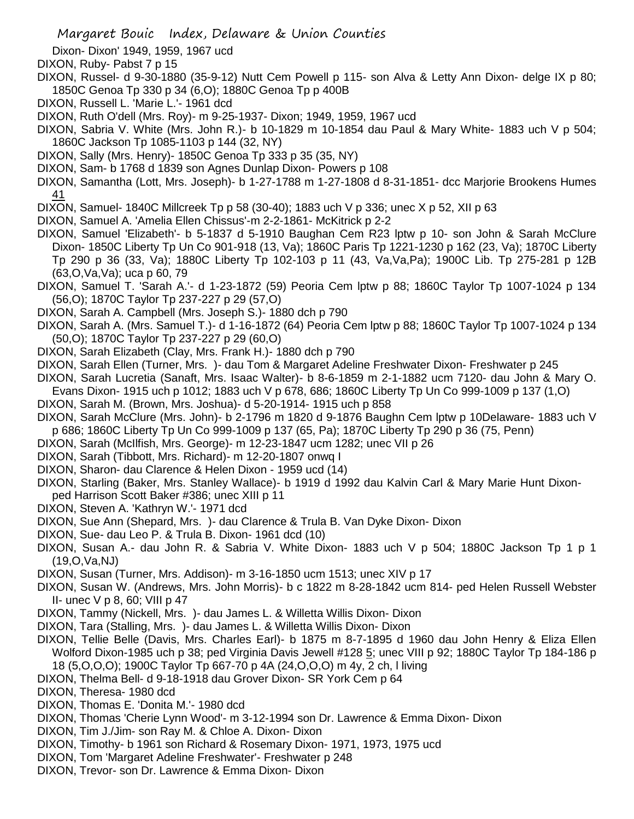Dixon- Dixon' 1949, 1959, 1967 ucd

- DIXON, Ruby- Pabst 7 p 15
- DIXON, Russel- d 9-30-1880 (35-9-12) Nutt Cem Powell p 115- son Alva & Letty Ann Dixon- delge IX p 80; 1850C Genoa Tp 330 p 34 (6,O); 1880C Genoa Tp p 400B
- DIXON, Russell L. 'Marie L.'- 1961 dcd
- DIXON, Ruth O'dell (Mrs. Roy)- m 9-25-1937- Dixon; 1949, 1959, 1967 ucd
- DIXON, Sabria V. White (Mrs. John R.)- b 10-1829 m 10-1854 dau Paul & Mary White- 1883 uch V p 504; 1860C Jackson Tp 1085-1103 p 144 (32, NY)
- DIXON, Sally (Mrs. Henry)- 1850C Genoa Tp 333 p 35 (35, NY)
- DIXON, Sam- b 1768 d 1839 son Agnes Dunlap Dixon- Powers p 108
- DIXON, Samantha (Lott, Mrs. Joseph)- b 1-27-1788 m 1-27-1808 d 8-31-1851- dcc Marjorie Brookens Humes 41
- DIXON, Samuel- 1840C Millcreek Tp p 58 (30-40); 1883 uch V p 336; unec X p 52, XII p 63
- DIXON, Samuel A. 'Amelia Ellen Chissus'-m 2-2-1861- McKitrick p 2-2
- DIXON, Samuel 'Elizabeth'- b 5-1837 d 5-1910 Baughan Cem R23 lptw p 10- son John & Sarah McClure Dixon- 1850C Liberty Tp Un Co 901-918 (13, Va); 1860C Paris Tp 1221-1230 p 162 (23, Va); 1870C Liberty Tp 290 p 36 (33, Va); 1880C Liberty Tp 102-103 p 11 (43, Va,Va,Pa); 1900C Lib. Tp 275-281 p 12B (63,O,Va,Va); uca p 60, 79
- DIXON, Samuel T. 'Sarah A.'- d 1-23-1872 (59) Peoria Cem lptw p 88; 1860C Taylor Tp 1007-1024 p 134 (56,O); 1870C Taylor Tp 237-227 p 29 (57,O)
- DIXON, Sarah A. Campbell (Mrs. Joseph S.)- 1880 dch p 790
- DIXON, Sarah A. (Mrs. Samuel T.)- d 1-16-1872 (64) Peoria Cem lptw p 88; 1860C Taylor Tp 1007-1024 p 134 (50,O); 1870C Taylor Tp 237-227 p 29 (60,O)
- DIXON, Sarah Elizabeth (Clay, Mrs. Frank H.)- 1880 dch p 790
- DIXON, Sarah Ellen (Turner, Mrs. )- dau Tom & Margaret Adeline Freshwater Dixon- Freshwater p 245
- DIXON, Sarah Lucretia (Sanaft, Mrs. Isaac Walter)- b 8-6-1859 m 2-1-1882 ucm 7120- dau John & Mary O. Evans Dixon- 1915 uch p 1012; 1883 uch V p 678, 686; 1860C Liberty Tp Un Co 999-1009 p 137 (1,O)
- DIXON, Sarah M. (Brown, Mrs. Joshua)- d 5-20-1914- 1915 uch p 858
- DIXON, Sarah McClure (Mrs. John)- b 2-1796 m 1820 d 9-1876 Baughn Cem lptw p 10Delaware- 1883 uch V p 686; 1860C Liberty Tp Un Co 999-1009 p 137 (65, Pa); 1870C Liberty Tp 290 p 36 (75, Penn)
- DIXON, Sarah (McIlfish, Mrs. George)- m 12-23-1847 ucm 1282; unec VII p 26
- DIXON, Sarah (Tibbott, Mrs. Richard)- m 12-20-1807 onwq I
- DIXON, Sharon- dau Clarence & Helen Dixon 1959 ucd (14)
- DIXON, Starling (Baker, Mrs. Stanley Wallace)- b 1919 d 1992 dau Kalvin Carl & Mary Marie Hunt Dixonped Harrison Scott Baker #386; unec XIII p 11
- DIXON, Steven A. 'Kathryn W.'- 1971 dcd
- DIXON, Sue Ann (Shepard, Mrs. )- dau Clarence & Trula B. Van Dyke Dixon- Dixon
- DIXON, Sue- dau Leo P. & Trula B. Dixon- 1961 dcd (10)
- DIXON, Susan A.- dau John R. & Sabria V. White Dixon- 1883 uch V p 504; 1880C Jackson Tp 1 p 1 (19,O,Va,NJ)
- DIXON, Susan (Turner, Mrs. Addison)- m 3-16-1850 ucm 1513; unec XIV p 17
- DIXON, Susan W. (Andrews, Mrs. John Morris)- b c 1822 m 8-28-1842 ucm 814- ped Helen Russell Webster II- unec  $V$  p 8, 60; VIII p 47
- DIXON, Tammy (Nickell, Mrs. )- dau James L. & Willetta Willis Dixon- Dixon
- DIXON, Tara (Stalling, Mrs. )- dau James L. & Willetta Willis Dixon- Dixon
- DIXON, Tellie Belle (Davis, Mrs. Charles Earl)- b 1875 m 8-7-1895 d 1960 dau John Henry & Eliza Ellen Wolford Dixon-1985 uch p 38; ped Virginia Davis Jewell #128 5; unec VIII p 92; 1880C Taylor Tp 184-186 p 18 (5,O,O,O); 1900C Taylor Tp 667-70 p 4A (24,O,O,O) m 4y, 2 ch, l living
- DIXON, Thelma Bell- d 9-18-1918 dau Grover Dixon- SR York Cem p 64
- DIXON, Theresa- 1980 dcd
- DIXON, Thomas E. 'Donita M.'- 1980 dcd
- DIXON, Thomas 'Cherie Lynn Wood'- m 3-12-1994 son Dr. Lawrence & Emma Dixon- Dixon
- DIXON, Tim J./Jim- son Ray M. & Chloe A. Dixon- Dixon
- DIXON, Timothy- b 1961 son Richard & Rosemary Dixon- 1971, 1973, 1975 ucd
- DIXON, Tom 'Margaret Adeline Freshwater'- Freshwater p 248
- DIXON, Trevor- son Dr. Lawrence & Emma Dixon- Dixon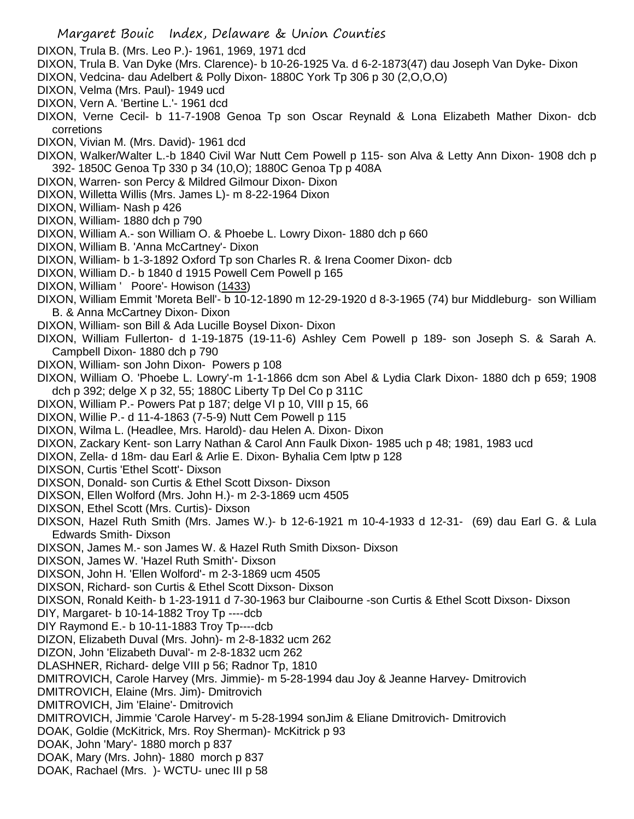- DIXON, Trula B. (Mrs. Leo P.)- 1961, 1969, 1971 dcd
- DIXON, Trula B. Van Dyke (Mrs. Clarence)- b 10-26-1925 Va. d 6-2-1873(47) dau Joseph Van Dyke- Dixon
- DIXON, Vedcina- dau Adelbert & Polly Dixon- 1880C York Tp 306 p 30 (2,O,O,O)
- DIXON, Velma (Mrs. Paul)- 1949 ucd
- DIXON, Vern A. 'Bertine L.'- 1961 dcd
- DIXON, Verne Cecil- b 11-7-1908 Genoa Tp son Oscar Reynald & Lona Elizabeth Mather Dixon- dcb corretions
- DIXON, Vivian M. (Mrs. David)- 1961 dcd
- DIXON, Walker/Walter L.-b 1840 Civil War Nutt Cem Powell p 115- son Alva & Letty Ann Dixon- 1908 dch p 392- 1850C Genoa Tp 330 p 34 (10,O); 1880C Genoa Tp p 408A
- DIXON, Warren- son Percy & Mildred Gilmour Dixon- Dixon
- DIXON, Willetta Willis (Mrs. James L)- m 8-22-1964 Dixon
- DIXON, William- Nash p 426
- DIXON, William- 1880 dch p 790
- DIXON, William A.- son William O. & Phoebe L. Lowry Dixon- 1880 dch p 660
- DIXON, William B. 'Anna McCartney'- Dixon
- DIXON, William- b 1-3-1892 Oxford Tp son Charles R. & Irena Coomer Dixon- dcb
- DIXON, William D.- b 1840 d 1915 Powell Cem Powell p 165
- DIXON, William ' Poore'- Howison (1433)
- DIXON, William Emmit 'Moreta Bell'- b 10-12-1890 m 12-29-1920 d 8-3-1965 (74) bur Middleburg- son William B. & Anna McCartney Dixon- Dixon
- DIXON, William- son Bill & Ada Lucille Boysel Dixon- Dixon
- DIXON, William Fullerton- d 1-19-1875 (19-11-6) Ashley Cem Powell p 189- son Joseph S. & Sarah A. Campbell Dixon- 1880 dch p 790
- DIXON, William- son John Dixon- Powers p 108
- DIXON, William O. 'Phoebe L. Lowry'-m 1-1-1866 dcm son Abel & Lydia Clark Dixon- 1880 dch p 659; 1908 dch p 392; delge X p 32, 55; 1880C Liberty Tp Del Co p 311C
- DIXON, William P.- Powers Pat p 187; delge VI p 10, VIII p 15, 66
- DIXON, Willie P.- d 11-4-1863 (7-5-9) Nutt Cem Powell p 115
- DIXON, Wilma L. (Headlee, Mrs. Harold)- dau Helen A. Dixon- Dixon
- DIXON, Zackary Kent- son Larry Nathan & Carol Ann Faulk Dixon- 1985 uch p 48; 1981, 1983 ucd
- DIXON, Zella- d 18m- dau Earl & Arlie E. Dixon- Byhalia Cem lptw p 128
- DIXSON, Curtis 'Ethel Scott'- Dixson
- DIXSON, Donald- son Curtis & Ethel Scott Dixson- Dixson
- DIXSON, Ellen Wolford (Mrs. John H.)- m 2-3-1869 ucm 4505
- DIXSON, Ethel Scott (Mrs. Curtis)- Dixson
- DIXSON, Hazel Ruth Smith (Mrs. James W.)- b 12-6-1921 m 10-4-1933 d 12-31- (69) dau Earl G. & Lula Edwards Smith- Dixson
- DIXSON, James M.- son James W. & Hazel Ruth Smith Dixson- Dixson
- DIXSON, James W. 'Hazel Ruth Smith'- Dixson
- DIXSON, John H. 'Ellen Wolford'- m 2-3-1869 ucm 4505
- DIXSON, Richard- son Curtis & Ethel Scott Dixson- Dixson
- DIXSON, Ronald Keith- b 1-23-1911 d 7-30-1963 bur Claibourne -son Curtis & Ethel Scott Dixson- Dixson
- DIY, Margaret- b 10-14-1882 Troy Tp ----dcb
- DIY Raymond E.- b 10-11-1883 Troy Tp----dcb
- DIZON, Elizabeth Duval (Mrs. John)- m 2-8-1832 ucm 262
- DIZON, John 'Elizabeth Duval'- m 2-8-1832 ucm 262
- DLASHNER, Richard- delge VIII p 56; Radnor Tp, 1810
- DMITROVICH, Carole Harvey (Mrs. Jimmie)- m 5-28-1994 dau Joy & Jeanne Harvey- Dmitrovich
- DMITROVICH, Elaine (Mrs. Jim)- Dmitrovich
- DMITROVICH, Jim 'Elaine'- Dmitrovich
- DMITROVICH, Jimmie 'Carole Harvey'- m 5-28-1994 sonJim & Eliane Dmitrovich- Dmitrovich
- DOAK, Goldie (McKitrick, Mrs. Roy Sherman)- McKitrick p 93
- DOAK, John 'Mary'- 1880 morch p 837
- DOAK, Mary (Mrs. John)- 1880 morch p 837
- DOAK, Rachael (Mrs. )- WCTU- unec III p 58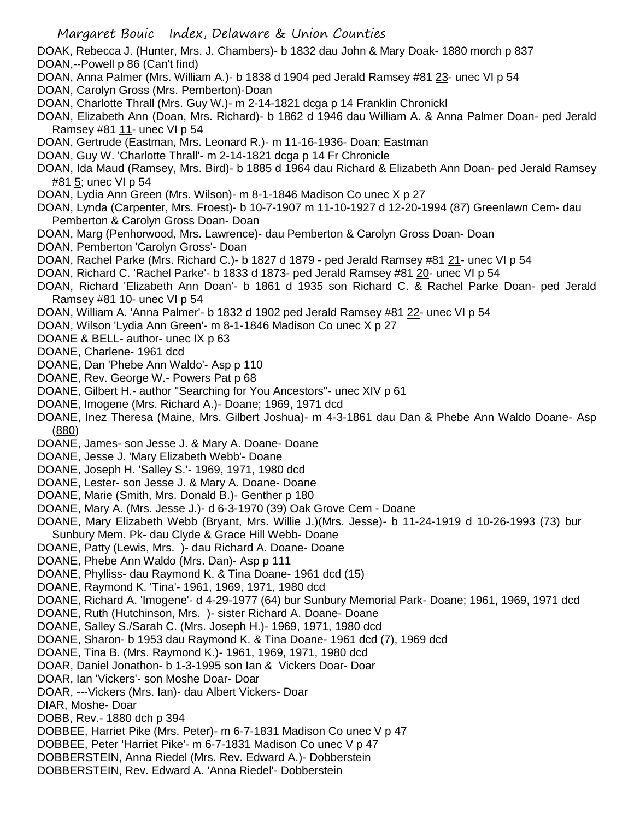- DOAK, Rebecca J. (Hunter, Mrs. J. Chambers)- b 1832 dau John & Mary Doak- 1880 morch p 837 DOAN,--Powell p 86 (Can't find)
- DOAN, Anna Palmer (Mrs. William A.)- b 1838 d 1904 ped Jerald Ramsey #81 23- unec VI p 54
- DOAN, Carolyn Gross (Mrs. Pemberton)-Doan
- DOAN, Charlotte Thrall (Mrs. Guy W.)- m 2-14-1821 dcga p 14 Franklin Chronickl
- DOAN, Elizabeth Ann (Doan, Mrs. Richard)- b 1862 d 1946 dau William A. & Anna Palmer Doan- ped Jerald Ramsey #81 11- unec VI p 54
- DOAN, Gertrude (Eastman, Mrs. Leonard R.)- m 11-16-1936- Doan; Eastman
- DOAN, Guy W. 'Charlotte Thrall'- m 2-14-1821 dcga p 14 Fr Chronicle
- DOAN, Ida Maud (Ramsey, Mrs. Bird)- b 1885 d 1964 dau Richard & Elizabeth Ann Doan- ped Jerald Ramsey #81 5; unec VI p 54
- DOAN, Lydia Ann Green (Mrs. Wilson)- m 8-1-1846 Madison Co unec X p 27
- DOAN, Lynda (Carpenter, Mrs. Froest)- b 10-7-1907 m 11-10-1927 d 12-20-1994 (87) Greenlawn Cem- dau Pemberton & Carolyn Gross Doan- Doan
- DOAN, Marg (Penhorwood, Mrs. Lawrence)- dau Pemberton & Carolyn Gross Doan- Doan
- DOAN, Pemberton 'Carolyn Gross'- Doan
- DOAN, Rachel Parke (Mrs. Richard C.)- b 1827 d 1879 ped Jerald Ramsey #81 21- unec VI p 54
- DOAN, Richard C. 'Rachel Parke'- b 1833 d 1873- ped Jerald Ramsey #81 20- unec VI p 54
- DOAN, Richard 'Elizabeth Ann Doan'- b 1861 d 1935 son Richard C. & Rachel Parke Doan- ped Jerald Ramsey #81 10- unec VI p 54
- DOAN, William A. 'Anna Palmer'- b 1832 d 1902 ped Jerald Ramsey #81 22- unec VI p 54
- DOAN, Wilson 'Lydia Ann Green'- m 8-1-1846 Madison Co unec X p 27
- DOANE & BELL- author- unec IX p 63
- DOANE, Charlene- 1961 dcd
- DOANE, Dan 'Phebe Ann Waldo'- Asp p 110
- DOANE, Rev. George W.- Powers Pat p 68
- DOANE, Gilbert H.- author "Searching for You Ancestors"- unec XIV p 61
- DOANE, Imogene (Mrs. Richard A.)- Doane; 1969, 1971 dcd
- DOANE, Inez Theresa (Maine, Mrs. Gilbert Joshua)- m 4-3-1861 dau Dan & Phebe Ann Waldo Doane- Asp (880)
- DOANE, James- son Jesse J. & Mary A. Doane- Doane
- DOANE, Jesse J. 'Mary Elizabeth Webb'- Doane
- DOANE, Joseph H. 'Salley S.'- 1969, 1971, 1980 dcd
- DOANE, Lester- son Jesse J. & Mary A. Doane- Doane
- DOANE, Marie (Smith, Mrs. Donald B.)- Genther p 180
- DOANE, Mary A. (Mrs. Jesse J.)- d 6-3-1970 (39) Oak Grove Cem Doane
- DOANE, Mary Elizabeth Webb (Bryant, Mrs. Willie J.)(Mrs. Jesse)- b 11-24-1919 d 10-26-1993 (73) bur Sunbury Mem. Pk- dau Clyde & Grace Hill Webb- Doane
- DOANE, Patty (Lewis, Mrs. )- dau Richard A. Doane- Doane
- DOANE, Phebe Ann Waldo (Mrs. Dan)- Asp p 111
- DOANE, Phylliss- dau Raymond K. & Tina Doane- 1961 dcd (15)
- DOANE, Raymond K. 'Tina'- 1961, 1969, 1971, 1980 dcd
- DOANE, Richard A. 'Imogene'- d 4-29-1977 (64) bur Sunbury Memorial Park- Doane; 1961, 1969, 1971 dcd
- DOANE, Ruth (Hutchinson, Mrs. )- sister Richard A. Doane- Doane
- DOANE, Salley S./Sarah C. (Mrs. Joseph H.)- 1969, 1971, 1980 dcd
- DOANE, Sharon- b 1953 dau Raymond K. & Tina Doane- 1961 dcd (7), 1969 dcd
- DOANE, Tina B. (Mrs. Raymond K.)- 1961, 1969, 1971, 1980 dcd
- DOAR, Daniel Jonathon- b 1-3-1995 son Ian & Vickers Doar- Doar
- DOAR, Ian 'Vickers'- son Moshe Doar- Doar
- DOAR, ---Vickers (Mrs. Ian)- dau Albert Vickers- Doar
- DIAR, Moshe- Doar
- DOBB, Rev.- 1880 dch p 394
- DOBBEE, Harriet Pike (Mrs. Peter)- m 6-7-1831 Madison Co unec V p 47
- DOBBEE, Peter 'Harriet Pike'- m 6-7-1831 Madison Co unec V p 47
- DOBBERSTEIN, Anna Riedel (Mrs. Rev. Edward A.)- Dobberstein
- DOBBERSTEIN, Rev. Edward A. 'Anna Riedel'- Dobberstein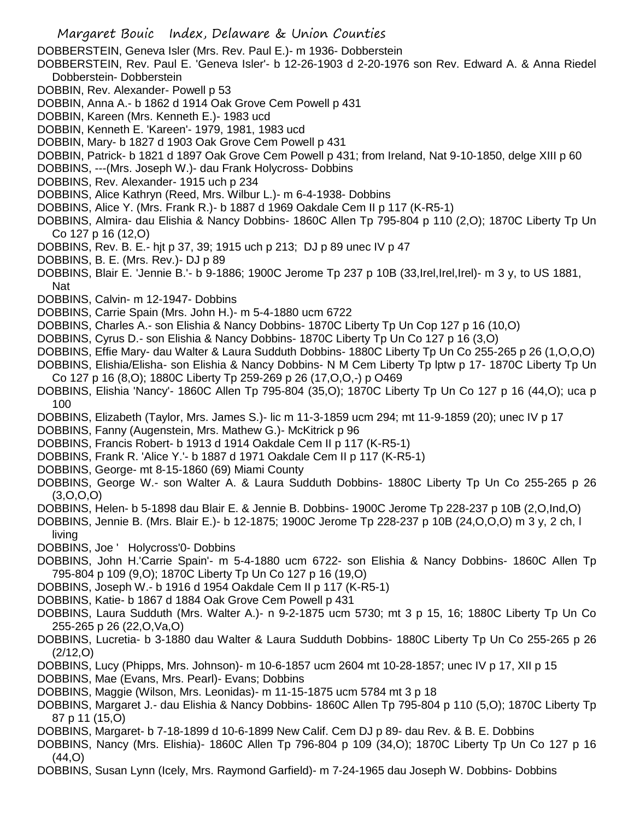DOBBERSTEIN, Geneva Isler (Mrs. Rev. Paul E.)- m 1936- Dobberstein

- DOBBERSTEIN, Rev. Paul E. 'Geneva Isler'- b 12-26-1903 d 2-20-1976 son Rev. Edward A. & Anna Riedel Dobberstein- Dobberstein
- DOBBIN, Rev. Alexander- Powell p 53
- DOBBIN, Anna A.- b 1862 d 1914 Oak Grove Cem Powell p 431
- DOBBIN, Kareen (Mrs. Kenneth E.)- 1983 ucd
- DOBBIN, Kenneth E. 'Kareen'- 1979, 1981, 1983 ucd
- DOBBIN, Mary- b 1827 d 1903 Oak Grove Cem Powell p 431
- DOBBIN, Patrick- b 1821 d 1897 Oak Grove Cem Powell p 431; from Ireland, Nat 9-10-1850, delge XIII p 60
- DOBBINS, ---(Mrs. Joseph W.)- dau Frank Holycross- Dobbins
- DOBBINS, Rev. Alexander- 1915 uch p 234
- DOBBINS, Alice Kathryn (Reed, Mrs. Wilbur L.)- m 6-4-1938- Dobbins
- DOBBINS, Alice Y. (Mrs. Frank R.)- b 1887 d 1969 Oakdale Cem II p 117 (K-R5-1)
- DOBBINS, Almira- dau Elishia & Nancy Dobbins- 1860C Allen Tp 795-804 p 110 (2,O); 1870C Liberty Tp Un Co 127 p 16 (12,O)
- DOBBINS, Rev. B. E.- hjt p 37, 39; 1915 uch p 213; DJ p 89 unec IV p 47
- DOBBINS, B. E. (Mrs. Rev.)- DJ p 89
- DOBBINS, Blair E. 'Jennie B.'- b 9-1886; 1900C Jerome Tp 237 p 10B (33,Irel,Irel,Irel)- m 3 y, to US 1881, Nat
- DOBBINS, Calvin- m 12-1947- Dobbins
- DOBBINS, Carrie Spain (Mrs. John H.)- m 5-4-1880 ucm 6722
- DOBBINS, Charles A.- son Elishia & Nancy Dobbins- 1870C Liberty Tp Un Cop 127 p 16 (10,O)
- DOBBINS, Cyrus D.- son Elishia & Nancy Dobbins- 1870C Liberty Tp Un Co 127 p 16 (3,O)
- DOBBINS, Effie Mary- dau Walter & Laura Sudduth Dobbins- 1880C Liberty Tp Un Co 255-265 p 26 (1,O,O,O)
- DOBBINS, Elishia/Elisha- son Elishia & Nancy Dobbins- N M Cem Liberty Tp lptw p 17- 1870C Liberty Tp Un Co 127 p 16 (8,O); 1880C Liberty Tp 259-269 p 26 (17,O,O,-) p O469
- DOBBINS, Elishia 'Nancy'- 1860C Allen Tp 795-804 (35,O); 1870C Liberty Tp Un Co 127 p 16 (44,O); uca p 100
- DOBBINS, Elizabeth (Taylor, Mrs. James S.)- lic m 11-3-1859 ucm 294; mt 11-9-1859 (20); unec IV p 17
- DOBBINS, Fanny (Augenstein, Mrs. Mathew G.)- McKitrick p 96
- DOBBINS, Francis Robert- b 1913 d 1914 Oakdale Cem II p 117 (K-R5-1)
- DOBBINS, Frank R. 'Alice Y.'- b 1887 d 1971 Oakdale Cem II p 117 (K-R5-1)
- DOBBINS, George- mt 8-15-1860 (69) Miami County
- DOBBINS, George W.- son Walter A. & Laura Sudduth Dobbins- 1880C Liberty Tp Un Co 255-265 p 26 (3,O,O,O)
- DOBBINS, Helen- b 5-1898 dau Blair E. & Jennie B. Dobbins- 1900C Jerome Tp 228-237 p 10B (2,O,Ind,O)
- DOBBINS, Jennie B. (Mrs. Blair E.)- b 12-1875; 1900C Jerome Tp 228-237 p 10B (24,O,O,O) m 3 y, 2 ch, l living
- DOBBINS, Joe ' Holycross'0- Dobbins
- DOBBINS, John H.'Carrie Spain'- m 5-4-1880 ucm 6722- son Elishia & Nancy Dobbins- 1860C Allen Tp 795-804 p 109 (9,O); 1870C Liberty Tp Un Co 127 p 16 (19,O)
- DOBBINS, Joseph W.- b 1916 d 1954 Oakdale Cem II p 117 (K-R5-1)
- DOBBINS, Katie- b 1867 d 1884 Oak Grove Cem Powell p 431
- DOBBINS, Laura Sudduth (Mrs. Walter A.)- n 9-2-1875 ucm 5730; mt 3 p 15, 16; 1880C Liberty Tp Un Co 255-265 p 26 (22,O,Va,O)
- DOBBINS, Lucretia- b 3-1880 dau Walter & Laura Sudduth Dobbins- 1880C Liberty Tp Un Co 255-265 p 26 (2/12,O)
- DOBBINS, Lucy (Phipps, Mrs. Johnson)- m 10-6-1857 ucm 2604 mt 10-28-1857; unec IV p 17, XII p 15
- DOBBINS, Mae (Evans, Mrs. Pearl)- Evans; Dobbins
- DOBBINS, Maggie (Wilson, Mrs. Leonidas)- m 11-15-1875 ucm 5784 mt 3 p 18
- DOBBINS, Margaret J.- dau Elishia & Nancy Dobbins- 1860C Allen Tp 795-804 p 110 (5,O); 1870C Liberty Tp 87 p 11 (15,O)
- DOBBINS, Margaret- b 7-18-1899 d 10-6-1899 New Calif. Cem DJ p 89- dau Rev. & B. E. Dobbins
- DOBBINS, Nancy (Mrs. Elishia)- 1860C Allen Tp 796-804 p 109 (34,O); 1870C Liberty Tp Un Co 127 p 16 (44,O)
- DOBBINS, Susan Lynn (Icely, Mrs. Raymond Garfield)- m 7-24-1965 dau Joseph W. Dobbins- Dobbins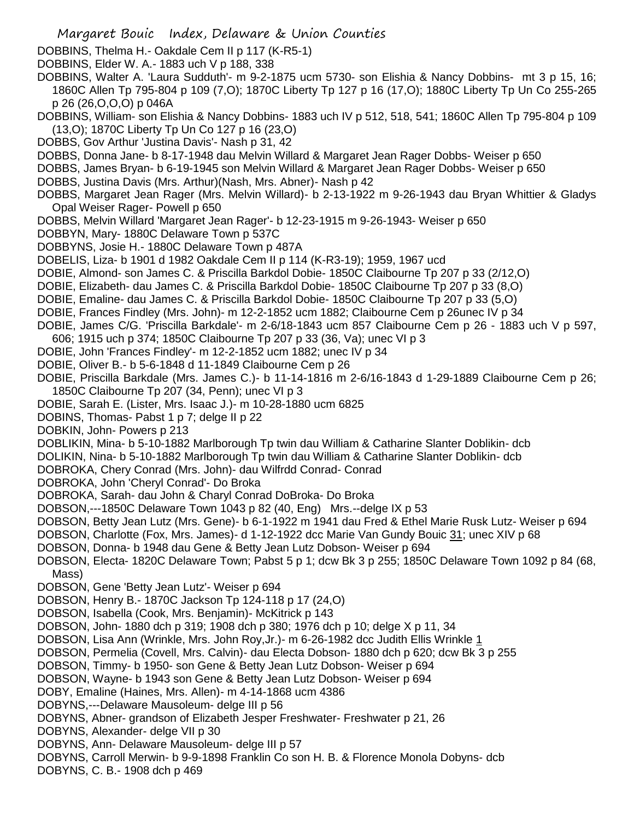- DOBBINS, Thelma H.- Oakdale Cem II p 117 (K-R5-1)
- DOBBINS, Elder W. A.- 1883 uch V p 188, 338
- DOBBINS, Walter A. 'Laura Sudduth'- m 9-2-1875 ucm 5730- son Elishia & Nancy Dobbins- mt 3 p 15, 16; 1860C Allen Tp 795-804 p 109 (7,O); 1870C Liberty Tp 127 p 16 (17,O); 1880C Liberty Tp Un Co 255-265 p 26 (26,O,O,O) p 046A
- DOBBINS, William- son Elishia & Nancy Dobbins- 1883 uch IV p 512, 518, 541; 1860C Allen Tp 795-804 p 109 (13,O); 1870C Liberty Tp Un Co 127 p 16 (23,O)
- DOBBS, Gov Arthur 'Justina Davis'- Nash p 31, 42
- DOBBS, Donna Jane- b 8-17-1948 dau Melvin Willard & Margaret Jean Rager Dobbs- Weiser p 650
- DOBBS, James Bryan- b 6-19-1945 son Melvin Willard & Margaret Jean Rager Dobbs- Weiser p 650
- DOBBS, Justina Davis (Mrs. Arthur)(Nash, Mrs. Abner)- Nash p 42
- DOBBS, Margaret Jean Rager (Mrs. Melvin Willard)- b 2-13-1922 m 9-26-1943 dau Bryan Whittier & Gladys Opal Weiser Rager- Powell p 650
- DOBBS, Melvin Willard 'Margaret Jean Rager'- b 12-23-1915 m 9-26-1943- Weiser p 650
- DOBBYN, Mary- 1880C Delaware Town p 537C
- DOBBYNS, Josie H.- 1880C Delaware Town p 487A
- DOBELIS, Liza- b 1901 d 1982 Oakdale Cem II p 114 (K-R3-19); 1959, 1967 ucd
- DOBIE, Almond- son James C. & Priscilla Barkdol Dobie- 1850C Claibourne Tp 207 p 33 (2/12,O)
- DOBIE, Elizabeth- dau James C. & Priscilla Barkdol Dobie- 1850C Claibourne Tp 207 p 33 (8,O)
- DOBIE, Emaline- dau James C. & Priscilla Barkdol Dobie- 1850C Claibourne Tp 207 p 33 (5,O)
- DOBIE, Frances Findley (Mrs. John)- m 12-2-1852 ucm 1882; Claibourne Cem p 26unec IV p 34
- DOBIE, James C/G. 'Priscilla Barkdale'- m 2-6/18-1843 ucm 857 Claibourne Cem p 26 1883 uch V p 597,
- 606; 1915 uch p 374; 1850C Claibourne Tp 207 p 33 (36, Va); unec VI p 3
- DOBIE, John 'Frances Findley'- m 12-2-1852 ucm 1882; unec IV p 34
- DOBIE, Oliver B.- b 5-6-1848 d 11-1849 Claibourne Cem p 26
- DOBIE, Priscilla Barkdale (Mrs. James C.)- b 11-14-1816 m 2-6/16-1843 d 1-29-1889 Claibourne Cem p 26; 1850C Claibourne Tp 207 (34, Penn); unec VI p 3
- DOBIE, Sarah E. (Lister, Mrs. Isaac J.)- m 10-28-1880 ucm 6825
- DOBINS, Thomas- Pabst 1 p 7; delge II p 22
- DOBKIN, John- Powers p 213
- DOBLIKIN, Mina- b 5-10-1882 Marlborough Tp twin dau William & Catharine Slanter Doblikin- dcb
- DOLIKIN, Nina- b 5-10-1882 Marlborough Tp twin dau William & Catharine Slanter Doblikin- dcb
- DOBROKA, Chery Conrad (Mrs. John)- dau Wilfrdd Conrad- Conrad
- DOBROKA, John 'Cheryl Conrad'- Do Broka
- DOBROKA, Sarah- dau John & Charyl Conrad DoBroka- Do Broka
- DOBSON,---1850C Delaware Town 1043 p 82 (40, Eng) Mrs.--delge IX p 53
- DOBSON, Betty Jean Lutz (Mrs. Gene)- b 6-1-1922 m 1941 dau Fred & Ethel Marie Rusk Lutz- Weiser p 694
- DOBSON, Charlotte (Fox, Mrs. James)- d 1-12-1922 dcc Marie Van Gundy Bouic 31; unec XIV p 68
- DOBSON, Donna- b 1948 dau Gene & Betty Jean Lutz Dobson- Weiser p 694
- DOBSON, Electa- 1820C Delaware Town; Pabst 5 p 1; dcw Bk 3 p 255; 1850C Delaware Town 1092 p 84 (68, Mass)
- DOBSON, Gene 'Betty Jean Lutz'- Weiser p 694
- DOBSON, Henry B.- 1870C Jackson Tp 124-118 p 17 (24,O)
- DOBSON, Isabella (Cook, Mrs. Benjamin)- McKitrick p 143
- DOBSON, John- 1880 dch p 319; 1908 dch p 380; 1976 dch p 10; delge X p 11, 34
- DOBSON, Lisa Ann (Wrinkle, Mrs. John Roy,Jr.)- m 6-26-1982 dcc Judith Ellis Wrinkle 1
- DOBSON, Permelia (Covell, Mrs. Calvin)- dau Electa Dobson- 1880 dch p 620; dcw Bk 3 p 255
- DOBSON, Timmy- b 1950- son Gene & Betty Jean Lutz Dobson- Weiser p 694
- DOBSON, Wayne- b 1943 son Gene & Betty Jean Lutz Dobson- Weiser p 694
- DOBY, Emaline (Haines, Mrs. Allen)- m 4-14-1868 ucm 4386
- DOBYNS,---Delaware Mausoleum- delge III p 56
- DOBYNS, Abner- grandson of Elizabeth Jesper Freshwater- Freshwater p 21, 26
- DOBYNS, Alexander- delge VII p 30
- DOBYNS, Ann- Delaware Mausoleum- delge III p 57
- DOBYNS, Carroll Merwin- b 9-9-1898 Franklin Co son H. B. & Florence Monola Dobyns- dcb
- DOBYNS, C. B.- 1908 dch p 469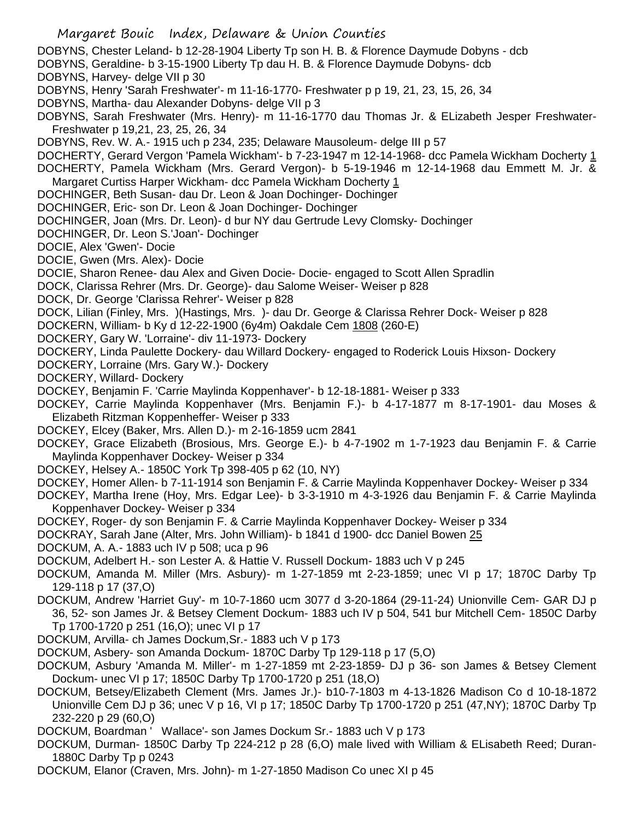DOBYNS, Chester Leland- b 12-28-1904 Liberty Tp son H. B. & Florence Daymude Dobyns - dcb

- DOBYNS, Geraldine- b 3-15-1900 Liberty Tp dau H. B. & Florence Daymude Dobyns- dcb
- DOBYNS, Harvey- delge VII p 30
- DOBYNS, Henry 'Sarah Freshwater'- m 11-16-1770- Freshwater p p 19, 21, 23, 15, 26, 34
- DOBYNS, Martha- dau Alexander Dobyns- delge VII p 3
- DOBYNS, Sarah Freshwater (Mrs. Henry)- m 11-16-1770 dau Thomas Jr. & ELizabeth Jesper Freshwater-Freshwater p 19,21, 23, 25, 26, 34
- DOBYNS, Rev. W. A.- 1915 uch p 234, 235; Delaware Mausoleum- delge III p 57
- DOCHERTY, Gerard Vergon 'Pamela Wickham'- b 7-23-1947 m 12-14-1968- dcc Pamela Wickham Docherty 1 DOCHERTY, Pamela Wickham (Mrs. Gerard Vergon)- b 5-19-1946 m 12-14-1968 dau Emmett M. Jr. & Margaret Curtiss Harper Wickham- dcc Pamela Wickham Docherty 1
- DOCHINGER, Beth Susan- dau Dr. Leon & Joan Dochinger- Dochinger
- DOCHINGER, Eric- son Dr. Leon & Joan Dochinger- Dochinger
- DOCHINGER, Joan (Mrs. Dr. Leon)- d bur NY dau Gertrude Levy Clomsky- Dochinger
- DOCHINGER, Dr. Leon S.'Joan'- Dochinger
- DOCIE, Alex 'Gwen'- Docie
- DOCIE, Gwen (Mrs. Alex)- Docie
- DOCIE, Sharon Renee- dau Alex and Given Docie- Docie- engaged to Scott Allen Spradlin
- DOCK, Clarissa Rehrer (Mrs. Dr. George)- dau Salome Weiser- Weiser p 828
- DOCK, Dr. George 'Clarissa Rehrer'- Weiser p 828
- DOCK, Lilian (Finley, Mrs. )(Hastings, Mrs. )- dau Dr. George & Clarissa Rehrer Dock- Weiser p 828
- DOCKERN, William- b Ky d 12-22-1900 (6y4m) Oakdale Cem 1808 (260-E)
- DOCKERY, Gary W. 'Lorraine'- div 11-1973- Dockery
- DOCKERY, Linda Paulette Dockery- dau Willard Dockery- engaged to Roderick Louis Hixson- Dockery
- DOCKERY, Lorraine (Mrs. Gary W.)- Dockery
- DOCKERY, Willard- Dockery
- DOCKEY, Benjamin F. 'Carrie Maylinda Koppenhaver'- b 12-18-1881- Weiser p 333
- DOCKEY, Carrie Maylinda Koppenhaver (Mrs. Benjamin F.)- b 4-17-1877 m 8-17-1901- dau Moses & Elizabeth Ritzman Koppenheffer- Weiser p 333
- DOCKEY, Elcey (Baker, Mrs. Allen D.)- m 2-16-1859 ucm 2841
- DOCKEY, Grace Elizabeth (Brosious, Mrs. George E.)- b 4-7-1902 m 1-7-1923 dau Benjamin F. & Carrie Maylinda Koppenhaver Dockey- Weiser p 334
- DOCKEY, Helsey A.- 1850C York Tp 398-405 p 62 (10, NY)
- DOCKEY, Homer Allen- b 7-11-1914 son Benjamin F. & Carrie Maylinda Koppenhaver Dockey- Weiser p 334
- DOCKEY, Martha Irene (Hoy, Mrs. Edgar Lee)- b 3-3-1910 m 4-3-1926 dau Benjamin F. & Carrie Maylinda Koppenhaver Dockey- Weiser p 334
- DOCKEY, Roger- dy son Benjamin F. & Carrie Maylinda Koppenhaver Dockey- Weiser p 334
- DOCKRAY, Sarah Jane (Alter, Mrs. John William)- b 1841 d 1900- dcc Daniel Bowen 25
- DOCKUM, A. A.- 1883 uch IV p 508; uca p 96
- DOCKUM, Adelbert H.- son Lester A. & Hattie V. Russell Dockum- 1883 uch V p 245
- DOCKUM, Amanda M. Miller (Mrs. Asbury)- m 1-27-1859 mt 2-23-1859; unec VI p 17; 1870C Darby Tp 129-118 p 17 (37,O)
- DOCKUM, Andrew 'Harriet Guy'- m 10-7-1860 ucm 3077 d 3-20-1864 (29-11-24) Unionville Cem- GAR DJ p 36, 52- son James Jr. & Betsey Clement Dockum- 1883 uch IV p 504, 541 bur Mitchell Cem- 1850C Darby Tp 1700-1720 p 251 (16,O); unec VI p 17
- DOCKUM, Arvilla- ch James Dockum,Sr.- 1883 uch V p 173
- DOCKUM, Asbery- son Amanda Dockum- 1870C Darby Tp 129-118 p 17 (5,O)
- DOCKUM, Asbury 'Amanda M. Miller'- m 1-27-1859 mt 2-23-1859- DJ p 36- son James & Betsey Clement Dockum- unec VI p 17; 1850C Darby Tp 1700-1720 p 251 (18,O)
- DOCKUM, Betsey/Elizabeth Clement (Mrs. James Jr.)- b10-7-1803 m 4-13-1826 Madison Co d 10-18-1872 Unionville Cem DJ p 36; unec V p 16, VI p 17; 1850C Darby Tp 1700-1720 p 251 (47,NY); 1870C Darby Tp 232-220 p 29 (60,O)
- DOCKUM, Boardman ' Wallace'- son James Dockum Sr.- 1883 uch V p 173
- DOCKUM, Durman- 1850C Darby Tp 224-212 p 28 (6,O) male lived with William & ELisabeth Reed; Duran-1880C Darby Tp p 0243
- DOCKUM, Elanor (Craven, Mrs. John)- m 1-27-1850 Madison Co unec XI p 45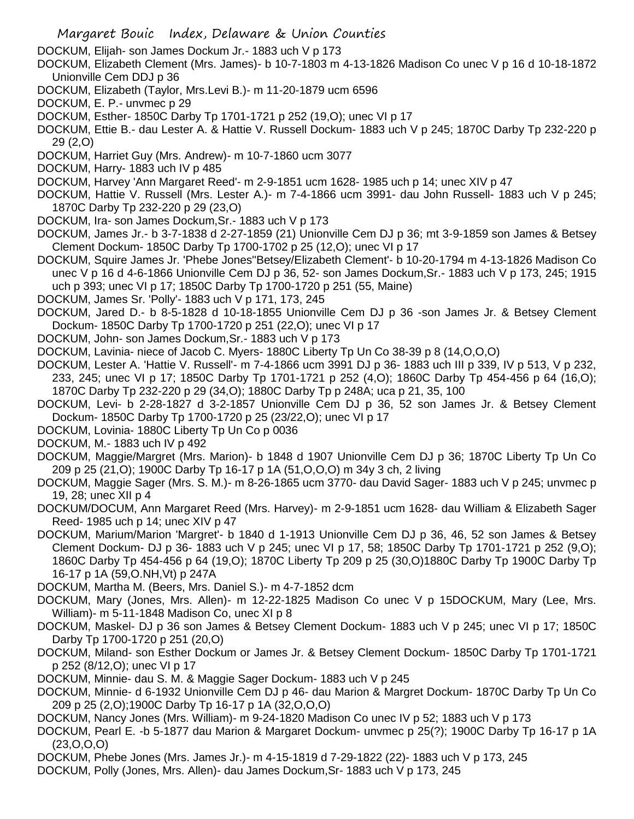DOCKUM, Elijah- son James Dockum Jr.- 1883 uch V p 173

- DOCKUM, Elizabeth Clement (Mrs. James)- b 10-7-1803 m 4-13-1826 Madison Co unec V p 16 d 10-18-1872 Unionville Cem DDJ p 36
- DOCKUM, Elizabeth (Taylor, Mrs.Levi B.)- m 11-20-1879 ucm 6596
- DOCKUM, E. P.- unvmec p 29

DOCKUM, Esther- 1850C Darby Tp 1701-1721 p 252 (19,O); unec VI p 17

DOCKUM, Ettie B.- dau Lester A. & Hattie V. Russell Dockum- 1883 uch V p 245; 1870C Darby Tp 232-220 p 29 (2,O)

- DOCKUM, Harriet Guy (Mrs. Andrew)- m 10-7-1860 ucm 3077
- DOCKUM, Harry- 1883 uch IV p 485

DOCKUM, Harvey 'Ann Margaret Reed'- m 2-9-1851 ucm 1628- 1985 uch p 14; unec XIV p 47

DOCKUM, Hattie V. Russell (Mrs. Lester A.)- m 7-4-1866 ucm 3991- dau John Russell- 1883 uch V p 245; 1870C Darby Tp 232-220 p 29 (23,O)

DOCKUM, Ira- son James Dockum,Sr.- 1883 uch V p 173

DOCKUM, James Jr.- b 3-7-1838 d 2-27-1859 (21) Unionville Cem DJ p 36; mt 3-9-1859 son James & Betsey Clement Dockum- 1850C Darby Tp 1700-1702 p 25 (12,O); unec VI p 17

DOCKUM, Squire James Jr. 'Phebe Jones''Betsey/Elizabeth Clement'- b 10-20-1794 m 4-13-1826 Madison Co unec V p 16 d 4-6-1866 Unionville Cem DJ p 36, 52- son James Dockum,Sr.- 1883 uch V p 173, 245; 1915 uch p 393; unec VI p 17; 1850C Darby Tp 1700-1720 p 251 (55, Maine)

DOCKUM, James Sr. 'Polly'- 1883 uch V p 171, 173, 245

DOCKUM, Jared D.- b 8-5-1828 d 10-18-1855 Unionville Cem DJ p 36 -son James Jr. & Betsey Clement Dockum- 1850C Darby Tp 1700-1720 p 251 (22,O); unec VI p 17

DOCKUM, John- son James Dockum,Sr.- 1883 uch V p 173

DOCKUM, Lavinia- niece of Jacob C. Myers- 1880C Liberty Tp Un Co 38-39 p 8 (14,O,O,O)

DOCKUM, Lester A. 'Hattie V. Russell'- m 7-4-1866 ucm 3991 DJ p 36- 1883 uch III p 339, IV p 513, V p 232, 233, 245; unec VI p 17; 1850C Darby Tp 1701-1721 p 252 (4,O); 1860C Darby Tp 454-456 p 64 (16,O); 1870C Darby Tp 232-220 p 29 (34,O); 1880C Darby Tp p 248A; uca p 21, 35, 100

DOCKUM, Levi- b 2-28-1827 d 3-2-1857 Unionville Cem DJ p 36, 52 son James Jr. & Betsey Clement Dockum- 1850C Darby Tp 1700-1720 p 25 (23/22,O); unec VI p 17

DOCKUM, Lovinia- 1880C Liberty Tp Un Co p 0036

DOCKUM, M.- 1883 uch IV p 492

- DOCKUM, Maggie/Margret (Mrs. Marion)- b 1848 d 1907 Unionville Cem DJ p 36; 1870C Liberty Tp Un Co 209 p 25 (21,O); 1900C Darby Tp 16-17 p 1A (51,O,O,O) m 34y 3 ch, 2 living
- DOCKUM, Maggie Sager (Mrs. S. M.)- m 8-26-1865 ucm 3770- dau David Sager- 1883 uch V p 245; unvmec p 19, 28; unec XII p 4

DOCKUM/DOCUM, Ann Margaret Reed (Mrs. Harvey)- m 2-9-1851 ucm 1628- dau William & Elizabeth Sager Reed- 1985 uch p 14; unec XIV p 47

DOCKUM, Marium/Marion 'Margret'- b 1840 d 1-1913 Unionville Cem DJ p 36, 46, 52 son James & Betsey Clement Dockum- DJ p 36- 1883 uch V p 245; unec VI p 17, 58; 1850C Darby Tp 1701-1721 p 252 (9,O); 1860C Darby Tp 454-456 p 64 (19,O); 1870C Liberty Tp 209 p 25 (30,O)1880C Darby Tp 1900C Darby Tp 16-17 p 1A (59,O.NH,Vt) p 247A

DOCKUM, Martha M. (Beers, Mrs. Daniel S.)- m 4-7-1852 dcm

DOCKUM, Mary (Jones, Mrs. Allen)- m 12-22-1825 Madison Co unec V p 15DOCKUM, Mary (Lee, Mrs. William)- m 5-11-1848 Madison Co, unec XI p 8

DOCKUM, Maskel- DJ p 36 son James & Betsey Clement Dockum- 1883 uch V p 245; unec VI p 17; 1850C Darby Tp 1700-1720 p 251 (20,O)

- DOCKUM, Miland- son Esther Dockum or James Jr. & Betsey Clement Dockum- 1850C Darby Tp 1701-1721 p 252 (8/12,O); unec VI p 17
- DOCKUM, Minnie- dau S. M. & Maggie Sager Dockum- 1883 uch V p 245
- DOCKUM, Minnie- d 6-1932 Unionville Cem DJ p 46- dau Marion & Margret Dockum- 1870C Darby Tp Un Co 209 p 25 (2,O);1900C Darby Tp 16-17 p 1A (32,O,O,O)
- DOCKUM, Nancy Jones (Mrs. William)- m 9-24-1820 Madison Co unec IV p 52; 1883 uch V p 173
- DOCKUM, Pearl E. -b 5-1877 dau Marion & Margaret Dockum- unvmec p 25(?); 1900C Darby Tp 16-17 p 1A (23,O,O,O)
- DOCKUM, Phebe Jones (Mrs. James Jr.)- m 4-15-1819 d 7-29-1822 (22)- 1883 uch V p 173, 245
- DOCKUM, Polly (Jones, Mrs. Allen)- dau James Dockum,Sr- 1883 uch V p 173, 245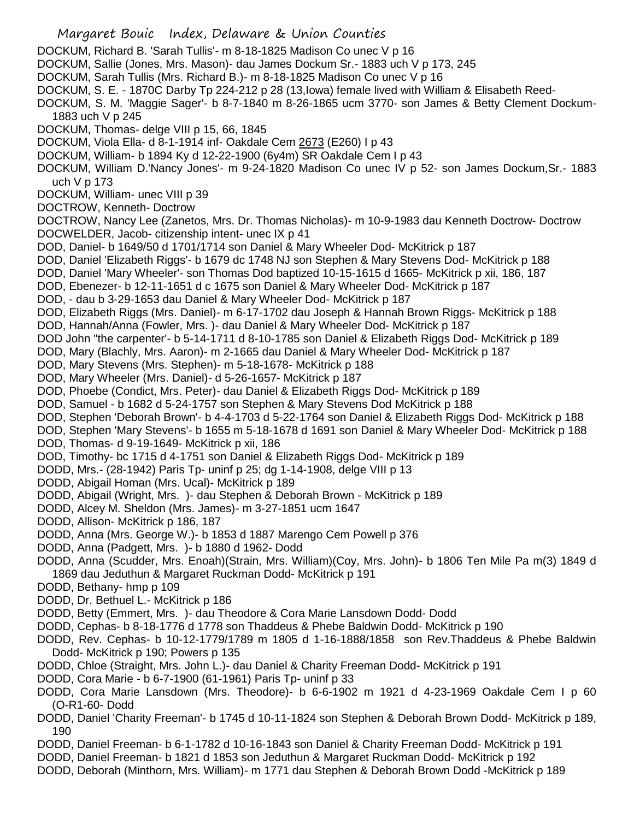- Margaret Bouic Index, Delaware & Union Counties
- DOCKUM, Richard B. 'Sarah Tullis'- m 8-18-1825 Madison Co unec V p 16
- DOCKUM, Sallie (Jones, Mrs. Mason)- dau James Dockum Sr.- 1883 uch V p 173, 245
- DOCKUM, Sarah Tullis (Mrs. Richard B.)- m 8-18-1825 Madison Co unec V p 16
- DOCKUM, S. E. 1870C Darby Tp 224-212 p 28 (13,Iowa) female lived with William & Elisabeth Reed-
- DOCKUM, S. M. 'Maggie Sager'- b 8-7-1840 m 8-26-1865 ucm 3770- son James & Betty Clement Dockum-1883 uch V p 245
- DOCKUM, Thomas- delge VIII p 15, 66, 1845
- DOCKUM, Viola Ella- d 8-1-1914 inf- Oakdale Cem 2673 (E260) I p 43
- DOCKUM, William- b 1894 Ky d 12-22-1900 (6y4m) SR Oakdale Cem I p 43
- DOCKUM, William D.'Nancy Jones'- m 9-24-1820 Madison Co unec IV p 52- son James Dockum,Sr.- 1883 uch V p 173
- DOCKUM, William- unec VIII p 39
- DOCTROW, Kenneth- Doctrow
- DOCTROW, Nancy Lee (Zanetos, Mrs. Dr. Thomas Nicholas)- m 10-9-1983 dau Kenneth Doctrow- Doctrow DOCWELDER, Jacob- citizenship intent- unec IX p 41
- DOD, Daniel- b 1649/50 d 1701/1714 son Daniel & Mary Wheeler Dod- McKitrick p 187
- DOD, Daniel 'Elizabeth Riggs'- b 1679 dc 1748 NJ son Stephen & Mary Stevens Dod- McKitrick p 188
- DOD, Daniel 'Mary Wheeler'- son Thomas Dod baptized 10-15-1615 d 1665- McKitrick p xii, 186, 187
- DOD, Ebenezer- b 12-11-1651 d c 1675 son Daniel & Mary Wheeler Dod- McKitrick p 187
- DOD, dau b 3-29-1653 dau Daniel & Mary Wheeler Dod- McKitrick p 187
- DOD, Elizabeth Riggs (Mrs. Daniel)- m 6-17-1702 dau Joseph & Hannah Brown Riggs- McKitrick p 188
- DOD, Hannah/Anna (Fowler, Mrs. )- dau Daniel & Mary Wheeler Dod- McKitrick p 187
- DOD John "the carpenter'- b 5-14-1711 d 8-10-1785 son Daniel & Elizabeth Riggs Dod- McKitrick p 189
- DOD, Mary (Blachly, Mrs. Aaron)- m 2-1665 dau Daniel & Mary Wheeler Dod- McKitrick p 187
- DOD, Mary Stevens (Mrs. Stephen)- m 5-18-1678- McKitrick p 188
- DOD, Mary Wheeler (Mrs. Daniel)- d 5-26-1657- McKitrick p 187
- DOD, Phoebe (Condict, Mrs. Peter)- dau Daniel & Elizabeth Riggs Dod- McKitrick p 189
- DOD, Samuel b 1682 d 5-24-1757 son Stephen & Mary Stevens Dod McKitrick p 188
- DOD, Stephen 'Deborah Brown'- b 4-4-1703 d 5-22-1764 son Daniel & Elizabeth Riggs Dod- McKitrick p 188
- DOD, Stephen 'Mary Stevens'- b 1655 m 5-18-1678 d 1691 son Daniel & Mary Wheeler Dod- McKitrick p 188 DOD, Thomas- d 9-19-1649- McKitrick p xii, 186
- DOD, Timothy- bc 1715 d 4-1751 son Daniel & Elizabeth Riggs Dod- McKitrick p 189
- DODD, Mrs.- (28-1942) Paris Tp- uninf p 25; dg 1-14-1908, delge VIII p 13
- DODD, Abigail Homan (Mrs. Ucal)- McKitrick p 189
- DODD, Abigail (Wright, Mrs. )- dau Stephen & Deborah Brown McKitrick p 189
- DODD, Alcey M. Sheldon (Mrs. James)- m 3-27-1851 ucm 1647
- DODD, Allison- McKitrick p 186, 187
- DODD, Anna (Mrs. George W.)- b 1853 d 1887 Marengo Cem Powell p 376
- DODD, Anna (Padgett, Mrs. )- b 1880 d 1962- Dodd
- DODD, Anna (Scudder, Mrs. Enoah)(Strain, Mrs. William)(Coy, Mrs. John)- b 1806 Ten Mile Pa m(3) 1849 d 1869 dau Jeduthun & Margaret Ruckman Dodd- McKitrick p 191
- DODD, Bethany- hmp p 109
- DODD, Dr. Bethuel L.- McKitrick p 186
- DODD, Betty (Emmert, Mrs. )- dau Theodore & Cora Marie Lansdown Dodd- Dodd
- DODD, Cephas- b 8-18-1776 d 1778 son Thaddeus & Phebe Baldwin Dodd- McKitrick p 190
- DODD, Rev. Cephas- b 10-12-1779/1789 m 1805 d 1-16-1888/1858 son Rev.Thaddeus & Phebe Baldwin Dodd- McKitrick p 190; Powers p 135
- DODD, Chloe (Straight, Mrs. John L.)- dau Daniel & Charity Freeman Dodd- McKitrick p 191
- DODD, Cora Marie b 6-7-1900 (61-1961) Paris Tp- uninf p 33
- DODD, Cora Marie Lansdown (Mrs. Theodore)- b 6-6-1902 m 1921 d 4-23-1969 Oakdale Cem I p 60 (O-R1-60- Dodd
- DODD, Daniel 'Charity Freeman'- b 1745 d 10-11-1824 son Stephen & Deborah Brown Dodd- McKitrick p 189, 190
- DODD, Daniel Freeman- b 6-1-1782 d 10-16-1843 son Daniel & Charity Freeman Dodd- McKitrick p 191
- DODD, Daniel Freeman- b 1821 d 1853 son Jeduthun & Margaret Ruckman Dodd- McKitrick p 192
- DODD, Deborah (Minthorn, Mrs. William)- m 1771 dau Stephen & Deborah Brown Dodd -McKitrick p 189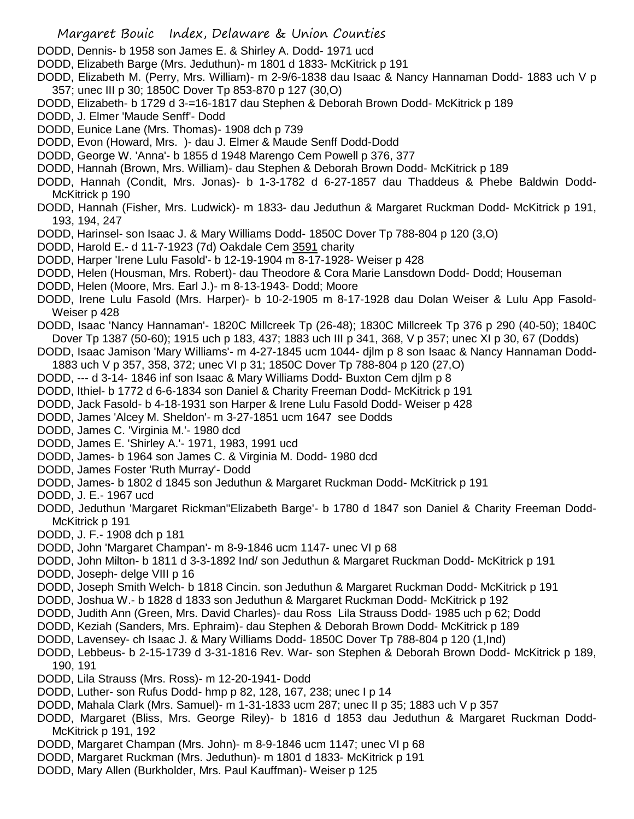- DODD, Dennis- b 1958 son James E. & Shirley A. Dodd- 1971 ucd
- DODD, Elizabeth Barge (Mrs. Jeduthun)- m 1801 d 1833- McKitrick p 191
- DODD, Elizabeth M. (Perry, Mrs. William)- m 2-9/6-1838 dau Isaac & Nancy Hannaman Dodd- 1883 uch V p 357; unec III p 30; 1850C Dover Tp 853-870 p 127 (30,O)
- DODD, Elizabeth- b 1729 d 3-=16-1817 dau Stephen & Deborah Brown Dodd- McKitrick p 189
- DODD, J. Elmer 'Maude Senff'- Dodd
- DODD, Eunice Lane (Mrs. Thomas)- 1908 dch p 739
- DODD, Evon (Howard, Mrs. )- dau J. Elmer & Maude Senff Dodd-Dodd
- DODD, George W. 'Anna'- b 1855 d 1948 Marengo Cem Powell p 376, 377
- DODD, Hannah (Brown, Mrs. William)- dau Stephen & Deborah Brown Dodd- McKitrick p 189
- DODD, Hannah (Condit, Mrs. Jonas)- b 1-3-1782 d 6-27-1857 dau Thaddeus & Phebe Baldwin Dodd-McKitrick p 190
- DODD, Hannah (Fisher, Mrs. Ludwick)- m 1833- dau Jeduthun & Margaret Ruckman Dodd- McKitrick p 191, 193, 194, 247
- DODD, Harinsel- son Isaac J. & Mary Williams Dodd- 1850C Dover Tp 788-804 p 120 (3,O)
- DODD, Harold E.- d 11-7-1923 (7d) Oakdale Cem 3591 charity
- DODD, Harper 'Irene Lulu Fasold'- b 12-19-1904 m 8-17-1928- Weiser p 428
- DODD, Helen (Housman, Mrs. Robert)- dau Theodore & Cora Marie Lansdown Dodd- Dodd; Houseman
- DODD, Helen (Moore, Mrs. Earl J.)- m 8-13-1943- Dodd; Moore
- DODD, Irene Lulu Fasold (Mrs. Harper)- b 10-2-1905 m 8-17-1928 dau Dolan Weiser & Lulu App Fasold-Weiser p 428
- DODD, Isaac 'Nancy Hannaman'- 1820C Millcreek Tp (26-48); 1830C Millcreek Tp 376 p 290 (40-50); 1840C Dover Tp 1387 (50-60); 1915 uch p 183, 437; 1883 uch III p 341, 368, V p 357; unec XI p 30, 67 (Dodds)
- DODD, Isaac Jamison 'Mary Williams'- m 4-27-1845 ucm 1044- djlm p 8 son Isaac & Nancy Hannaman Dodd-1883 uch V p 357, 358, 372; unec VI p 31; 1850C Dover Tp 788-804 p 120 (27,O)
- DODD, --- d 3-14- 1846 inf son Isaac & Mary Williams Dodd- Buxton Cem djlm p 8
- DODD, Ithiel- b 1772 d 6-6-1834 son Daniel & Charity Freeman Dodd- McKitrick p 191
- DODD, Jack Fasold- b 4-18-1931 son Harper & Irene Lulu Fasold Dodd- Weiser p 428
- DODD, James 'Alcey M. Sheldon'- m 3-27-1851 ucm 1647 see Dodds
- DODD, James C. 'Virginia M.'- 1980 dcd
- DODD, James E. 'Shirley A.'- 1971, 1983, 1991 ucd
- DODD, James- b 1964 son James C. & Virginia M. Dodd- 1980 dcd
- DODD, James Foster 'Ruth Murray'- Dodd
- DODD, James- b 1802 d 1845 son Jeduthun & Margaret Ruckman Dodd- McKitrick p 191
- DODD, J. E.- 1967 ucd
- DODD, Jeduthun 'Margaret Rickman''Elizabeth Barge'- b 1780 d 1847 son Daniel & Charity Freeman Dodd-McKitrick p 191
- DODD, J. F.- 1908 dch p 181
- DODD, John 'Margaret Champan'- m 8-9-1846 ucm 1147- unec VI p 68
- DODD, John Milton- b 1811 d 3-3-1892 Ind/ son Jeduthun & Margaret Ruckman Dodd- McKitrick p 191
- DODD, Joseph- delge VIII p 16
- DODD, Joseph Smith Welch- b 1818 Cincin. son Jeduthun & Margaret Ruckman Dodd- McKitrick p 191
- DODD, Joshua W.- b 1828 d 1833 son Jeduthun & Margaret Ruckman Dodd- McKitrick p 192
- DODD, Judith Ann (Green, Mrs. David Charles)- dau Ross Lila Strauss Dodd- 1985 uch p 62; Dodd
- DODD, Keziah (Sanders, Mrs. Ephraim)- dau Stephen & Deborah Brown Dodd- McKitrick p 189
- DODD, Lavensey- ch Isaac J. & Mary Williams Dodd- 1850C Dover Tp 788-804 p 120 (1,Ind)
- DODD, Lebbeus- b 2-15-1739 d 3-31-1816 Rev. War- son Stephen & Deborah Brown Dodd- McKitrick p 189, 190, 191
- DODD, Lila Strauss (Mrs. Ross)- m 12-20-1941- Dodd
- DODD, Luther- son Rufus Dodd- hmp p 82, 128, 167, 238; unec I p 14
- DODD, Mahala Clark (Mrs. Samuel)- m 1-31-1833 ucm 287; unec II p 35; 1883 uch V p 357
- DODD, Margaret (Bliss, Mrs. George Riley)- b 1816 d 1853 dau Jeduthun & Margaret Ruckman Dodd-McKitrick p 191, 192
- DODD, Margaret Champan (Mrs. John)- m 8-9-1846 ucm 1147; unec VI p 68
- DODD, Margaret Ruckman (Mrs. Jeduthun)- m 1801 d 1833- McKitrick p 191
- DODD, Mary Allen (Burkholder, Mrs. Paul Kauffman)- Weiser p 125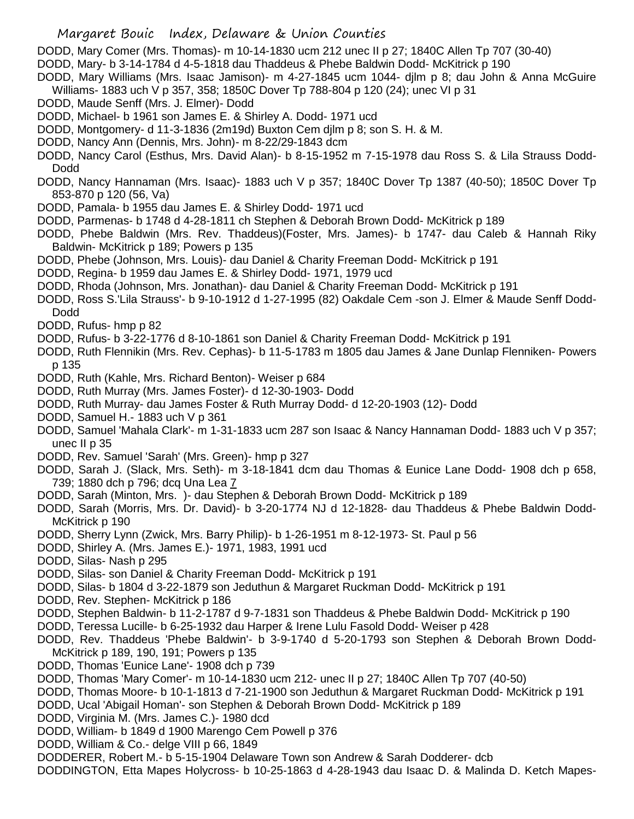DODD, Mary Comer (Mrs. Thomas)- m 10-14-1830 ucm 212 unec II p 27; 1840C Allen Tp 707 (30-40)

- DODD, Mary- b 3-14-1784 d 4-5-1818 dau Thaddeus & Phebe Baldwin Dodd- McKitrick p 190
- DODD, Mary Williams (Mrs. Isaac Jamison)- m 4-27-1845 ucm 1044- djlm p 8; dau John & Anna McGuire Williams- 1883 uch V p 357, 358; 1850C Dover Tp 788-804 p 120 (24); unec VI p 31
- DODD, Maude Senff (Mrs. J. Elmer)- Dodd
- DODD, Michael- b 1961 son James E. & Shirley A. Dodd- 1971 ucd
- DODD, Montgomery- d 11-3-1836 (2m19d) Buxton Cem djlm p 8; son S. H. & M.
- DODD, Nancy Ann (Dennis, Mrs. John)- m 8-22/29-1843 dcm
- DODD, Nancy Carol (Esthus, Mrs. David Alan)- b 8-15-1952 m 7-15-1978 dau Ross S. & Lila Strauss Dodd-Dodd
- DODD, Nancy Hannaman (Mrs. Isaac)- 1883 uch V p 357; 1840C Dover Tp 1387 (40-50); 1850C Dover Tp 853-870 p 120 (56, Va)
- DODD, Pamala- b 1955 dau James E. & Shirley Dodd- 1971 ucd
- DODD, Parmenas- b 1748 d 4-28-1811 ch Stephen & Deborah Brown Dodd- McKitrick p 189
- DODD, Phebe Baldwin (Mrs. Rev. Thaddeus)(Foster, Mrs. James)- b 1747- dau Caleb & Hannah Riky Baldwin- McKitrick p 189; Powers p 135
- DODD, Phebe (Johnson, Mrs. Louis)- dau Daniel & Charity Freeman Dodd- McKitrick p 191
- DODD, Regina- b 1959 dau James E. & Shirley Dodd- 1971, 1979 ucd
- DODD, Rhoda (Johnson, Mrs. Jonathan)- dau Daniel & Charity Freeman Dodd- McKitrick p 191
- DODD, Ross S.'Lila Strauss'- b 9-10-1912 d 1-27-1995 (82) Oakdale Cem -son J. Elmer & Maude Senff Dodd-Dodd
- DODD, Rufus- hmp p 82
- DODD, Rufus- b 3-22-1776 d 8-10-1861 son Daniel & Charity Freeman Dodd- McKitrick p 191
- DODD, Ruth Flennikin (Mrs. Rev. Cephas)- b 11-5-1783 m 1805 dau James & Jane Dunlap Flenniken- Powers p 135
- DODD, Ruth (Kahle, Mrs. Richard Benton)- Weiser p 684
- DODD, Ruth Murray (Mrs. James Foster)- d 12-30-1903- Dodd
- DODD, Ruth Murray- dau James Foster & Ruth Murray Dodd- d 12-20-1903 (12)- Dodd
- DODD, Samuel H.- 1883 uch V p 361
- DODD, Samuel 'Mahala Clark'- m 1-31-1833 ucm 287 son Isaac & Nancy Hannaman Dodd- 1883 uch V p 357; unec II p 35
- DODD, Rev. Samuel 'Sarah' (Mrs. Green)- hmp p 327
- DODD, Sarah J. (Slack, Mrs. Seth)- m 3-18-1841 dcm dau Thomas & Eunice Lane Dodd- 1908 dch p 658, 739; 1880 dch p 796; dcq Una Lea 7
- DODD, Sarah (Minton, Mrs. )- dau Stephen & Deborah Brown Dodd- McKitrick p 189
- DODD, Sarah (Morris, Mrs. Dr. David)- b 3-20-1774 NJ d 12-1828- dau Thaddeus & Phebe Baldwin Dodd-McKitrick p 190
- DODD, Sherry Lynn (Zwick, Mrs. Barry Philip)- b 1-26-1951 m 8-12-1973- St. Paul p 56
- DODD, Shirley A. (Mrs. James E.)- 1971, 1983, 1991 ucd
- DODD, Silas- Nash p 295
- DODD, Silas- son Daniel & Charity Freeman Dodd- McKitrick p 191
- DODD, Silas- b 1804 d 3-22-1879 son Jeduthun & Margaret Ruckman Dodd- McKitrick p 191
- DODD, Rev. Stephen- McKitrick p 186
- DODD, Stephen Baldwin- b 11-2-1787 d 9-7-1831 son Thaddeus & Phebe Baldwin Dodd- McKitrick p 190
- DODD, Teressa Lucille- b 6-25-1932 dau Harper & Irene Lulu Fasold Dodd- Weiser p 428
- DODD, Rev. Thaddeus 'Phebe Baldwin'- b 3-9-1740 d 5-20-1793 son Stephen & Deborah Brown Dodd-McKitrick p 189, 190, 191; Powers p 135
- DODD, Thomas 'Eunice Lane'- 1908 dch p 739
- DODD, Thomas 'Mary Comer'- m 10-14-1830 ucm 212- unec II p 27; 1840C Allen Tp 707 (40-50)
- DODD, Thomas Moore- b 10-1-1813 d 7-21-1900 son Jeduthun & Margaret Ruckman Dodd- McKitrick p 191
- DODD, Ucal 'Abigail Homan'- son Stephen & Deborah Brown Dodd- McKitrick p 189
- DODD, Virginia M. (Mrs. James C.)- 1980 dcd
- DODD, William- b 1849 d 1900 Marengo Cem Powell p 376
- DODD, William & Co.- delge VIII p 66, 1849
- DODDERER, Robert M.- b 5-15-1904 Delaware Town son Andrew & Sarah Dodderer- dcb
- DODDINGTON, Etta Mapes Holycross- b 10-25-1863 d 4-28-1943 dau Isaac D. & Malinda D. Ketch Mapes-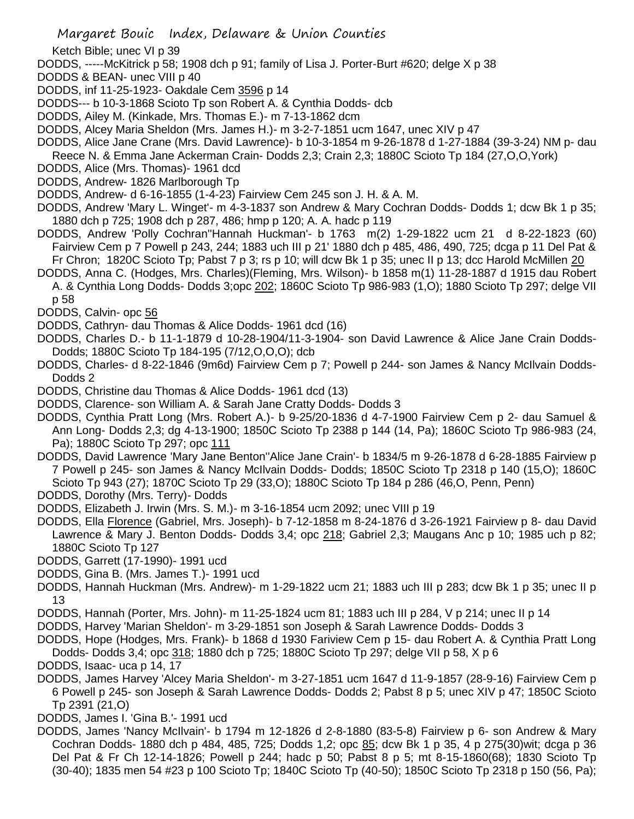- Ketch Bible; unec VI p 39
- DODDS, -----McKitrick p 58; 1908 dch p 91; family of Lisa J. Porter-Burt #620; delge X p 38
- DODDS & BEAN- unec VIII p 40
- DODDS, inf 11-25-1923- Oakdale Cem 3596 p 14
- DODDS--- b 10-3-1868 Scioto Tp son Robert A. & Cynthia Dodds- dcb
- DODDS, Ailey M. (Kinkade, Mrs. Thomas E.)- m 7-13-1862 dcm
- DODDS, Alcey Maria Sheldon (Mrs. James H.)- m 3-2-7-1851 ucm 1647, unec XIV p 47
- DODDS, Alice Jane Crane (Mrs. David Lawrence)- b 10-3-1854 m 9-26-1878 d 1-27-1884 (39-3-24) NM p- dau Reece N. & Emma Jane Ackerman Crain- Dodds 2,3; Crain 2,3; 1880C Scioto Tp 184 (27,O,O,York)
- DODDS, Alice (Mrs. Thomas)- 1961 dcd
- DODDS, Andrew- 1826 Marlborough Tp
- DODDS, Andrew- d 6-16-1855 (1-4-23) Fairview Cem 245 son J. H. & A. M.
- DODDS, Andrew 'Mary L. Winget'- m 4-3-1837 son Andrew & Mary Cochran Dodds- Dodds 1; dcw Bk 1 p 35; 1880 dch p 725; 1908 dch p 287, 486; hmp p 120; A. A. hadc p 119
- DODDS, Andrew 'Polly Cochran''Hannah Huckman'- b 1763 m(2) 1-29-1822 ucm 21 d 8-22-1823 (60) Fairview Cem p 7 Powell p 243, 244; 1883 uch III p 21' 1880 dch p 485, 486, 490, 725; dcga p 11 Del Pat & Fr Chron; 1820C Scioto Tp; Pabst 7 p 3; rs p 10; will dcw Bk 1 p 35; unec II p 13; dcc Harold McMillen 20
- DODDS, Anna C. (Hodges, Mrs. Charles)(Fleming, Mrs. Wilson)- b 1858 m(1) 11-28-1887 d 1915 dau Robert A. & Cynthia Long Dodds- Dodds 3;opc 202; 1860C Scioto Tp 986-983 (1,O); 1880 Scioto Tp 297; delge VII p 58
- DODDS, Calvin- opc 56
- DODDS, Cathryn- dau Thomas & Alice Dodds- 1961 dcd (16)
- DODDS, Charles D.- b 11-1-1879 d 10-28-1904/11-3-1904- son David Lawrence & Alice Jane Crain Dodds-Dodds; 1880C Scioto Tp 184-195 (7/12,O,O,O); dcb
- DODDS, Charles- d 8-22-1846 (9m6d) Fairview Cem p 7; Powell p 244- son James & Nancy McIlvain Dodds-Dodds 2
- DODDS, Christine dau Thomas & Alice Dodds- 1961 dcd (13)
- DODDS, Clarence- son William A. & Sarah Jane Cratty Dodds- Dodds 3
- DODDS, Cynthia Pratt Long (Mrs. Robert A.)- b 9-25/20-1836 d 4-7-1900 Fairview Cem p 2- dau Samuel & Ann Long- Dodds 2,3; dg 4-13-1900; 1850C Scioto Tp 2388 p 144 (14, Pa); 1860C Scioto Tp 986-983 (24, Pa); 1880C Scioto Tp 297; opc 111
- DODDS, David Lawrence 'Mary Jane Benton''Alice Jane Crain'- b 1834/5 m 9-26-1878 d 6-28-1885 Fairview p 7 Powell p 245- son James & Nancy McIlvain Dodds- Dodds; 1850C Scioto Tp 2318 p 140 (15,O); 1860C Scioto Tp 943 (27); 1870C Scioto Tp 29 (33,O); 1880C Scioto Tp 184 p 286 (46,O, Penn, Penn)
- DODDS, Dorothy (Mrs. Terry)- Dodds
- DODDS, Elizabeth J. Irwin (Mrs. S. M.)- m 3-16-1854 ucm 2092; unec VIII p 19
- DODDS, Ella Florence (Gabriel, Mrs. Joseph)- b 7-12-1858 m 8-24-1876 d 3-26-1921 Fairview p 8- dau David Lawrence & Mary J. Benton Dodds- Dodds 3,4; opc 218; Gabriel 2,3; Maugans Anc p 10; 1985 uch p 82; 1880C Scioto Tp 127
- DODDS, Garrett (17-1990)- 1991 ucd
- DODDS, Gina B. (Mrs. James T.)- 1991 ucd
- DODDS, Hannah Huckman (Mrs. Andrew)- m 1-29-1822 ucm 21; 1883 uch III p 283; dcw Bk 1 p 35; unec II p 13
- DODDS, Hannah (Porter, Mrs. John)- m 11-25-1824 ucm 81; 1883 uch III p 284, V p 214; unec II p 14
- DODDS, Harvey 'Marian Sheldon'- m 3-29-1851 son Joseph & Sarah Lawrence Dodds- Dodds 3
- DODDS, Hope (Hodges, Mrs. Frank)- b 1868 d 1930 Fariview Cem p 15- dau Robert A. & Cynthia Pratt Long Dodds- Dodds 3,4; opc 318; 1880 dch p 725; 1880C Scioto Tp 297; delge VII p 58, X p 6
- DODDS, Isaac- uca p 14, 17
- DODDS, James Harvey 'Alcey Maria Sheldon'- m 3-27-1851 ucm 1647 d 11-9-1857 (28-9-16) Fairview Cem p 6 Powell p 245- son Joseph & Sarah Lawrence Dodds- Dodds 2; Pabst 8 p 5; unec XIV p 47; 1850C Scioto Tp 2391 (21,O)
- DODDS, James I. 'Gina B.'- 1991 ucd
- DODDS, James 'Nancy McIlvain'- b 1794 m 12-1826 d 2-8-1880 (83-5-8) Fairview p 6- son Andrew & Mary Cochran Dodds- 1880 dch p 484, 485, 725; Dodds 1,2; opc 85; dcw Bk 1 p 35, 4 p 275(30)wit; dcga p 36 Del Pat & Fr Ch 12-14-1826; Powell p 244; hadc p 50; Pabst 8 p 5; mt 8-15-1860(68); 1830 Scioto Tp (30-40); 1835 men 54 #23 p 100 Scioto Tp; 1840C Scioto Tp (40-50); 1850C Scioto Tp 2318 p 150 (56, Pa);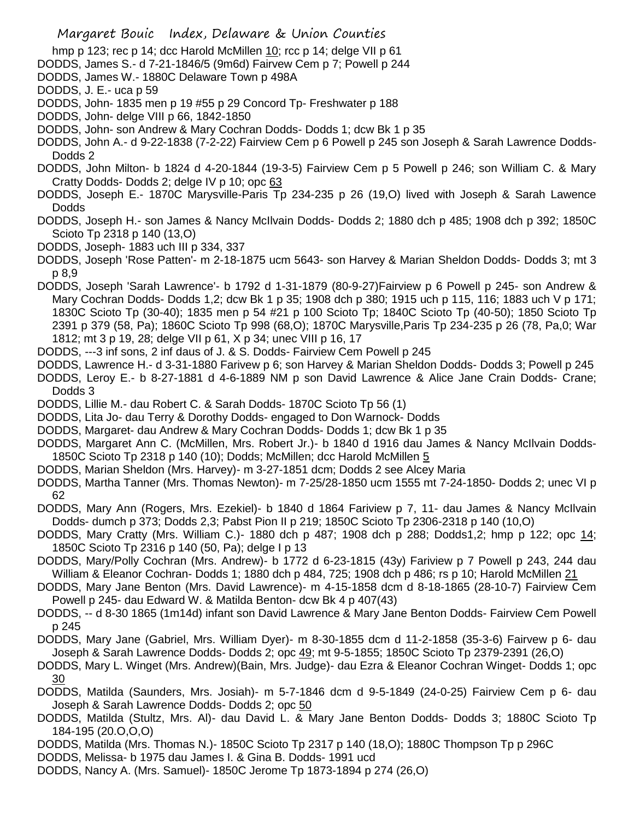- hmp p 123; rec p 14; dcc Harold McMillen 10; rcc p 14; delge VII p 61
- DODDS, James S.- d 7-21-1846/5 (9m6d) Fairvew Cem p 7; Powell p 244
- DODDS, James W.- 1880C Delaware Town p 498A
- DODDS, J. E.- uca p 59
- DODDS, John- 1835 men p 19 #55 p 29 Concord Tp- Freshwater p 188
- DODDS, John- delge VIII p 66, 1842-1850
- DODDS, John- son Andrew & Mary Cochran Dodds- Dodds 1; dcw Bk 1 p 35
- DODDS, John A.- d 9-22-1838 (7-2-22) Fairview Cem p 6 Powell p 245 son Joseph & Sarah Lawrence Dodds-Dodds 2
- DODDS, John Milton- b 1824 d 4-20-1844 (19-3-5) Fairview Cem p 5 Powell p 246; son William C. & Mary Cratty Dodds- Dodds 2; delge IV p 10; opc 63
- DODDS, Joseph E.- 1870C Marysville-Paris Tp 234-235 p 26 (19,O) lived with Joseph & Sarah Lawence Dodds
- DODDS, Joseph H.- son James & Nancy McIlvain Dodds- Dodds 2; 1880 dch p 485; 1908 dch p 392; 1850C Scioto Tp 2318 p 140 (13,O)
- DODDS, Joseph- 1883 uch III p 334, 337
- DODDS, Joseph 'Rose Patten'- m 2-18-1875 ucm 5643- son Harvey & Marian Sheldon Dodds- Dodds 3; mt 3 p 8,9
- DODDS, Joseph 'Sarah Lawrence'- b 1792 d 1-31-1879 (80-9-27)Fairview p 6 Powell p 245- son Andrew & Mary Cochran Dodds- Dodds 1,2; dcw Bk 1 p 35; 1908 dch p 380; 1915 uch p 115, 116; 1883 uch V p 171; 1830C Scioto Tp (30-40); 1835 men p 54 #21 p 100 Scioto Tp; 1840C Scioto Tp (40-50); 1850 Scioto Tp 2391 p 379 (58, Pa); 1860C Scioto Tp 998 (68,O); 1870C Marysville,Paris Tp 234-235 p 26 (78, Pa,0; War 1812; mt 3 p 19, 28; delge VII p 61, X p 34; unec VIII p 16, 17
- DODDS, ---3 inf sons, 2 inf daus of J. & S. Dodds- Fairview Cem Powell p 245
- DODDS, Lawrence H.- d 3-31-1880 Farivew p 6; son Harvey & Marian Sheldon Dodds- Dodds 3; Powell p 245
- DODDS, Leroy E.- b 8-27-1881 d 4-6-1889 NM p son David Lawrence & Alice Jane Crain Dodds- Crane; Dodds 3
- DODDS, Lillie M.- dau Robert C. & Sarah Dodds- 1870C Scioto Tp 56 (1)
- DODDS, Lita Jo- dau Terry & Dorothy Dodds- engaged to Don Warnock- Dodds
- DODDS, Margaret- dau Andrew & Mary Cochran Dodds- Dodds 1; dcw Bk 1 p 35
- DODDS, Margaret Ann C. (McMillen, Mrs. Robert Jr.)- b 1840 d 1916 dau James & Nancy McIlvain Dodds-1850C Scioto Tp 2318 p 140 (10); Dodds; McMillen; dcc Harold McMillen 5
- DODDS, Marian Sheldon (Mrs. Harvey)- m 3-27-1851 dcm; Dodds 2 see Alcey Maria
- DODDS, Martha Tanner (Mrs. Thomas Newton)- m 7-25/28-1850 ucm 1555 mt 7-24-1850- Dodds 2; unec VI p 62
- DODDS, Mary Ann (Rogers, Mrs. Ezekiel)- b 1840 d 1864 Fariview p 7, 11- dau James & Nancy McIlvain Dodds- dumch p 373; Dodds 2,3; Pabst Pion II p 219; 1850C Scioto Tp 2306-2318 p 140 (10,O)
- DODDS, Mary Cratty (Mrs. William C.)- 1880 dch p 487; 1908 dch p 288; Dodds1,2; hmp p 122; opc 14; 1850C Scioto Tp 2316 p 140 (50, Pa); delge I p 13
- DODDS, Mary/Polly Cochran (Mrs. Andrew)- b 1772 d 6-23-1815 (43y) Fariview p 7 Powell p 243, 244 dau William & Eleanor Cochran- Dodds 1; 1880 dch p 484, 725; 1908 dch p 486; rs p 10; Harold McMillen 21
- DODDS, Mary Jane Benton (Mrs. David Lawrence)- m 4-15-1858 dcm d 8-18-1865 (28-10-7) Fairview Cem Powell p 245- dau Edward W. & Matilda Benton- dcw Bk 4 p 407(43)
- DODDS, -- d 8-30 1865 (1m14d) infant son David Lawrence & Mary Jane Benton Dodds- Fairview Cem Powell p 245
- DODDS, Mary Jane (Gabriel, Mrs. William Dyer)- m 8-30-1855 dcm d 11-2-1858 (35-3-6) Fairvew p 6- dau Joseph & Sarah Lawrence Dodds- Dodds 2; opc 49; mt 9-5-1855; 1850C Scioto Tp 2379-2391 (26,O)
- DODDS, Mary L. Winget (Mrs. Andrew)(Bain, Mrs. Judge)- dau Ezra & Eleanor Cochran Winget- Dodds 1; opc 30
- DODDS, Matilda (Saunders, Mrs. Josiah)- m 5-7-1846 dcm d 9-5-1849 (24-0-25) Fairview Cem p 6- dau Joseph & Sarah Lawrence Dodds- Dodds 2; opc 50
- DODDS, Matilda (Stultz, Mrs. Al)- dau David L. & Mary Jane Benton Dodds- Dodds 3; 1880C Scioto Tp 184-195 (20.O,O,O)
- DODDS, Matilda (Mrs. Thomas N.)- 1850C Scioto Tp 2317 p 140 (18,O); 1880C Thompson Tp p 296C
- DODDS, Melissa- b 1975 dau James I. & Gina B. Dodds- 1991 ucd
- DODDS, Nancy A. (Mrs. Samuel)- 1850C Jerome Tp 1873-1894 p 274 (26,O)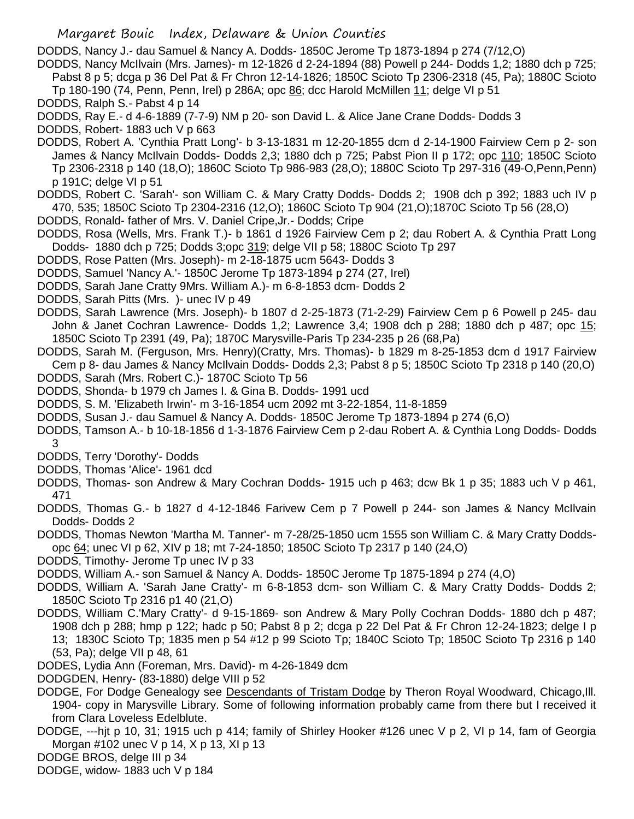DODDS, Nancy J.- dau Samuel & Nancy A. Dodds- 1850C Jerome Tp 1873-1894 p 274 (7/12,O)

DODDS, Nancy McIlvain (Mrs. James)- m 12-1826 d 2-24-1894 (88) Powell p 244- Dodds 1,2; 1880 dch p 725; Pabst 8 p 5; dcga p 36 Del Pat & Fr Chron 12-14-1826; 1850C Scioto Tp 2306-2318 (45, Pa); 1880C Scioto Tp 180-190 (74, Penn, Penn, Irel) p 286A; opc 86; dcc Harold McMillen 11; delge VI p 51

DODDS, Ralph S.- Pabst 4 p 14

DODDS, Ray E.- d 4-6-1889 (7-7-9) NM p 20- son David L. & Alice Jane Crane Dodds- Dodds 3

DODDS, Robert- 1883 uch V p 663

- DODDS, Robert A. 'Cynthia Pratt Long'- b 3-13-1831 m 12-20-1855 dcm d 2-14-1900 Fairview Cem p 2- son James & Nancy McIlvain Dodds- Dodds 2,3; 1880 dch p 725; Pabst Pion II p 172; opc 110; 1850C Scioto Tp 2306-2318 p 140 (18,O); 1860C Scioto Tp 986-983 (28,O); 1880C Scioto Tp 297-316 (49-O,Penn,Penn) p 191C; delge VI p 51
- DODDS, Robert C. 'Sarah'- son William C. & Mary Cratty Dodds- Dodds 2; 1908 dch p 392; 1883 uch IV p 470, 535; 1850C Scioto Tp 2304-2316 (12,O); 1860C Scioto Tp 904 (21,O);1870C Scioto Tp 56 (28,O)
- DODDS, Ronald- father of Mrs. V. Daniel Cripe,Jr.- Dodds; Cripe
- DODDS, Rosa (Wells, Mrs. Frank T.)- b 1861 d 1926 Fairview Cem p 2; dau Robert A. & Cynthia Pratt Long Dodds- 1880 dch p 725; Dodds 3;opc 319; delge VII p 58; 1880C Scioto Tp 297
- DODDS, Rose Patten (Mrs. Joseph)- m 2-18-1875 ucm 5643- Dodds 3
- DODDS, Samuel 'Nancy A.'- 1850C Jerome Tp 1873-1894 p 274 (27, Irel)
- DODDS, Sarah Jane Cratty 9Mrs. William A.)- m 6-8-1853 dcm- Dodds 2
- DODDS, Sarah Pitts (Mrs. )- unec IV p 49
- DODDS, Sarah Lawrence (Mrs. Joseph)- b 1807 d 2-25-1873 (71-2-29) Fairview Cem p 6 Powell p 245- dau John & Janet Cochran Lawrence- Dodds 1,2; Lawrence 3,4; 1908 dch p 288; 1880 dch p 487; opc 15; 1850C Scioto Tp 2391 (49, Pa); 1870C Marysville-Paris Tp 234-235 p 26 (68,Pa)
- DODDS, Sarah M. (Ferguson, Mrs. Henry)(Cratty, Mrs. Thomas)- b 1829 m 8-25-1853 dcm d 1917 Fairview Cem p 8- dau James & Nancy McIlvain Dodds- Dodds 2,3; Pabst 8 p 5; 1850C Scioto Tp 2318 p 140 (20,O)
- DODDS, Sarah (Mrs. Robert C.)- 1870C Scioto Tp 56
- DODDS, Shonda- b 1979 ch James I. & Gina B. Dodds- 1991 ucd
- DODDS, S. M. 'Elizabeth Irwin'- m 3-16-1854 ucm 2092 mt 3-22-1854, 11-8-1859
- DODDS, Susan J.- dau Samuel & Nancy A. Dodds- 1850C Jerome Tp 1873-1894 p 274 (6,O)
- DODDS, Tamson A.- b 10-18-1856 d 1-3-1876 Fairview Cem p 2-dau Robert A. & Cynthia Long Dodds- Dodds 3
- DODDS, Terry 'Dorothy'- Dodds
- DODDS, Thomas 'Alice'- 1961 dcd
- DODDS, Thomas- son Andrew & Mary Cochran Dodds- 1915 uch p 463; dcw Bk 1 p 35; 1883 uch V p 461, 471
- DODDS, Thomas G.- b 1827 d 4-12-1846 Farivew Cem p 7 Powell p 244- son James & Nancy McIlvain Dodds- Dodds 2
- DODDS, Thomas Newton 'Martha M. Tanner'- m 7-28/25-1850 ucm 1555 son William C. & Mary Cratty Doddsopc 64; unec VI p 62, XIV p 18; mt 7-24-1850; 1850C Scioto Tp 2317 p 140 (24,O)
- DODDS, Timothy- Jerome Tp unec IV p 33
- DODDS, William A.- son Samuel & Nancy A. Dodds- 1850C Jerome Tp 1875-1894 p 274 (4,O)
- DODDS, William A. 'Sarah Jane Cratty'- m 6-8-1853 dcm- son William C. & Mary Cratty Dodds- Dodds 2; 1850C Scioto Tp 2316 p1 40 (21,O)
- DODDS, William C.'Mary Cratty'- d 9-15-1869- son Andrew & Mary Polly Cochran Dodds- 1880 dch p 487; 1908 dch p 288; hmp p 122; hadc p 50; Pabst 8 p 2; dcga p 22 Del Pat & Fr Chron 12-24-1823; delge I p 13; 1830C Scioto Tp; 1835 men p 54 #12 p 99 Scioto Tp; 1840C Scioto Tp; 1850C Scioto Tp 2316 p 140 (53, Pa); delge VII p 48, 61
- DODES, Lydia Ann (Foreman, Mrs. David)- m 4-26-1849 dcm
- DODGDEN, Henry- (83-1880) delge VIII p 52
- DODGE, For Dodge Genealogy see Descendants of Tristam Dodge by Theron Royal Woodward, Chicago,Ill. 1904- copy in Marysville Library. Some of following information probably came from there but I received it from Clara Loveless Edelblute.
- DODGE, ---hjt p 10, 31; 1915 uch p 414; family of Shirley Hooker #126 unec V p 2, VI p 14, fam of Georgia Morgan #102 unec V p 14, X p 13, XI p 13
- DODGE BROS, delge III p 34
- DODGE, widow- 1883 uch V p 184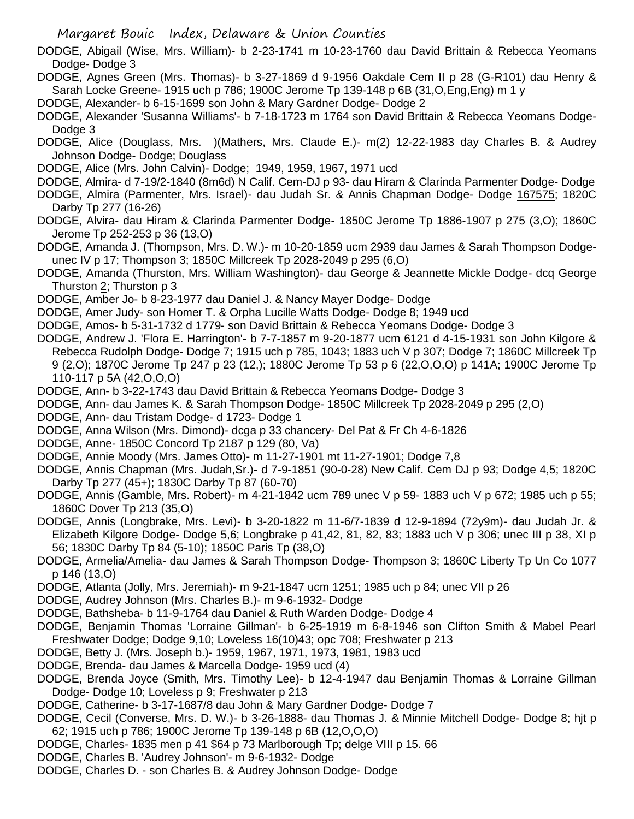- DODGE, Abigail (Wise, Mrs. William)- b 2-23-1741 m 10-23-1760 dau David Brittain & Rebecca Yeomans Dodge- Dodge 3
- DODGE, Agnes Green (Mrs. Thomas)- b 3-27-1869 d 9-1956 Oakdale Cem II p 28 (G-R101) dau Henry & Sarah Locke Greene- 1915 uch p 786; 1900C Jerome Tp 139-148 p 6B (31,O,Eng,Eng) m 1 y
- DODGE, Alexander- b 6-15-1699 son John & Mary Gardner Dodge- Dodge 2
- DODGE, Alexander 'Susanna Williams'- b 7-18-1723 m 1764 son David Brittain & Rebecca Yeomans Dodge-Dodge 3
- DODGE, Alice (Douglass, Mrs. )(Mathers, Mrs. Claude E.)- m(2) 12-22-1983 day Charles B. & Audrey Johnson Dodge- Dodge; Douglass
- DODGE, Alice (Mrs. John Calvin)- Dodge; 1949, 1959, 1967, 1971 ucd
- DODGE, Almira- d 7-19/2-1840 (8m6d) N Calif. Cem-DJ p 93- dau Hiram & Clarinda Parmenter Dodge- Dodge DODGE, Almira (Parmenter, Mrs. Israel)- dau Judah Sr. & Annis Chapman Dodge- Dodge 167575; 1820C Darby Tp 277 (16-26)
- DODGE, Alvira- dau Hiram & Clarinda Parmenter Dodge- 1850C Jerome Tp 1886-1907 p 275 (3,O); 1860C Jerome Tp 252-253 p 36 (13,O)
- DODGE, Amanda J. (Thompson, Mrs. D. W.)- m 10-20-1859 ucm 2939 dau James & Sarah Thompson Dodgeunec IV p 17; Thompson 3; 1850C Millcreek Tp 2028-2049 p 295 (6,O)
- DODGE, Amanda (Thurston, Mrs. William Washington)- dau George & Jeannette Mickle Dodge- dcq George Thurston 2; Thurston p 3
- DODGE, Amber Jo- b 8-23-1977 dau Daniel J. & Nancy Mayer Dodge- Dodge
- DODGE, Amer Judy- son Homer T. & Orpha Lucille Watts Dodge- Dodge 8; 1949 ucd
- DODGE, Amos- b 5-31-1732 d 1779- son David Brittain & Rebecca Yeomans Dodge- Dodge 3
- DODGE, Andrew J. 'Flora E. Harrington'- b 7-7-1857 m 9-20-1877 ucm 6121 d 4-15-1931 son John Kilgore & Rebecca Rudolph Dodge- Dodge 7; 1915 uch p 785, 1043; 1883 uch V p 307; Dodge 7; 1860C Millcreek Tp 9 (2,O); 1870C Jerome Tp 247 p 23 (12,); 1880C Jerome Tp 53 p 6 (22,O,O,O) p 141A; 1900C Jerome Tp 110-117 p 5A (42,O,O,O)
- DODGE, Ann- b 3-22-1743 dau David Brittain & Rebecca Yeomans Dodge- Dodge 3
- DODGE, Ann- dau James K. & Sarah Thompson Dodge- 1850C Millcreek Tp 2028-2049 p 295 (2,O)
- DODGE, Ann- dau Tristam Dodge- d 1723- Dodge 1
- DODGE, Anna Wilson (Mrs. Dimond)- dcga p 33 chancery- Del Pat & Fr Ch 4-6-1826
- DODGE, Anne- 1850C Concord Tp 2187 p 129 (80, Va)
- DODGE, Annie Moody (Mrs. James Otto)- m 11-27-1901 mt 11-27-1901; Dodge 7,8
- DODGE, Annis Chapman (Mrs. Judah,Sr.)- d 7-9-1851 (90-0-28) New Calif. Cem DJ p 93; Dodge 4,5; 1820C Darby Tp 277 (45+); 1830C Darby Tp 87 (60-70)
- DODGE, Annis (Gamble, Mrs. Robert)- m 4-21-1842 ucm 789 unec V p 59- 1883 uch V p 672; 1985 uch p 55; 1860C Dover Tp 213 (35,O)
- DODGE, Annis (Longbrake, Mrs. Levi)- b 3-20-1822 m 11-6/7-1839 d 12-9-1894 (72y9m)- dau Judah Jr. & Elizabeth Kilgore Dodge- Dodge 5,6; Longbrake p 41,42, 81, 82, 83; 1883 uch V p 306; unec III p 38, XI p 56; 1830C Darby Tp 84 (5-10); 1850C Paris Tp (38,O)
- DODGE, Armelia/Amelia- dau James & Sarah Thompson Dodge- Thompson 3; 1860C Liberty Tp Un Co 1077 p 146 (13,O)
- DODGE, Atlanta (Jolly, Mrs. Jeremiah)- m 9-21-1847 ucm 1251; 1985 uch p 84; unec VII p 26
- DODGE, Audrey Johnson (Mrs. Charles B.)- m 9-6-1932- Dodge
- DODGE, Bathsheba- b 11-9-1764 dau Daniel & Ruth Warden Dodge- Dodge 4
- DODGE, Benjamin Thomas 'Lorraine Gillman'- b 6-25-1919 m 6-8-1946 son Clifton Smith & Mabel Pearl Freshwater Dodge; Dodge 9,10; Loveless 16(10)43; opc 708; Freshwater p 213
- DODGE, Betty J. (Mrs. Joseph b.)- 1959, 1967, 1971, 1973, 1981, 1983 ucd
- DODGE, Brenda- dau James & Marcella Dodge- 1959 ucd (4)
- DODGE, Brenda Joyce (Smith, Mrs. Timothy Lee)- b 12-4-1947 dau Benjamin Thomas & Lorraine Gillman Dodge- Dodge 10; Loveless p 9; Freshwater p 213
- DODGE, Catherine- b 3-17-1687/8 dau John & Mary Gardner Dodge- Dodge 7
- DODGE, Cecil (Converse, Mrs. D. W.)- b 3-26-1888- dau Thomas J. & Minnie Mitchell Dodge- Dodge 8; hjt p 62; 1915 uch p 786; 1900C Jerome Tp 139-148 p 6B (12,O,O,O)
- DODGE, Charles- 1835 men p 41 \$64 p 73 Marlborough Tp; delge VIII p 15. 66
- DODGE, Charles B. 'Audrey Johnson'- m 9-6-1932- Dodge
- DODGE, Charles D. son Charles B. & Audrey Johnson Dodge- Dodge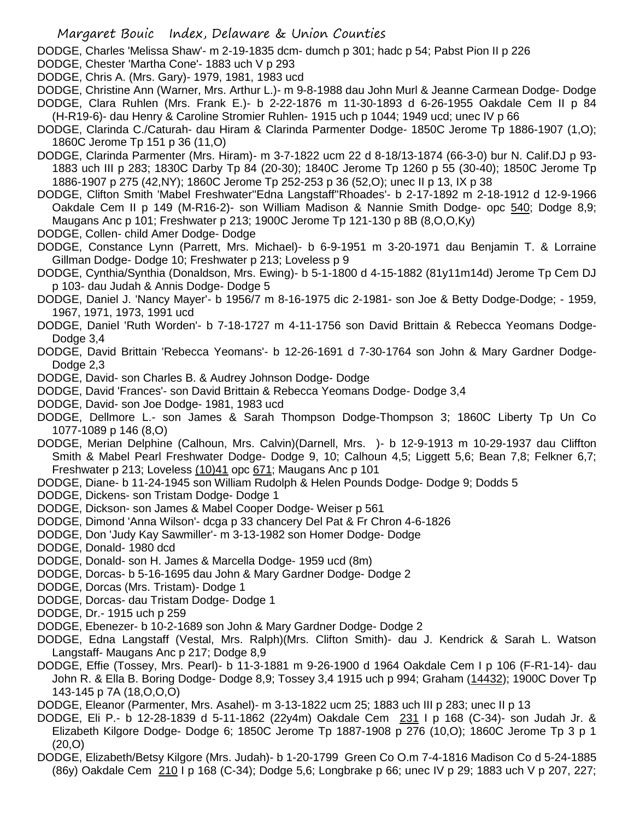DODGE, Charles 'Melissa Shaw'- m 2-19-1835 dcm- dumch p 301; hadc p 54; Pabst Pion II p 226

- DODGE, Chester 'Martha Cone'- 1883 uch V p 293
- DODGE, Chris A. (Mrs. Gary)- 1979, 1981, 1983 ucd
- DODGE, Christine Ann (Warner, Mrs. Arthur L.)- m 9-8-1988 dau John Murl & Jeanne Carmean Dodge- Dodge DODGE, Clara Ruhlen (Mrs. Frank E.)- b 2-22-1876 m 11-30-1893 d 6-26-1955 Oakdale Cem II p 84 (H-R19-6)- dau Henry & Caroline Stromier Ruhlen- 1915 uch p 1044; 1949 ucd; unec IV p 66
- DODGE, Clarinda C./Caturah- dau Hiram & Clarinda Parmenter Dodge- 1850C Jerome Tp 1886-1907 (1,O); 1860C Jerome Tp 151 p 36 (11,O)
- DODGE, Clarinda Parmenter (Mrs. Hiram)- m 3-7-1822 ucm 22 d 8-18/13-1874 (66-3-0) bur N. Calif.DJ p 93- 1883 uch III p 283; 1830C Darby Tp 84 (20-30); 1840C Jerome Tp 1260 p 55 (30-40); 1850C Jerome Tp 1886-1907 p 275 (42,NY); 1860C Jerome Tp 252-253 p 36 (52,O); unec II p 13, IX p 38
- DODGE, Clifton Smith 'Mabel Freshwater''Edna Langstaff''Rhoades'- b 2-17-1892 m 2-18-1912 d 12-9-1966 Oakdale Cem II p 149 (M-R16-2)- son William Madison & Nannie Smith Dodge- opc 540; Dodge 8,9; Maugans Anc p 101; Freshwater p 213; 1900C Jerome Tp 121-130 p 8B (8,O,O,Ky)
- DODGE, Collen- child Amer Dodge- Dodge
- DODGE, Constance Lynn (Parrett, Mrs. Michael)- b 6-9-1951 m 3-20-1971 dau Benjamin T. & Lorraine Gillman Dodge- Dodge 10; Freshwater p 213; Loveless p 9
- DODGE, Cynthia/Synthia (Donaldson, Mrs. Ewing)- b 5-1-1800 d 4-15-1882 (81y11m14d) Jerome Tp Cem DJ p 103- dau Judah & Annis Dodge- Dodge 5
- DODGE, Daniel J. 'Nancy Mayer'- b 1956/7 m 8-16-1975 dic 2-1981- son Joe & Betty Dodge-Dodge; 1959, 1967, 1971, 1973, 1991 ucd
- DODGE, Daniel 'Ruth Worden'- b 7-18-1727 m 4-11-1756 son David Brittain & Rebecca Yeomans Dodge-Dodge 3,4
- DODGE, David Brittain 'Rebecca Yeomans'- b 12-26-1691 d 7-30-1764 son John & Mary Gardner Dodge-Dodge 2,3
- DODGE, David- son Charles B. & Audrey Johnson Dodge- Dodge
- DODGE, David 'Frances'- son David Brittain & Rebecca Yeomans Dodge- Dodge 3,4
- DODGE, David- son Joe Dodge- 1981, 1983 ucd
- DODGE, Dellmore L.- son James & Sarah Thompson Dodge-Thompson 3; 1860C Liberty Tp Un Co 1077-1089 p 146 (8,O)
- DODGE, Merian Delphine (Calhoun, Mrs. Calvin)(Darnell, Mrs. )- b 12-9-1913 m 10-29-1937 dau Cliffton Smith & Mabel Pearl Freshwater Dodge- Dodge 9, 10; Calhoun 4,5; Liggett 5,6; Bean 7,8; Felkner 6,7; Freshwater p 213; Loveless (10)41 opc 671; Maugans Anc p 101
- DODGE, Diane- b 11-24-1945 son William Rudolph & Helen Pounds Dodge- Dodge 9; Dodds 5
- DODGE, Dickens- son Tristam Dodge- Dodge 1
- DODGE, Dickson- son James & Mabel Cooper Dodge- Weiser p 561
- DODGE, Dimond 'Anna Wilson'- dcga p 33 chancery Del Pat & Fr Chron 4-6-1826
- DODGE, Don 'Judy Kay Sawmiller'- m 3-13-1982 son Homer Dodge- Dodge
- DODGE, Donald- 1980 dcd
- DODGE, Donald- son H. James & Marcella Dodge- 1959 ucd (8m)
- DODGE, Dorcas- b 5-16-1695 dau John & Mary Gardner Dodge- Dodge 2
- DODGE, Dorcas (Mrs. Tristam)- Dodge 1
- DODGE, Dorcas- dau Tristam Dodge- Dodge 1
- DODGE, Dr.- 1915 uch p 259
- DODGE, Ebenezer- b 10-2-1689 son John & Mary Gardner Dodge- Dodge 2
- DODGE, Edna Langstaff (Vestal, Mrs. Ralph)(Mrs. Clifton Smith)- dau J. Kendrick & Sarah L. Watson Langstaff- Maugans Anc p 217; Dodge 8,9
- DODGE, Effie (Tossey, Mrs. Pearl)- b 11-3-1881 m 9-26-1900 d 1964 Oakdale Cem I p 106 (F-R1-14)- dau John R. & Ella B. Boring Dodge- Dodge 8,9; Tossey 3,4 1915 uch p 994; Graham (14432); 1900C Dover Tp 143-145 p 7A (18,O,O,O)
- DODGE, Eleanor (Parmenter, Mrs. Asahel)- m 3-13-1822 ucm 25; 1883 uch III p 283; unec II p 13
- DODGE, Eli P.- b 12-28-1839 d 5-11-1862 (22y4m) Oakdale Cem 231 I p 168 (C-34)- son Judah Jr. & Elizabeth Kilgore Dodge- Dodge 6; 1850C Jerome Tp 1887-1908 p 276 (10,O); 1860C Jerome Tp 3 p 1 (20,O)
- DODGE, Elizabeth/Betsy Kilgore (Mrs. Judah)- b 1-20-1799 Green Co O.m 7-4-1816 Madison Co d 5-24-1885 (86y) Oakdale Cem 210 I p 168 (C-34); Dodge 5,6; Longbrake p 66; unec IV p 29; 1883 uch V p 207, 227;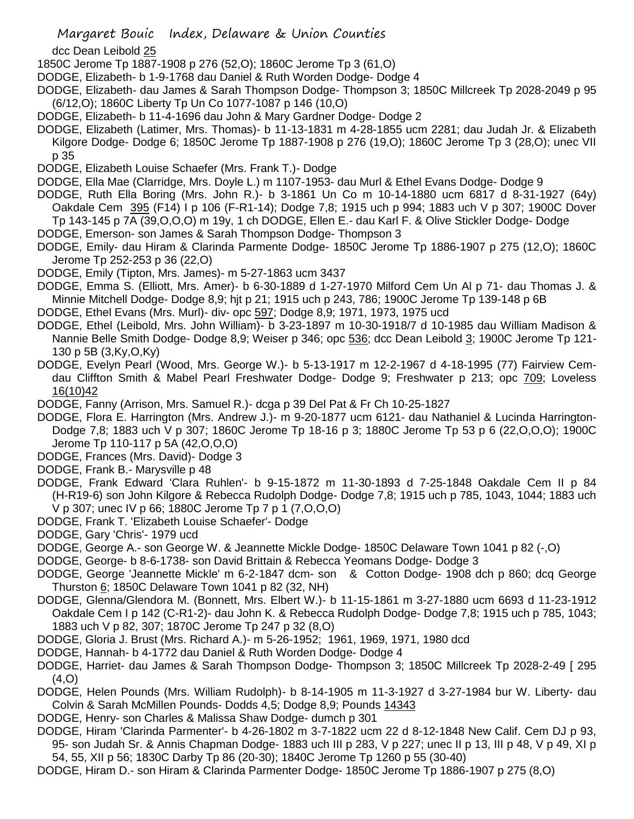dcc Dean Leibold 25

- 1850C Jerome Tp 1887-1908 p 276 (52,O); 1860C Jerome Tp 3 (61,O)
- DODGE, Elizabeth- b 1-9-1768 dau Daniel & Ruth Worden Dodge- Dodge 4
- DODGE, Elizabeth- dau James & Sarah Thompson Dodge- Thompson 3; 1850C Millcreek Tp 2028-2049 p 95 (6/12,O); 1860C Liberty Tp Un Co 1077-1087 p 146 (10,O)
- DODGE, Elizabeth- b 11-4-1696 dau John & Mary Gardner Dodge- Dodge 2
- DODGE, Elizabeth (Latimer, Mrs. Thomas)- b 11-13-1831 m 4-28-1855 ucm 2281; dau Judah Jr. & Elizabeth Kilgore Dodge- Dodge 6; 1850C Jerome Tp 1887-1908 p 276 (19,O); 1860C Jerome Tp 3 (28,O); unec VII p 35
- DODGE, Elizabeth Louise Schaefer (Mrs. Frank T.)- Dodge
- DODGE, Ella Mae (Clarridge, Mrs. Doyle L.) m 1107-1953- dau Murl & Ethel Evans Dodge- Dodge 9
- DODGE, Ruth Ella Boring (Mrs. John R.)- b 3-1861 Un Co m 10-14-1880 ucm 6817 d 8-31-1927 (64y) Oakdale Cem 395 (F14) I p 106 (F-R1-14); Dodge 7,8; 1915 uch p 994; 1883 uch V p 307; 1900C Dover Tp 143-145 p 7A (39,O,O,O) m 19y, 1 ch DODGE, Ellen E.- dau Karl F. & Olive Stickler Dodge- Dodge
- DODGE, Emerson- son James & Sarah Thompson Dodge- Thompson 3
- DODGE, Emily- dau Hiram & Clarinda Parmente Dodge- 1850C Jerome Tp 1886-1907 p 275 (12,O); 1860C Jerome Tp 252-253 p 36 (22,O)
- DODGE, Emily (Tipton, Mrs. James)- m 5-27-1863 ucm 3437
- DODGE, Emma S. (Elliott, Mrs. Amer)- b 6-30-1889 d 1-27-1970 Milford Cem Un Al p 71- dau Thomas J. & Minnie Mitchell Dodge- Dodge 8,9; hjt p 21; 1915 uch p 243, 786; 1900C Jerome Tp 139-148 p 6B
- DODGE, Ethel Evans (Mrs. Murl)- div- opc 597; Dodge 8,9; 1971, 1973, 1975 ucd
- DODGE, Ethel (Leibold, Mrs. John William)- b 3-23-1897 m 10-30-1918/7 d 10-1985 dau William Madison & Nannie Belle Smith Dodge- Dodge 8,9; Weiser p 346; opc 536; dcc Dean Leibold 3; 1900C Jerome Tp 121-130 p 5B (3,Ky,O,Ky)
- DODGE, Evelyn Pearl (Wood, Mrs. George W.)- b 5-13-1917 m 12-2-1967 d 4-18-1995 (77) Fairview Cemdau Cliffton Smith & Mabel Pearl Freshwater Dodge- Dodge 9; Freshwater p 213; opc 709; Loveless 16(10)42
- DODGE, Fanny (Arrison, Mrs. Samuel R.)- dcga p 39 Del Pat & Fr Ch 10-25-1827
- DODGE, Flora E. Harrington (Mrs. Andrew J.)- m 9-20-1877 ucm 6121- dau Nathaniel & Lucinda Harrington-Dodge 7,8; 1883 uch V p 307; 1860C Jerome Tp 18-16 p 3; 1880C Jerome Tp 53 p 6 (22,O,O,O); 1900C Jerome Tp 110-117 p 5A (42,O,O,O)
- DODGE, Frances (Mrs. David)- Dodge 3
- DODGE, Frank B.- Marysville p 48
- DODGE, Frank Edward 'Clara Ruhlen'- b 9-15-1872 m 11-30-1893 d 7-25-1848 Oakdale Cem II p 84 (H-R19-6) son John Kilgore & Rebecca Rudolph Dodge- Dodge 7,8; 1915 uch p 785, 1043, 1044; 1883 uch V p 307; unec IV p 66; 1880C Jerome Tp 7 p 1 (7,O,O,O)
- DODGE, Frank T. 'Elizabeth Louise Schaefer'- Dodge
- DODGE, Gary 'Chris'- 1979 ucd
- DODGE, George A.- son George W. & Jeannette Mickle Dodge- 1850C Delaware Town 1041 p 82 (-,O)
- DODGE, George- b 8-6-1738- son David Brittain & Rebecca Yeomans Dodge- Dodge 3
- DODGE, George 'Jeannette Mickle' m 6-2-1847 dcm- son & Cotton Dodge- 1908 dch p 860; dcq George Thurston 6; 1850C Delaware Town 1041 p 82 (32, NH)
- DODGE, Glenna/Glendora M. (Bonnett, Mrs. Elbert W.)- b 11-15-1861 m 3-27-1880 ucm 6693 d 11-23-1912 Oakdale Cem I p 142 (C-R1-2)- dau John K. & Rebecca Rudolph Dodge- Dodge 7,8; 1915 uch p 785, 1043; 1883 uch V p 82, 307; 1870C Jerome Tp 247 p 32 (8,O)
- DODGE, Gloria J. Brust (Mrs. Richard A.)- m 5-26-1952; 1961, 1969, 1971, 1980 dcd
- DODGE, Hannah- b 4-1772 dau Daniel & Ruth Worden Dodge- Dodge 4
- DODGE, Harriet- dau James & Sarah Thompson Dodge- Thompson 3; 1850C Millcreek Tp 2028-2-49 [ 295 (4,O)
- DODGE, Helen Pounds (Mrs. William Rudolph)- b 8-14-1905 m 11-3-1927 d 3-27-1984 bur W. Liberty- dau Colvin & Sarah McMillen Pounds- Dodds 4,5; Dodge 8,9; Pounds 14343
- DODGE, Henry- son Charles & Malissa Shaw Dodge- dumch p 301
- DODGE, Hiram 'Clarinda Parmenter'- b 4-26-1802 m 3-7-1822 ucm 22 d 8-12-1848 New Calif. Cem DJ p 93, 95- son Judah Sr. & Annis Chapman Dodge- 1883 uch III p 283, V p 227; unec II p 13, III p 48, V p 49, XI p 54, 55, XII p 56; 1830C Darby Tp 86 (20-30); 1840C Jerome Tp 1260 p 55 (30-40)
- DODGE, Hiram D.- son Hiram & Clarinda Parmenter Dodge- 1850C Jerome Tp 1886-1907 p 275 (8,O)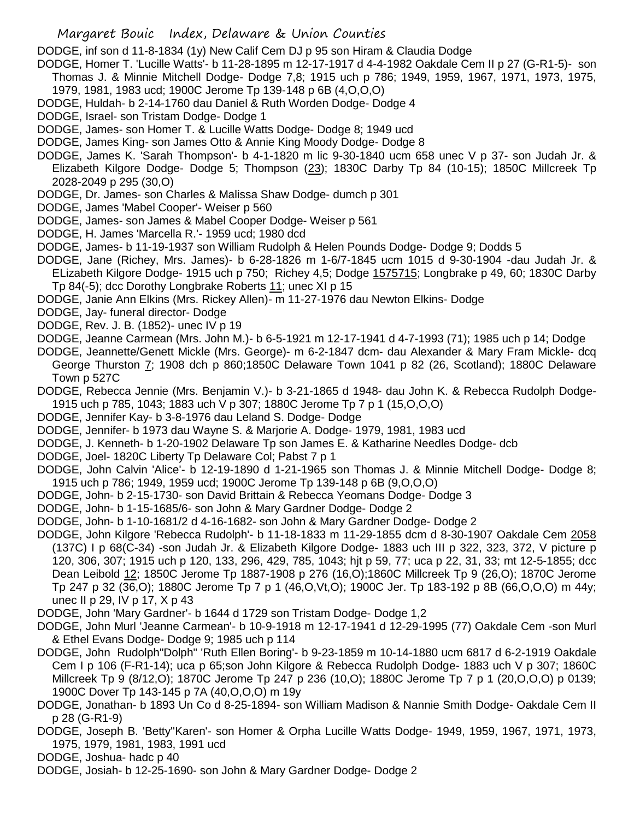DODGE, inf son d 11-8-1834 (1y) New Calif Cem DJ p 95 son Hiram & Claudia Dodge

- DODGE, Homer T. 'Lucille Watts'- b 11-28-1895 m 12-17-1917 d 4-4-1982 Oakdale Cem II p 27 (G-R1-5)- son Thomas J. & Minnie Mitchell Dodge- Dodge 7,8; 1915 uch p 786; 1949, 1959, 1967, 1971, 1973, 1975, 1979, 1981, 1983 ucd; 1900C Jerome Tp 139-148 p 6B (4,O,O,O)
- DODGE, Huldah- b 2-14-1760 dau Daniel & Ruth Worden Dodge- Dodge 4
- DODGE, Israel- son Tristam Dodge- Dodge 1
- DODGE, James- son Homer T. & Lucille Watts Dodge- Dodge 8; 1949 ucd
- DODGE, James King- son James Otto & Annie King Moody Dodge- Dodge 8
- DODGE, James K. 'Sarah Thompson'- b 4-1-1820 m lic 9-30-1840 ucm 658 unec V p 37- son Judah Jr. & Elizabeth Kilgore Dodge- Dodge 5; Thompson (23); 1830C Darby Tp 84 (10-15); 1850C Millcreek Tp 2028-2049 p 295 (30,O)
- DODGE, Dr. James- son Charles & Malissa Shaw Dodge- dumch p 301
- DODGE, James 'Mabel Cooper'- Weiser p 560
- DODGE, James- son James & Mabel Cooper Dodge- Weiser p 561
- DODGE, H. James 'Marcella R.'- 1959 ucd; 1980 dcd
- DODGE, James- b 11-19-1937 son William Rudolph & Helen Pounds Dodge- Dodge 9; Dodds 5
- DODGE, Jane (Richey, Mrs. James)- b 6-28-1826 m 1-6/7-1845 ucm 1015 d 9-30-1904 -dau Judah Jr. & ELizabeth Kilgore Dodge- 1915 uch p 750; Richey 4,5; Dodge 1575715; Longbrake p 49, 60; 1830C Darby
	- Tp 84(-5); dcc Dorothy Longbrake Roberts 11; unec XI p 15

DODGE, Janie Ann Elkins (Mrs. Rickey Allen)- m 11-27-1976 dau Newton Elkins- Dodge

- DODGE, Jay- funeral director- Dodge
- DODGE, Rev. J. B. (1852)- unec IV p 19
- DODGE, Jeanne Carmean (Mrs. John M.)- b 6-5-1921 m 12-17-1941 d 4-7-1993 (71); 1985 uch p 14; Dodge
- DODGE, Jeannette/Genett Mickle (Mrs. George)- m 6-2-1847 dcm- dau Alexander & Mary Fram Mickle- dcq George Thurston 7; 1908 dch p 860;1850C Delaware Town 1041 p 82 (26, Scotland); 1880C Delaware Town p 527C
- DODGE, Rebecca Jennie (Mrs. Benjamin V.)- b 3-21-1865 d 1948- dau John K. & Rebecca Rudolph Dodge-1915 uch p 785, 1043; 1883 uch V p 307; 1880C Jerome Tp 7 p 1 (15,O,O,O)
- DODGE, Jennifer Kay- b 3-8-1976 dau Leland S. Dodge- Dodge
- DODGE, Jennifer- b 1973 dau Wayne S. & Marjorie A. Dodge- 1979, 1981, 1983 ucd
- DODGE, J. Kenneth- b 1-20-1902 Delaware Tp son James E. & Katharine Needles Dodge- dcb
- DODGE, Joel- 1820C Liberty Tp Delaware Col; Pabst 7 p 1
- DODGE, John Calvin 'Alice'- b 12-19-1890 d 1-21-1965 son Thomas J. & Minnie Mitchell Dodge- Dodge 8; 1915 uch p 786; 1949, 1959 ucd; 1900C Jerome Tp 139-148 p 6B (9,O,O,O)
- DODGE, John- b 2-15-1730- son David Brittain & Rebecca Yeomans Dodge- Dodge 3
- DODGE, John- b 1-15-1685/6- son John & Mary Gardner Dodge- Dodge 2
- DODGE, John- b 1-10-1681/2 d 4-16-1682- son John & Mary Gardner Dodge- Dodge 2
- DODGE, John Kilgore 'Rebecca Rudolph'- b 11-18-1833 m 11-29-1855 dcm d 8-30-1907 Oakdale Cem 2058 (137C) I p 68(C-34) -son Judah Jr. & Elizabeth Kilgore Dodge- 1883 uch III p 322, 323, 372, V picture p 120, 306, 307; 1915 uch p 120, 133, 296, 429, 785, 1043; hjt p 59, 77; uca p 22, 31, 33; mt 12-5-1855; dcc Dean Leibold 12; 1850C Jerome Tp 1887-1908 p 276 (16,O);1860C Millcreek Tp 9 (26,O); 1870C Jerome Tp 247 p 32 (36,O); 1880C Jerome Tp 7 p 1 (46,O,Vt,O); 1900C Jer. Tp 183-192 p 8B (66,O,O,O) m 44y; unec II p 29, IV p 17, X p 43
- DODGE, John 'Mary Gardner'- b 1644 d 1729 son Tristam Dodge- Dodge 1,2
- DODGE, John Murl 'Jeanne Carmean'- b 10-9-1918 m 12-17-1941 d 12-29-1995 (77) Oakdale Cem -son Murl & Ethel Evans Dodge- Dodge 9; 1985 uch p 114
- DODGE, John Rudolph"Dolph" 'Ruth Ellen Boring'- b 9-23-1859 m 10-14-1880 ucm 6817 d 6-2-1919 Oakdale Cem I p 106 (F-R1-14); uca p 65;son John Kilgore & Rebecca Rudolph Dodge- 1883 uch V p 307; 1860C Millcreek Tp 9 (8/12,O); 1870C Jerome Tp 247 p 236 (10,O); 1880C Jerome Tp 7 p 1 (20,O,O,O) p 0139; 1900C Dover Tp 143-145 p 7A (40,O,O,O) m 19y
- DODGE, Jonathan- b 1893 Un Co d 8-25-1894- son William Madison & Nannie Smith Dodge- Oakdale Cem II p 28 (G-R1-9)
- DODGE, Joseph B. 'Betty''Karen'- son Homer & Orpha Lucille Watts Dodge- 1949, 1959, 1967, 1971, 1973, 1975, 1979, 1981, 1983, 1991 ucd
- DODGE, Joshua- hadc p 40
- DODGE, Josiah- b 12-25-1690- son John & Mary Gardner Dodge- Dodge 2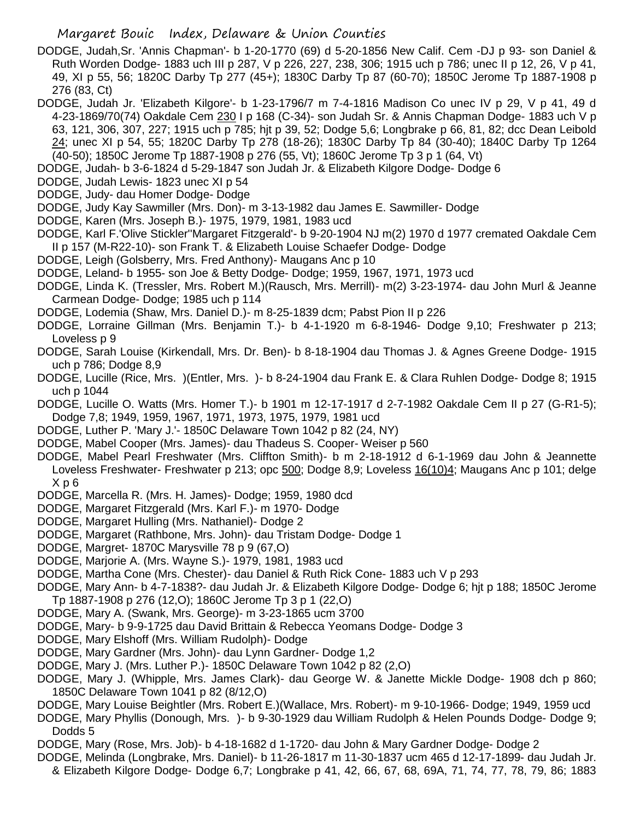- DODGE, Judah,Sr. 'Annis Chapman'- b 1-20-1770 (69) d 5-20-1856 New Calif. Cem -DJ p 93- son Daniel & Ruth Worden Dodge- 1883 uch III p 287, V p 226, 227, 238, 306; 1915 uch p 786; unec II p 12, 26, V p 41, 49, XI p 55, 56; 1820C Darby Tp 277 (45+); 1830C Darby Tp 87 (60-70); 1850C Jerome Tp 1887-1908 p 276 (83, Ct)
- DODGE, Judah Jr. 'Elizabeth Kilgore'- b 1-23-1796/7 m 7-4-1816 Madison Co unec IV p 29, V p 41, 49 d 4-23-1869/70(74) Oakdale Cem 230 I p 168 (C-34)- son Judah Sr. & Annis Chapman Dodge- 1883 uch V p 63, 121, 306, 307, 227; 1915 uch p 785; hjt p 39, 52; Dodge 5,6; Longbrake p 66, 81, 82; dcc Dean Leibold 24; unec XI p 54, 55; 1820C Darby Tp 278 (18-26); 1830C Darby Tp 84 (30-40); 1840C Darby Tp 1264 (40-50); 1850C Jerome Tp 1887-1908 p 276 (55, Vt); 1860C Jerome Tp 3 p 1 (64, Vt)
- DODGE, Judah- b 3-6-1824 d 5-29-1847 son Judah Jr. & Elizabeth Kilgore Dodge- Dodge 6
- DODGE, Judah Lewis- 1823 unec XI p 54
- DODGE, Judy- dau Homer Dodge- Dodge
- DODGE, Judy Kay Sawmiller (Mrs. Don)- m 3-13-1982 dau James E. Sawmiller- Dodge
- DODGE, Karen (Mrs. Joseph B.)- 1975, 1979, 1981, 1983 ucd
- DODGE, Karl F.'Olive Stickler''Margaret Fitzgerald'- b 9-20-1904 NJ m(2) 1970 d 1977 cremated Oakdale Cem II p 157 (M-R22-10)- son Frank T. & Elizabeth Louise Schaefer Dodge- Dodge
- DODGE, Leigh (Golsberry, Mrs. Fred Anthony)- Maugans Anc p 10
- DODGE, Leland- b 1955- son Joe & Betty Dodge- Dodge; 1959, 1967, 1971, 1973 ucd
- DODGE, Linda K. (Tressler, Mrs. Robert M.)(Rausch, Mrs. Merrill)- m(2) 3-23-1974- dau John Murl & Jeanne Carmean Dodge- Dodge; 1985 uch p 114
- DODGE, Lodemia (Shaw, Mrs. Daniel D.)- m 8-25-1839 dcm; Pabst Pion II p 226
- DODGE, Lorraine Gillman (Mrs. Benjamin T.)- b 4-1-1920 m 6-8-1946- Dodge 9,10; Freshwater p 213; Loveless p 9
- DODGE, Sarah Louise (Kirkendall, Mrs. Dr. Ben)- b 8-18-1904 dau Thomas J. & Agnes Greene Dodge- 1915 uch p 786; Dodge 8,9
- DODGE, Lucille (Rice, Mrs. )(Entler, Mrs. )- b 8-24-1904 dau Frank E. & Clara Ruhlen Dodge- Dodge 8; 1915 uch p 1044
- DODGE, Lucille O. Watts (Mrs. Homer T.)- b 1901 m 12-17-1917 d 2-7-1982 Oakdale Cem II p 27 (G-R1-5); Dodge 7,8; 1949, 1959, 1967, 1971, 1973, 1975, 1979, 1981 ucd
- DODGE, Luther P. 'Mary J.'- 1850C Delaware Town 1042 p 82 (24, NY)
- DODGE, Mabel Cooper (Mrs. James)- dau Thadeus S. Cooper- Weiser p 560
- DODGE, Mabel Pearl Freshwater (Mrs. Cliffton Smith)- b m 2-18-1912 d 6-1-1969 dau John & Jeannette Loveless Freshwater- Freshwater p 213; opc 500; Dodge 8,9; Loveless 16(10)4; Maugans Anc p 101; delge X p 6
- DODGE, Marcella R. (Mrs. H. James)- Dodge; 1959, 1980 dcd
- DODGE, Margaret Fitzgerald (Mrs. Karl F.)- m 1970- Dodge
- DODGE, Margaret Hulling (Mrs. Nathaniel)- Dodge 2
- DODGE, Margaret (Rathbone, Mrs. John)- dau Tristam Dodge- Dodge 1
- DODGE, Margret- 1870C Marysville 78 p 9 (67,O)
- DODGE, Marjorie A. (Mrs. Wayne S.)- 1979, 1981, 1983 ucd
- DODGE, Martha Cone (Mrs. Chester)- dau Daniel & Ruth Rick Cone- 1883 uch V p 293
- DODGE, Mary Ann- b 4-7-1838?- dau Judah Jr. & Elizabeth Kilgore Dodge- Dodge 6; hjt p 188; 1850C Jerome Tp 1887-1908 p 276 (12,O); 1860C Jerome Tp 3 p 1 (22,O)
- DODGE, Mary A. (Swank, Mrs. George)- m 3-23-1865 ucm 3700
- DODGE, Mary- b 9-9-1725 dau David Brittain & Rebecca Yeomans Dodge- Dodge 3
- DODGE, Mary Elshoff (Mrs. William Rudolph)- Dodge
- DODGE, Mary Gardner (Mrs. John)- dau Lynn Gardner- Dodge 1,2
- DODGE, Mary J. (Mrs. Luther P.)- 1850C Delaware Town 1042 p 82 (2,O)
- DODGE, Mary J. (Whipple, Mrs. James Clark)- dau George W. & Janette Mickle Dodge- 1908 dch p 860; 1850C Delaware Town 1041 p 82 (8/12,O)
- DODGE, Mary Louise Beightler (Mrs. Robert E.)(Wallace, Mrs. Robert)- m 9-10-1966- Dodge; 1949, 1959 ucd
- DODGE, Mary Phyllis (Donough, Mrs. )- b 9-30-1929 dau William Rudolph & Helen Pounds Dodge- Dodge 9; Dodds 5
- DODGE, Mary (Rose, Mrs. Job)- b 4-18-1682 d 1-1720- dau John & Mary Gardner Dodge- Dodge 2
- DODGE, Melinda (Longbrake, Mrs. Daniel)- b 11-26-1817 m 11-30-1837 ucm 465 d 12-17-1899- dau Judah Jr.
- & Elizabeth Kilgore Dodge- Dodge 6,7; Longbrake p 41, 42, 66, 67, 68, 69A, 71, 74, 77, 78, 79, 86; 1883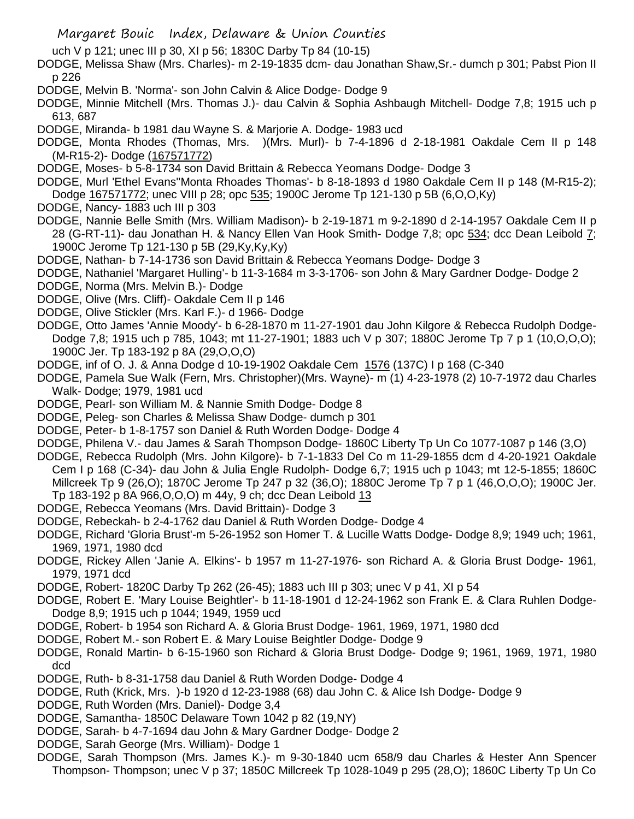- Margaret Bouic Index, Delaware & Union Counties
- uch V p 121; unec III p 30, XI p 56; 1830C Darby Tp 84 (10-15)
- DODGE, Melissa Shaw (Mrs. Charles)- m 2-19-1835 dcm- dau Jonathan Shaw,Sr.- dumch p 301; Pabst Pion II p 226
- DODGE, Melvin B. 'Norma'- son John Calvin & Alice Dodge- Dodge 9
- DODGE, Minnie Mitchell (Mrs. Thomas J.)- dau Calvin & Sophia Ashbaugh Mitchell- Dodge 7,8; 1915 uch p 613, 687
- DODGE, Miranda- b 1981 dau Wayne S. & Marjorie A. Dodge- 1983 ucd
- DODGE, Monta Rhodes (Thomas, Mrs. )(Mrs. Murl)- b 7-4-1896 d 2-18-1981 Oakdale Cem II p 148 (M-R15-2)- Dodge (167571772)
- DODGE, Moses- b 5-8-1734 son David Brittain & Rebecca Yeomans Dodge- Dodge 3
- DODGE, Murl 'Ethel Evans''Monta Rhoades Thomas'- b 8-18-1893 d 1980 Oakdale Cem II p 148 (M-R15-2); Dodge 167571772; unec VIII p 28; opc 535; 1900C Jerome Tp 121-130 p 5B (6,O,O,Ky)
- DODGE, Nancy- 1883 uch III p 303
- DODGE, Nannie Belle Smith (Mrs. William Madison)- b 2-19-1871 m 9-2-1890 d 2-14-1957 Oakdale Cem II p 28 (G-RT-11)- dau Jonathan H. & Nancy Ellen Van Hook Smith- Dodge 7,8; opc 534; dcc Dean Leibold 7; 1900C Jerome Tp 121-130 p 5B (29,Ky,Ky,Ky)
- DODGE, Nathan- b 7-14-1736 son David Brittain & Rebecca Yeomans Dodge- Dodge 3
- DODGE, Nathaniel 'Margaret Hulling'- b 11-3-1684 m 3-3-1706- son John & Mary Gardner Dodge- Dodge 2
- DODGE, Norma (Mrs. Melvin B.)- Dodge
- DODGE, Olive (Mrs. Cliff)- Oakdale Cem II p 146
- DODGE, Olive Stickler (Mrs. Karl F.)- d 1966- Dodge
- DODGE, Otto James 'Annie Moody'- b 6-28-1870 m 11-27-1901 dau John Kilgore & Rebecca Rudolph Dodge-Dodge 7,8; 1915 uch p 785, 1043; mt 11-27-1901; 1883 uch V p 307; 1880C Jerome Tp 7 p 1 (10,O,O,O); 1900C Jer. Tp 183-192 p 8A (29,O,O,O)
- DODGE, inf of O. J. & Anna Dodge d 10-19-1902 Oakdale Cem 1576 (137C) I p 168 (C-340
- DODGE, Pamela Sue Walk (Fern, Mrs. Christopher)(Mrs. Wayne)- m (1) 4-23-1978 (2) 10-7-1972 dau Charles Walk- Dodge; 1979, 1981 ucd
- DODGE, Pearl- son William M. & Nannie Smith Dodge- Dodge 8
- DODGE, Peleg- son Charles & Melissa Shaw Dodge- dumch p 301
- DODGE, Peter- b 1-8-1757 son Daniel & Ruth Worden Dodge- Dodge 4
- DODGE, Philena V.- dau James & Sarah Thompson Dodge- 1860C Liberty Tp Un Co 1077-1087 p 146 (3,O)
- DODGE, Rebecca Rudolph (Mrs. John Kilgore)- b 7-1-1833 Del Co m 11-29-1855 dcm d 4-20-1921 Oakdale Cem I p 168 (C-34)- dau John & Julia Engle Rudolph- Dodge 6,7; 1915 uch p 1043; mt 12-5-1855; 1860C Millcreek Tp 9 (26,O); 1870C Jerome Tp 247 p 32 (36,O); 1880C Jerome Tp 7 p 1 (46,O,O,O); 1900C Jer. Tp 183-192 p 8A 966,O,O,O) m 44y, 9 ch; dcc Dean Leibold 13
- DODGE, Rebecca Yeomans (Mrs. David Brittain)- Dodge 3
- DODGE, Rebeckah- b 2-4-1762 dau Daniel & Ruth Worden Dodge- Dodge 4
- DODGE, Richard 'Gloria Brust'-m 5-26-1952 son Homer T. & Lucille Watts Dodge- Dodge 8,9; 1949 uch; 1961, 1969, 1971, 1980 dcd
- DODGE, Rickey Allen 'Janie A. Elkins'- b 1957 m 11-27-1976- son Richard A. & Gloria Brust Dodge- 1961, 1979, 1971 dcd
- DODGE, Robert- 1820C Darby Tp 262 (26-45); 1883 uch III p 303; unec V p 41, XI p 54
- DODGE, Robert E. 'Mary Louise Beightler'- b 11-18-1901 d 12-24-1962 son Frank E. & Clara Ruhlen Dodge-Dodge 8,9; 1915 uch p 1044; 1949, 1959 ucd
- DODGE, Robert- b 1954 son Richard A. & Gloria Brust Dodge- 1961, 1969, 1971, 1980 dcd
- DODGE, Robert M.- son Robert E. & Mary Louise Beightler Dodge- Dodge 9
- DODGE, Ronald Martin- b 6-15-1960 son Richard & Gloria Brust Dodge- Dodge 9; 1961, 1969, 1971, 1980 dcd
- DODGE, Ruth- b 8-31-1758 dau Daniel & Ruth Worden Dodge- Dodge 4
- DODGE, Ruth (Krick, Mrs. )-b 1920 d 12-23-1988 (68) dau John C. & Alice Ish Dodge- Dodge 9
- DODGE, Ruth Worden (Mrs. Daniel)- Dodge 3,4
- DODGE, Samantha- 1850C Delaware Town 1042 p 82 (19,NY)
- DODGE, Sarah- b 4-7-1694 dau John & Mary Gardner Dodge- Dodge 2
- DODGE, Sarah George (Mrs. William)- Dodge 1
- DODGE, Sarah Thompson (Mrs. James K.)- m 9-30-1840 ucm 658/9 dau Charles & Hester Ann Spencer Thompson- Thompson; unec V p 37; 1850C Millcreek Tp 1028-1049 p 295 (28,O); 1860C Liberty Tp Un Co